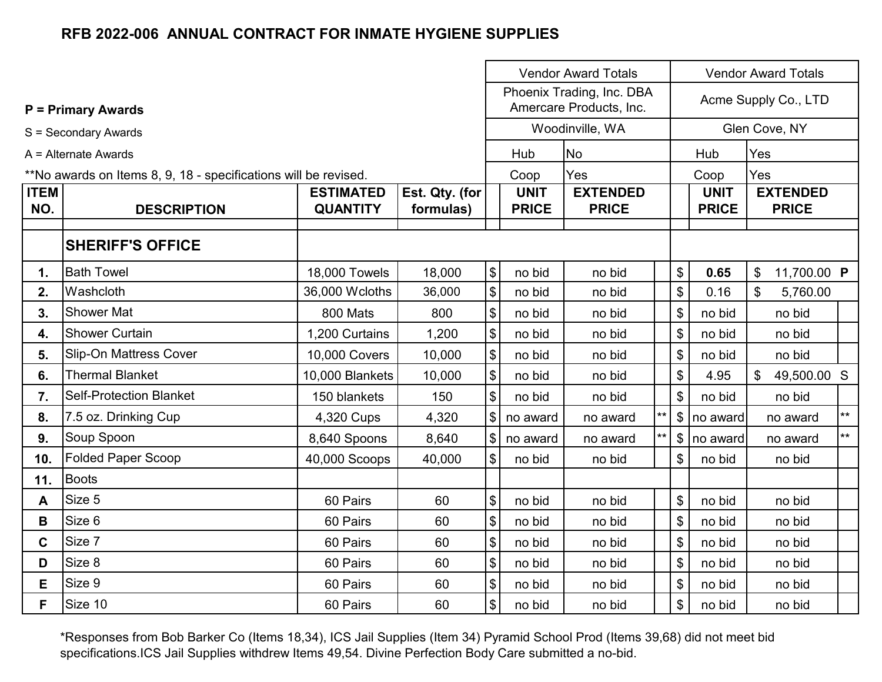|                    |                                                                 |                                     |                             | <b>Vendor Award Totals</b> |                             |                                                      |    |    | <b>Vendor Award Totals</b>  |     |                                 |              |
|--------------------|-----------------------------------------------------------------|-------------------------------------|-----------------------------|----------------------------|-----------------------------|------------------------------------------------------|----|----|-----------------------------|-----|---------------------------------|--------------|
|                    | <b>P</b> = Primary Awards                                       |                                     |                             |                            |                             | Phoenix Trading, Inc. DBA<br>Amercare Products, Inc. |    |    |                             |     | Acme Supply Co., LTD            |              |
|                    | S = Secondary Awards                                            |                                     |                             |                            |                             | Woodinville, WA                                      |    |    |                             |     | Glen Cove, NY                   |              |
|                    | $A =$ Alternate Awards                                          |                                     |                             |                            | Hub                         | <b>No</b>                                            |    |    | Hub                         | Yes |                                 |              |
|                    | **No awards on Items 8, 9, 18 - specifications will be revised. |                                     |                             |                            | Coop                        | Yes                                                  |    |    | Coop                        | Yes |                                 |              |
| <b>ITEM</b><br>NO. | <b>DESCRIPTION</b>                                              | <b>ESTIMATED</b><br><b>QUANTITY</b> | Est. Qty. (for<br>formulas) |                            | <b>UNIT</b><br><b>PRICE</b> | <b>EXTENDED</b><br><b>PRICE</b>                      |    |    | <b>UNIT</b><br><b>PRICE</b> |     | <b>EXTENDED</b><br><b>PRICE</b> |              |
|                    | <b>SHERIFF'S OFFICE</b>                                         |                                     |                             |                            |                             |                                                      |    |    |                             |     |                                 |              |
| $\mathbf{1}$ .     | <b>Bath Towel</b>                                               | 18,000 Towels                       | 18,000                      | \$                         | no bid                      | no bid                                               |    | \$ | 0.65                        | \$  | 11,700.00 P                     |              |
| 2.                 | Washcloth                                                       | 36,000 Wcloths                      | 36,000                      | \$                         | no bid                      | no bid                                               |    | \$ | 0.16                        | \$  | 5,760.00                        |              |
| 3.                 | <b>Shower Mat</b>                                               | 800 Mats                            | 800                         | \$                         | no bid                      | no bid                                               |    | \$ | no bid                      |     | no bid                          |              |
| 4.                 | <b>Shower Curtain</b>                                           | 1,200 Curtains                      | 1,200                       | \$                         | no bid                      | no bid                                               |    | \$ | no bid                      |     | no bid                          |              |
| 5.                 | <b>Slip-On Mattress Cover</b>                                   | 10,000 Covers                       | 10,000                      | \$                         | no bid                      | no bid                                               |    | \$ | no bid                      |     | no bid                          |              |
| 6.                 | <b>Thermal Blanket</b>                                          | 10,000 Blankets                     | 10,000                      | \$                         | no bid                      | no bid                                               |    | \$ | 4.95                        | \$  | 49,500.00 S                     |              |
| 7.                 | <b>Self-Protection Blanket</b>                                  | 150 blankets                        | 150                         | \$                         | no bid                      | no bid                                               |    | \$ | no bid                      |     | no bid                          |              |
| 8.                 | 7.5 oz. Drinking Cup                                            | 4,320 Cups                          | 4,320                       | \$                         | no award                    | no award                                             | ** | \$ | no award                    |     | no award                        | $**$         |
| 9.                 | Soup Spoon                                                      | 8,640 Spoons                        | 8,640                       | \$                         | no award                    | no award                                             | ** | \$ | no award                    |     | no award                        | $\star\star$ |
| 10.                | <b>Folded Paper Scoop</b>                                       | 40,000 Scoops                       | 40,000                      | \$                         | no bid                      | no bid                                               |    | \$ | no bid                      |     | no bid                          |              |
| 11.                | <b>Boots</b>                                                    |                                     |                             |                            |                             |                                                      |    |    |                             |     |                                 |              |
| A                  | Size 5                                                          | 60 Pairs                            | 60                          | \$                         | no bid                      | no bid                                               |    | \$ | no bid                      |     | no bid                          |              |
| B                  | Size 6                                                          | 60 Pairs                            | 60                          | \$                         | no bid                      | no bid                                               |    | \$ | no bid                      |     | no bid                          |              |
| C                  | Size 7                                                          | 60 Pairs                            | 60                          | \$                         | no bid                      | no bid                                               |    | \$ | no bid                      |     | no bid                          |              |
| D                  | Size 8                                                          | 60 Pairs                            | 60                          | \$                         | no bid                      | no bid                                               |    | \$ | no bid                      |     | no bid                          |              |
| E                  | Size 9                                                          | 60 Pairs                            | 60                          | \$                         | no bid                      | no bid                                               |    | \$ | no bid                      |     | no bid                          |              |
| F.                 | Size 10                                                         | 60 Pairs                            | 60                          | \$                         | no bid                      | no bid                                               |    | \$ | no bid                      |     | no bid                          |              |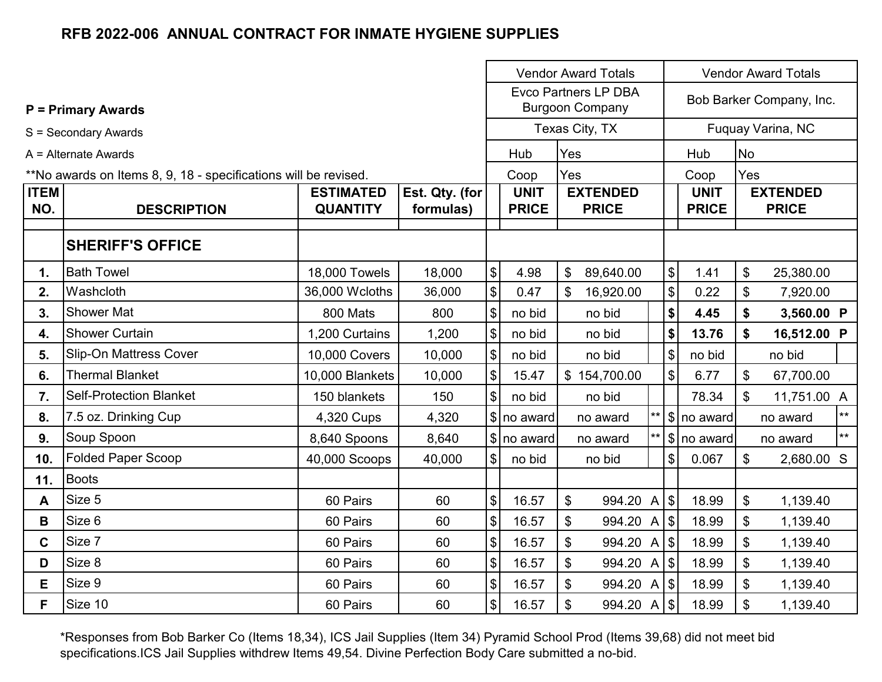|                    |                                                                 |                                                                    |        |                              | <b>Vendor Award Totals</b><br><b>Vendor Award Totals</b> |                                                       |              |                           |                             |           |                                 |       |
|--------------------|-----------------------------------------------------------------|--------------------------------------------------------------------|--------|------------------------------|----------------------------------------------------------|-------------------------------------------------------|--------------|---------------------------|-----------------------------|-----------|---------------------------------|-------|
|                    | <b>P = Primary Awards</b>                                       |                                                                    |        |                              |                                                          | <b>Evco Partners LP DBA</b><br><b>Burgoon Company</b> |              |                           |                             |           | Bob Barker Company, Inc.        |       |
|                    | S = Secondary Awards                                            |                                                                    |        |                              |                                                          | Texas City, TX                                        |              |                           |                             |           | Fuquay Varina, NC               |       |
|                    | $A =$ Alternate Awards                                          |                                                                    |        |                              | Hub                                                      | Yes                                                   |              |                           | Hub                         | <b>No</b> |                                 |       |
|                    | **No awards on Items 8, 9, 18 - specifications will be revised. |                                                                    |        |                              | Coop                                                     | Yes                                                   |              |                           | Coop                        | Yes       |                                 |       |
| <b>ITEM</b><br>NO. | <b>DESCRIPTION</b>                                              | <b>ESTIMATED</b><br>Est. Qty. (for<br><b>QUANTITY</b><br>formulas) |        |                              | <b>UNIT</b><br><b>PRICE</b>                              | <b>EXTENDED</b><br><b>PRICE</b>                       |              |                           | <b>UNIT</b><br><b>PRICE</b> |           | <b>EXTENDED</b><br><b>PRICE</b> |       |
|                    | <b>SHERIFF'S OFFICE</b>                                         |                                                                    |        |                              |                                                          |                                                       |              |                           |                             |           |                                 |       |
| 1.                 | <b>Bath Towel</b>                                               | 18,000 Towels                                                      | 18,000 | $\theta$                     | 4.98                                                     | $\mathfrak{L}$<br>89,640.00                           |              | $\frac{1}{2}$             | 1.41                        | \$        | 25,380.00                       |       |
| 2.                 | Washcloth                                                       | 36,000 Wcloths                                                     | 36,000 | $\theta$                     | 0.47                                                     | \$<br>16,920.00                                       |              | $\$\$                     | 0.22                        | \$        | 7,920.00                        |       |
| 3.                 | <b>Shower Mat</b>                                               | 800 Mats                                                           | 800    | $\boldsymbol{\mathsf{S}}$    | no bid                                                   | no bid                                                |              | \$                        | 4.45                        | \$        | 3,560.00 P                      |       |
| 4.                 | <b>Shower Curtain</b>                                           | 1,200 Curtains                                                     | 1,200  | \$                           | no bid                                                   | no bid                                                |              | \$                        | 13.76                       | \$        | 16,512.00 P                     |       |
| 5.                 | <b>Slip-On Mattress Cover</b>                                   | 10,000 Covers                                                      | 10,000 | $\theta$                     | no bid                                                   | no bid                                                |              | $\boldsymbol{\mathsf{S}}$ | no bid                      |           | no bid                          |       |
| 6.                 | <b>Thermal Blanket</b>                                          | 10,000 Blankets                                                    | 10,000 | $\theta$                     | 15.47                                                    | \$154,700.00                                          |              | $\boldsymbol{\mathsf{S}}$ | 6.77                        | \$        | 67,700.00                       |       |
| 7.                 | <b>Self-Protection Blanket</b>                                  | 150 blankets                                                       | 150    | $\vert$                      | no bid                                                   | no bid                                                |              |                           | 78.34                       | \$        | 11,751.00 A                     |       |
| 8.                 | 7.5 oz. Drinking Cup                                            | 4,320 Cups                                                         | 4,320  |                              | \$ no award                                              | no award                                              | $**$         |                           | ∣\$ no award                |           | no award                        | $***$ |
| 9.                 | Soup Spoon                                                      | 8,640 Spoons                                                       | 8,640  |                              | \$ no award                                              | no award                                              | $\star\star$ |                           | \$ no award                 |           | no award                        | $***$ |
| 10.                | <b>Folded Paper Scoop</b>                                       | 40,000 Scoops                                                      | 40,000 | $\left  \frac{1}{2} \right $ | no bid                                                   | no bid                                                |              | $\frac{1}{2}$             | 0.067                       | \$        | 2,680.00 S                      |       |
| 11.                | <b>Boots</b>                                                    |                                                                    |        |                              |                                                          |                                                       |              |                           |                             |           |                                 |       |
| A                  | Size 5                                                          | 60 Pairs                                                           | 60     | $\boldsymbol{\mathsf{S}}$    | 16.57                                                    | \$<br>994.20 A \$                                     |              |                           | 18.99                       | \$        | 1,139.40                        |       |
| В                  | Size 6                                                          | 60 Pairs                                                           | 60     | $\$\$                        | 16.57                                                    | \$<br>994.20 A \$                                     |              |                           | 18.99                       | \$        | 1,139.40                        |       |
| C                  | Size 7                                                          | 60 Pairs                                                           | 60     | $\boldsymbol{\mathsf{S}}$    | 16.57                                                    | \$<br>994.20 A   \$                                   |              |                           | 18.99                       | \$        | 1,139.40                        |       |
| D                  | Size 8                                                          | 60 Pairs                                                           | 60     | $\theta$                     | 16.57                                                    | \$<br>994.20 A \$                                     |              |                           | 18.99                       | \$        | 1,139.40                        |       |
| E                  | Size 9                                                          | 60 Pairs                                                           | 60     | $$\mathbb{S}$$               | 16.57                                                    | \$<br>994.20 A \$                                     |              |                           | 18.99                       | \$        | 1,139.40                        |       |
| F.                 | Size 10                                                         | 60 Pairs                                                           | 60     | $\boldsymbol{\mathsf{S}}$    | 16.57                                                    | \$<br>994.20 A \$                                     |              |                           | 18.99                       | \$        | 1,139.40                        |       |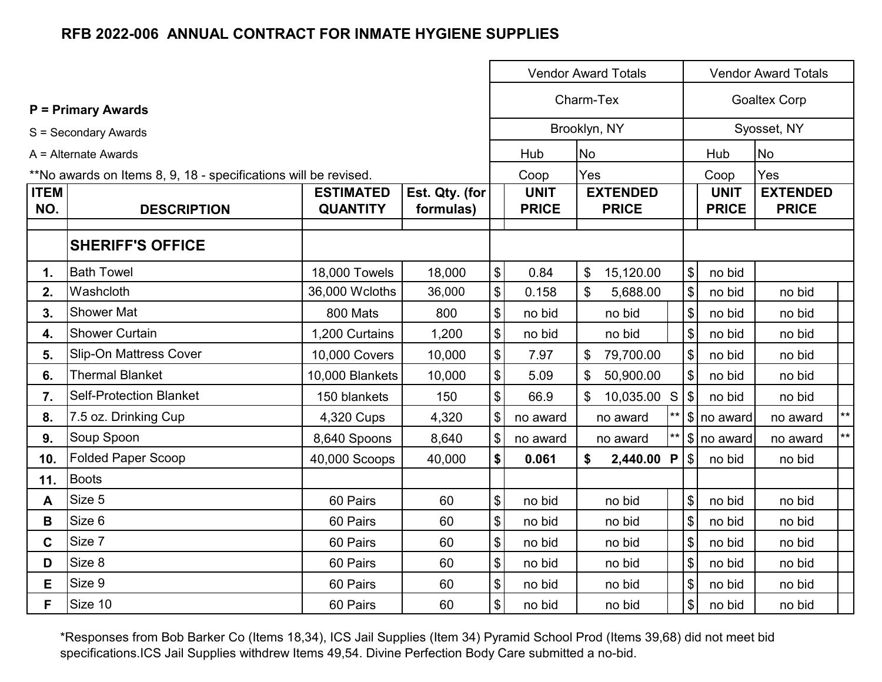|                    |                                                                 |                                     |                             | <b>Vendor Award Totals</b> |                             |                           |                                 |       |                           |                             | <b>Vendor Award Totals</b>      |              |
|--------------------|-----------------------------------------------------------------|-------------------------------------|-----------------------------|----------------------------|-----------------------------|---------------------------|---------------------------------|-------|---------------------------|-----------------------------|---------------------------------|--------------|
|                    | <b>P = Primary Awards</b>                                       |                                     |                             |                            |                             | Charm-Tex                 |                                 |       | <b>Goaltex Corp</b>       |                             |                                 |              |
|                    | S = Secondary Awards                                            |                                     |                             |                            | Brooklyn, NY                |                           |                                 |       |                           |                             | Syosset, NY                     |              |
|                    | A = Alternate Awards                                            |                                     |                             |                            | Hub                         | <b>No</b>                 |                                 |       |                           | Hub                         | <b>No</b>                       |              |
|                    | **No awards on Items 8, 9, 18 - specifications will be revised. |                                     |                             |                            | Coop                        | Yes                       |                                 |       |                           | Coop                        | Yes                             |              |
| <b>ITEM</b><br>NO. | <b>DESCRIPTION</b>                                              | <b>ESTIMATED</b><br><b>QUANTITY</b> | Est. Qty. (for<br>formulas) |                            | <b>UNIT</b><br><b>PRICE</b> |                           | <b>EXTENDED</b><br><b>PRICE</b> |       |                           | <b>UNIT</b><br><b>PRICE</b> | <b>EXTENDED</b><br><b>PRICE</b> |              |
|                    | <b>SHERIFF'S OFFICE</b>                                         |                                     |                             |                            |                             |                           |                                 |       |                           |                             |                                 |              |
| 1.                 | <b>Bath Towel</b>                                               | 18,000 Towels                       | 18,000                      | $\boldsymbol{\mathsf{\$}}$ | 0.84                        | $\$\$                     | 15,120.00                       |       | $\$\$                     | no bid                      |                                 |              |
| 2.                 | Washcloth                                                       | 36,000 Wcloths                      | 36,000                      | \$                         | 0.158                       | \$                        | 5,688.00                        |       | \$                        | no bid                      | no bid                          |              |
| 3.                 | <b>Shower Mat</b>                                               | 800 Mats                            | 800                         | \$                         | no bid                      |                           | no bid                          |       | \$                        | no bid                      | no bid                          |              |
| 4.                 | <b>Shower Curtain</b>                                           | 1,200 Curtains                      | 1,200                       | \$                         | no bid                      |                           | no bid                          |       | $\mathfrak{S}$            | no bid                      | no bid                          |              |
| 5.                 | <b>Slip-On Mattress Cover</b>                                   | 10,000 Covers                       | 10,000                      | \$                         | 7.97                        | $\boldsymbol{\mathsf{S}}$ | 79,700.00                       |       | $\$\$                     | no bid                      | no bid                          |              |
| 6.                 | <b>Thermal Blanket</b>                                          | 10,000 Blankets                     | 10,000                      | \$                         | 5.09                        | \$                        | 50,900.00                       |       | $\sqrt[6]{\frac{1}{2}}$   | no bid                      | no bid                          |              |
| 7.                 | <b>Self-Protection Blanket</b>                                  | 150 blankets                        | 150                         | $\boldsymbol{\mathsf{\$}}$ | 66.9                        | \$                        | 10,035.00 S                     |       | l \$ l                    | no bid                      | no bid                          |              |
| 8.                 | 7.5 oz. Drinking Cup                                            | 4,320 Cups                          | 4,320                       | \$                         | no award                    |                           | no award                        | $***$ |                           | \$ no award                 | no award                        | $\star\star$ |
| 9.                 | Soup Spoon                                                      | 8,640 Spoons                        | 8,640                       | $\boldsymbol{\mathsf{\$}}$ | no award                    |                           | no award                        | $***$ |                           | $\ \$\ $ no award           | no award                        | $***$        |
| 10.                | <b>Folded Paper Scoop</b>                                       | 40,000 Scoops                       | 40,000                      | \$                         | 0.061                       | \$                        | 2,440.00 P                      |       | $\sqrt{3}$                | no bid                      | no bid                          |              |
| 11.                | Boots                                                           |                                     |                             |                            |                             |                           |                                 |       |                           |                             |                                 |              |
| A                  | Size 5                                                          | 60 Pairs                            | 60                          | \$                         | no bid                      |                           | no bid                          |       | \$                        | no bid                      | no bid                          |              |
| В                  | Size 6                                                          | 60 Pairs                            | 60                          | \$                         | no bid                      |                           | no bid                          |       | \$                        | no bid                      | no bid                          |              |
| C                  | Size 7                                                          | 60 Pairs                            | 60                          | \$                         | no bid                      |                           | no bid                          |       | $\boldsymbol{\mathsf{S}}$ | no bid                      | no bid                          |              |
| D                  | Size 8                                                          | 60 Pairs                            | 60                          | \$                         | no bid                      |                           | no bid                          |       | $\$\$                     | no bid                      | no bid                          |              |
| E.                 | Size 9                                                          | 60 Pairs                            | 60                          | \$                         | no bid                      |                           | no bid                          |       | \$                        | no bid                      | no bid                          |              |
| F                  | Size 10                                                         | 60 Pairs                            | 60                          | \$                         | no bid                      |                           | no bid                          |       | \$                        | no bid                      | no bid                          |              |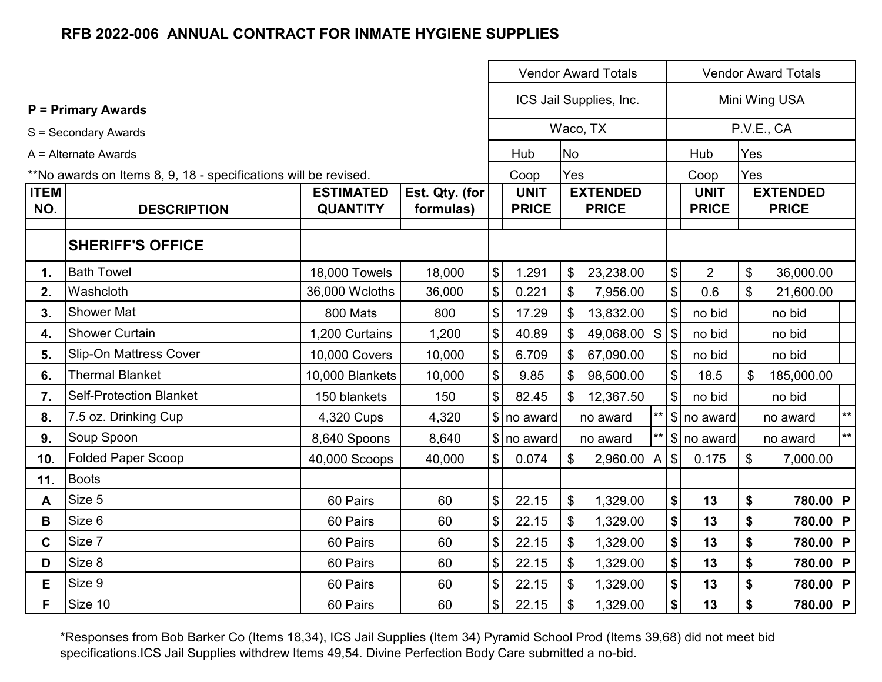|                    |                                                                 |                                     |                             |                            | <b>Vendor Award Totals</b><br><b>Vendor Award Totals</b> |                |                                 |                |                           |                             |                            |                                 |
|--------------------|-----------------------------------------------------------------|-------------------------------------|-----------------------------|----------------------------|----------------------------------------------------------|----------------|---------------------------------|----------------|---------------------------|-----------------------------|----------------------------|---------------------------------|
|                    | <b>P</b> = Primary Awards                                       |                                     |                             |                            |                                                          |                | ICS Jail Supplies, Inc.         |                |                           |                             |                            | Mini Wing USA                   |
|                    | S = Secondary Awards                                            |                                     |                             |                            |                                                          |                | Waco, TX                        |                |                           |                             |                            | P.V.E., CA                      |
|                    | A = Alternate Awards                                            |                                     |                             |                            | Hub                                                      | <b>No</b>      |                                 |                |                           | Hub                         | Yes                        |                                 |
|                    | **No awards on Items 8, 9, 18 - specifications will be revised. |                                     |                             |                            | Coop                                                     | Yes            |                                 |                |                           | Coop                        | Yes                        |                                 |
| <b>ITEM</b><br>NO. | <b>DESCRIPTION</b>                                              | <b>ESTIMATED</b><br><b>QUANTITY</b> | Est. Qty. (for<br>formulas) |                            | <b>UNIT</b><br><b>PRICE</b>                              |                | <b>EXTENDED</b><br><b>PRICE</b> |                |                           | <b>UNIT</b><br><b>PRICE</b> |                            | <b>EXTENDED</b><br><b>PRICE</b> |
|                    | <b>SHERIFF'S OFFICE</b>                                         |                                     |                             |                            |                                                          |                |                                 |                |                           |                             |                            |                                 |
| 1.                 | <b>Bath Towel</b>                                               | 18,000 Towels                       | 18,000                      | $\boldsymbol{\mathsf{\$}}$ | 1.291                                                    | \$             | 23,238.00                       |                | $\$\$                     | $\overline{2}$              | $\boldsymbol{\mathsf{S}}$  | 36,000.00                       |
| 2.                 | Washcloth                                                       | 36,000 Wcloths                      | 36,000                      | $\boldsymbol{\mathsf{\$}}$ | 0.221                                                    | $\mathfrak{L}$ | 7,956.00                        |                | $\boldsymbol{\mathsf{S}}$ | 0.6                         | \$                         | 21,600.00                       |
| 3.                 | <b>Shower Mat</b>                                               | 800 Mats                            | 800                         | $\boldsymbol{\mathsf{\$}}$ | 17.29                                                    | \$             | 13,832.00                       |                | $\sqrt[6]{\frac{1}{2}}$   | no bid                      |                            | no bid                          |
| 4.                 | <b>Shower Curtain</b>                                           | 1,200 Curtains                      | 1,200                       | $\boldsymbol{\mathsf{\$}}$ | 40.89                                                    | \$             | 49,068.00 S                     |                | $\sqrt{3}$                | no bid                      |                            | no bid                          |
| 5.                 | Slip-On Mattress Cover                                          | 10,000 Covers                       | 10,000                      | $\, \, \$$                 | 6.709                                                    | \$             | 67,090.00                       |                | $\sqrt[6]{\frac{1}{2}}$   | no bid                      |                            | no bid                          |
| 6.                 | Thermal Blanket                                                 | 10,000 Blankets                     | 10,000                      | $\, \, \$$                 | 9.85                                                     | \$             | 98,500.00                       |                | $\sqrt[6]{\frac{1}{2}}$   | 18.5                        | \$                         | 185,000.00                      |
| 7.                 | <b>Self-Protection Blanket</b>                                  | 150 blankets                        | 150                         | $\boldsymbol{\mathsf{S}}$  | 82.45                                                    | \$             | 12,367.50                       |                | $\sqrt[6]{\frac{1}{2}}$   | no bid                      |                            | no bid                          |
| 8.                 | 7.5 oz. Drinking Cup                                            | 4,320 Cups                          | 4,320                       |                            | \$ no award                                              |                | no award                        |                |                           | \$ no award                 |                            | $\star\star$<br>no award        |
| 9.                 | Soup Spoon                                                      | 8,640 Spoons                        | 8,640                       |                            | $\frac{1}{2}$ no award                                   |                | no award                        | $***$          |                           | $ \text{\$}$ no award       |                            | $***$<br>no award               |
| 10.                | <b>Folded Paper Scoop</b>                                       | 40,000 Scoops                       | 40,000                      | $\boldsymbol{\mathsf{S}}$  | 0.074                                                    | \$             | 2,960.00                        | $\overline{A}$ | $\sqrt[6]{\frac{1}{2}}$   | 0.175                       | $\boldsymbol{\mathsf{\$}}$ | 7,000.00                        |
| 11.                | <b>Boots</b>                                                    |                                     |                             |                            |                                                          |                |                                 |                |                           |                             |                            |                                 |
| A                  | Size 5                                                          | 60 Pairs                            | 60                          | $\$\$                      | 22.15                                                    | \$             | 1,329.00                        |                | \$                        | 13                          | \$                         | 780.00 P                        |
| В                  | Size 6                                                          | 60 Pairs                            | 60                          | $\boldsymbol{\mathsf{\$}}$ | 22.15                                                    | \$             | 1,329.00                        |                | \$                        | 13                          | \$                         | 780.00 P                        |
| C                  | Size 7                                                          | 60 Pairs                            | 60                          | $\boldsymbol{\mathsf{\$}}$ | 22.15                                                    | \$             | 1,329.00                        |                | $\boldsymbol{\$}$         | 13                          | \$                         | 780.00 P                        |
| D                  | Size 8                                                          | 60 Pairs                            | 60                          | $\, \, \$$                 | 22.15                                                    | \$             | 1,329.00                        |                | $\boldsymbol{\$}$         | 13                          | \$                         | 780.00 P                        |
| Е                  | Size 9                                                          | 60 Pairs                            | 60                          | $\boldsymbol{\mathsf{\$}}$ | 22.15                                                    | \$             | 1,329.00                        |                | $$$                       | 13                          | \$                         | 780.00 P                        |
| F.                 | Size 10                                                         | 60 Pairs                            | 60                          | $\boldsymbol{\mathsf{\$}}$ | 22.15                                                    | \$             | 1,329.00                        |                | \$                        | 13                          | \$                         | 780.00 P                        |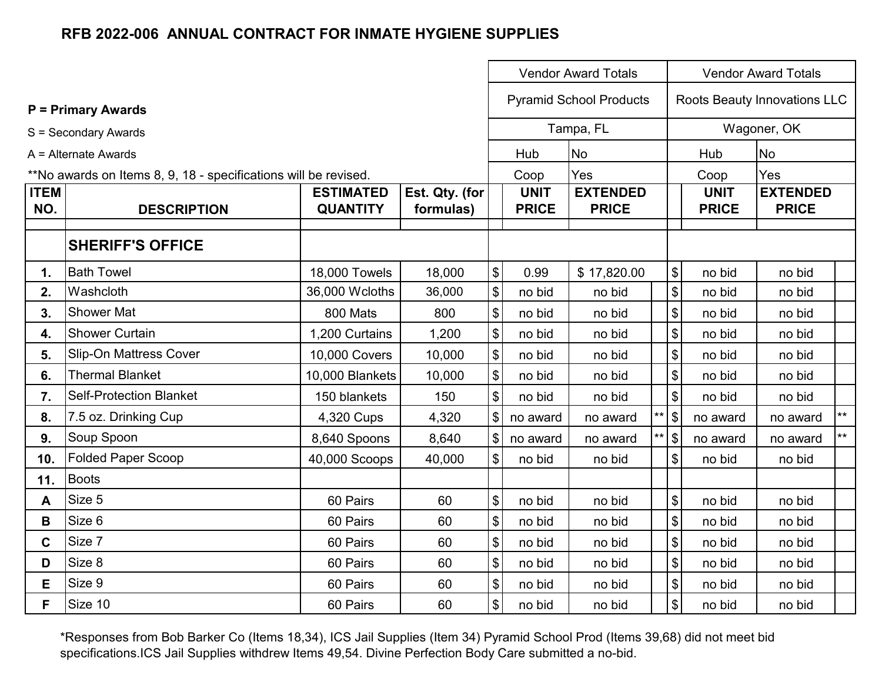|                    |                                                                 |                                     |                             | <b>Vendor Award Totals</b>                |                             |                                 |  |                   | <b>Vendor Award Totals</b>  |                                 |       |  |
|--------------------|-----------------------------------------------------------------|-------------------------------------|-----------------------------|-------------------------------------------|-----------------------------|---------------------------------|--|-------------------|-----------------------------|---------------------------------|-------|--|
|                    | <b>P</b> = Primary Awards                                       |                                     |                             |                                           |                             | <b>Pyramid School Products</b>  |  |                   |                             | Roots Beauty Innovations LLC    |       |  |
|                    | S = Secondary Awards                                            |                                     |                             |                                           |                             | Tampa, FL                       |  |                   |                             | Wagoner, OK                     |       |  |
|                    | A = Alternate Awards                                            |                                     |                             |                                           | Hub                         | No                              |  |                   | Hub                         | <b>No</b>                       |       |  |
|                    | **No awards on Items 8, 9, 18 - specifications will be revised. |                                     |                             |                                           | Coop                        | Yes                             |  |                   | Coop                        | Yes                             |       |  |
| <b>ITEM</b><br>NO. | <b>DESCRIPTION</b>                                              | <b>ESTIMATED</b><br><b>QUANTITY</b> | Est. Qty. (for<br>formulas) |                                           | <b>UNIT</b><br><b>PRICE</b> | <b>EXTENDED</b><br><b>PRICE</b> |  |                   | <b>UNIT</b><br><b>PRICE</b> | <b>EXTENDED</b><br><b>PRICE</b> |       |  |
|                    | <b>SHERIFF'S OFFICE</b>                                         |                                     |                             |                                           |                             |                                 |  |                   |                             |                                 |       |  |
| 1.                 | <b>Bath Towel</b>                                               | 18,000 Towels                       | 18,000                      | $\boldsymbol{\mathsf{\$}}$                | 0.99                        | \$17,820.00                     |  | \$                | no bid                      | no bid                          |       |  |
| 2.                 | Washcloth                                                       | 36,000 Wcloths                      | 36,000                      | $\$\$                                     | no bid                      | no bid                          |  | \$                | no bid                      | no bid                          |       |  |
| 3.                 | <b>Shower Mat</b>                                               | 800 Mats                            | 800                         | $\, \, \$$                                | no bid                      | no bid                          |  | \$                | no bid                      | no bid                          |       |  |
| 4.                 | <b>Shower Curtain</b>                                           | 1,200 Curtains                      | 1,200                       | $\, \, \raisebox{12pt}{$\scriptstyle \$}$ | no bid                      | no bid                          |  | \$                | no bid                      | no bid                          |       |  |
| 5.                 | <b>Slip-On Mattress Cover</b>                                   | 10,000 Covers                       | 10,000                      | $\boldsymbol{\mathsf{S}}$                 | no bid                      | no bid                          |  | \$                | no bid                      | no bid                          |       |  |
| 6.                 | <b>Thermal Blanket</b>                                          | 10,000 Blankets                     | 10,000                      | $\boldsymbol{\$}$                         | no bid                      | no bid                          |  | $\boldsymbol{\$}$ | no bid                      | no bid                          |       |  |
| 7.                 | <b>Self-Protection Blanket</b>                                  | 150 blankets                        | 150                         | $\sqrt[6]{\frac{1}{2}}$                   | no bid                      | no bid                          |  | \$                | no bid                      | no bid                          |       |  |
| 8.                 | 7.5 oz. Drinking Cup                                            | 4,320 Cups                          | 4,320                       | $\$\$                                     | no award                    | no award                        |  | $**$ \$           | no award                    | no award                        | $***$ |  |
| 9.                 | Soup Spoon                                                      | 8,640 Spoons                        | 8,640                       | $\$\$                                     | no award                    | no award                        |  | $**$ \$           | no award                    | no award                        | $***$ |  |
| 10.                | <b>Folded Paper Scoop</b>                                       | 40,000 Scoops                       | 40,000                      | $\$\$                                     | no bid                      | no bid                          |  | \$                | no bid                      | no bid                          |       |  |
| 11.                | <b>Boots</b>                                                    |                                     |                             |                                           |                             |                                 |  |                   |                             |                                 |       |  |
| A                  | Size 5                                                          | 60 Pairs                            | 60                          | $\, \, \raisebox{12pt}{$\scriptstyle \$}$ | no bid                      | no bid                          |  | \$                | no bid                      | no bid                          |       |  |
| B                  | Size 6                                                          | 60 Pairs                            | 60                          | \$                                        | no bid                      | no bid                          |  | \$                | no bid                      | no bid                          |       |  |
| C                  | Size 7                                                          | 60 Pairs                            | 60                          | $\, \, \$$                                | no bid                      | no bid                          |  | \$                | no bid                      | no bid                          |       |  |
| D                  | Size 8                                                          | 60 Pairs                            | 60                          | $\, \, \$$                                | no bid                      | no bid                          |  | \$                | no bid                      | no bid                          |       |  |
| E                  | Size 9                                                          | 60 Pairs                            | 60                          | $\boldsymbol{\$}$                         | no bid                      | no bid                          |  | \$                | no bid                      | no bid                          |       |  |
| F                  | Size 10                                                         | 60 Pairs                            | 60                          | $\boldsymbol{\mathsf{\$}}$                | no bid                      | no bid                          |  | \$                | no bid                      | no bid                          |       |  |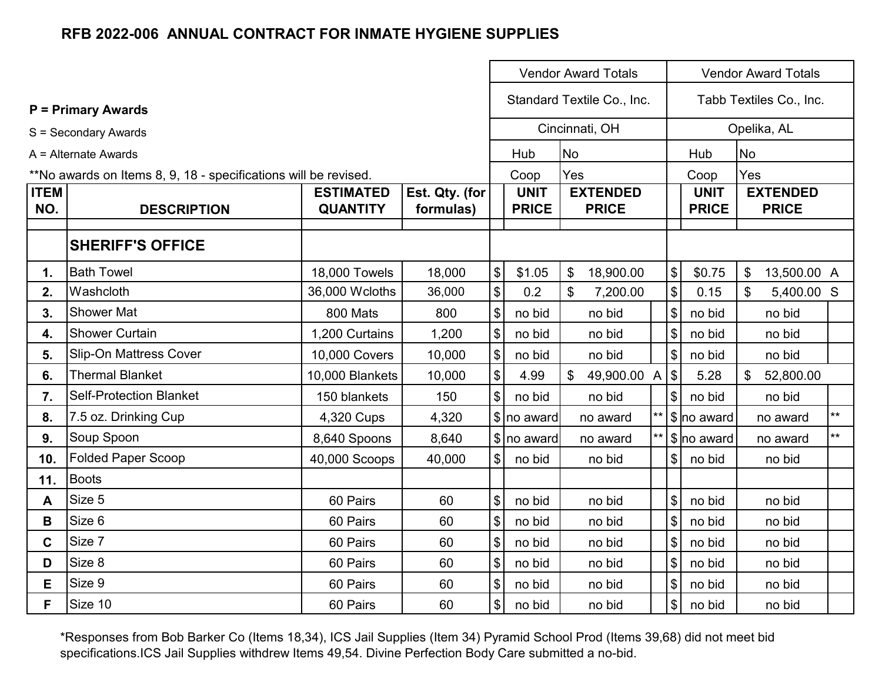|                    |                                                                 |                                     |                             | <b>Vendor Award Totals</b> |                             |                                        |  |                         |                             | <b>Vendor Award Totals</b>      |       |  |
|--------------------|-----------------------------------------------------------------|-------------------------------------|-----------------------------|----------------------------|-----------------------------|----------------------------------------|--|-------------------------|-----------------------------|---------------------------------|-------|--|
|                    | <b>P</b> = Primary Awards                                       |                                     |                             |                            |                             | Standard Textile Co., Inc.             |  |                         |                             | Tabb Textiles Co., Inc.         |       |  |
|                    | S = Secondary Awards                                            |                                     |                             |                            |                             | Cincinnati, OH                         |  |                         |                             | Opelika, AL                     |       |  |
|                    | A = Alternate Awards                                            |                                     |                             |                            | Hub                         | <b>No</b>                              |  |                         | Hub                         | <b>No</b>                       |       |  |
|                    | **No awards on Items 8, 9, 18 - specifications will be revised. |                                     |                             |                            | Coop                        | Yes                                    |  |                         | Coop                        | Yes                             |       |  |
| <b>ITEM</b><br>NO. | <b>DESCRIPTION</b>                                              | <b>ESTIMATED</b><br><b>QUANTITY</b> | Est. Qty. (for<br>formulas) |                            | <b>UNIT</b><br><b>PRICE</b> | <b>EXTENDED</b><br><b>PRICE</b>        |  |                         | <b>UNIT</b><br><b>PRICE</b> | <b>EXTENDED</b><br><b>PRICE</b> |       |  |
|                    | <b>SHERIFF'S OFFICE</b>                                         |                                     |                             |                            |                             |                                        |  |                         |                             |                                 |       |  |
| 1.                 | <b>Bath Towel</b>                                               | 18,000 Towels                       | 18,000                      | $\boldsymbol{\$}$          | \$1.05                      | 18,900.00<br>$\boldsymbol{\mathsf{S}}$ |  | $\$\$                   | \$0.75                      | \$<br>13,500.00 A               |       |  |
| 2.                 | Washcloth                                                       | 36,000 Wcloths                      | 36,000                      | $\boldsymbol{\mathsf{\$}}$ | 0.2                         | $\mathfrak{L}$<br>7,200.00             |  | \$                      | 0.15                        | 5,400.00 S                      |       |  |
| 3.                 | <b>Shower Mat</b>                                               | 800 Mats                            | 800                         | $\frac{1}{2}$              | no bid                      | no bid                                 |  | \$                      | no bid                      | no bid                          |       |  |
| 4.                 | <b>Shower Curtain</b>                                           | 1,200 Curtains                      | 1,200                       | $\frac{1}{2}$              | no bid                      | no bid                                 |  | $\sqrt[6]{\frac{1}{2}}$ | no bid                      | no bid                          |       |  |
| 5.                 | <b>Slip-On Mattress Cover</b>                                   | 10,000 Covers                       | 10,000                      | $\boldsymbol{\mathsf{S}}$  | no bid                      | no bid                                 |  | $\sqrt[6]{\frac{1}{2}}$ | no bid                      | no bid                          |       |  |
| 6.                 | <b>Thermal Blanket</b>                                          | 10,000 Blankets                     | 10,000                      | $\sqrt{3}$                 | 4.99                        | 49,900.00 A<br>\$                      |  | $\sqrt{3}$              | 5.28                        | $\mathbb{S}$<br>52,800.00       |       |  |
| 7.                 | <b>Self-Protection Blanket</b>                                  | 150 blankets                        | 150                         | $\mathbb{S}$               | no bid                      | no bid                                 |  | $\mathfrak{S}$          | no bid                      | no bid                          |       |  |
| 8.                 | 7.5 oz. Drinking Cup                                            | 4,320 Cups                          | 4,320                       |                            | \$ no award                 | no award                               |  |                         | \$ no award                 | no award                        | $***$ |  |
| 9.                 | Soup Spoon                                                      | 8,640 Spoons                        | 8,640                       |                            | $\frac{1}{2}$ no award      | no award                               |  |                         | \$ no award                 | no award                        | $**$  |  |
| 10.                | <b>Folded Paper Scoop</b>                                       | 40,000 Scoops                       | 40,000                      | $\$\$                      | no bid                      | no bid                                 |  | \$                      | no bid                      | no bid                          |       |  |
| 11.                | <b>Boots</b>                                                    |                                     |                             |                            |                             |                                        |  |                         |                             |                                 |       |  |
| A                  | Size 5                                                          | 60 Pairs                            | 60                          | $\boldsymbol{\mathsf{\$}}$ | no bid                      | no bid                                 |  | $\$\$                   | no bid                      | no bid                          |       |  |
| В                  | Size 6                                                          | 60 Pairs                            | 60                          | $\boldsymbol{\mathsf{\$}}$ | no bid                      | no bid                                 |  | \$                      | no bid                      | no bid                          |       |  |
| C.                 | Size 7                                                          | 60 Pairs                            | 60                          | $\boldsymbol{\$}$          | no bid                      | no bid                                 |  | \$                      | no bid                      | no bid                          |       |  |
| D                  | Size 8                                                          | 60 Pairs                            | 60                          | $\boldsymbol{\mathsf{\$}}$ | no bid                      | no bid                                 |  | $\sqrt[6]{\frac{1}{2}}$ | no bid                      | no bid                          |       |  |
| E                  | Size 9                                                          | 60 Pairs                            | 60                          | $\boldsymbol{\mathsf{\$}}$ | no bid                      | no bid                                 |  | $\$\$                   | no bid                      | no bid                          |       |  |
| F                  | Size 10                                                         | 60 Pairs                            | 60                          | $\frac{1}{2}$              | no bid                      | no bid                                 |  | \$                      | no bid                      | no bid                          |       |  |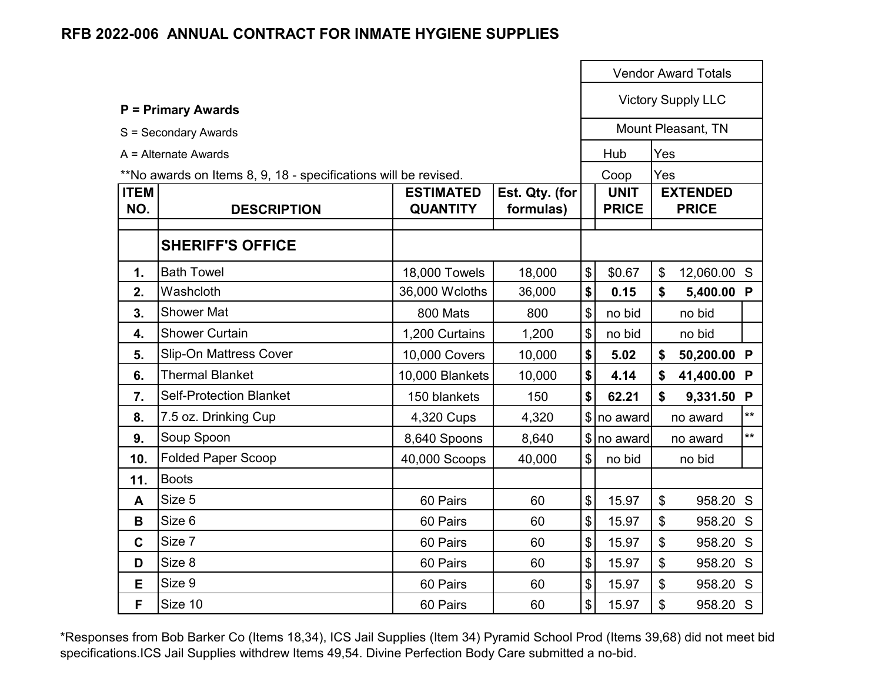|                    |                                                                 |                                     | <b>Vendor Award Totals</b>  |                           |                             |                           |                                 |              |
|--------------------|-----------------------------------------------------------------|-------------------------------------|-----------------------------|---------------------------|-----------------------------|---------------------------|---------------------------------|--------------|
|                    | <b>P = Primary Awards</b>                                       |                                     |                             |                           |                             |                           | <b>Victory Supply LLC</b>       |              |
|                    | S = Secondary Awards                                            |                                     |                             |                           |                             |                           | Mount Pleasant, TN              |              |
|                    | $A =$ Alternate Awards                                          |                                     |                             |                           | Hub                         | Yes                       |                                 |              |
|                    | **No awards on Items 8, 9, 18 - specifications will be revised. |                                     |                             |                           | Coop                        | Yes                       |                                 |              |
| <b>ITEM</b><br>NO. | <b>DESCRIPTION</b>                                              | <b>ESTIMATED</b><br><b>QUANTITY</b> | Est. Qty. (for<br>formulas) |                           | <b>UNIT</b><br><b>PRICE</b> |                           | <b>EXTENDED</b><br><b>PRICE</b> |              |
|                    | <b>SHERIFF'S OFFICE</b>                                         |                                     |                             |                           |                             |                           |                                 |              |
| 1.                 | <b>Bath Towel</b>                                               | 18,000 Towels                       | 18,000                      | \$                        | \$0.67                      | $\boldsymbol{\mathsf{S}}$ | 12,060.00 S                     |              |
| 2.                 | Washcloth                                                       | 36,000 Wcloths                      | 36,000                      | \$                        | 0.15                        | \$                        | 5,400.00 P                      |              |
| 3.                 | <b>Shower Mat</b>                                               | 800 Mats                            | 800                         | $\boldsymbol{\mathsf{S}}$ | no bid                      |                           | no bid                          |              |
| 4.                 | <b>Shower Curtain</b>                                           | 1,200 Curtains                      | 1,200                       | \$                        | no bid                      |                           | no bid                          |              |
| 5.                 | <b>Slip-On Mattress Cover</b>                                   | 10,000 Covers                       | 10,000                      | \$                        | 5.02                        | \$                        | 50,200.00 P                     |              |
| 6.                 | <b>Thermal Blanket</b>                                          | 10,000 Blankets                     | 10,000                      | \$                        | 4.14                        | \$                        | 41,400.00 P                     |              |
| 7.                 | <b>Self-Protection Blanket</b>                                  | 150 blankets                        | 150                         | \$                        | 62.21                       | \$                        | 9,331.50                        | P            |
| 8.                 | 7.5 oz. Drinking Cup                                            | 4,320 Cups                          | 4,320                       |                           | \$ no award                 |                           | no award                        | $**$         |
| 9.                 | Soup Spoon                                                      | 8,640 Spoons                        | 8,640                       |                           | $\frac{1}{2}$ no award      |                           | no award                        | $\star\star$ |
| 10.                | <b>Folded Paper Scoop</b>                                       | 40,000 Scoops                       | 40,000                      | $\mathfrak{S}$            | no bid                      |                           | no bid                          |              |
| 11.                | <b>Boots</b>                                                    |                                     |                             |                           |                             |                           |                                 |              |
| A                  | Size 5                                                          | 60 Pairs                            | 60                          | \$                        | 15.97                       | $\boldsymbol{\mathsf{S}}$ | 958.20 S                        |              |
| B                  | Size 6                                                          | 60 Pairs                            | 60                          | \$                        | 15.97                       | \$                        | 958.20 S                        |              |
| $\mathbf C$        | Size 7                                                          | 60 Pairs                            | 60                          | \$                        | 15.97                       | \$                        | 958.20 S                        |              |
| D                  | Size 8                                                          | 60 Pairs                            | 60                          | $\boldsymbol{\mathsf{S}}$ | 15.97                       | \$                        | 958.20 S                        |              |
| Е                  | Size 9                                                          | 60 Pairs                            | 60                          | \$                        | 15.97                       | \$                        | 958.20 S                        |              |
| F                  | Size 10                                                         | 60 Pairs                            | 60                          | \$                        | 15.97                       | \$                        | 958.20 S                        |              |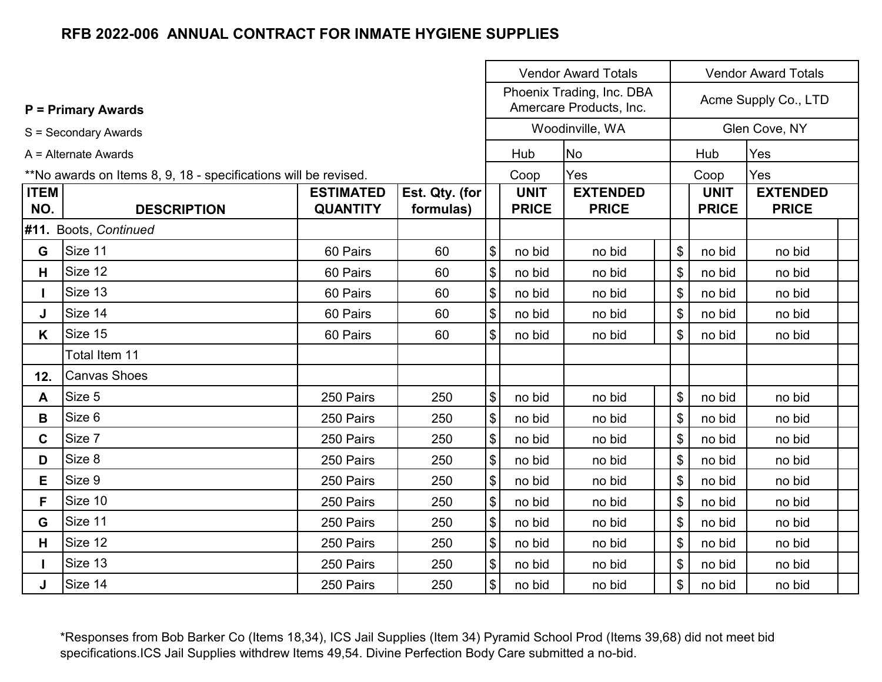|             |                                                                 |                  |                |                       |              | <b>Vendor Award Totals</b>                           |                           | <b>Vendor Award Totals</b> |                      |  |  |
|-------------|-----------------------------------------------------------------|------------------|----------------|-----------------------|--------------|------------------------------------------------------|---------------------------|----------------------------|----------------------|--|--|
|             | <b>P</b> = Primary Awards                                       |                  |                |                       |              | Phoenix Trading, Inc. DBA<br>Amercare Products, Inc. |                           |                            | Acme Supply Co., LTD |  |  |
|             | S = Secondary Awards                                            |                  |                |                       |              | Woodinville, WA                                      |                           |                            | Glen Cove, NY        |  |  |
|             | A = Alternate Awards                                            |                  |                |                       | Hub          | <b>No</b>                                            |                           | Hub                        | Yes                  |  |  |
|             | **No awards on Items 8, 9, 18 - specifications will be revised. |                  |                |                       | Coop         | Yes                                                  |                           | Coop                       | Yes                  |  |  |
| <b>ITEM</b> |                                                                 | <b>ESTIMATED</b> | Est. Qty. (for |                       | <b>UNIT</b>  | <b>EXTENDED</b>                                      |                           | <b>UNIT</b>                | <b>EXTENDED</b>      |  |  |
| NO.         | <b>DESCRIPTION</b>                                              | <b>QUANTITY</b>  | formulas)      |                       | <b>PRICE</b> | <b>PRICE</b>                                         |                           | <b>PRICE</b>               | <b>PRICE</b>         |  |  |
|             | #11. Boots, Continued                                           |                  |                |                       |              |                                                      |                           |                            |                      |  |  |
| G           | Size 11                                                         | 60 Pairs         | 60             | $\boldsymbol{\$}$     | no bid       | no bid                                               | \$                        | no bid                     | no bid               |  |  |
| H           | Size 12                                                         | 60 Pairs         | 60             | $\boldsymbol{\$}$     | no bid       | no bid                                               | \$                        | no bid                     | no bid               |  |  |
|             | Size 13                                                         | 60 Pairs         | 60             | $\sqrt{3}$            | no bid       | no bid                                               | \$                        | no bid                     | no bid               |  |  |
| J           | Size 14                                                         | 60 Pairs         | 60             | $\boldsymbol{\$}$     | no bid       | no bid                                               | $\boldsymbol{\mathsf{S}}$ | no bid                     | no bid               |  |  |
| K           | Size 15                                                         | 60 Pairs         | 60             | $\$\$                 | no bid       | no bid                                               | \$                        | no bid                     | no bid               |  |  |
|             | Total Item 11                                                   |                  |                |                       |              |                                                      |                           |                            |                      |  |  |
| 12.         | <b>Canvas Shoes</b>                                             |                  |                |                       |              |                                                      |                           |                            |                      |  |  |
| A           | Size 5                                                          | 250 Pairs        | 250            | $\boldsymbol{\$}$     | no bid       | no bid                                               | \$                        | no bid                     | no bid               |  |  |
| B           | Size 6                                                          | 250 Pairs        | 250            | $\sqrt{3}$            | no bid       | no bid                                               | \$                        | no bid                     | no bid               |  |  |
| C.          | Size 7                                                          | 250 Pairs        | 250            | $\sqrt{3}$            | no bid       | no bid                                               | \$                        | no bid                     | no bid               |  |  |
| D           | Size 8                                                          | 250 Pairs        | 250            | $\sqrt{3}$            | no bid       | no bid                                               | $\$\$                     | no bid                     | no bid               |  |  |
| E           | Size 9                                                          | 250 Pairs        | 250            | $\boldsymbol{\theta}$ | no bid       | no bid                                               | \$                        | no bid                     | no bid               |  |  |
| F.          | Size 10                                                         | 250 Pairs        | 250            | $\theta$              | no bid       | no bid                                               | $\$\$                     | no bid                     | no bid               |  |  |
| G           | Size 11                                                         | 250 Pairs        | 250            | $\sqrt{3}$            | no bid       | no bid                                               | \$                        | no bid                     | no bid               |  |  |
| H           | Size 12                                                         | 250 Pairs        | 250            | $\boldsymbol{\theta}$ | no bid       | no bid                                               | $\frac{1}{2}$             | no bid                     | no bid               |  |  |
|             | Size 13                                                         | 250 Pairs        | 250            | $\sqrt{3}$            | no bid       | no bid                                               | \$                        | no bid                     | no bid               |  |  |
| J           | Size 14                                                         | 250 Pairs        | 250            | $\boldsymbol{\$}$     | no bid       | no bid                                               |                           | $\mathfrak{S}$<br>no bid   | no bid               |  |  |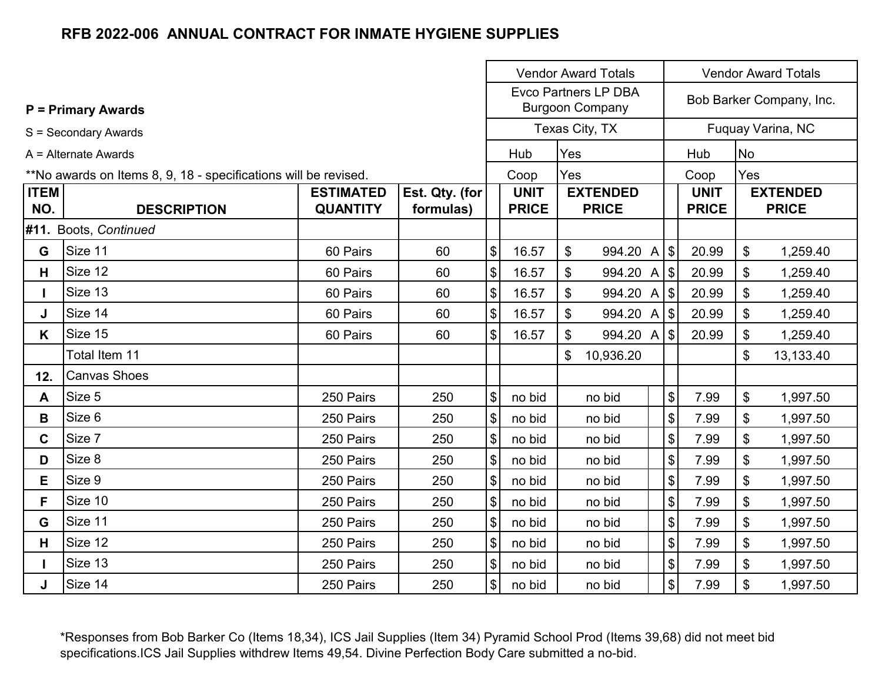|             |                                                                 |                  |                | <b>Vendor Award Totals</b> |              |                                                       |                            |              | <b>Vendor Award Totals</b> |                          |
|-------------|-----------------------------------------------------------------|------------------|----------------|----------------------------|--------------|-------------------------------------------------------|----------------------------|--------------|----------------------------|--------------------------|
|             | <b>P = Primary Awards</b>                                       |                  |                |                            |              | <b>Evco Partners LP DBA</b><br><b>Burgoon Company</b> |                            |              |                            | Bob Barker Company, Inc. |
|             | S = Secondary Awards                                            |                  |                |                            |              | Texas City, TX                                        |                            |              |                            | Fuquay Varina, NC        |
|             | A = Alternate Awards                                            |                  |                |                            | Hub          | Yes                                                   |                            | Hub          | <b>No</b>                  |                          |
|             | **No awards on Items 8, 9, 18 - specifications will be revised. |                  |                |                            | Coop         | Yes                                                   |                            | Coop         | Yes                        |                          |
| <b>ITEM</b> |                                                                 | <b>ESTIMATED</b> | Est. Qty. (for |                            | <b>UNIT</b>  | <b>EXTENDED</b>                                       |                            | <b>UNIT</b>  |                            | <b>EXTENDED</b>          |
| NO.         | <b>DESCRIPTION</b>                                              | <b>QUANTITY</b>  | formulas)      |                            | <b>PRICE</b> | <b>PRICE</b>                                          |                            | <b>PRICE</b> |                            | <b>PRICE</b>             |
|             | #11. Boots, Continued                                           |                  |                |                            |              |                                                       |                            |              |                            |                          |
| G           | Size 11                                                         | 60 Pairs         | 60             | \$                         | 16.57        | $\mathbb S$<br>994.20 A $ \$$                         |                            | 20.99        | \$                         | 1,259.40                 |
| H           | Size 12                                                         | 60 Pairs         | 60             | $\$\$                      | 16.57        | \$<br>994.20 A \$                                     |                            | 20.99        | \$                         | 1,259.40                 |
|             | Size 13                                                         | 60 Pairs         | 60             | \$                         | 16.57        | \$<br>994.20 A \$                                     |                            | 20.99        | \$                         | 1,259.40                 |
| J           | Size 14                                                         | 60 Pairs         | 60             | $\$\$                      | 16.57        | \$<br>994.20 A \$                                     |                            | 20.99        | \$                         | 1,259.40                 |
| K           | Size 15                                                         | 60 Pairs         | 60             | $\boldsymbol{\mathsf{S}}$  | 16.57        | \$<br>994.20 A \$                                     |                            | 20.99        | \$                         | 1,259.40                 |
|             | Total Item 11                                                   |                  |                |                            |              | \$<br>10,936.20                                       |                            |              | \$                         | 13,133.40                |
| 12.         | <b>Canvas Shoes</b>                                             |                  |                |                            |              |                                                       |                            |              |                            |                          |
| A           | Size 5                                                          | 250 Pairs        | 250            | $\$\$                      | no bid       | no bid                                                | $\boldsymbol{\mathsf{\$}}$ | 7.99         | \$                         | 1,997.50                 |
| B           | Size 6                                                          | 250 Pairs        | 250            | $\$\$                      | no bid       | no bid                                                | $\boldsymbol{\mathsf{\$}}$ | 7.99         | \$                         | 1,997.50                 |
| C           | Size 7                                                          | 250 Pairs        | 250            | \$                         | no bid       | no bid                                                | $\boldsymbol{\mathsf{\$}}$ | 7.99         | \$                         | 1,997.50                 |
| D           | Size 8                                                          | 250 Pairs        | 250            | $\frac{1}{2}$              | no bid       | no bid                                                | $\boldsymbol{\mathsf{\$}}$ | 7.99         | \$                         | 1,997.50                 |
| E.          | Size 9                                                          | 250 Pairs        | 250            | $\$\$                      | no bid       | no bid                                                | \$                         | 7.99         | \$                         | 1,997.50                 |
| F.          | Size 10                                                         | 250 Pairs        | 250            | $\frac{1}{2}$              | no bid       | no bid                                                | \$                         | 7.99         | \$                         | 1,997.50                 |
| G           | Size 11                                                         | 250 Pairs        | 250            | \$                         | no bid       | no bid                                                | $\boldsymbol{\mathsf{\$}}$ | 7.99         | \$                         | 1,997.50                 |
| H           | Size 12                                                         | 250 Pairs        | 250            | \$                         | no bid       | no bid                                                | \$                         | 7.99         | \$                         | 1,997.50                 |
|             | Size 13                                                         | 250 Pairs        | 250            | \$                         | no bid       | no bid                                                | \$                         | 7.99         | \$                         | 1,997.50                 |
| J           | Size 14                                                         | 250 Pairs        | 250            | $\$\$                      | no bid       | no bid                                                | $\frac{1}{2}$              | 7.99         | \$                         | 1,997.50                 |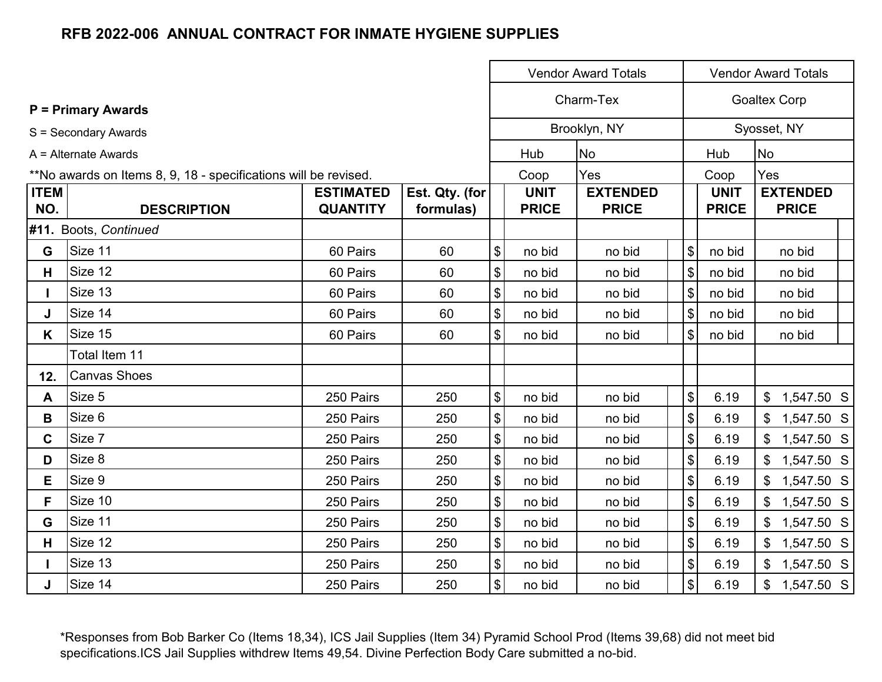|                    |                                                                 |                                     |                             |                            |                             | <b>Vendor Award Totals</b>      |                              | <b>Vendor Award Totals</b>  |                                 |  |  |
|--------------------|-----------------------------------------------------------------|-------------------------------------|-----------------------------|----------------------------|-----------------------------|---------------------------------|------------------------------|-----------------------------|---------------------------------|--|--|
|                    | <b>P</b> = Primary Awards                                       |                                     |                             |                            |                             | Charm-Tex                       |                              |                             | <b>Goaltex Corp</b>             |  |  |
|                    | S = Secondary Awards                                            |                                     |                             |                            |                             | Brooklyn, NY                    |                              |                             | Syosset, NY                     |  |  |
|                    | A = Alternate Awards                                            |                                     |                             |                            | Hub                         | No                              |                              | Hub                         | <b>No</b>                       |  |  |
|                    | **No awards on Items 8, 9, 18 - specifications will be revised. |                                     |                             |                            | Coop                        | Yes                             |                              | Coop                        | Yes                             |  |  |
| <b>ITEM</b><br>NO. | <b>DESCRIPTION</b>                                              | <b>ESTIMATED</b><br><b>QUANTITY</b> | Est. Qty. (for<br>formulas) |                            | <b>UNIT</b><br><b>PRICE</b> | <b>EXTENDED</b><br><b>PRICE</b> |                              | <b>UNIT</b><br><b>PRICE</b> | <b>EXTENDED</b><br><b>PRICE</b> |  |  |
|                    | #11. Boots, Continued                                           |                                     |                             |                            |                             |                                 |                              |                             |                                 |  |  |
| G                  | Size 11                                                         | 60 Pairs                            | 60                          | $\boldsymbol{\mathsf{\$}}$ | no bid                      | no bid                          | \$                           | no bid                      | no bid                          |  |  |
| H.                 | Size 12                                                         | 60 Pairs                            | 60                          | $\boldsymbol{\mathsf{\$}}$ | no bid                      | no bid                          | \$                           | no bid                      | no bid                          |  |  |
|                    | Size 13                                                         | 60 Pairs                            | 60                          | $\boldsymbol{\mathsf{S}}$  | no bid                      | no bid                          | $\left  \frac{1}{2} \right $ | no bid                      | no bid                          |  |  |
| J                  | Size 14                                                         | 60 Pairs                            | 60                          | $\boldsymbol{\mathsf{\$}}$ | no bid                      | no bid                          | \$                           | no bid                      | no bid                          |  |  |
| K.                 | Size 15                                                         | 60 Pairs                            | 60                          | $\boldsymbol{\mathsf{\$}}$ | no bid                      | no bid                          | \$                           | no bid                      | no bid                          |  |  |
|                    | Total Item 11                                                   |                                     |                             |                            |                             |                                 |                              |                             |                                 |  |  |
| 12.                | <b>Canvas Shoes</b>                                             |                                     |                             |                            |                             |                                 |                              |                             |                                 |  |  |
| A                  | Size 5                                                          | 250 Pairs                           | 250                         | $\boldsymbol{\$}$          | no bid                      | no bid                          | \$                           | 6.19                        | $$1,547.50$ S                   |  |  |
| B                  | Size 6                                                          | 250 Pairs                           | 250                         | $\, \, \$$                 | no bid                      | no bid                          | \$                           | 6.19                        | 1,547.50 S                      |  |  |
| $\mathbf C$        | Size 7                                                          | 250 Pairs                           | 250                         | $\, \, \$$                 | no bid                      | no bid                          | \$                           | 6.19                        | $$1,547.50$ S                   |  |  |
| D                  | Size 8                                                          | 250 Pairs                           | 250                         | $\boldsymbol{\$}$          | no bid                      | no bid                          | \$                           | 6.19                        | 1,547.50 S<br>$\mathfrak{L}$    |  |  |
| Е                  | Size 9                                                          | 250 Pairs                           | 250                         | $\, \, \$$                 | no bid                      | no bid                          | \$                           | 6.19                        | $\mathfrak{S}$<br>1,547.50 S    |  |  |
| F                  | Size 10                                                         | 250 Pairs                           | 250                         | $\boldsymbol{\mathsf{\$}}$ | no bid                      | no bid                          | $\$\$                        | 6.19                        | $$1,547.50$ S                   |  |  |
| G                  | Size 11                                                         | 250 Pairs                           | 250                         | $\boldsymbol{\mathsf{\$}}$ | no bid                      | no bid                          | $\frac{1}{2}$                | 6.19                        | $$1,547.50$ S                   |  |  |
| Н                  | Size 12                                                         | 250 Pairs                           | 250                         | $\boldsymbol{\mathsf{S}}$  | no bid                      | no bid                          | $\frac{1}{2}$                | 6.19                        | $$1,547.50$ S                   |  |  |
| $\mathbf{I}$       | Size 13                                                         | 250 Pairs                           | 250                         | $\$\$                      | no bid                      | no bid                          | \$                           | 6.19                        | $$1,547.50$ S                   |  |  |
| J                  | Size 14                                                         | 250 Pairs                           | 250                         | $\boldsymbol{\mathsf{\$}}$ | no bid                      | no bid                          | $\frac{1}{2}$                | 6.19                        | $$1,547.50$ S                   |  |  |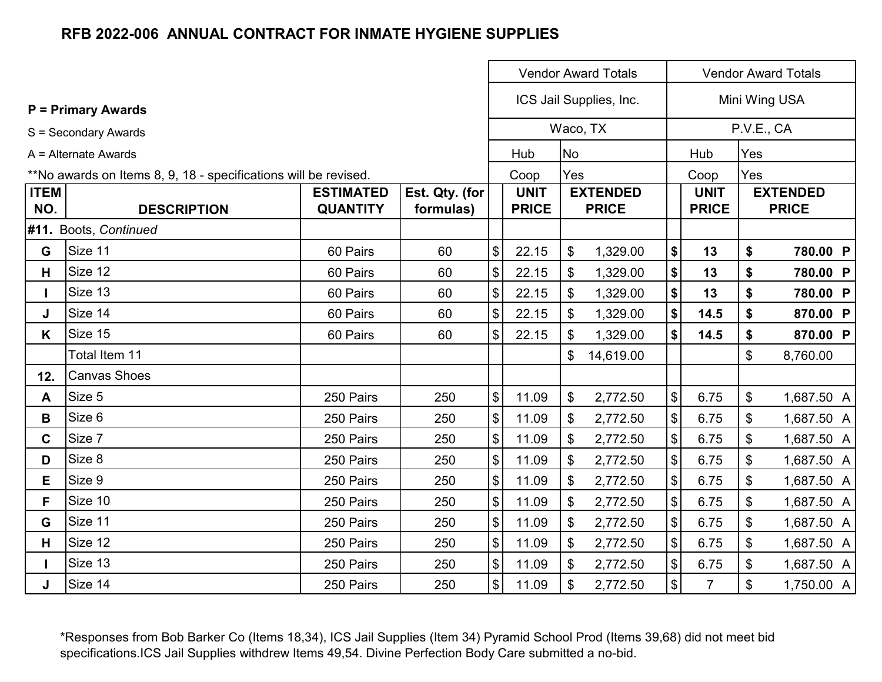|             |                                                                 |                  |                | <b>Vendor Award Totals</b>                |              |           |                         | <b>Vendor Award Totals</b>                |                |     |                 |
|-------------|-----------------------------------------------------------------|------------------|----------------|-------------------------------------------|--------------|-----------|-------------------------|-------------------------------------------|----------------|-----|-----------------|
|             | <b>P</b> = Primary Awards                                       |                  |                |                                           |              |           | ICS Jail Supplies, Inc. |                                           |                |     | Mini Wing USA   |
|             | S = Secondary Awards                                            |                  |                |                                           |              |           | Waco, TX                |                                           |                |     | P.V.E., CA      |
|             | A = Alternate Awards                                            |                  |                |                                           | Hub          | <b>No</b> |                         |                                           | Hub            | Yes |                 |
|             | **No awards on Items 8, 9, 18 - specifications will be revised. |                  |                |                                           | Coop         | Yes       |                         |                                           | Coop           | Yes |                 |
| <b>ITEM</b> |                                                                 | <b>ESTIMATED</b> | Est. Qty. (for |                                           | <b>UNIT</b>  |           | <b>EXTENDED</b>         |                                           | <b>UNIT</b>    |     | <b>EXTENDED</b> |
| NO.         | <b>DESCRIPTION</b>                                              | <b>QUANTITY</b>  | formulas)      |                                           | <b>PRICE</b> |           | <b>PRICE</b>            |                                           | <b>PRICE</b>   |     | <b>PRICE</b>    |
|             | #11. Boots, Continued                                           |                  |                |                                           |              |           |                         |                                           |                |     |                 |
| G           | Size 11                                                         | 60 Pairs         | 60             | $$\mathfrak{F}$$                          | 22.15        | \$        | 1,329.00                | \$                                        | 13             | \$  | 780.00 P        |
| H           | Size 12                                                         | 60 Pairs         | 60             | $\sqrt[6]{\frac{1}{2}}$                   | 22.15        | \$        | 1,329.00                | \$                                        | 13             | \$  | 780.00 P        |
|             | Size 13                                                         | 60 Pairs         | 60             | $\boldsymbol{\$}$                         | 22.15        | \$        | 1,329.00                | \$                                        | 13             | \$  | 780.00 P        |
| J           | Size 14                                                         | 60 Pairs         | 60             | $\boldsymbol{\$}$                         | 22.15        | \$        | 1,329.00                | \$                                        | 14.5           | \$  | 870.00 P        |
| K           | Size 15                                                         | 60 Pairs         | 60             | $\boldsymbol{\mathsf{S}}$                 | 22.15        | \$        | 1,329.00                | \$                                        | 14.5           | \$  | 870.00 P        |
|             | Total Item 11                                                   |                  |                |                                           |              | \$        | 14,619.00               |                                           |                | \$  | 8,760.00        |
| 12.         | <b>Canvas Shoes</b>                                             |                  |                |                                           |              |           |                         |                                           |                |     |                 |
| A           | Size 5                                                          | 250 Pairs        | 250            | $\sqrt[6]{\frac{1}{2}}$                   | 11.09        | \$        | 2,772.50                | $\$\$                                     | 6.75           | \$  | 1,687.50 A      |
| В           | Size 6                                                          | 250 Pairs        | 250            | $\boldsymbol{\$}$                         | 11.09        | \$        | 2,772.50                | $\boldsymbol{\$}$                         | 6.75           | \$  | 1,687.50 A      |
| $\mathbf C$ | Size 7                                                          | 250 Pairs        | 250            | $\, \, \$$                                | 11.09        | \$        | 2,772.50                | $\boldsymbol{\$}$                         | 6.75           | \$  | 1,687.50 A      |
| D           | Size 8                                                          | 250 Pairs        | 250            | $\boldsymbol{\$}$                         | 11.09        | \$        | 2,772.50                | $\mathsf{\$}$                             | 6.75           | \$  | 1,687.50 A      |
| E.          | Size 9                                                          | 250 Pairs        | 250            | $\, \, \raisebox{12pt}{$\scriptstyle \$}$ | 11.09        | \$        | 2,772.50                | $\, \, \raisebox{12pt}{$\scriptstyle \$}$ | 6.75           | \$  | 1,687.50 A      |
| F.          | Size 10                                                         | 250 Pairs        | 250            | $$\mathfrak{F}$$                          | 11.09        | \$        | 2,772.50                | $\boldsymbol{\$}$                         | 6.75           | \$  | 1,687.50 A      |
| G           | Size 11                                                         | 250 Pairs        | 250            | $\sqrt[6]{\frac{1}{2}}$                   | 11.09        | \$        | 2,772.50                | $\boldsymbol{\mathsf{S}}$                 | 6.75           | \$  | 1,687.50 A      |
| H           | Size 12                                                         | 250 Pairs        | 250            | $\sqrt[6]{\frac{1}{2}}$                   | 11.09        | \$        | 2,772.50                | $\boldsymbol{\mathsf{S}}$                 | 6.75           | \$  | 1,687.50 A      |
|             | Size 13                                                         | 250 Pairs        | 250            | $\, \, \raisebox{12pt}{$\scriptstyle \$}$ | 11.09        | \$        | 2,772.50                | $\boldsymbol{\$}$                         | 6.75           | \$  | 1,687.50 A      |
| J           | Size 14                                                         | 250 Pairs        | 250            | $\sqrt[6]{\frac{1}{2}}$                   | 11.09        | \$        | 2,772.50                | $\boldsymbol{\mathsf{S}}$                 | $\overline{7}$ | \$  | 1,750.00 A      |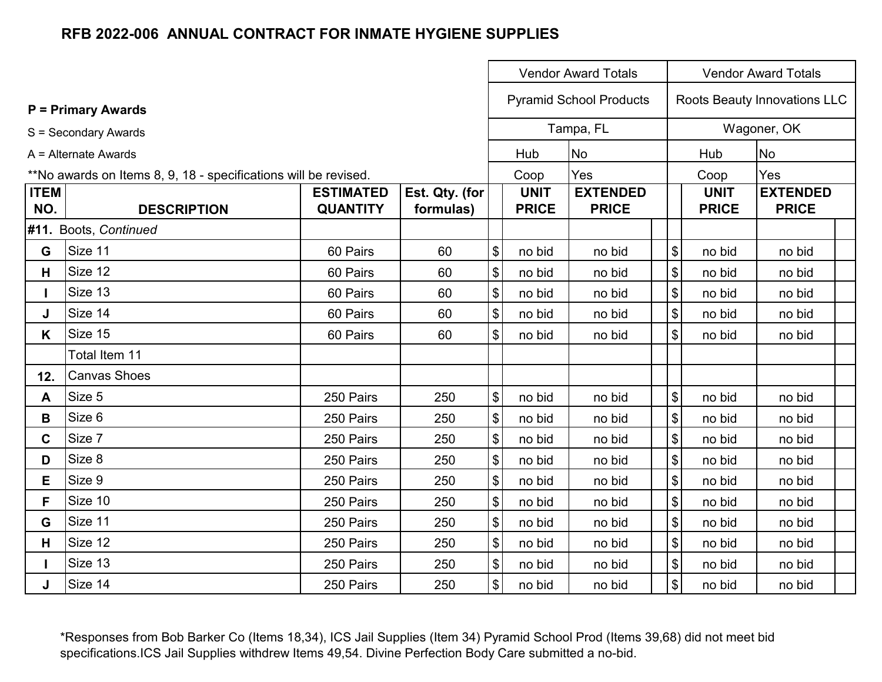|             |                                                                 |                  |                |                            |              | <b>Vendor Award Totals</b>     | <b>Vendor Award Totals</b>                |              |                              |  |
|-------------|-----------------------------------------------------------------|------------------|----------------|----------------------------|--------------|--------------------------------|-------------------------------------------|--------------|------------------------------|--|
|             | <b>P</b> = Primary Awards                                       |                  |                |                            |              | <b>Pyramid School Products</b> |                                           |              | Roots Beauty Innovations LLC |  |
|             | S = Secondary Awards                                            |                  |                |                            |              | Tampa, FL                      |                                           |              | Wagoner, OK                  |  |
|             | A = Alternate Awards                                            |                  |                |                            | Hub          | <b>No</b>                      | Hub                                       |              | <b>No</b>                    |  |
|             | **No awards on Items 8, 9, 18 - specifications will be revised. |                  |                |                            | Coop         | Yes                            |                                           | Coop         | Yes                          |  |
| <b>ITEM</b> |                                                                 | <b>ESTIMATED</b> | Est. Qty. (for |                            | <b>UNIT</b>  | <b>EXTENDED</b>                |                                           | <b>UNIT</b>  | <b>EXTENDED</b>              |  |
| NO.         | <b>DESCRIPTION</b>                                              | <b>QUANTITY</b>  | formulas)      |                            | <b>PRICE</b> | <b>PRICE</b>                   |                                           | <b>PRICE</b> | <b>PRICE</b>                 |  |
|             | #11. Boots, Continued                                           |                  |                |                            |              |                                |                                           |              |                              |  |
| G           | Size 11                                                         | 60 Pairs         | 60             | $\boldsymbol{\$}$          | no bid       | no bid                         | $\boldsymbol{\mathsf{S}}$                 | no bid       | no bid                       |  |
| H           | Size 12                                                         | 60 Pairs         | 60             | $\boldsymbol{\$}$          | no bid       | no bid                         | $\boldsymbol{\mathsf{\$}}$                | no bid       | no bid                       |  |
|             | Size 13                                                         | 60 Pairs         | 60             | $\boldsymbol{\$}$          | no bid       | no bid                         | $\, \, \raisebox{12pt}{$\scriptstyle \$}$ | no bid       | no bid                       |  |
| J           | Size 14                                                         | 60 Pairs         | 60             | $\boldsymbol{\$}$          | no bid       | no bid                         | $\boldsymbol{\mathsf{\$}}$                | no bid       | no bid                       |  |
| K           | Size 15                                                         | 60 Pairs         | 60             | $\boldsymbol{\mathsf{S}}$  | no bid       | no bid                         | $\boldsymbol{\mathsf{\$}}$                | no bid       | no bid                       |  |
|             | Total Item 11                                                   |                  |                |                            |              |                                |                                           |              |                              |  |
| 12.         | <b>Canvas Shoes</b>                                             |                  |                |                            |              |                                |                                           |              |                              |  |
| A           | Size 5                                                          | 250 Pairs        | 250            | $\boldsymbol{\mathsf{\$}}$ | no bid       | no bid                         | $\boldsymbol{\mathsf{\$}}$                | no bid       | no bid                       |  |
| B           | Size 6                                                          | 250 Pairs        | 250            | $\boldsymbol{\$}$          | no bid       | no bid                         | $\, \, \raisebox{12pt}{$\scriptstyle \$}$ | no bid       | no bid                       |  |
| C.          | Size 7                                                          | 250 Pairs        | 250            | $\boldsymbol{\$}$          | no bid       | no bid                         | $\, \, \raisebox{12pt}{$\scriptstyle \$}$ | no bid       | no bid                       |  |
| D           | Size 8                                                          | 250 Pairs        | 250            | $\boldsymbol{\$}$          | no bid       | no bid                         | $\, \, \raisebox{12pt}{$\scriptstyle \$}$ | no bid       | no bid                       |  |
| E           | Size 9                                                          | 250 Pairs        | 250            | $$\mathfrak{S}$$           | no bid       | no bid                         | $\, \, \raisebox{12pt}{$\scriptstyle \$}$ | no bid       | no bid                       |  |
| F.          | Size 10                                                         | 250 Pairs        | 250            | $\boldsymbol{\mathsf{\$}}$ | no bid       | no bid                         | $\boldsymbol{\mathsf{\$}}$                | no bid       | no bid                       |  |
| G           | Size 11                                                         | 250 Pairs        | 250            | $\boldsymbol{\mathsf{\$}}$ | no bid       | no bid                         | $\boldsymbol{\mathsf{\$}}$                | no bid       | no bid                       |  |
| H           | Size 12                                                         | 250 Pairs        | 250            | $\boldsymbol{\$}$          | no bid       | no bid                         | $\frac{1}{2}$                             | no bid       | no bid                       |  |
|             | Size 13                                                         | 250 Pairs        | 250            | $\boldsymbol{\$}$          | no bid       | no bid                         | $\boldsymbol{\$}$                         | no bid       | no bid                       |  |
| J           | Size 14                                                         | 250 Pairs        | 250            | $\boldsymbol{\mathsf{S}}$  | no bid       | no bid                         | $\boldsymbol{\mathsf{S}}$                 | no bid       | no bid                       |  |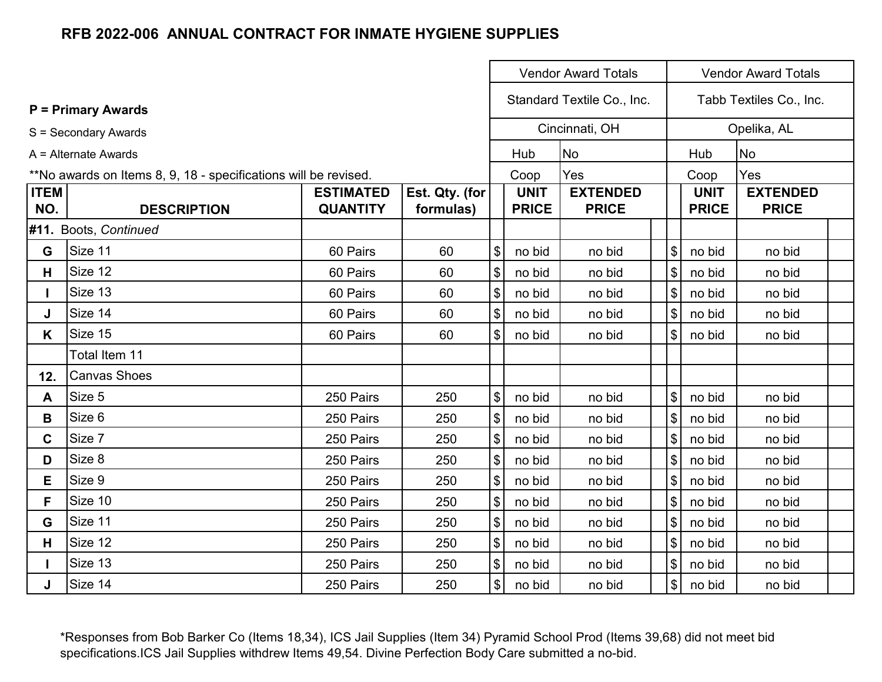|             |                                                                 |                  |                |                            |              | <b>Vendor Award Totals</b> |                            |              | <b>Vendor Award Totals</b> |  |
|-------------|-----------------------------------------------------------------|------------------|----------------|----------------------------|--------------|----------------------------|----------------------------|--------------|----------------------------|--|
|             | <b>P</b> = Primary Awards                                       |                  |                |                            |              | Standard Textile Co., Inc. |                            |              | Tabb Textiles Co., Inc.    |  |
|             | S = Secondary Awards                                            |                  |                |                            |              | Cincinnati, OH             |                            |              | Opelika, AL                |  |
|             | A = Alternate Awards                                            |                  |                |                            | Hub          | <b>No</b>                  |                            | Hub          | <b>No</b>                  |  |
|             | **No awards on Items 8, 9, 18 - specifications will be revised. |                  |                |                            | Coop         | Yes                        |                            | Coop         | Yes                        |  |
| <b>ITEM</b> |                                                                 | <b>ESTIMATED</b> | Est. Qty. (for |                            | <b>UNIT</b>  | <b>EXTENDED</b>            |                            | <b>UNIT</b>  | <b>EXTENDED</b>            |  |
| NO.         | <b>DESCRIPTION</b>                                              | <b>QUANTITY</b>  | formulas)      |                            | <b>PRICE</b> | <b>PRICE</b>               |                            | <b>PRICE</b> | <b>PRICE</b>               |  |
|             | #11. Boots, Continued                                           |                  |                |                            |              |                            |                            |              |                            |  |
| G           | Size 11                                                         | 60 Pairs         | 60             | \$                         | no bid       | no bid                     | $\boldsymbol{\mathsf{S}}$  | no bid       | no bid                     |  |
| H           | Size 12                                                         | 60 Pairs         | 60             | $\boldsymbol{\$}$          | no bid       | no bid                     | $\boldsymbol{\mathsf{\$}}$ | no bid       | no bid                     |  |
|             | Size 13                                                         | 60 Pairs         | 60             | $\boldsymbol{\$}$          | no bid       | no bid                     | $\boldsymbol{\mathsf{S}}$  | no bid       | no bid                     |  |
| J           | Size 14                                                         | 60 Pairs         | 60             | $\boldsymbol{\mathsf{\$}}$ | no bid       | no bid                     | $\sqrt{3}$                 | no bid       | no bid                     |  |
| K           | Size 15                                                         | 60 Pairs         | 60             | \$                         | no bid       | no bid                     | $\sqrt{3}$                 | no bid       | no bid                     |  |
|             | Total Item 11                                                   |                  |                |                            |              |                            |                            |              |                            |  |
| 12.         | <b>Canvas Shoes</b>                                             |                  |                |                            |              |                            |                            |              |                            |  |
| A           | Size 5                                                          | 250 Pairs        | 250            | \$                         | no bid       | no bid                     | $\boldsymbol{\mathsf{S}}$  | no bid       | no bid                     |  |
| B           | Size 6                                                          | 250 Pairs        | 250            | $\boldsymbol{\$}$          | no bid       | no bid                     | $\boldsymbol{\mathsf{\$}}$ | no bid       | no bid                     |  |
| C           | Size 7                                                          | 250 Pairs        | 250            | $\boldsymbol{\mathsf{\$}}$ | no bid       | no bid                     | $\boldsymbol{\mathsf{\$}}$ | no bid       | no bid                     |  |
| D           | Size 8                                                          | 250 Pairs        | 250            | $\boldsymbol{\mathsf{S}}$  | no bid       | no bid                     | $\sqrt[6]{\frac{1}{2}}$    | no bid       | no bid                     |  |
| E.          | Size 9                                                          | 250 Pairs        | 250            | $\boldsymbol{\mathsf{S}}$  | no bid       | no bid                     | $\sqrt[6]{\frac{1}{2}}$    | no bid       | no bid                     |  |
| F.          | Size 10                                                         | 250 Pairs        | 250            | $\boldsymbol{\$}$          | no bid       | no bid                     | $\boldsymbol{\mathsf{S}}$  | no bid       | no bid                     |  |
| G           | Size 11                                                         | 250 Pairs        | 250            | $\boldsymbol{\mathsf{S}}$  | no bid       | no bid                     | $\boldsymbol{\mathsf{\$}}$ | no bid       | no bid                     |  |
| H           | Size 12                                                         | 250 Pairs        | 250            | $\boldsymbol{\$}$          | no bid       | no bid                     | $\$\$                      | no bid       | no bid                     |  |
|             | Size 13                                                         | 250 Pairs        | 250            | \$                         | no bid       | no bid                     | $\frac{3}{2}$              | no bid       | no bid                     |  |
| J           | Size 14                                                         | 250 Pairs        | 250            | \$                         | no bid       | no bid                     | $\$\$                      | no bid       | no bid                     |  |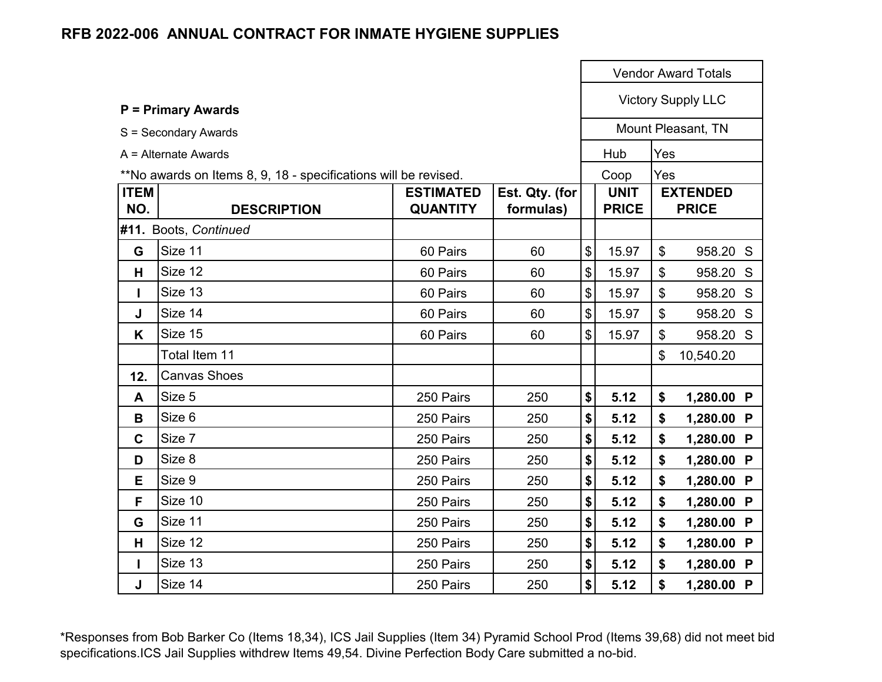|                    |                                                                 |                                     |                             |                            |                             |                           | <b>Vendor Award Totals</b>      |
|--------------------|-----------------------------------------------------------------|-------------------------------------|-----------------------------|----------------------------|-----------------------------|---------------------------|---------------------------------|
|                    | <b>P</b> = Primary Awards                                       |                                     |                             |                            |                             |                           | <b>Victory Supply LLC</b>       |
|                    | S = Secondary Awards                                            |                                     |                             |                            |                             |                           | Mount Pleasant, TN              |
|                    | $A =$ Alternate Awards                                          |                                     |                             |                            | Hub                         | Yes                       |                                 |
|                    | **No awards on Items 8, 9, 18 - specifications will be revised. |                                     |                             |                            | Coop                        | Yes                       |                                 |
| <b>ITEM</b><br>NO. | <b>DESCRIPTION</b>                                              | <b>ESTIMATED</b><br><b>QUANTITY</b> | Est. Qty. (for<br>formulas) |                            | <b>UNIT</b><br><b>PRICE</b> |                           | <b>EXTENDED</b><br><b>PRICE</b> |
|                    | #11. Boots, Continued                                           |                                     |                             |                            |                             |                           |                                 |
| G                  | Size 11                                                         | 60 Pairs                            | 60                          | $\boldsymbol{\mathsf{\$}}$ | 15.97                       | $\boldsymbol{\mathsf{S}}$ | 958.20 S                        |
| н                  | Size 12                                                         | 60 Pairs                            | 60                          | $\boldsymbol{\mathsf{\$}}$ | 15.97                       | $\boldsymbol{\mathsf{S}}$ | 958.20 S                        |
|                    | Size 13                                                         | 60 Pairs                            | 60                          | $\boldsymbol{\mathsf{S}}$  | 15.97                       | $\boldsymbol{\mathsf{S}}$ | 958.20 S                        |
| J                  | Size 14                                                         | 60 Pairs                            | 60                          | $\boldsymbol{\mathsf{\$}}$ | 15.97                       | \$                        | 958.20 S                        |
| K                  | Size 15                                                         | 60 Pairs                            | 60                          | $\mathsf{\$}$              | 15.97                       | \$                        | 958.20 S                        |
|                    | Total Item 11                                                   |                                     |                             |                            |                             | \$                        | 10,540.20                       |
| 12.                | <b>Canvas Shoes</b>                                             |                                     |                             |                            |                             |                           |                                 |
| A                  | Size 5                                                          | 250 Pairs                           | 250                         | \$                         | 5.12                        | \$                        | 1,280.00 P                      |
| B                  | Size 6                                                          | 250 Pairs                           | 250                         | \$                         | 5.12                        | \$                        | 1,280.00 P                      |
| $\mathbf C$        | Size 7                                                          | 250 Pairs                           | 250                         | \$                         | 5.12                        | \$                        | 1,280.00 P                      |
| D                  | Size 8                                                          | 250 Pairs                           | 250                         | $\boldsymbol{\$}$          | 5.12                        | \$                        | 1,280.00 P                      |
| E.                 | Size 9                                                          | 250 Pairs                           | 250                         | \$                         | 5.12                        | \$                        | 1,280.00 P                      |
| F                  | Size 10                                                         | 250 Pairs                           | 250                         | \$                         | 5.12                        | \$                        | 1,280.00 P                      |
| G                  | Size 11                                                         | 250 Pairs                           | 250                         | \$                         | 5.12                        | \$                        | 1,280.00 P                      |
| н                  | Size 12                                                         | 250 Pairs                           | 250                         | \$                         | 5.12                        | \$                        | 1,280.00 P                      |
|                    | Size 13                                                         | 250 Pairs                           | 250                         | \$                         | 5.12                        | \$                        | 1,280.00 P                      |
| J                  | Size 14                                                         | 250 Pairs                           | 250                         | \$                         | 5.12                        | \$                        | 1,280.00 P                      |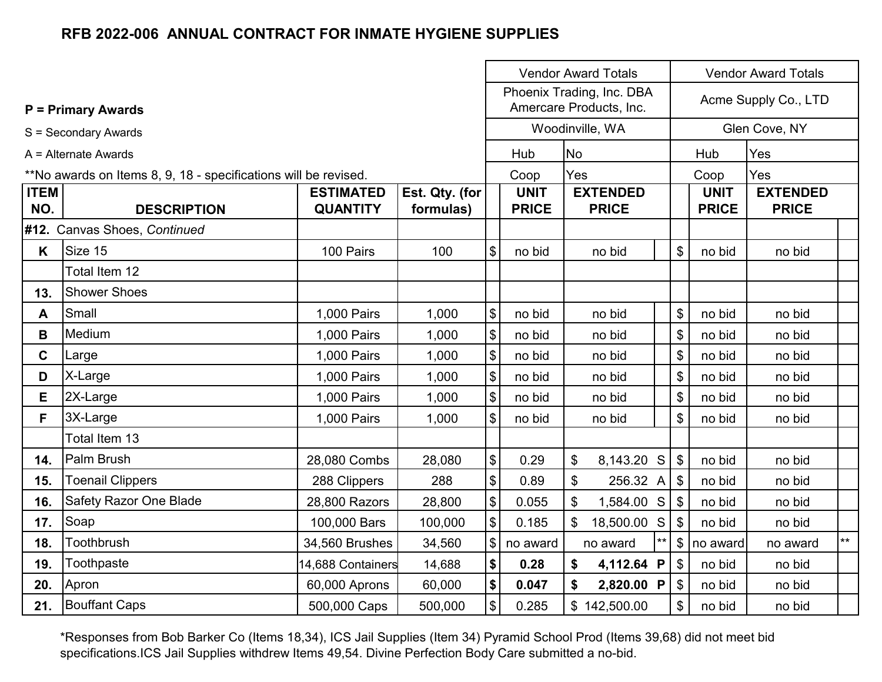|                    |                                                                 |                                     |                             | <b>Vendor Award Totals</b><br><b>Vendor Award Totals</b><br>Phoenix Trading, Inc. DBA |                             |           |                                 |                                     |                           |                             |                                 |  |
|--------------------|-----------------------------------------------------------------|-------------------------------------|-----------------------------|---------------------------------------------------------------------------------------|-----------------------------|-----------|---------------------------------|-------------------------------------|---------------------------|-----------------------------|---------------------------------|--|
|                    | <b>P = Primary Awards</b>                                       |                                     |                             |                                                                                       |                             |           | Amercare Products, Inc.         |                                     |                           |                             | Acme Supply Co., LTD            |  |
|                    | S = Secondary Awards                                            |                                     |                             |                                                                                       |                             |           | Woodinville, WA                 |                                     |                           |                             | Glen Cove, NY                   |  |
|                    | A = Alternate Awards                                            |                                     |                             |                                                                                       | Hub                         | <b>No</b> |                                 |                                     | Hub                       |                             | Yes                             |  |
|                    | **No awards on Items 8, 9, 18 - specifications will be revised. |                                     |                             |                                                                                       | Coop                        | Yes       |                                 |                                     |                           | Coop                        | Yes                             |  |
| <b>ITEM</b><br>NO. | <b>DESCRIPTION</b>                                              | <b>ESTIMATED</b><br><b>QUANTITY</b> | Est. Qty. (for<br>formulas) |                                                                                       | <b>UNIT</b><br><b>PRICE</b> |           | <b>EXTENDED</b><br><b>PRICE</b> |                                     |                           | <b>UNIT</b><br><b>PRICE</b> | <b>EXTENDED</b><br><b>PRICE</b> |  |
|                    | #12. Canvas Shoes, Continued                                    |                                     |                             |                                                                                       |                             |           |                                 |                                     |                           |                             |                                 |  |
| K                  | Size 15                                                         | 100 Pairs                           | 100                         | \$                                                                                    | no bid                      |           | no bid                          |                                     | \$                        | no bid                      | no bid                          |  |
|                    | Total Item 12                                                   |                                     |                             |                                                                                       |                             |           |                                 |                                     |                           |                             |                                 |  |
| 13.                | <b>Shower Shoes</b>                                             |                                     |                             |                                                                                       |                             |           |                                 |                                     |                           |                             |                                 |  |
| A                  | Small                                                           | 1,000 Pairs                         | 1,000                       | \$                                                                                    | no bid                      | no bid    |                                 |                                     | \$                        | no bid                      | no bid                          |  |
| B                  | Medium                                                          | 1,000 Pairs                         | 1,000                       | \$                                                                                    | no bid                      |           | no bid                          |                                     | \$                        | no bid                      | no bid                          |  |
| $\mathbf c$        | Large                                                           | 1,000 Pairs                         | 1,000                       | \$                                                                                    | no bid                      |           | no bid                          |                                     | \$                        | no bid                      | no bid                          |  |
| D                  | X-Large                                                         | 1,000 Pairs                         | 1,000                       | \$                                                                                    | no bid                      |           | no bid                          |                                     | \$                        | no bid                      | no bid                          |  |
| Е                  | 2X-Large                                                        | 1,000 Pairs                         | 1,000                       | \$                                                                                    | no bid                      |           | no bid                          |                                     | \$                        | no bid                      | no bid                          |  |
| F.                 | 3X-Large                                                        | 1,000 Pairs                         | 1,000                       | \$                                                                                    | no bid                      |           | no bid                          |                                     | \$                        | no bid                      | no bid                          |  |
|                    | Total Item 13                                                   |                                     |                             |                                                                                       |                             |           |                                 |                                     |                           |                             |                                 |  |
| 14.                | Palm Brush                                                      | 28,080 Combs                        | 28,080                      | \$                                                                                    | 0.29                        | \$        | $8,143.20$ S                    |                                     | $\mathfrak{S}$            | no bid                      | no bid                          |  |
| 15.                | <b>Toenail Clippers</b>                                         | 288 Clippers                        | 288                         | \$                                                                                    | 0.89                        | \$        | $256.32 \text{ A}$ \$           |                                     |                           | no bid                      | no bid                          |  |
| 16.                | Safety Razor One Blade                                          | 28,800 Razors                       | 28,800                      | \$                                                                                    | 0.055                       | \$        | $1,584.00$ S                    |                                     | \$                        | no bid                      | no bid                          |  |
| 17.                | Soap                                                            | 100,000 Bars                        | 100,000                     | \$                                                                                    | 0.185                       | \$        | 18,500.00 S                     |                                     | \$                        | no bid                      | no bid                          |  |
| 18.                | Toothbrush                                                      | 34,560 Brushes                      | 34,560                      | \$                                                                                    | no award                    |           | no award                        | $***$<br>$\mathfrak{S}$<br>no award |                           | no award                    | $\star\star$                    |  |
| 19.                | Toothpaste                                                      | 14,688 Containers                   | 14,688                      | $\boldsymbol{\$}$                                                                     | 0.28                        | \$        | 4,112.64 P                      |                                     | $\boldsymbol{\mathsf{S}}$ | no bid                      | no bid                          |  |
| 20.                | Apron                                                           | 60,000 Aprons                       | 60,000                      | \$                                                                                    | 0.047                       | \$        | 2,820.00 P                      | \$<br>no bid<br>no bid              |                           |                             |                                 |  |
| 21.                | <b>Bouffant Caps</b>                                            | 500,000 Caps                        | 500,000                     | $\frac{1}{2}$                                                                         | 0.285                       |           | \$142,500.00                    |                                     | \$<br>no bid<br>no bid    |                             |                                 |  |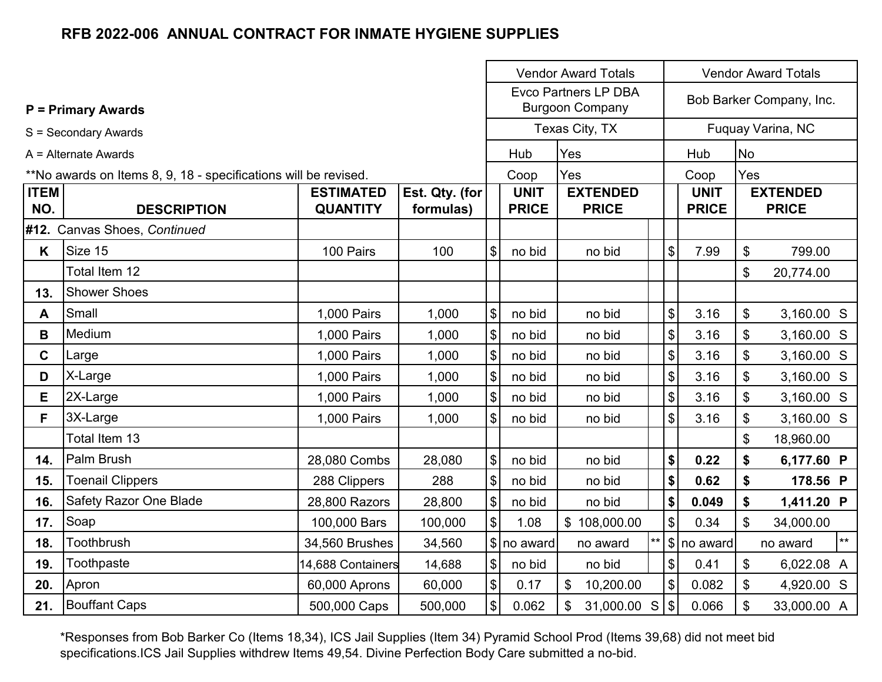|                    |                                                                 |                                     |                             |                            | <b>Vendor Award Totals</b><br><b>Vendor Award Totals</b><br><b>Evco Partners LP DBA</b> |                                 |       |                           |                             |           |                                 |       |
|--------------------|-----------------------------------------------------------------|-------------------------------------|-----------------------------|----------------------------|-----------------------------------------------------------------------------------------|---------------------------------|-------|---------------------------|-----------------------------|-----------|---------------------------------|-------|
|                    | <b>P</b> = Primary Awards                                       |                                     |                             |                            |                                                                                         | <b>Burgoon Company</b>          |       |                           |                             |           | Bob Barker Company, Inc.        |       |
|                    | S = Secondary Awards                                            |                                     |                             |                            |                                                                                         | Texas City, TX                  |       |                           |                             |           | Fuquay Varina, NC               |       |
|                    | A = Alternate Awards                                            |                                     |                             |                            | Hub                                                                                     | Yes                             |       |                           | Hub                         | <b>No</b> |                                 |       |
|                    | **No awards on Items 8, 9, 18 - specifications will be revised. |                                     |                             |                            | Coop                                                                                    | Yes                             |       |                           | Coop                        | Yes       |                                 |       |
| <b>ITEM</b><br>NO. | <b>DESCRIPTION</b>                                              | <b>ESTIMATED</b><br><b>QUANTITY</b> | Est. Qty. (for<br>formulas) |                            | <b>UNIT</b><br><b>PRICE</b>                                                             | <b>EXTENDED</b><br><b>PRICE</b> |       |                           | <b>UNIT</b><br><b>PRICE</b> |           | <b>EXTENDED</b><br><b>PRICE</b> |       |
|                    | #12. Canvas Shoes, Continued                                    |                                     |                             |                            |                                                                                         |                                 |       |                           |                             |           |                                 |       |
| K                  | Size 15                                                         | 100 Pairs                           | 100                         | \$                         | no bid                                                                                  | no bid                          |       | \$                        | 7.99                        | \$        | 799.00                          |       |
|                    | Total Item 12                                                   |                                     |                             |                            |                                                                                         |                                 |       |                           |                             | \$        | 20,774.00                       |       |
| 13.                | <b>Shower Shoes</b>                                             |                                     |                             |                            |                                                                                         |                                 |       |                           |                             |           |                                 |       |
| A                  | Small                                                           | 1,000 Pairs                         | 1,000                       | \$                         | no bid                                                                                  | no bid                          |       | \$                        | 3.16                        | \$        | 3,160.00 S                      |       |
| B                  | Medium                                                          | 1,000 Pairs                         | 1,000                       | \$                         | no bid                                                                                  | no bid                          |       | \$                        | 3.16                        | \$        | 3,160.00 S                      |       |
| $\mathbf{C}$       | Large                                                           | 1,000 Pairs                         | 1,000                       | $\boldsymbol{\mathsf{\$}}$ | no bid                                                                                  | no bid                          |       | $\mathfrak{S}$            | 3.16                        | \$        | 3,160.00 S                      |       |
| D                  | X-Large                                                         | 1,000 Pairs                         | 1,000                       | \$                         | no bid                                                                                  | no bid                          |       | $\boldsymbol{\mathsf{S}}$ | 3.16                        | \$        | 3,160.00 S                      |       |
| Е                  | 2X-Large                                                        | 1,000 Pairs                         | 1,000                       | $\frac{1}{2}$              | no bid                                                                                  | no bid                          |       | $\$\$                     | 3.16                        | \$        | 3,160.00 S                      |       |
| F                  | 3X-Large                                                        | 1,000 Pairs                         | 1,000                       | $\boldsymbol{\mathcal{L}}$ | no bid                                                                                  | no bid                          |       | $\$\$                     | 3.16                        | \$        | 3,160.00 S                      |       |
|                    | Total Item 13                                                   |                                     |                             |                            |                                                                                         |                                 |       |                           |                             | \$        | 18,960.00                       |       |
| 14.                | Palm Brush                                                      | 28,080 Combs                        | 28,080                      | $\boldsymbol{\$}$          | no bid                                                                                  | no bid                          |       | \$                        | 0.22                        | \$        | 6,177.60 P                      |       |
| 15.                | <b>Toenail Clippers</b>                                         | 288 Clippers                        | 288                         | \$                         | no bid                                                                                  | no bid                          |       | \$                        | 0.62                        | \$        | 178.56 P                        |       |
| 16.                | <b>Safety Razor One Blade</b>                                   | 28,800 Razors                       | 28,800                      | $\sqrt{2}$                 | no bid                                                                                  | no bid                          |       | \$                        | 0.049                       | \$        | 1,411.20 P                      |       |
| 17.                | Soap                                                            | 100,000 Bars                        | 100,000                     | $\mathfrak{S}$             | 1.08                                                                                    | \$108,000.00                    |       | \$                        | 0.34                        | \$        | 34,000.00                       |       |
| 18.                | Toothbrush                                                      | 34,560 Brushes                      | 34,560                      |                            | \$ no award                                                                             | no award                        | $***$ |                           | $\frac{1}{2}$ no award      |           | no award                        | $***$ |
| 19.                | Toothpaste                                                      | 14,688 Containers                   | 14,688                      | $\boldsymbol{\mathsf{\$}}$ | no bid                                                                                  | no bid                          |       | $\frac{1}{2}$             | 0.41                        | \$        | 6,022.08 A                      |       |
| 20.                | Apron                                                           | 60,000 Aprons                       | 60,000                      | $\$\$                      | 0.17                                                                                    | $\mathfrak{S}$<br>10,200.00     |       | \$                        | 0.082                       | \$        | 4,920.00 S                      |       |
| 21.                | <b>Bouffant Caps</b>                                            | 500,000 Caps                        | 500,000                     | $\boldsymbol{\mathsf{S}}$  | 0.062                                                                                   | \$<br>31,000.00 S               |       | $\sqrt{3}$                | 0.066                       | \$        | 33,000.00 A                     |       |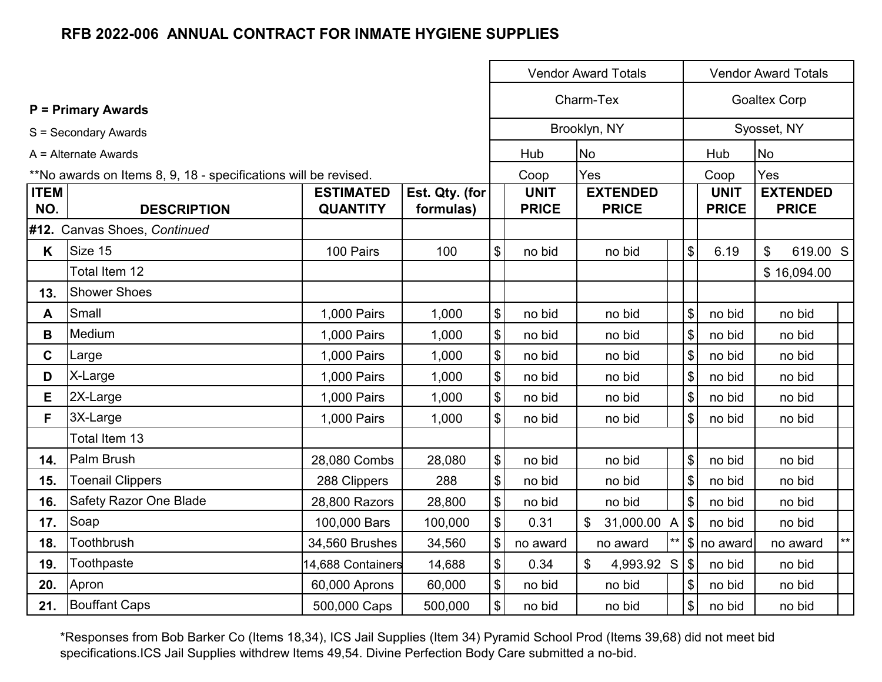|                    |                                                                 |                                     |                             |                | <b>Vendor Award Totals</b>  |                                         |                                  | <b>Vendor Award Totals</b>  |                                 |  |
|--------------------|-----------------------------------------------------------------|-------------------------------------|-----------------------------|----------------|-----------------------------|-----------------------------------------|----------------------------------|-----------------------------|---------------------------------|--|
|                    | <b>P</b> = Primary Awards                                       |                                     |                             |                |                             | Charm-Tex                               |                                  |                             | <b>Goaltex Corp</b>             |  |
|                    | S = Secondary Awards                                            |                                     |                             |                |                             | Brooklyn, NY                            |                                  |                             | Syosset, NY                     |  |
|                    | A = Alternate Awards                                            |                                     |                             |                | Hub                         | <b>No</b>                               |                                  | Hub                         | <b>No</b>                       |  |
|                    | **No awards on Items 8, 9, 18 - specifications will be revised. |                                     |                             |                | Coop                        | Yes                                     |                                  | Coop                        | Yes                             |  |
| <b>ITEM</b><br>NO. | <b>DESCRIPTION</b>                                              | <b>ESTIMATED</b><br><b>QUANTITY</b> | Est. Qty. (for<br>formulas) |                | <b>UNIT</b><br><b>PRICE</b> | <b>EXTENDED</b><br><b>PRICE</b>         |                                  | <b>UNIT</b><br><b>PRICE</b> | <b>EXTENDED</b><br><b>PRICE</b> |  |
|                    | #12. Canvas Shoes, Continued                                    |                                     |                             |                |                             |                                         |                                  |                             |                                 |  |
| K                  | Size 15                                                         | 100 Pairs                           | 100                         | \$             | no bid                      | no bid                                  | \$                               | 6.19                        | $\mathfrak{S}$<br>619.00 S      |  |
|                    | Total Item 12                                                   |                                     |                             |                |                             |                                         |                                  |                             | \$16,094.00                     |  |
| 13.                | <b>Shower Shoes</b>                                             |                                     |                             |                |                             |                                         |                                  |                             |                                 |  |
| A                  | Small                                                           | 1,000 Pairs                         | 1,000                       | \$             | no bid                      | no bid                                  | $\$\$                            | no bid                      | no bid                          |  |
| B                  | Medium                                                          | 1,000 Pairs                         | 1,000                       | \$             | no bid                      | no bid                                  | $\boldsymbol{\mathsf{S}}$        | no bid                      | no bid                          |  |
| $\mathbf C$        | Large                                                           | 1,000 Pairs                         | 1,000                       | \$             | no bid                      | no bid                                  | $\$\$                            | no bid                      | no bid                          |  |
| D                  | X-Large                                                         | 1,000 Pairs                         | 1,000                       | \$             | no bid                      | no bid                                  | $\mathfrak{S}$                   | no bid                      | no bid                          |  |
| Е                  | 2X-Large                                                        | 1,000 Pairs                         | 1,000                       | \$             | no bid                      | no bid                                  | \$                               | no bid                      | no bid                          |  |
| F.                 | 3X-Large                                                        | 1,000 Pairs                         | 1,000                       | \$             | no bid                      | no bid                                  | \$                               | no bid                      | no bid                          |  |
|                    | Total Item 13                                                   |                                     |                             |                |                             |                                         |                                  |                             |                                 |  |
| 14.                | Palm Brush                                                      | 28,080 Combs                        | 28,080                      | \$             | no bid                      | no bid                                  | $\$\$                            | no bid                      | no bid                          |  |
| 15.                | <b>Toenail Clippers</b>                                         | 288 Clippers                        | 288                         | $\mathfrak{S}$ | no bid                      | no bid                                  | $\$\$                            | no bid                      | no bid                          |  |
| 16.                | <b>Safety Razor One Blade</b>                                   | 28,800 Razors                       | 28,800                      | \$             | no bid                      | no bid                                  | $\$\$                            | no bid                      | no bid                          |  |
| 17.                | Soap                                                            | 100,000 Bars                        | 100,000                     | \$             | 0.31                        | $\mathfrak{S}$<br>31,000.00             | $\mathfrak{S}$<br>$\overline{A}$ | no bid                      | no bid                          |  |
| 18.                | Toothbrush                                                      | 34,560 Brushes                      | 34,560                      | \$             | no award                    | no award                                | $^{\star\star}$                  | \$ no award                 | $\star\star$<br>no award        |  |
| 19.                | Toothpaste                                                      | 14,688 Containers                   | 14,688                      | \$             | 0.34                        | $\boldsymbol{\mathsf{S}}$<br>4,993.92 S | $\sqrt{3}$                       | no bid                      | no bid                          |  |
| 20.                | Apron                                                           | 60,000 Aprons                       | 60,000                      | \$             | no bid                      | no bid                                  | \$                               | no bid                      | no bid                          |  |
| 21.                | <b>Bouffant Caps</b>                                            | 500,000 Caps                        | 500,000                     | \$             | no bid                      | no bid                                  | $\boldsymbol{\mathsf{S}}$        | no bid                      | no bid                          |  |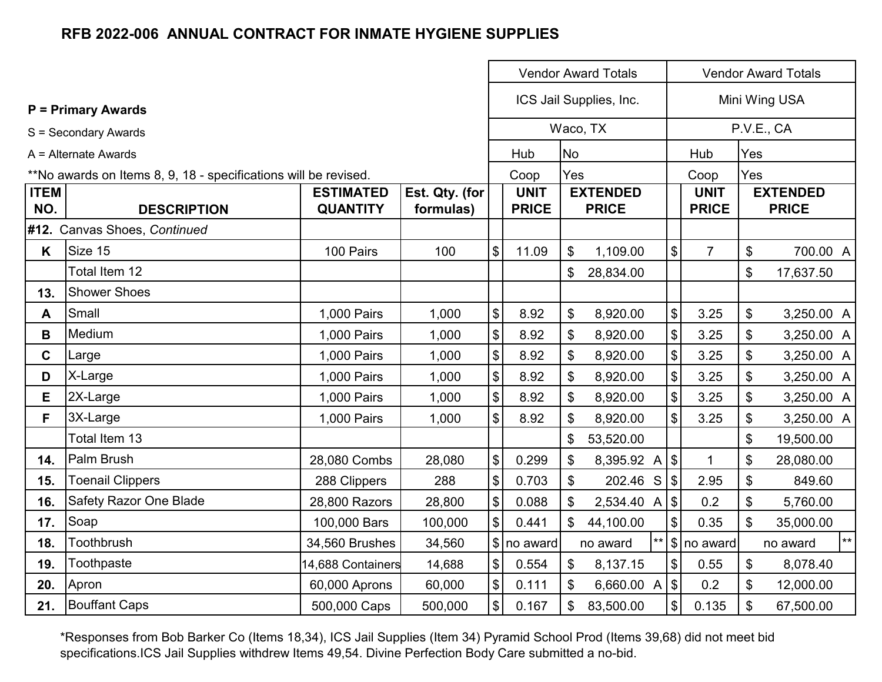|                    |                                                                 |                                     |                             | <b>Vendor Award Totals</b><br><b>Vendor Award Totals</b> |                             |                |                                 |  |                                           |                             |                           |                                 |
|--------------------|-----------------------------------------------------------------|-------------------------------------|-----------------------------|----------------------------------------------------------|-----------------------------|----------------|---------------------------------|--|-------------------------------------------|-----------------------------|---------------------------|---------------------------------|
|                    | <b>P</b> = Primary Awards                                       |                                     |                             |                                                          |                             |                | ICS Jail Supplies, Inc.         |  |                                           |                             |                           | Mini Wing USA                   |
|                    | S = Secondary Awards                                            |                                     |                             |                                                          |                             |                | Waco, TX                        |  |                                           |                             |                           | P.V.E., CA                      |
|                    | A = Alternate Awards                                            |                                     |                             |                                                          | Hub                         | <b>No</b>      |                                 |  |                                           | Hub                         | Yes                       |                                 |
|                    | **No awards on Items 8, 9, 18 - specifications will be revised. |                                     |                             |                                                          | Coop                        | Yes            |                                 |  |                                           | Coop                        | Yes                       |                                 |
| <b>ITEM</b><br>NO. | <b>DESCRIPTION</b>                                              | <b>ESTIMATED</b><br><b>QUANTITY</b> | Est. Qty. (for<br>formulas) |                                                          | <b>UNIT</b><br><b>PRICE</b> |                | <b>EXTENDED</b><br><b>PRICE</b> |  |                                           | <b>UNIT</b><br><b>PRICE</b> |                           | <b>EXTENDED</b><br><b>PRICE</b> |
|                    | #12. Canvas Shoes, Continued                                    |                                     |                             |                                                          |                             |                |                                 |  |                                           |                             |                           |                                 |
| K                  | Size 15                                                         | 100 Pairs                           | 100                         | $\$\$                                                    | 11.09                       | \$             | 1,109.00                        |  | $\boldsymbol{\mathsf{S}}$                 | $\overline{7}$              | $\boldsymbol{\theta}$     | 700.00 A                        |
|                    | Total Item 12                                                   |                                     |                             |                                                          |                             | \$             | 28,834.00                       |  |                                           |                             | $\frac{1}{2}$             | 17,637.50                       |
| 13.                | <b>Shower Shoes</b>                                             |                                     |                             |                                                          |                             |                |                                 |  |                                           |                             |                           |                                 |
| A                  | Small                                                           | 1,000 Pairs                         | 1,000                       | $\boldsymbol{\mathsf{\$}}$                               | 8.92                        | \$             | 8,920.00                        |  | $\boldsymbol{\mathsf{S}}$                 | 3.25                        | $\frac{1}{2}$             | 3,250.00 A                      |
| B                  | Medium                                                          | 1,000 Pairs                         | 1,000                       | $\, \, \raisebox{12pt}{$\scriptstyle \$}$                | 8.92                        | \$             | 8,920.00                        |  | $\, \, \raisebox{12pt}{$\scriptstyle \$}$ | 3.25                        | \$                        | 3,250.00 A                      |
| $\mathbf C$        | Large                                                           | 1,000 Pairs                         | 1,000                       | $\, \, \raisebox{12pt}{$\scriptstyle \$}$                | 8.92                        | \$             | 8,920.00                        |  | $\sqrt[6]{\frac{1}{2}}$                   | 3.25                        | \$                        | 3,250.00 A                      |
| D                  | X-Large                                                         | 1,000 Pairs                         | 1,000                       | $\boldsymbol{\mathsf{\$}}$                               | 8.92                        | \$             | 8,920.00                        |  | $\frac{1}{2}$                             | 3.25                        | $\boldsymbol{\mathsf{S}}$ | 3,250.00 A                      |
| Е                  | 2X-Large                                                        | 1,000 Pairs                         | 1,000                       | $\, \, \$$                                               | 8.92                        | \$             | 8,920.00                        |  | $\boldsymbol{\mathsf{\$}}$                | 3.25                        | \$                        | 3,250.00 A                      |
| F.                 | 3X-Large                                                        | 1,000 Pairs                         | 1,000                       | $\$\$                                                    | 8.92                        | \$             | 8,920.00                        |  | $\mathfrak{S}$                            | 3.25                        | \$                        | 3,250.00 A                      |
|                    | Total Item 13                                                   |                                     |                             |                                                          |                             | \$             | 53,520.00                       |  |                                           |                             | \$                        | 19,500.00                       |
| 14.                | Palm Brush                                                      | 28,080 Combs                        | 28,080                      | $\, \, \$$                                               | 0.299                       | \$             | 8,395.92 A $ $ \$               |  |                                           | $\mathbf{1}$                | \$                        | 28,080.00                       |
| 15.                | <b>Toenail Clippers</b>                                         | 288 Clippers                        | 288                         | $\boldsymbol{\mathsf{S}}$                                | 0.703                       | $\mathfrak{S}$ | 202.46 S                        |  | $\sqrt{2}$                                | 2.95                        | \$                        | 849.60                          |
| 16.                | <b>Safety Razor One Blade</b>                                   | 28,800 Razors                       | 28,800                      | $\, \, \raisebox{12pt}{$\scriptstyle \$}$                | 0.088                       | \$             | 2,534.40 A                      |  | $\sqrt{3}$                                | 0.2                         | \$                        | 5,760.00                        |
| 17.                | Soap                                                            | 100,000 Bars                        | 100,000                     | $\boldsymbol{\mathsf{S}}$                                | 0.441                       | \$             | 44,100.00                       |  | $\boldsymbol{\mathsf{S}}$                 | 0.35                        | $\mathfrak{S}$            | 35,000.00                       |
| 18.                | Toothbrush                                                      | 34,560 Brushes                      | 34,560                      |                                                          | $\frac{1}{2}$ no award      |                | no award                        |  |                                           | $ \$\ $ no award            |                           | $\star\star$<br>no award        |
| 19.                | Toothpaste                                                      | 14,688 Containers                   | 14,688                      | $\boldsymbol{\mathsf{S}}$                                | 0.554                       | \$             | 8,137.15                        |  | $\boldsymbol{\theta}$                     | 0.55                        | \$                        | 8,078.40                        |
| 20.                | Apron                                                           | 60,000 Aprons                       | 60,000                      | $\boldsymbol{\$}$                                        | 0.111                       | $\mathfrak{L}$ | 6,660.00 A                      |  | $\sqrt{2}$                                | 0.2                         | \$                        | 12,000.00                       |
| 21.                | <b>Bouffant Caps</b>                                            | 500,000 Caps                        | 500,000                     | $\boldsymbol{\mathsf{S}}$                                | 0.167                       | \$             | 83,500.00                       |  | $\boldsymbol{\mathsf{\$}}$                | 0.135                       | \$                        | 67,500.00                       |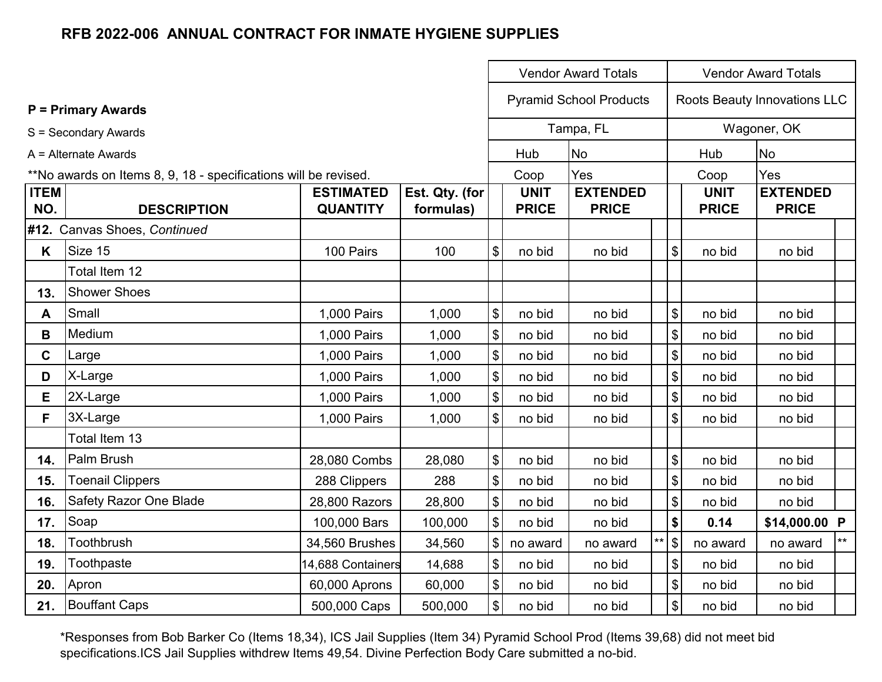|                    |                                                                 |                                     | <b>Vendor Award Totals</b>  |                                           |                             |                                 |  |                                           | <b>Vendor Award Totals</b>  |                                 |       |
|--------------------|-----------------------------------------------------------------|-------------------------------------|-----------------------------|-------------------------------------------|-----------------------------|---------------------------------|--|-------------------------------------------|-----------------------------|---------------------------------|-------|
|                    | <b>P</b> = Primary Awards                                       |                                     |                             |                                           |                             | <b>Pyramid School Products</b>  |  |                                           |                             | Roots Beauty Innovations LLC    |       |
|                    | S = Secondary Awards                                            |                                     |                             |                                           |                             | Tampa, FL                       |  |                                           |                             | Wagoner, OK                     |       |
|                    | A = Alternate Awards                                            |                                     |                             |                                           | Hub                         | <b>No</b>                       |  |                                           | Hub                         | <b>No</b>                       |       |
|                    | **No awards on Items 8, 9, 18 - specifications will be revised. |                                     |                             |                                           | Coop                        | Yes                             |  |                                           | Coop                        | Yes                             |       |
| <b>ITEM</b><br>NO. | <b>DESCRIPTION</b>                                              | <b>ESTIMATED</b><br><b>QUANTITY</b> | Est. Qty. (for<br>formulas) |                                           | <b>UNIT</b><br><b>PRICE</b> | <b>EXTENDED</b><br><b>PRICE</b> |  |                                           | <b>UNIT</b><br><b>PRICE</b> | <b>EXTENDED</b><br><b>PRICE</b> |       |
|                    | #12. Canvas Shoes, Continued                                    |                                     |                             |                                           |                             |                                 |  |                                           |                             |                                 |       |
| K                  | Size 15                                                         | 100 Pairs                           | 100                         | \$                                        | no bid                      | no bid                          |  | \$                                        | no bid                      | no bid                          |       |
|                    | Total Item 12                                                   |                                     |                             |                                           |                             |                                 |  |                                           |                             |                                 |       |
| 13.                | <b>Shower Shoes</b>                                             |                                     |                             |                                           |                             |                                 |  |                                           |                             |                                 |       |
| A                  | Small                                                           | 1,000 Pairs                         | 1,000                       | $\boldsymbol{\$}$                         | no bid                      | no bid                          |  | \$                                        | no bid                      | no bid                          |       |
| B                  | Medium                                                          | 1,000 Pairs                         | 1,000                       | $\boldsymbol{\$}$                         | no bid                      | no bid                          |  | \$                                        | no bid                      | no bid                          |       |
| $\mathbf{C}$       | Large                                                           | 1,000 Pairs                         | 1,000                       | $\, \, \$$                                | no bid                      | no bid                          |  | \$                                        | no bid                      | no bid                          |       |
| D                  | X-Large                                                         | 1,000 Pairs                         | 1,000                       | $\, \, \$$                                | no bid                      | no bid                          |  | \$                                        | no bid                      | no bid                          |       |
| Е                  | 2X-Large                                                        | 1,000 Pairs                         | 1,000                       | $\boldsymbol{\$}$                         | no bid                      | no bid                          |  | $\boldsymbol{\$}$                         | no bid                      | no bid                          |       |
| F.                 | 3X-Large                                                        | 1,000 Pairs                         | 1,000                       | \$                                        | no bid                      | no bid                          |  | \$                                        | no bid                      | no bid                          |       |
|                    | Total Item 13                                                   |                                     |                             |                                           |                             |                                 |  |                                           |                             |                                 |       |
| 14.                | Palm Brush                                                      | 28,080 Combs                        | 28,080                      | $\, \, \raisebox{12pt}{$\scriptstyle \$}$ | no bid                      | no bid                          |  | $\, \, \raisebox{12pt}{$\scriptstyle \$}$ | no bid                      | no bid                          |       |
| 15.                | <b>Toenail Clippers</b>                                         | 288 Clippers                        | 288                         | $\boldsymbol{\mathsf{S}}$                 | no bid                      | no bid                          |  | \$                                        | no bid                      | no bid                          |       |
| 16.                | Safety Razor One Blade                                          | 28,800 Razors                       | 28,800                      | $\boldsymbol{\$}$                         | no bid                      | no bid                          |  | $\, \, \raisebox{12pt}{$\scriptstyle \$}$ | no bid                      | no bid                          |       |
| 17.                | Soap                                                            | 100,000 Bars                        | 100,000                     | $\$\$                                     | no bid                      | no bid                          |  | \$                                        | 0.14                        | \$14,000.00 P                   |       |
| 18.                | Toothbrush                                                      | 34,560 Brushes                      | 34,560                      | $\$\$                                     | no award                    | no award                        |  | $**$ \$                                   | no award                    | no award                        | $***$ |
| 19.                | Toothpaste                                                      | 14,688 Containers                   | 14,688                      | $\boldsymbol{\$}$                         | no bid                      | no bid                          |  | $\, \, \raisebox{12pt}{$\scriptstyle \$}$ | no bid                      | no bid                          |       |
| 20.                | Apron                                                           | 60,000 Aprons                       | 60,000                      | $\, \, \raisebox{12pt}{$\scriptstyle \$}$ | no bid                      | no bid                          |  | \$                                        | no bid                      | no bid                          |       |
| 21.                | <b>Bouffant Caps</b>                                            | 500,000 Caps                        | 500,000                     | $\boldsymbol{\mathsf{\$}}$                | no bid                      | no bid                          |  | \$                                        | no bid                      | no bid                          |       |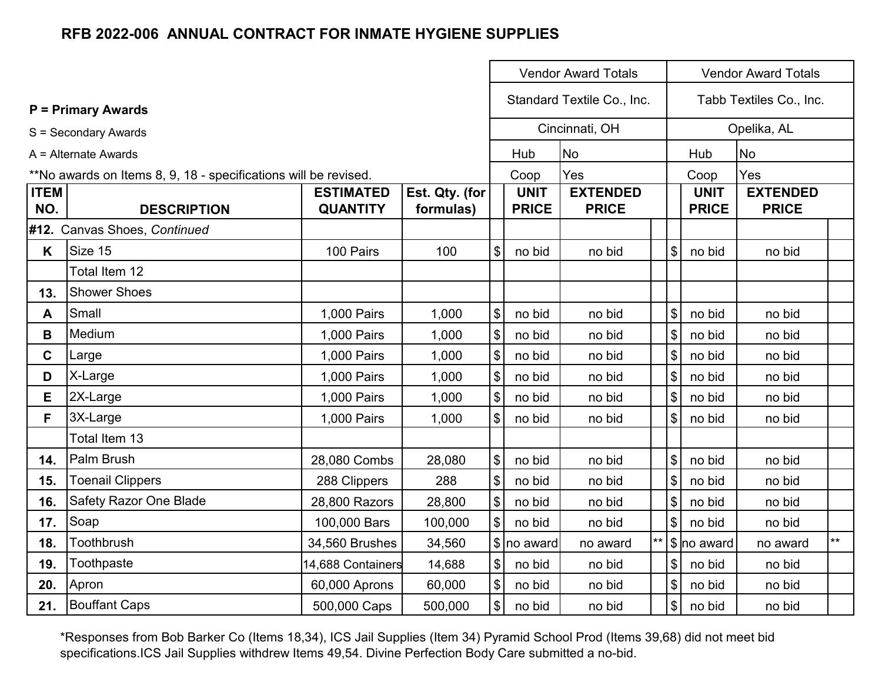|                    |                                                                 |                                     | <b>Vendor Award Totals</b>  |                            |                             |                                 |                                               |                             | <b>Vendor Award Totals</b>      |              |  |
|--------------------|-----------------------------------------------------------------|-------------------------------------|-----------------------------|----------------------------|-----------------------------|---------------------------------|-----------------------------------------------|-----------------------------|---------------------------------|--------------|--|
|                    | <b>P</b> = Primary Awards                                       |                                     |                             |                            | Standard Textile Co., Inc.  |                                 |                                               | Tabb Textiles Co., Inc.     |                                 |              |  |
|                    | S = Secondary Awards                                            |                                     |                             |                            |                             | Cincinnati, OH                  |                                               |                             | Opelika, AL                     |              |  |
|                    | A = Alternate Awards                                            |                                     |                             |                            | Hub                         | <b>No</b>                       |                                               | Hub                         | <b>No</b>                       |              |  |
|                    | **No awards on Items 8, 9, 18 - specifications will be revised. |                                     |                             |                            | Coop                        | Yes                             |                                               | Coop                        | Yes                             |              |  |
| <b>ITEM</b><br>NO. | <b>DESCRIPTION</b>                                              | <b>ESTIMATED</b><br><b>QUANTITY</b> | Est. Qty. (for<br>formulas) |                            | <b>UNIT</b><br><b>PRICE</b> | <b>EXTENDED</b><br><b>PRICE</b> |                                               | <b>UNIT</b><br><b>PRICE</b> | <b>EXTENDED</b><br><b>PRICE</b> |              |  |
|                    | #12. Canvas Shoes, Continued                                    |                                     |                             |                            |                             |                                 |                                               |                             |                                 |              |  |
| K                  | Size 15                                                         | 100 Pairs                           | 100                         | $\boldsymbol{\mathsf{S}}$  | no bid                      | no bid                          | $\boldsymbol{\mathsf{S}}$                     | no bid                      | no bid                          |              |  |
|                    | Total Item 12                                                   |                                     |                             |                            |                             |                                 |                                               |                             |                                 |              |  |
| 13.                | <b>Shower Shoes</b>                                             |                                     |                             |                            |                             |                                 |                                               |                             |                                 |              |  |
| A                  | Small                                                           | 1,000 Pairs                         | 1,000                       | $\boldsymbol{\mathsf{\$}}$ | no bid                      | no bid                          | $\mathfrak{S}$                                | no bid                      | no bid                          |              |  |
| B                  | Medium                                                          | 1,000 Pairs                         | 1,000                       | $\boldsymbol{\mathsf{\$}}$ | no bid                      | no bid                          | $\boldsymbol{\mathsf{S}}$                     | no bid                      | no bid                          |              |  |
| $\mathbf{C}$       | Large                                                           | 1,000 Pairs                         | 1,000                       | $\sqrt{3}$                 | no bid                      | no bid                          | $\$\$                                         | no bid                      | no bid                          |              |  |
| D                  | X-Large                                                         | 1,000 Pairs                         | 1,000                       | $\boldsymbol{\mathsf{\$}}$ | no bid                      | no bid                          | $\boldsymbol{\mathsf{S}}$                     | no bid                      | no bid                          |              |  |
| Е                  | 2X-Large                                                        | 1,000 Pairs                         | 1,000                       | $\boldsymbol{\mathsf{S}}$  | no bid                      | no bid                          | \$                                            | no bid                      | no bid                          |              |  |
| F                  | 3X-Large                                                        | 1,000 Pairs                         | 1,000                       | $\boldsymbol{\mathsf{\$}}$ | no bid                      | no bid                          | \$                                            | no bid                      | no bid                          |              |  |
|                    | Total Item 13                                                   |                                     |                             |                            |                             |                                 |                                               |                             |                                 |              |  |
| 14.                | Palm Brush                                                      | 28,080 Combs                        | 28,080                      | $\boldsymbol{\mathsf{\$}}$ | no bid                      | no bid                          | $\boldsymbol{\mathsf{S}}$                     | no bid                      | no bid                          |              |  |
| 15.                | <b>Toenail Clippers</b>                                         | 288 Clippers                        | 288                         | $\boldsymbol{\mathsf{\$}}$ | no bid                      | no bid                          | \$                                            | no bid                      | no bid                          |              |  |
| 16.                | <b>Safety Razor One Blade</b>                                   | 28,800 Razors                       | 28,800                      | $\boldsymbol{\mathsf{\$}}$ | no bid                      | no bid                          | \$                                            | no bid                      | no bid                          |              |  |
| 17.                | Soap                                                            | 100,000 Bars                        | 100,000                     | $\$\$                      | no bid                      | no bid                          | $\$\$                                         | no bid                      | no bid                          |              |  |
| 18.                | Toothbrush                                                      | 34,560 Brushes                      | 34,560                      |                            | \$ no award                 | no award                        | \$ no award                                   |                             | no award                        | $\star\star$ |  |
| 19.                | Toothpaste                                                      | 14,688 Containers                   | 14,688                      | $\sqrt{3}$                 | no bid                      | no bid                          | $\frac{1}{2}$                                 | no bid                      | no bid                          |              |  |
| 20.                | Apron                                                           | 60,000 Aprons                       | 60,000                      | $\boldsymbol{\mathsf{\$}}$ | no bid                      | no bid                          | $\boldsymbol{\mathsf{S}}$<br>no bid<br>no bid |                             |                                 |              |  |
| 21.                | <b>Bouffant Caps</b>                                            | 500,000 Caps                        | 500,000                     | $\boldsymbol{\mathsf{\$}}$ | no bid                      | no bid                          | $\boldsymbol{\mathsf{S}}$<br>no bid<br>no bid |                             |                                 |              |  |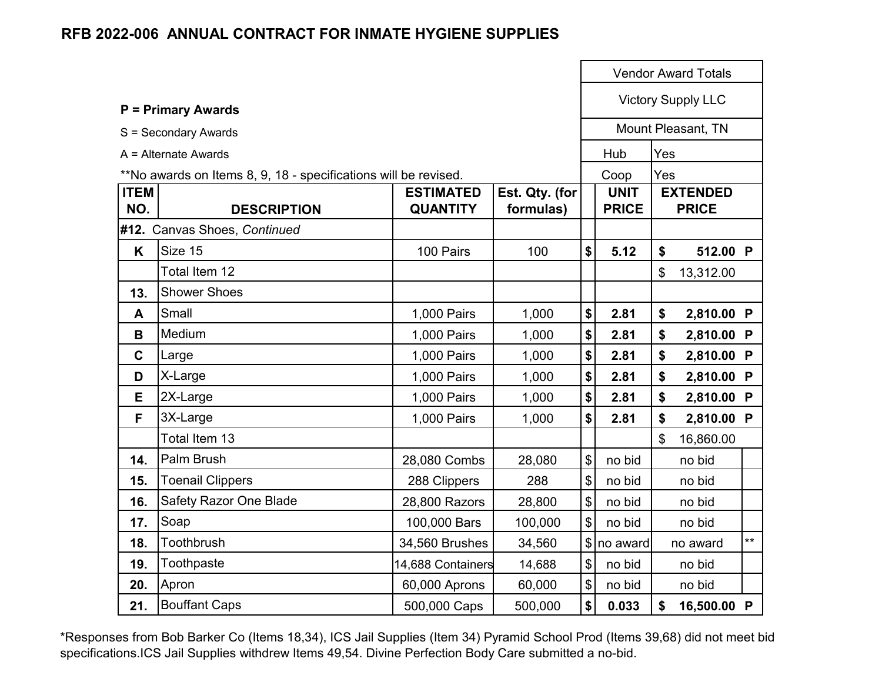|                    |                                                                 |                                     |                             |                   |                             |     | <b>Vendor Award Totals</b>      |      |
|--------------------|-----------------------------------------------------------------|-------------------------------------|-----------------------------|-------------------|-----------------------------|-----|---------------------------------|------|
|                    | <b>P = Primary Awards</b>                                       |                                     |                             |                   |                             |     | <b>Victory Supply LLC</b>       |      |
|                    | S = Secondary Awards                                            |                                     |                             |                   |                             |     | Mount Pleasant, TN              |      |
|                    | $A =$ Alternate Awards                                          |                                     |                             |                   | Hub                         | Yes |                                 |      |
|                    | **No awards on Items 8, 9, 18 - specifications will be revised. |                                     |                             |                   | Coop                        | Yes |                                 |      |
| <b>ITEM</b><br>NO. | <b>DESCRIPTION</b>                                              | <b>ESTIMATED</b><br><b>QUANTITY</b> | Est. Qty. (for<br>formulas) |                   | <b>UNIT</b><br><b>PRICE</b> |     | <b>EXTENDED</b><br><b>PRICE</b> |      |
|                    | #12. Canvas Shoes, Continued                                    |                                     |                             |                   |                             |     |                                 |      |
| K                  | Size 15                                                         | 100 Pairs                           | 100                         | \$                | 5.12                        | \$  | 512.00 P                        |      |
|                    | Total Item 12                                                   |                                     |                             |                   |                             | \$  | 13,312.00                       |      |
| 13.                | <b>Shower Shoes</b>                                             |                                     |                             |                   |                             |     |                                 |      |
| A                  | Small                                                           | 1,000 Pairs                         | 1,000                       | \$                | 2.81                        | \$  | 2,810.00 P                      |      |
| B                  | Medium                                                          | 1,000 Pairs                         | 1,000                       | \$                | 2.81                        | \$  | 2,810.00 P                      |      |
| $\mathbf C$        | Large                                                           | 1,000 Pairs                         | 1,000                       | \$                | 2.81                        | \$  | 2,810.00 P                      |      |
| D                  | X-Large                                                         | 1,000 Pairs                         | 1,000                       | \$                | 2.81                        | \$  | 2,810.00 P                      |      |
| E                  | 2X-Large                                                        | 1,000 Pairs                         | 1,000                       | \$                | 2.81                        | \$  | 2,810.00 P                      |      |
| F                  | 3X-Large                                                        | 1,000 Pairs                         | 1,000                       | \$                | 2.81                        | \$  | 2,810.00 P                      |      |
|                    | Total Item 13                                                   |                                     |                             |                   |                             | \$  | 16,860.00                       |      |
| 14.                | Palm Brush                                                      | 28,080 Combs                        | 28,080                      | \$                | no bid                      |     | no bid                          |      |
| 15.                | <b>Toenail Clippers</b>                                         | 288 Clippers                        | 288                         | \$                | no bid                      |     | no bid                          |      |
| 16.                | Safety Razor One Blade                                          | 28,800 Razors                       | 28,800                      | \$                | no bid                      |     | no bid                          |      |
| 17.                | Soap                                                            | 100,000 Bars                        | 100,000                     | \$                | no bid                      |     | no bid                          |      |
| 18.                | Toothbrush                                                      | 34,560 Brushes                      | 34,560                      |                   | $\frac{1}{2}$ no award      |     | no award                        | $**$ |
| 19.                | Toothpaste                                                      | 14,688 Containers                   | 14,688                      | \$                | no bid                      |     | no bid                          |      |
| 20.                | Apron                                                           | 60,000 Aprons                       | 60,000                      | \$                | no bid                      |     | no bid                          |      |
| 21.                | <b>Bouffant Caps</b>                                            | 500,000 Caps                        | 500,000                     | $\boldsymbol{\$}$ | 0.033                       | \$  | 16,500.00 P                     |      |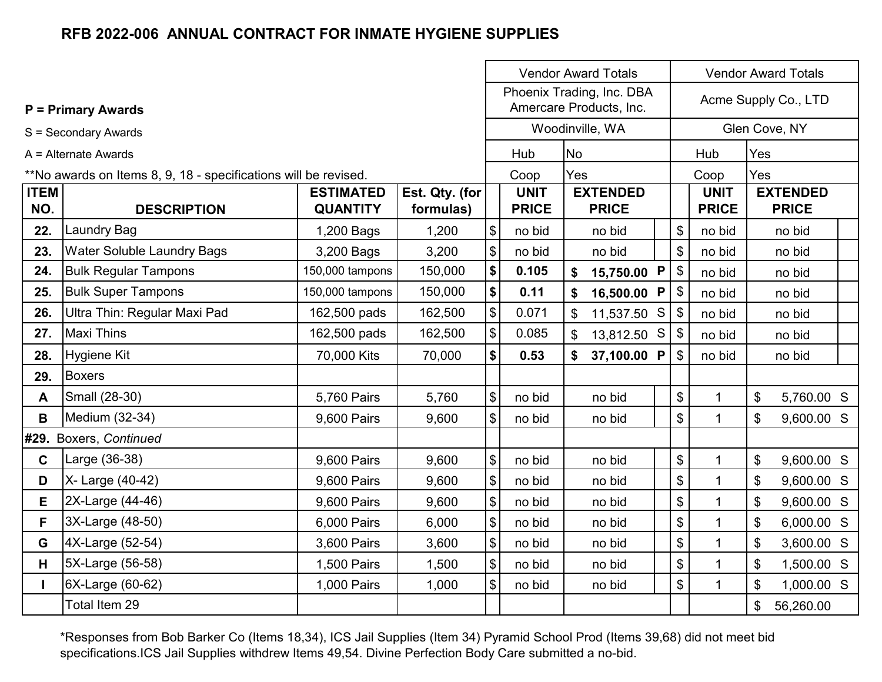|                    |                                                                 |                                     |                             |                           |                             | <b>Vendor Award Totals</b>                             |  |               |                             | <b>Vendor Award Totals</b> |                                 |  |
|--------------------|-----------------------------------------------------------------|-------------------------------------|-----------------------------|---------------------------|-----------------------------|--------------------------------------------------------|--|---------------|-----------------------------|----------------------------|---------------------------------|--|
|                    | <b>P = Primary Awards</b>                                       |                                     |                             |                           |                             | Phoenix Trading, Inc. DBA<br>Amercare Products, Inc.   |  |               |                             |                            | Acme Supply Co., LTD            |  |
|                    | S = Secondary Awards                                            |                                     |                             |                           |                             | Woodinville, WA                                        |  |               |                             |                            | Glen Cove, NY                   |  |
|                    | A = Alternate Awards                                            |                                     |                             |                           | Hub                         | <b>No</b>                                              |  |               | Hub                         | Yes                        |                                 |  |
|                    | **No awards on Items 8, 9, 18 - specifications will be revised. |                                     |                             |                           | Coop                        | Yes                                                    |  |               | Coop                        | Yes                        |                                 |  |
| <b>ITEM</b><br>NO. | <b>DESCRIPTION</b>                                              | <b>ESTIMATED</b><br><b>QUANTITY</b> | Est. Qty. (for<br>formulas) |                           | <b>UNIT</b><br><b>PRICE</b> | <b>EXTENDED</b><br><b>PRICE</b>                        |  |               | <b>UNIT</b><br><b>PRICE</b> |                            | <b>EXTENDED</b><br><b>PRICE</b> |  |
| 22.                | <b>Laundry Bag</b>                                              | 1,200 Bags                          | 1,200                       | $$\mathbb{S}$$            | no bid                      | no bid                                                 |  | \$            | no bid                      |                            | no bid                          |  |
| 23.                | <b>Water Soluble Laundry Bags</b>                               | 3,200 Bags                          | 3,200                       | $\boldsymbol{\mathsf{S}}$ | no bid                      | no bid                                                 |  | \$            | no bid                      |                            | no bid                          |  |
| 24.                | <b>Bulk Regular Tampons</b>                                     | 150,000 tampons                     | 150,000                     | \$                        | 0.105                       | 15,750.00 P<br>\$                                      |  | \$            | no bid                      |                            | no bid                          |  |
| 25.                | <b>Bulk Super Tampons</b>                                       | 150,000 tampons                     | 150,000                     | \$                        | 0.11                        | $\sqrt[6]{\frac{1}{2}}$<br>16,500.00 P<br>\$<br>no bid |  |               |                             |                            | no bid                          |  |
| 26.                | Ultra Thin: Regular Maxi Pad                                    | 162,500 pads                        | 162,500                     | $\boldsymbol{\$}$         | 0.071                       | 11,537.50 S                                            |  | \$<br>no bid  |                             |                            | no bid                          |  |
| 27.                | Maxi Thins                                                      | 162,500 pads                        | 162,500                     | $\boldsymbol{\mathsf{S}}$ | 0.085                       | 13,812.50 S                                            |  | $\frac{1}{2}$ | no bid                      |                            | no bid                          |  |
| 28.                | Hygiene Kit                                                     | 70,000 Kits                         | 70,000                      | $\boldsymbol{\$}$         | 0.53                        | 37,100.00 P<br>\$                                      |  | \$            | no bid                      |                            | no bid                          |  |
| 29.                | <b>Boxers</b>                                                   |                                     |                             |                           |                             |                                                        |  |               |                             |                            |                                 |  |
| A                  | Small (28-30)                                                   | 5,760 Pairs                         | 5,760                       | $\mathcal{S}$             | no bid                      | no bid                                                 |  | \$            | 1                           | $\mathfrak{S}$             | 5,760.00 S                      |  |
| B                  | Medium (32-34)                                                  | 9,600 Pairs                         | 9,600                       | $\frac{1}{2}$             | no bid                      | no bid                                                 |  | \$            | 1                           | \$                         | 9,600.00 S                      |  |
|                    | #29. Boxers, Continued                                          |                                     |                             |                           |                             |                                                        |  |               |                             |                            |                                 |  |
| $\mathbf{C}$       | Large (36-38)                                                   | 9,600 Pairs                         | 9,600                       | \$                        | no bid                      | no bid                                                 |  | \$            | 1                           | $\mathfrak{S}$             | 9,600.00 S                      |  |
| D                  | X- Large (40-42)                                                | 9,600 Pairs                         | 9,600                       | $\boldsymbol{\$}$         | no bid                      | no bid                                                 |  | \$            | $\mathbf{1}$                | \$                         | 9,600.00 S                      |  |
| Е                  | 2X-Large (44-46)                                                | 9,600 Pairs                         | 9,600                       | $\boldsymbol{\mathsf{S}}$ | no bid                      | no bid                                                 |  | \$            | 1                           | \$                         | 9,600.00 S                      |  |
| F                  | 3X-Large (48-50)                                                | 6,000 Pairs                         | 6,000                       | \$                        | no bid                      | no bid                                                 |  | \$            | 1                           | \$                         | 6,000.00 S                      |  |
| G                  | 4X-Large (52-54)                                                | 3,600 Pairs                         | 3,600                       | $\boldsymbol{\mathsf{S}}$ | no bid                      | no bid                                                 |  | \$            | 1                           | \$                         | 3,600.00 S                      |  |
| H                  | 5X-Large (56-58)                                                | 1,500 Pairs                         | 1,500                       | $\boldsymbol{\mathsf{S}}$ | no bid                      | no bid                                                 |  | \$            | $\mathbf{1}$                | $\boldsymbol{\mathsf{S}}$  | 1,500.00 S                      |  |
| $\mathbf{I}$       | 6X-Large (60-62)                                                | 1,000 Pairs                         | 1,000                       | \$                        | no bid                      | no bid                                                 |  | \$            | $\mathbf{1}$                | \$                         | 1,000.00 S                      |  |
|                    | Total Item 29                                                   |                                     |                             |                           |                             |                                                        |  |               |                             | \$                         | 56,260.00                       |  |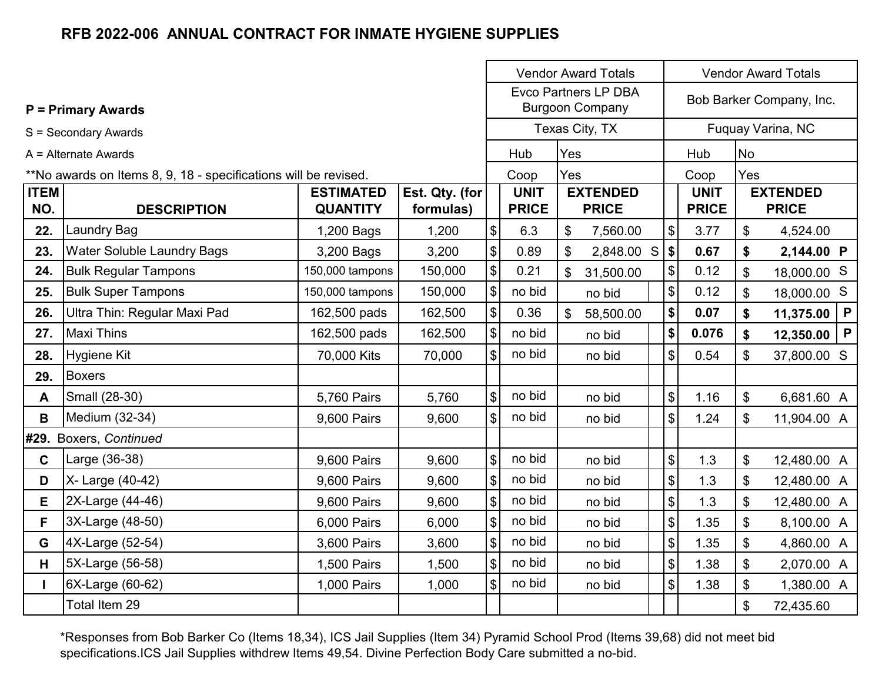|                    |                                                                 |                                     |                             |                            | <b>Vendor Award Totals</b>                            |                                 |                            | <b>Vendor Award Totals</b>  |                          |                                 |              |
|--------------------|-----------------------------------------------------------------|-------------------------------------|-----------------------------|----------------------------|-------------------------------------------------------|---------------------------------|----------------------------|-----------------------------|--------------------------|---------------------------------|--------------|
|                    | <b>P = Primary Awards</b>                                       |                                     |                             |                            | <b>Evco Partners LP DBA</b><br><b>Burgoon Company</b> |                                 |                            |                             | Bob Barker Company, Inc. |                                 |              |
|                    | S = Secondary Awards                                            |                                     |                             |                            |                                                       | Texas City, TX                  |                            |                             |                          | Fuquay Varina, NC               |              |
|                    | A = Alternate Awards                                            |                                     |                             |                            | Hub                                                   | Yes                             |                            | Hub                         | <b>No</b>                |                                 |              |
|                    | **No awards on Items 8, 9, 18 - specifications will be revised. |                                     |                             |                            | Coop                                                  | Yes                             |                            | Coop                        | Yes                      |                                 |              |
| <b>ITEM</b><br>NO. | <b>DESCRIPTION</b>                                              | <b>ESTIMATED</b><br><b>QUANTITY</b> | Est. Qty. (for<br>formulas) |                            | <b>UNIT</b><br><b>PRICE</b>                           | <b>EXTENDED</b><br><b>PRICE</b> |                            | <b>UNIT</b><br><b>PRICE</b> |                          | <b>EXTENDED</b><br><b>PRICE</b> |              |
| 22.                | <b>Laundry Bag</b>                                              | 1,200 Bags                          | 1,200                       | $\theta$                   | 6.3                                                   | $\mathfrak{S}$<br>7,560.00      | $\boldsymbol{\mathsf{\$}}$ | 3.77                        | \$                       | 4,524.00                        |              |
| 23.                | <b>Water Soluble Laundry Bags</b>                               | 3,200 Bags                          | 3,200                       | $\boldsymbol{\$}$          | 0.89                                                  | \$<br>2,848.00 S                | \$                         | 0.67                        | \$                       | 2,144.00 P                      |              |
| 24.                | <b>Bulk Regular Tampons</b>                                     | 150,000 tampons                     | 150,000                     | $\boldsymbol{\mathsf{S}}$  | 0.21                                                  | \$<br>31,500.00                 | \$                         | 0.12                        | \$                       | 18,000.00 S                     |              |
| 25.                | <b>Bulk Super Tampons</b>                                       | 150,000 tampons                     | 150,000                     | $\boldsymbol{\mathsf{S}}$  | no bid                                                | no bid                          | \$                         | 0.12                        | \$                       | 18,000.00 S                     |              |
| 26.                | Ultra Thin: Regular Maxi Pad                                    | 162,500 pads                        | 162,500                     | $\pmb{\$}$                 | 0.36                                                  | $\mathfrak{L}$<br>58,500.00     | \$                         | 0.07                        | \$                       | 11,375.00                       | $\mathsf{P}$ |
| 27.                | <b>Maxi Thins</b>                                               | 162,500 pads                        | 162,500                     | $\boldsymbol{\mathsf{S}}$  | no bid                                                | no bid                          | \$                         | 0.076                       | \$                       | 12,350.00                       | $\mathsf{P}$ |
| 28.                | <b>Hygiene Kit</b>                                              | 70,000 Kits                         | 70,000                      | $\boldsymbol{\mathsf{S}}$  | no bid                                                | no bid                          | $\boldsymbol{\mathsf{S}}$  | 0.54                        | \$                       | 37,800.00 S                     |              |
| 29.                | <b>Boxers</b>                                                   |                                     |                             |                            |                                                       |                                 |                            |                             |                          |                                 |              |
| A                  | Small (28-30)                                                   | 5,760 Pairs                         | 5,760                       | $\mathfrak{S}$             | no bid                                                | no bid                          | $\mathfrak{S}$             | 1.16                        | $\mathfrak{S}$           | 6,681.60 A                      |              |
| B                  | Medium (32-34)                                                  | 9,600 Pairs                         | 9,600                       | $\boldsymbol{\mathsf{S}}$  | no bid                                                | no bid                          | $\mathsf{\$}$              | 1.24                        | \$                       | 11,904.00 A                     |              |
|                    | #29. Boxers, Continued                                          |                                     |                             |                            |                                                       |                                 |                            |                             |                          |                                 |              |
| $\mathbf{C}$       | Large (36-38)                                                   | 9,600 Pairs                         | 9,600                       | $\mathcal{S}$              | no bid                                                | no bid                          | \$                         | 1.3                         | \$                       | 12,480.00 A                     |              |
| D                  | X- Large (40-42)                                                | 9,600 Pairs                         | 9,600                       | $\boldsymbol{\mathsf{S}}$  | no bid                                                | no bid                          | $\$\$                      | 1.3                         | \$                       | 12,480.00 A                     |              |
| E.                 | 2X-Large (44-46)                                                | 9,600 Pairs                         | 9,600                       | $\$\$                      | no bid                                                | no bid                          | $\mathbb{S}$               | 1.3                         | \$                       | 12,480.00 A                     |              |
| F                  | 3X-Large (48-50)                                                | 6,000 Pairs                         | 6,000                       | $\$\$                      | no bid                                                | no bid                          | $\mathfrak{S}$             | 1.35                        | \$                       | 8,100.00 A                      |              |
| G                  | 4X-Large (52-54)                                                | 3,600 Pairs                         | 3,600                       | $\boldsymbol{\mathsf{\$}}$ | no bid                                                | no bid                          | $\boldsymbol{\mathsf{S}}$  | 1.35                        | \$                       | 4,860.00 A                      |              |
| H                  | 5X-Large (56-58)                                                | 1,500 Pairs                         | 1,500                       | $\mathcal{S}$              | no bid                                                | no bid                          | $\boldsymbol{\mathsf{S}}$  | 1.38                        | \$                       | 2,070.00 A                      |              |
| L                  | 6X-Large (60-62)                                                | 1,000 Pairs                         | 1,000                       | $\mathfrak{S}$             | no bid                                                | no bid                          | \$                         | 1.38                        | \$                       | 1,380.00 A                      |              |
|                    | Total Item 29                                                   |                                     |                             |                            |                                                       |                                 |                            |                             | \$                       | 72,435.60                       |              |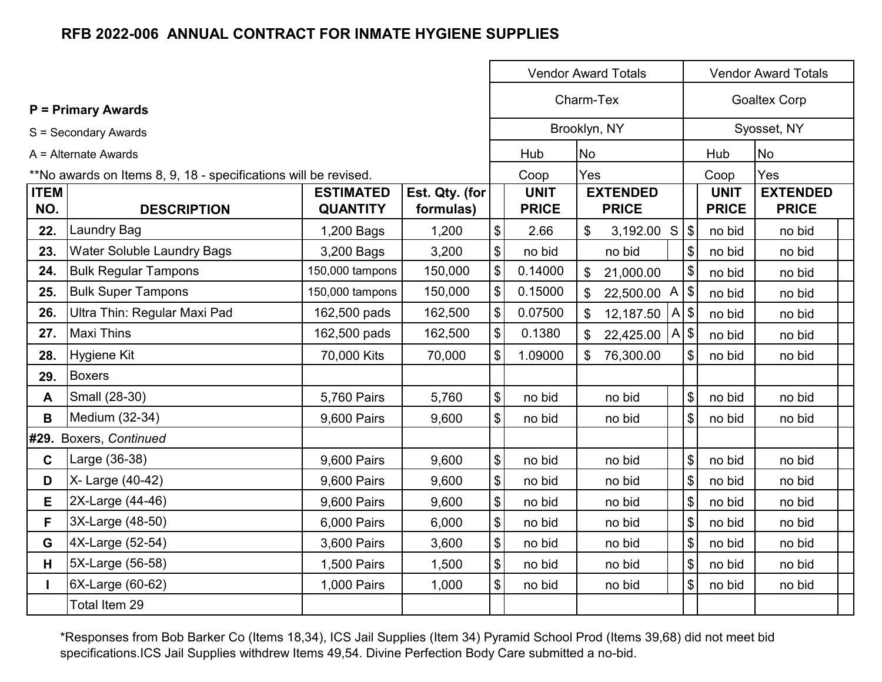|                    |                                                                 |                                     |                             |                                           | <b>Vendor Award Totals</b>  |                                 |                            | <b>Vendor Award Totals</b>  |                                 |
|--------------------|-----------------------------------------------------------------|-------------------------------------|-----------------------------|-------------------------------------------|-----------------------------|---------------------------------|----------------------------|-----------------------------|---------------------------------|
|                    | <b>P</b> = Primary Awards                                       |                                     |                             |                                           | Charm-Tex                   |                                 |                            | <b>Goaltex Corp</b>         |                                 |
|                    | S = Secondary Awards                                            |                                     |                             |                                           |                             | Brooklyn, NY                    |                            |                             | Syosset, NY                     |
|                    | A = Alternate Awards                                            |                                     |                             |                                           | Hub                         | <b>No</b>                       |                            | Hub                         | <b>No</b>                       |
|                    | **No awards on Items 8, 9, 18 - specifications will be revised. |                                     |                             |                                           | Coop                        | Yes                             |                            | Coop                        | Yes                             |
| <b>ITEM</b><br>NO. | <b>DESCRIPTION</b>                                              | <b>ESTIMATED</b><br><b>QUANTITY</b> | Est. Qty. (for<br>formulas) |                                           | <b>UNIT</b><br><b>PRICE</b> | <b>EXTENDED</b><br><b>PRICE</b> |                            | <b>UNIT</b><br><b>PRICE</b> | <b>EXTENDED</b><br><b>PRICE</b> |
| 22.                | <b>Laundry Bag</b>                                              | 1,200 Bags                          | 1,200                       | $\, \, \raisebox{12pt}{$\scriptstyle \$}$ | 2.66                        | \$<br>3,192.00 S                | $\sqrt{3}$                 | no bid                      | no bid                          |
| 23.                | <b>Water Soluble Laundry Bags</b>                               | 3,200 Bags                          | 3,200                       | $\boldsymbol{\mathsf{\$}}$                | no bid                      | no bid                          | $\boldsymbol{\mathsf{\$}}$ | no bid                      | no bid                          |
| 24.                | <b>Bulk Regular Tampons</b>                                     | 150,000 tampons                     | 150,000                     | $\boldsymbol{\mathsf{\$}}$                | 0.14000                     | $\mathcal{S}$<br>21,000.00      | \$                         | no bid                      | no bid                          |
| 25.                | <b>Bulk Super Tampons</b>                                       | 150,000 tampons                     | 150,000                     | $\boldsymbol{\mathsf{\$}}$                | 0.15000                     | 22,500.00 A<br>\$               | \$                         | no bid                      | no bid                          |
| 26.                | Ultra Thin: Regular Maxi Pad                                    | 162,500 pads                        | 162,500                     | $\, \, \raisebox{12pt}{$\scriptstyle \$}$ | 0.07500                     | \$<br>12,187.50                 | \$<br>A                    | no bid                      | no bid                          |
| 27.                | <b>Maxi Thins</b>                                               | 162,500 pads                        | 162,500                     | $\boldsymbol{\mathsf{\$}}$                | 0.1380                      | 22,425.00<br>\$                 | $\sqrt{3}$<br>A            | no bid                      | no bid                          |
| 28.                | <b>Hygiene Kit</b>                                              | 70,000 Kits                         | 70,000                      | $\mathfrak{S}$                            | 1.09000                     | 76,300.00<br>\$                 | $\$\$                      | no bid                      | no bid                          |
| 29.                | <b>Boxers</b>                                                   |                                     |                             |                                           |                             |                                 |                            |                             |                                 |
| A                  | Small (28-30)                                                   | 5,760 Pairs                         | 5,760                       | $\boldsymbol{\$}$                         | no bid                      | no bid                          | $\$\$                      | no bid                      | no bid                          |
| B                  | Medium (32-34)                                                  | 9,600 Pairs                         | 9,600                       | $\boldsymbol{\mathsf{S}}$                 | no bid                      | no bid                          | $\boldsymbol{\mathsf{\$}}$ | no bid                      | no bid                          |
|                    | #29. Boxers, Continued                                          |                                     |                             |                                           |                             |                                 |                            |                             |                                 |
| $\mathbf{C}$       | Large (36-38)                                                   | 9,600 Pairs                         | 9,600                       | \$                                        | no bid                      | no bid                          | $\boldsymbol{\mathsf{S}}$  | no bid                      | no bid                          |
| D                  | X- Large (40-42)                                                | 9,600 Pairs                         | 9,600                       | $\, \, \raisebox{12pt}{$\scriptstyle \$}$ | no bid                      | no bid                          | $\$\$                      | no bid                      | no bid                          |
| E                  | 2X-Large (44-46)                                                | 9,600 Pairs                         | 9,600                       | $\, \, \raisebox{12pt}{$\scriptstyle \$}$ | no bid                      | no bid                          | $\boldsymbol{\mathsf{S}}$  | no bid                      | no bid                          |
| F                  | 3X-Large (48-50)                                                | 6,000 Pairs                         | 6,000                       | \$                                        | no bid                      | no bid                          | $\$\$                      | no bid                      | no bid                          |
| G                  | 4X-Large (52-54)                                                | 3,600 Pairs                         | 3,600                       | \$                                        | no bid                      | no bid                          | $\sqrt[6]{\frac{1}{2}}$    | no bid                      | no bid                          |
| H                  | 5X-Large (56-58)                                                | 1,500 Pairs                         | 1,500                       | $\boldsymbol{\mathsf{\$}}$                | no bid                      | no bid                          | $\sqrt[6]{\frac{1}{2}}$    | no bid                      | no bid                          |
|                    | 6X-Large (60-62)                                                | 1,000 Pairs                         | 1,000                       | $\mathfrak{S}$                            | no bid                      | no bid                          | $\sqrt[6]{\frac{1}{2}}$    | no bid                      | no bid                          |
|                    | Total Item 29                                                   |                                     |                             |                                           |                             |                                 |                            |                             |                                 |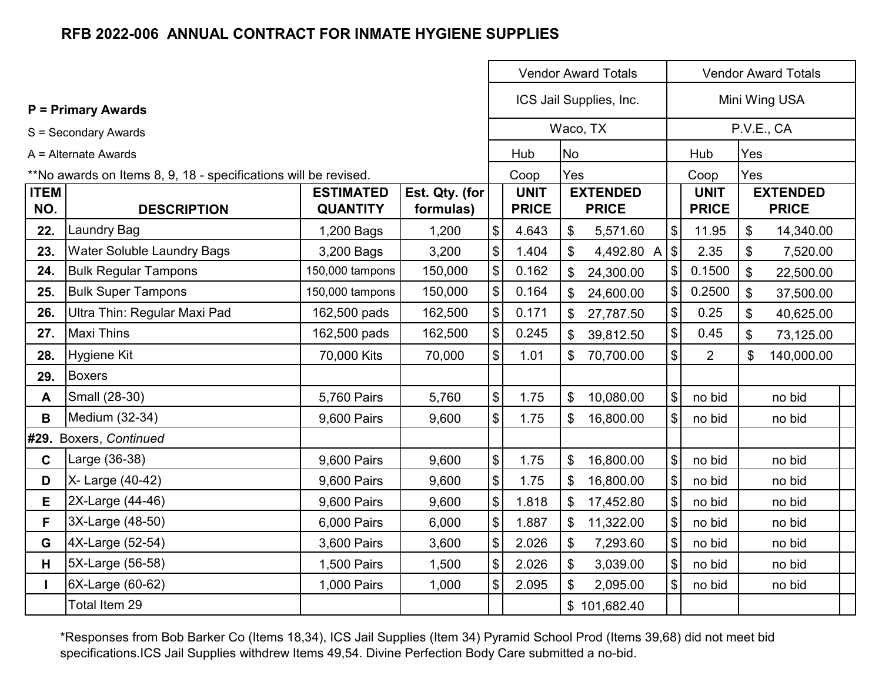|                                                                 |                                                          |                                     |                             |                              | <b>Vendor Award Totals</b>  | <b>Vendor Award Totals</b> |                                 |                              |                             |     |                                 |  |
|-----------------------------------------------------------------|----------------------------------------------------------|-------------------------------------|-----------------------------|------------------------------|-----------------------------|----------------------------|---------------------------------|------------------------------|-----------------------------|-----|---------------------------------|--|
|                                                                 | <b>P</b> = Primary Awards                                |                                     |                             |                              |                             |                            | ICS Jail Supplies, Inc.         |                              | Mini Wing USA               |     |                                 |  |
|                                                                 | S = Secondary Awards                                     |                                     |                             |                              |                             |                            | Waco, TX                        |                              |                             |     | P.V.E., CA                      |  |
|                                                                 | $A =$ Alternate Awards                                   |                                     |                             |                              | Hub                         | <b>No</b>                  |                                 |                              | Hub                         | Yes |                                 |  |
| **No awards on Items 8, 9, 18 - specifications will be revised. |                                                          |                                     |                             |                              | Coop                        | Yes                        |                                 |                              | Coop                        | Yes |                                 |  |
| <b>ITEM</b><br>NO.                                              | <b>DESCRIPTION</b>                                       | <b>ESTIMATED</b><br><b>QUANTITY</b> | Est. Qty. (for<br>formulas) |                              | <b>UNIT</b><br><b>PRICE</b> |                            | <b>EXTENDED</b><br><b>PRICE</b> |                              | <b>UNIT</b><br><b>PRICE</b> |     | <b>EXTENDED</b><br><b>PRICE</b> |  |
| 22.                                                             | <b>Laundry Bag</b>                                       | 1,200 Bags                          | 1,200                       | $\frac{1}{2}$                | 4.643                       | \$                         | 5,571.60                        | $\left  \mathcal{L} \right $ | 11.95                       | \$  | 14,340.00                       |  |
| 23.                                                             | <b>Water Soluble Laundry Bags</b><br>3,200 Bags<br>3,200 |                                     |                             | \$                           | 1.404                       | \$                         | 4,492.80 A                      | $\sqrt{2}$                   | 2.35                        | \$  | 7,520.00                        |  |
| 24.                                                             | <b>Bulk Regular Tampons</b>                              | 150,000 tampons                     | 150,000                     | \$                           | 0.162                       | $\mathbb{S}$               | 24,300.00                       | $\left  \frac{1}{2} \right $ | 0.1500                      | \$  | 22,500.00                       |  |
| 25.                                                             | <b>Bulk Super Tampons</b>                                | 150,000 tampons                     | 150,000                     | \$                           | 0.164                       | \$                         | 24,600.00                       | \$                           | 0.2500                      | \$  | 37,500.00                       |  |
| 26.                                                             | Ultra Thin: Regular Maxi Pad                             | 162,500 pads                        | 162,500                     | $\frac{1}{2}$                | 0.171                       | \$                         | 27,787.50                       | $\frac{1}{2}$                | 0.25                        | \$  | 40,625.00                       |  |
| 27.                                                             | <b>Maxi Thins</b>                                        | 162,500 pads                        | 162,500                     | \$                           | 0.245                       | $\mathcal{L}$              | 39,812.50                       | $\frac{1}{2}$                | 0.45                        | \$  | 73,125.00                       |  |
| 28.                                                             | <b>Hygiene Kit</b>                                       | 70,000 Kits                         | 70,000                      | $\mathcal{S}$                | 1.01                        | \$                         | 70,700.00                       | $\frac{1}{2}$                | $\overline{2}$              | \$  | 140,000.00                      |  |
| 29.                                                             | <b>Boxers</b>                                            |                                     |                             |                              |                             |                            |                                 |                              |                             |     |                                 |  |
| A                                                               | Small (28-30)                                            | 5,760 Pairs                         | 5,760                       | $\left  \mathcal{L} \right $ | 1.75                        | $\boldsymbol{\mathsf{S}}$  | 10,080.00                       | $\mathcal{S}$                | no bid                      |     | no bid                          |  |
| B                                                               | Medium (32-34)                                           | 9,600 Pairs                         | 9,600                       | \$                           | 1.75                        | \$                         | 16,800.00                       | $\frac{1}{2}$                | no bid                      |     | no bid                          |  |
|                                                                 | #29. Boxers, Continued                                   |                                     |                             |                              |                             |                            |                                 |                              |                             |     |                                 |  |
| $\mathbf c$                                                     | Large (36-38)                                            | 9,600 Pairs                         | 9,600                       | $\frac{1}{2}$                | 1.75                        | \$                         | 16,800.00                       | $\left  \mathcal{L} \right $ | no bid                      |     | no bid                          |  |
| D                                                               | X- Large (40-42)                                         | 9,600 Pairs                         | 9,600                       | \$                           | 1.75                        | \$                         | 16,800.00                       | \$                           | no bid                      |     | no bid                          |  |
| E                                                               | 2X-Large (44-46)                                         | 9,600 Pairs                         | 9,600                       | $\frac{1}{2}$                | 1.818                       | \$                         | 17,452.80                       | $\frac{1}{2}$                | no bid                      |     | no bid                          |  |
| F.                                                              | 3X-Large (48-50)                                         | 6,000 Pairs                         | 6,000                       | $\frac{1}{2}$                | 1.887                       | \$                         | 11,322.00                       | $\frac{1}{2}$                | no bid                      |     | no bid                          |  |
| G                                                               | 4X-Large (52-54)                                         | 3,600 Pairs                         | 3,600                       | \$                           | 2.026                       | \$                         | 7,293.60                        | \$                           | no bid                      |     | no bid                          |  |
| H.                                                              | 5X-Large (56-58)                                         | 1,500 Pairs                         | 1,500                       | $\frac{1}{2}$                | 2.026                       | \$                         | 3,039.00                        | $\mathcal{S}$                | no bid                      |     | no bid                          |  |
| $\mathbf{I}$                                                    | 6X-Large (60-62)<br>1,000 Pairs<br>1,000                 |                                     |                             | $\boldsymbol{\mathsf{S}}$    | 2.095                       | \$                         | 2,095.00                        | $\left  \mathcal{L} \right $ | no bid                      |     | no bid                          |  |
|                                                                 | Total Item 29                                            |                                     |                             |                              |                             |                            | \$101,682.40                    |                              |                             |     |                                 |  |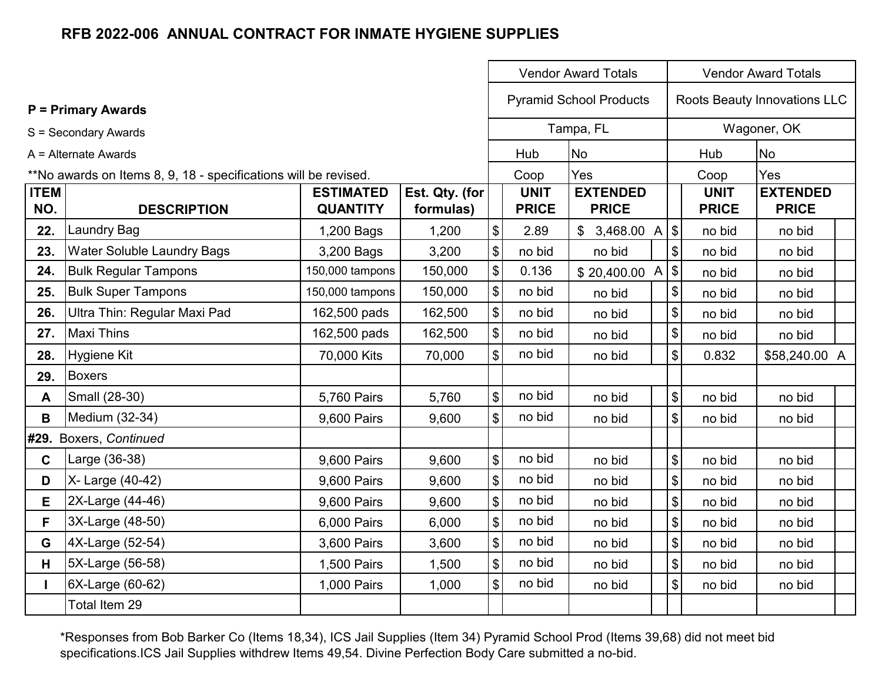|                    | <b>Vendor Award Totals</b>                                      |                                     |                             |                                           |                             |                                 |  | <b>Vendor Award Totals</b> |                             |                                 |  |
|--------------------|-----------------------------------------------------------------|-------------------------------------|-----------------------------|-------------------------------------------|-----------------------------|---------------------------------|--|----------------------------|-----------------------------|---------------------------------|--|
|                    | <b>P</b> = Primary Awards                                       |                                     |                             |                                           |                             | <b>Pyramid School Products</b>  |  |                            |                             | Roots Beauty Innovations LLC    |  |
|                    | S = Secondary Awards                                            |                                     |                             |                                           |                             | Tampa, FL                       |  |                            |                             | Wagoner, OK                     |  |
|                    | A = Alternate Awards                                            |                                     |                             |                                           | Hub                         | <b>No</b>                       |  |                            | Hub                         | <b>No</b>                       |  |
|                    | **No awards on Items 8, 9, 18 - specifications will be revised. |                                     |                             |                                           | Coop                        | Yes                             |  |                            | Coop                        | Yes                             |  |
| <b>ITEM</b><br>NO. | <b>DESCRIPTION</b>                                              | <b>ESTIMATED</b><br><b>QUANTITY</b> | Est. Qty. (for<br>formulas) |                                           | <b>UNIT</b><br><b>PRICE</b> | <b>EXTENDED</b><br><b>PRICE</b> |  |                            | <b>UNIT</b><br><b>PRICE</b> | <b>EXTENDED</b><br><b>PRICE</b> |  |
| 22.                | <b>Laundry Bag</b>                                              | 1,200 Bags                          | 1,200                       | $\, \, \raisebox{12pt}{$\scriptstyle \$}$ | 2.89                        | $$3,468.00$ A $$$               |  |                            | no bid                      | no bid                          |  |
| 23.                | <b>Water Soluble Laundry Bags</b>                               | 3,200 Bags                          | 3,200                       | $\, \, \$$                                | no bid                      | no bid                          |  | $\boldsymbol{\mathsf{\$}}$ | no bid                      | no bid                          |  |
| 24.                | <b>Bulk Regular Tampons</b>                                     | 150,000 tampons                     | 150,000                     | $\boldsymbol{\mathsf{\$}}$                | 0.136                       | \$20,400.00 A                   |  | $\vert \$                  | no bid                      | no bid                          |  |
| 25.                | <b>Bulk Super Tampons</b>                                       | 150,000 tampons                     | 150,000                     | $\boldsymbol{\mathsf{\$}}$                | no bid                      | no bid                          |  | \$                         | no bid                      | no bid                          |  |
| 26.                | Ultra Thin: Regular Maxi Pad                                    | 162,500 pads                        | 162,500                     | $\, \, \raisebox{12pt}{$\scriptstyle \$}$ | no bid                      | no bid                          |  | \$                         | no bid                      | no bid                          |  |
| 27.                | <b>Maxi Thins</b>                                               | 162,500 pads                        | 162,500                     | $\boldsymbol{\$}$                         | no bid                      | no bid                          |  | \$                         | no bid                      | no bid                          |  |
| 28.                | Hygiene Kit                                                     | 70,000 Kits                         | 70,000                      | $\mathfrak{S}$                            | no bid                      | no bid                          |  | \$                         | 0.832                       | \$58,240.00 A                   |  |
| 29.                | <b>Boxers</b>                                                   |                                     |                             |                                           |                             |                                 |  |                            |                             |                                 |  |
| A                  | Small (28-30)                                                   | 5,760 Pairs                         | 5,760                       | $\boldsymbol{\mathsf{S}}$                 | no bid                      | no bid                          |  | \$                         | no bid                      | no bid                          |  |
| В                  | Medium (32-34)                                                  | 9,600 Pairs                         | 9,600                       | $\boldsymbol{\mathsf{S}}$                 | no bid                      | no bid                          |  | \$                         | no bid                      | no bid                          |  |
|                    | #29. Boxers, Continued                                          |                                     |                             |                                           |                             |                                 |  |                            |                             |                                 |  |
| $\mathbf{C}$       | Large (36-38)                                                   | 9,600 Pairs                         | 9,600                       | $\boldsymbol{\mathsf{S}}$                 | no bid                      | no bid                          |  | \$                         | no bid                      | no bid                          |  |
| D                  | X- Large (40-42)                                                | 9,600 Pairs                         | 9,600                       | $\boldsymbol{\$}$                         | no bid                      | no bid                          |  | $\boldsymbol{\$}$          | no bid                      | no bid                          |  |
| E.                 | 2X-Large (44-46)                                                | 9,600 Pairs                         | 9,600                       | $\boldsymbol{\$}$                         | no bid                      | no bid                          |  | \$                         | no bid                      | no bid                          |  |
| F.                 | 3X-Large (48-50)                                                | 6,000 Pairs                         | 6,000                       | $\boldsymbol{\$}$                         | no bid                      | no bid                          |  | \$                         | no bid                      | no bid                          |  |
| G                  | 4X-Large (52-54)                                                | 3,600 Pairs                         | 3,600                       | $\boldsymbol{\$}$                         | no bid                      | no bid                          |  | \$                         | no bid                      | no bid                          |  |
| H.                 | 5X-Large (56-58)                                                | 1,500 Pairs                         | 1,500                       | $\, \, \$$                                | no bid                      | no bid                          |  | \$                         | no bid                      | no bid                          |  |
| L                  | 6X-Large (60-62)                                                | 1,000 Pairs                         | 1,000                       | $\mathfrak{S}$                            | no bid                      | no bid                          |  | $\mathfrak{S}$             | no bid                      | no bid                          |  |
|                    | Total Item 29                                                   |                                     |                             |                                           |                             |                                 |  |                            |                             |                                 |  |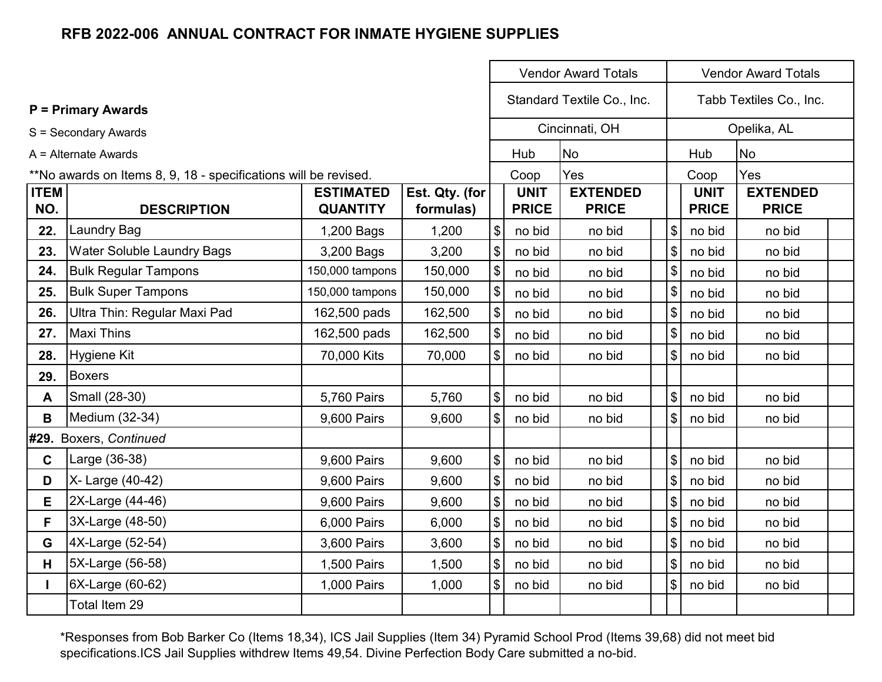|                                          |                                                                 | <b>Vendor Award Totals</b>          | <b>Vendor Award Totals</b>  |                                                |                             |                                 |                            |                             |                                 |  |
|------------------------------------------|-----------------------------------------------------------------|-------------------------------------|-----------------------------|------------------------------------------------|-----------------------------|---------------------------------|----------------------------|-----------------------------|---------------------------------|--|
|                                          | <b>P = Primary Awards</b>                                       |                                     |                             |                                                | Standard Textile Co., Inc.  | Tabb Textiles Co., Inc.         |                            |                             |                                 |  |
|                                          | S = Secondary Awards                                            |                                     |                             |                                                |                             | Cincinnati, OH                  |                            |                             | Opelika, AL                     |  |
|                                          | $A =$ Alternate Awards                                          |                                     |                             |                                                | Hub                         | <b>No</b>                       |                            | Hub                         | <b>No</b>                       |  |
|                                          | **No awards on Items 8, 9, 18 - specifications will be revised. |                                     |                             |                                                | Coop                        | Yes                             |                            | Coop                        | Yes                             |  |
| <b>ITEM</b><br>NO.                       | <b>DESCRIPTION</b>                                              | <b>ESTIMATED</b><br><b>QUANTITY</b> | Est. Qty. (for<br>formulas) |                                                | <b>UNIT</b><br><b>PRICE</b> | <b>EXTENDED</b><br><b>PRICE</b> |                            | <b>UNIT</b><br><b>PRICE</b> | <b>EXTENDED</b><br><b>PRICE</b> |  |
| 22.                                      | <b>Laundry Bag</b>                                              | 1,200 Bags                          | 1,200                       | $\sqrt{3}$                                     | no bid                      | no bid                          | $\$\$                      | no bid                      | no bid                          |  |
| <b>Water Soluble Laundry Bags</b><br>23. |                                                                 | 3,200 Bags                          | 3,200                       | $\boldsymbol{\mathsf{\$}}$<br>no bid<br>no bid |                             | $\boldsymbol{\mathsf{S}}$       | no bid                     | no bid                      |                                 |  |
| 24.                                      | <b>Bulk Regular Tampons</b>                                     | 150,000 tampons                     | 150,000                     | $\boldsymbol{\mathsf{\$}}$                     | no bid                      | no bid                          | $\frac{1}{2}$              | no bid                      | no bid                          |  |
| 25.                                      | <b>Bulk Super Tampons</b>                                       | 150,000 tampons                     | 150,000                     | $\boldsymbol{\mathsf{\$}}$                     | no bid                      | no bid                          | $\boldsymbol{\mathsf{\$}}$ | no bid                      | no bid                          |  |
| 26.                                      | Ultra Thin: Regular Maxi Pad                                    | 162,500 pads                        | 162,500                     | $\boldsymbol{\$}$                              | no bid                      | no bid                          | $\$\$                      | no bid                      | no bid                          |  |
| 27.                                      | <b>Maxi Thins</b>                                               | 162,500 pads                        | 162,500                     | $\boldsymbol{\mathsf{\$}}$                     | no bid                      | no bid                          | $\boldsymbol{\mathsf{S}}$  | no bid                      | no bid                          |  |
| 28.                                      | <b>Hygiene Kit</b>                                              | 70,000 Kits                         | 70,000                      | $\boldsymbol{\mathsf{S}}$                      | no bid                      | no bid                          | $\boldsymbol{\mathsf{S}}$  | no bid                      | no bid                          |  |
| 29.                                      | <b>Boxers</b>                                                   |                                     |                             |                                                |                             |                                 |                            |                             |                                 |  |
| A                                        | Small (28-30)                                                   | 5,760 Pairs                         | 5,760                       | $\sqrt{3}$                                     | no bid                      | no bid                          | $\mathfrak{S}$             | no bid                      | no bid                          |  |
| B                                        | Medium (32-34)                                                  | 9,600 Pairs                         | 9,600                       | $\boldsymbol{\mathsf{S}}$                      | no bid                      | no bid                          | $\boldsymbol{\mathsf{S}}$  | no bid                      | no bid                          |  |
|                                          | #29. Boxers, Continued                                          |                                     |                             |                                                |                             |                                 |                            |                             |                                 |  |
| $\mathbf C$                              | Large (36-38)                                                   | 9,600 Pairs                         | 9,600                       | $\sqrt{2}$                                     | no bid                      | no bid                          | $\boldsymbol{\mathsf{S}}$  | no bid                      | no bid                          |  |
| D                                        | X- Large (40-42)                                                | 9,600 Pairs                         | 9,600                       | $\boldsymbol{\mathsf{\$}}$                     | no bid                      | no bid                          |                            | no bid                      | no bid                          |  |
| E.                                       | 2X-Large (44-46)                                                | 9,600 Pairs                         | 9,600                       | $\sqrt{3}$                                     | no bid                      | no bid                          | \$                         | no bid                      | no bid                          |  |
| F.                                       | 3X-Large (48-50)                                                | 6,000 Pairs                         | 6,000                       | $\boldsymbol{\mathsf{\$}}$                     | no bid                      | no bid                          | $\mathcal{S}$              | no bid                      | no bid                          |  |
| G                                        | 4X-Large (52-54)                                                | 3,600 Pairs                         | 3,600                       | $\boldsymbol{\$}$                              | no bid                      | no bid                          | $\mathfrak{S}$             | no bid                      | no bid                          |  |
| H                                        | 5X-Large (56-58)                                                | 1,500 Pairs                         | 1,500                       | $\boldsymbol{\$}$                              | no bid                      | no bid                          | $\boldsymbol{\mathsf{S}}$  | no bid                      | no bid                          |  |
| 6X-Large (60-62)<br>L                    |                                                                 | 1,000 Pairs                         | 1,000                       | $\boldsymbol{\mathsf{S}}$<br>no bid<br>no bid  |                             | $\boldsymbol{\mathsf{S}}$       | no bid                     | no bid                      |                                 |  |
|                                          | Total Item 29                                                   |                                     |                             |                                                |                             |                                 |                            |                             |                                 |  |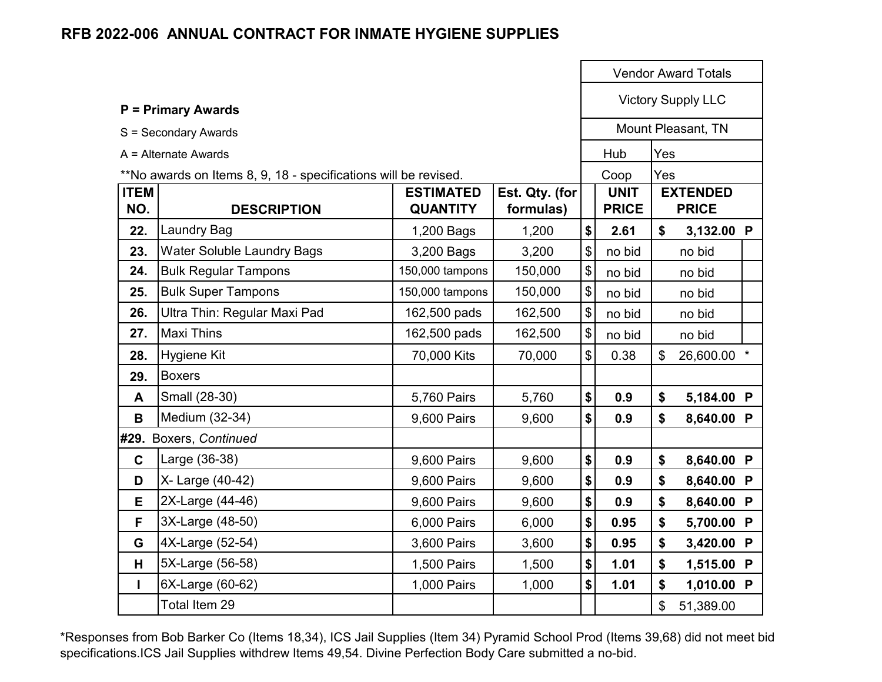|                    |                                                                 |                                     |                             |                            |                             | <b>Vendor Award Totals</b> |                                 |  |
|--------------------|-----------------------------------------------------------------|-------------------------------------|-----------------------------|----------------------------|-----------------------------|----------------------------|---------------------------------|--|
|                    | <b>P = Primary Awards</b>                                       |                                     |                             |                            | <b>Victory Supply LLC</b>   |                            |                                 |  |
|                    | S = Secondary Awards                                            |                                     |                             |                            |                             |                            | Mount Pleasant, TN              |  |
|                    | $A =$ Alternate Awards                                          |                                     |                             |                            | Hub                         | Yes                        |                                 |  |
|                    | **No awards on Items 8, 9, 18 - specifications will be revised. |                                     |                             |                            | Coop                        | Yes                        |                                 |  |
| <b>ITEM</b><br>NO. | <b>DESCRIPTION</b>                                              | <b>ESTIMATED</b><br><b>QUANTITY</b> | Est. Qty. (for<br>formulas) |                            | <b>UNIT</b><br><b>PRICE</b> |                            | <b>EXTENDED</b><br><b>PRICE</b> |  |
| 22.                | <b>Laundry Bag</b>                                              | 1,200 Bags                          | 1,200                       | $\boldsymbol{\$}$          | 2.61                        | \$                         | 3,132.00 P                      |  |
| 23.                | <b>Water Soluble Laundry Bags</b>                               | 3,200 Bags                          | 3,200                       | $\boldsymbol{\mathsf{\$}}$ | no bid                      |                            | no bid                          |  |
| 24.                | <b>Bulk Regular Tampons</b>                                     | 150,000 tampons                     | 150,000                     | $\boldsymbol{\mathsf{\$}}$ | no bid                      |                            | no bid                          |  |
| 25.                | <b>Bulk Super Tampons</b>                                       | 150,000 tampons                     | 150,000                     | $\boldsymbol{\hat{\phi}}$  | no bid                      |                            | no bid                          |  |
| 26.                | Ultra Thin: Regular Maxi Pad                                    | 162,500 pads                        | 162,500                     | $\boldsymbol{\mathsf{\$}}$ | no bid                      |                            | no bid                          |  |
| 27.                | <b>Maxi Thins</b>                                               | 162,500 pads                        | 162,500                     | $\boldsymbol{\mathsf{\$}}$ | no bid                      |                            | no bid                          |  |
| 28.                | Hygiene Kit                                                     | 70,000 Kits                         | 70,000                      | $\boldsymbol{\mathsf{S}}$  | 0.38                        | $\mathfrak{S}$             | 26,600.00 *                     |  |
| 29.                | <b>Boxers</b>                                                   |                                     |                             |                            |                             |                            |                                 |  |
| A                  | Small (28-30)                                                   | 5,760 Pairs                         | 5,760                       | \$                         | 0.9                         | \$                         | 5,184.00 P                      |  |
| B                  | Medium (32-34)                                                  | 9,600 Pairs                         | 9,600                       | \$                         | 0.9                         | \$                         | 8,640.00 P                      |  |
|                    | #29. Boxers, Continued                                          |                                     |                             |                            |                             |                            |                                 |  |
| $\mathbf C$        | Large (36-38)                                                   | 9,600 Pairs                         | 9,600                       | \$                         | 0.9                         | \$                         | 8,640.00 P                      |  |
| D                  | X- Large (40-42)                                                | 9,600 Pairs                         | 9,600                       | \$                         | 0.9                         | \$                         | 8,640.00 P                      |  |
| Е                  | 2X-Large (44-46)                                                | 9,600 Pairs                         | 9,600                       | \$                         | 0.9                         | \$                         | 8,640.00 P                      |  |
| F                  | 3X-Large (48-50)                                                | 6,000 Pairs                         | 6,000                       | $\boldsymbol{\$}$          | 0.95                        | \$                         | 5,700.00 P                      |  |
| G                  | 4X-Large (52-54)                                                | 3,600 Pairs                         | 3,600                       | \$                         | 0.95                        | \$                         | 3,420.00 P                      |  |
| H                  | 5X-Large (56-58)                                                | 1,500 Pairs                         | 1,500                       | \$                         | 1.01                        | \$                         | 1,515.00 P                      |  |
| $\mathbf{I}$       | 6X-Large (60-62)                                                | 1,000 Pairs                         | 1,000                       | \$                         | 1.01                        | \$                         | 1,010.00 P                      |  |
|                    | Total Item 29                                                   |                                     |                             |                            |                             | \$                         | 51,389.00                       |  |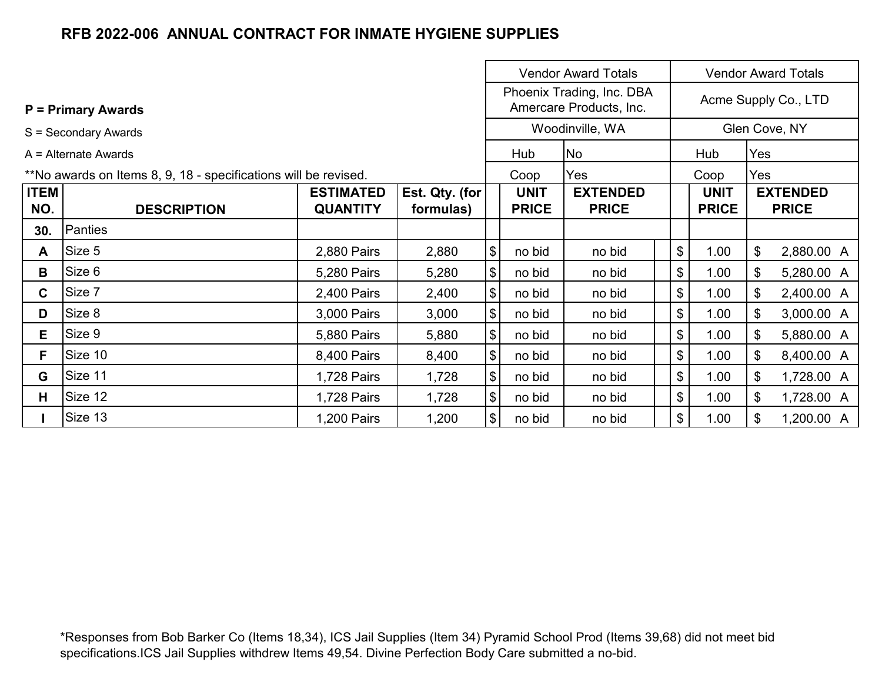|                        |                                                                 |                  |                |                                |                                                      | <b>Vendor Award Totals</b><br><b>Vendor Award Totals</b> |                      |                 |     |              |  |
|------------------------|-----------------------------------------------------------------|------------------|----------------|--------------------------------|------------------------------------------------------|----------------------------------------------------------|----------------------|-----------------|-----|--------------|--|
|                        | <b>P</b> = Primary Awards                                       |                  |                |                                | Phoenix Trading, Inc. DBA<br>Amercare Products, Inc. |                                                          | Acme Supply Co., LTD |                 |     |              |  |
|                        | S = Secondary Awards                                            |                  |                |                                |                                                      | Woodinville, WA                                          |                      | Glen Cove, NY   |     |              |  |
| $A =$ Alternate Awards |                                                                 |                  |                |                                | Hub                                                  | No                                                       |                      | Hub             | Yes |              |  |
|                        | **No awards on Items 8, 9, 18 - specifications will be revised. |                  |                |                                | Coop                                                 | Yes                                                      |                      | Coop            | Yes |              |  |
| <b>ITEM</b>            |                                                                 | <b>ESTIMATED</b> | Est. Qty. (for | <b>UNIT</b><br><b>EXTENDED</b> |                                                      | <b>UNIT</b>                                              |                      | <b>EXTENDED</b> |     |              |  |
| NO.                    | <b>DESCRIPTION</b>                                              | <b>QUANTITY</b>  | formulas)      |                                | <b>PRICE</b>                                         | <b>PRICE</b>                                             |                      | <b>PRICE</b>    |     | <b>PRICE</b> |  |
| 30.                    | Panties                                                         |                  |                |                                |                                                      |                                                          |                      |                 |     |              |  |
| A                      | Size 5                                                          | 2,880 Pairs      | 2,880          | $\boldsymbol{\mathsf{S}}$      | no bid                                               | no bid                                                   |                      | \$<br>1.00      | \$  | 2,880.00 A   |  |
| B                      | Size 6                                                          | 5,280 Pairs      | 5,280          | $\left  \frac{1}{2} \right $   | no bid                                               | no bid                                                   |                      | \$<br>1.00      | \$  | 5,280.00 A   |  |
| $\mathbf{C}$           | Size 7                                                          | 2,400 Pairs      | 2,400          | $\left  \frac{1}{2} \right $   | no bid                                               | no bid                                                   |                      | \$<br>1.00      | \$  | 2,400.00 A   |  |
| D                      | Size 8                                                          | 3,000 Pairs      | 3,000          | $\left  \frac{1}{2} \right $   | no bid                                               | no bid                                                   |                      | \$<br>1.00      | \$  | 3,000.00 A   |  |
| Е                      | Size 9                                                          | 5,880 Pairs      | 5,880          | $\boldsymbol{\mathsf{S}}$      | no bid                                               | no bid                                                   |                      | \$<br>1.00      | \$  | 5,880.00 A   |  |
| F.                     | Size 10                                                         | 8,400 Pairs      | 8,400          | $\left  \frac{1}{2} \right $   | no bid                                               | no bid                                                   |                      | \$<br>1.00      | \$  | 8,400.00 A   |  |
| G                      | Size 11                                                         | 1,728 Pairs      | 1,728          | $\left  \frac{1}{2} \right $   | no bid                                               | no bid                                                   |                      | \$<br>1.00      | \$  | 1,728.00 A   |  |
| н                      | Size 12                                                         | 1,728 Pairs      | 1,728          | $\left  \frac{1}{2} \right $   | no bid                                               | no bid                                                   |                      | \$<br>1.00      | \$  | 1,728.00 A   |  |
|                        | Size 13                                                         | 1,200 Pairs      | 1,200          | $\left  \frac{1}{2} \right $   | no bid                                               | no bid                                                   |                      | \$<br>1.00      | \$  | 1,200.00 A   |  |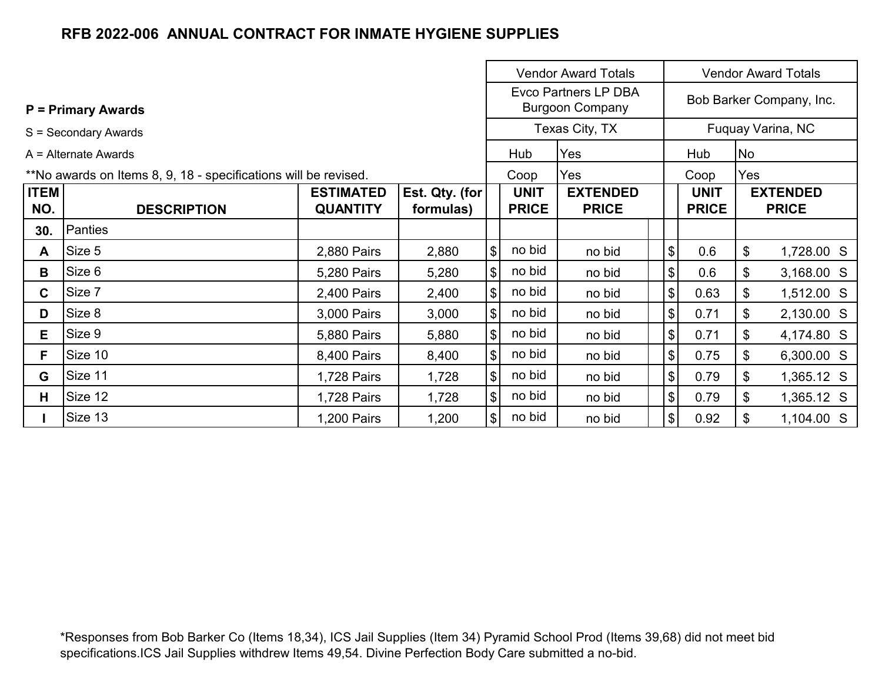|                        |                                                                 |                  |                |                              |                                                | <b>Vendor Award Totals</b> |                              | <b>Vendor Award Totals</b> |                   |  |  |  |
|------------------------|-----------------------------------------------------------------|------------------|----------------|------------------------------|------------------------------------------------|----------------------------|------------------------------|----------------------------|-------------------|--|--|--|
|                        | $P = Primary Awards$                                            |                  |                |                              | Evco Partners LP DBA<br><b>Burgoon Company</b> |                            |                              | Bob Barker Company, Inc.   |                   |  |  |  |
|                        | S = Secondary Awards                                            |                  |                | Texas City, TX               |                                                |                            |                              |                            | Fuquay Varina, NC |  |  |  |
| $A =$ Alternate Awards |                                                                 |                  |                |                              | Hub                                            | Yes                        | Hub                          |                            | <b>No</b>         |  |  |  |
|                        | **No awards on Items 8, 9, 18 - specifications will be revised. |                  |                |                              | Coop                                           | Yes                        |                              | Coop                       | Yes               |  |  |  |
| <b>ITEM</b>            |                                                                 | <b>ESTIMATED</b> | Est. Qty. (for |                              | <b>UNIT</b>                                    | <b>EXTENDED</b>            |                              | <b>UNIT</b>                | <b>EXTENDED</b>   |  |  |  |
| NO.                    | <b>DESCRIPTION</b>                                              | <b>QUANTITY</b>  | formulas)      | <b>PRICE</b><br><b>PRICE</b> |                                                |                            | <b>PRICE</b>                 | <b>PRICE</b>               |                   |  |  |  |
| 30.                    | Panties                                                         |                  |                |                              |                                                |                            |                              |                            |                   |  |  |  |
| A                      | Size 5                                                          | 2,880 Pairs      | 2,880          | $\sqrt{2}$                   | no bid                                         | no bid                     | $\boldsymbol{\mathsf{S}}$    | 0.6                        | \$<br>1,728.00 S  |  |  |  |
| B                      | Size 6                                                          | 5,280 Pairs      | 5,280          | $\frac{1}{2}$                | no bid                                         | no bid                     | $\boldsymbol{\mathsf{S}}$    | 0.6                        | \$<br>3,168.00 S  |  |  |  |
| $\mathbf{C}$           | Size 7                                                          | 2,400 Pairs      | 2,400          | $\left  \frac{1}{2} \right $ | no bid                                         | no bid                     | $\$\$                        | 0.63                       | 1,512.00 S<br>\$  |  |  |  |
| D                      | Size 8                                                          | 3,000 Pairs      | 3,000          | $\left  \frac{1}{2} \right $ | no bid                                         | no bid                     | $\left  \frac{1}{2} \right $ | 0.71                       | 2,130.00 S<br>\$  |  |  |  |
| Е                      | Size 9                                                          | 5,880 Pairs      | 5,880          | $\sqrt{3}$                   | no bid                                         | no bid                     | $\frac{1}{2}$                | 0.71                       | \$<br>4,174.80 S  |  |  |  |
| F                      | Size 10                                                         | 8,400 Pairs      | 8,400          | $\left  \frac{1}{2} \right $ | no bid                                         | no bid                     | $\left  \mathbf{S} \right $  | 0.75                       | 6,300.00 S<br>\$  |  |  |  |
| G                      | Size 11                                                         | 1,728 Pairs      | 1,728          | $\left  \frac{1}{2} \right $ | no bid                                         | no bid                     | $\$\$                        | 0.79                       | \$<br>1,365.12 S  |  |  |  |
| H.                     | Size 12                                                         | 1,728 Pairs      | 1,728          | $\left  \frac{1}{2} \right $ | no bid                                         | no bid                     | $\$\$                        | 0.79                       | \$<br>1,365.12 S  |  |  |  |
|                        | Size 13                                                         | 1,200 Pairs      | 1,200          | $\frac{1}{2}$                | no bid                                         | no bid                     | $\left  \frac{1}{2} \right $ | 0.92                       | 1,104.00 S        |  |  |  |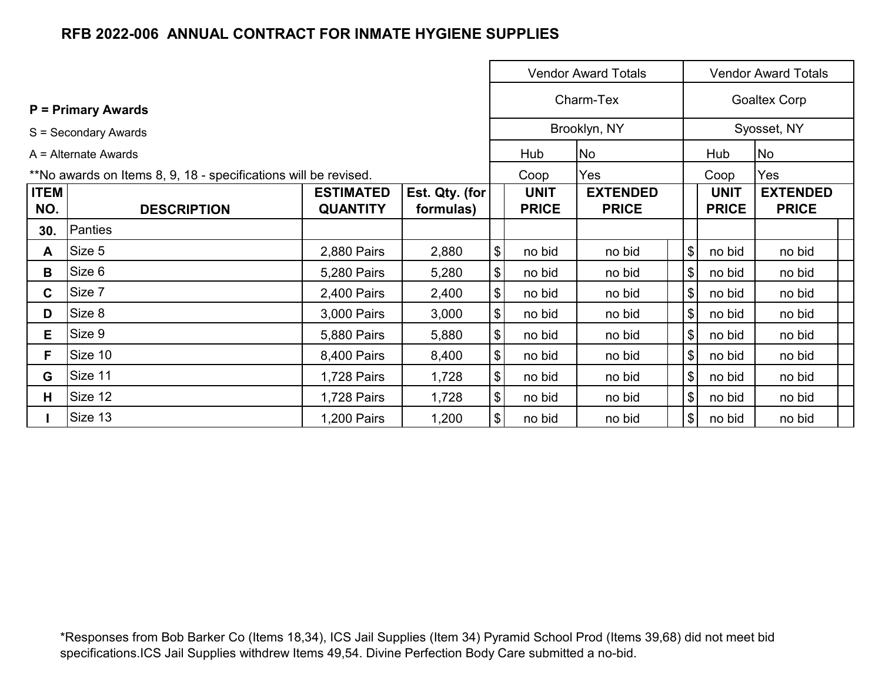|                      |                                                                 | <b>Vendor Award Totals</b> |                |                                           |              |                 |                | <b>Vendor Award Totals</b> |                     |  |  |  |  |
|----------------------|-----------------------------------------------------------------|----------------------------|----------------|-------------------------------------------|--------------|-----------------|----------------|----------------------------|---------------------|--|--|--|--|
|                      | <b>P</b> = Primary Awards                                       |                            |                |                                           |              | Charm-Tex       |                |                            | <b>Goaltex Corp</b> |  |  |  |  |
| S = Secondary Awards |                                                                 |                            |                |                                           |              | Brooklyn, NY    |                |                            | Syosset, NY         |  |  |  |  |
|                      | $A =$ Alternate Awards                                          |                            |                |                                           | Hub          | <b>No</b>       |                | Hub                        | No                  |  |  |  |  |
|                      | **No awards on Items 8, 9, 18 - specifications will be revised. |                            |                |                                           | Coop         | Yes             |                | Coop                       | Yes                 |  |  |  |  |
| <b>ITEM</b>          |                                                                 | <b>ESTIMATED</b>           | Est. Qty. (for |                                           | <b>UNIT</b>  | <b>EXTENDED</b> |                | <b>UNIT</b>                | <b>EXTENDED</b>     |  |  |  |  |
| NO.                  | <b>DESCRIPTION</b>                                              | <b>QUANTITY</b>            | formulas)      |                                           | <b>PRICE</b> | <b>PRICE</b>    |                | <b>PRICE</b>               | <b>PRICE</b>        |  |  |  |  |
| 30.                  | Panties                                                         |                            |                |                                           |              |                 |                |                            |                     |  |  |  |  |
| A                    | Size 5                                                          | 2,880 Pairs                | 2,880          | $\, \, \raisebox{12pt}{$\scriptstyle \$}$ | no bid       | no bid          | $\frac{1}{2}$  | no bid                     | no bid              |  |  |  |  |
| B                    | Size 6                                                          | 5,280 Pairs                | 5,280          | \$                                        | no bid       | no bid          | $\frac{1}{2}$  | no bid                     | no bid              |  |  |  |  |
| C.                   | Size 7                                                          | 2,400 Pairs                | 2,400          | \$                                        | no bid       | no bid          | $\mathfrak{S}$ | no bid                     | no bid              |  |  |  |  |
| D                    | Size 8                                                          | 3,000 Pairs                | 3,000          | \$                                        | no bid       | no bid          | $\mathfrak{S}$ | no bid                     | no bid              |  |  |  |  |
| Е                    | Size 9                                                          | 5,880 Pairs                | 5,880          | \$                                        | no bid       | no bid          | $\frac{1}{2}$  | no bid                     | no bid              |  |  |  |  |
| F                    | Size 10                                                         | 8,400 Pairs                | 8,400          | \$                                        | no bid       | no bid          | $\frac{1}{2}$  | no bid                     | no bid              |  |  |  |  |
| G                    | Size 11                                                         | 1,728 Pairs                | 1,728          | \$                                        | no bid       | no bid          | $\frac{1}{2}$  | no bid                     | no bid              |  |  |  |  |
| H                    | Size 12                                                         | 1,728 Pairs                | 1,728          | \$                                        | no bid       | no bid          | $\frac{1}{2}$  | no bid                     | no bid              |  |  |  |  |
|                      | Size 13                                                         | 1,200 Pairs                | 1,200          | \$                                        | no bid       | no bid          | $\frac{1}{2}$  | no bid                     | no bid              |  |  |  |  |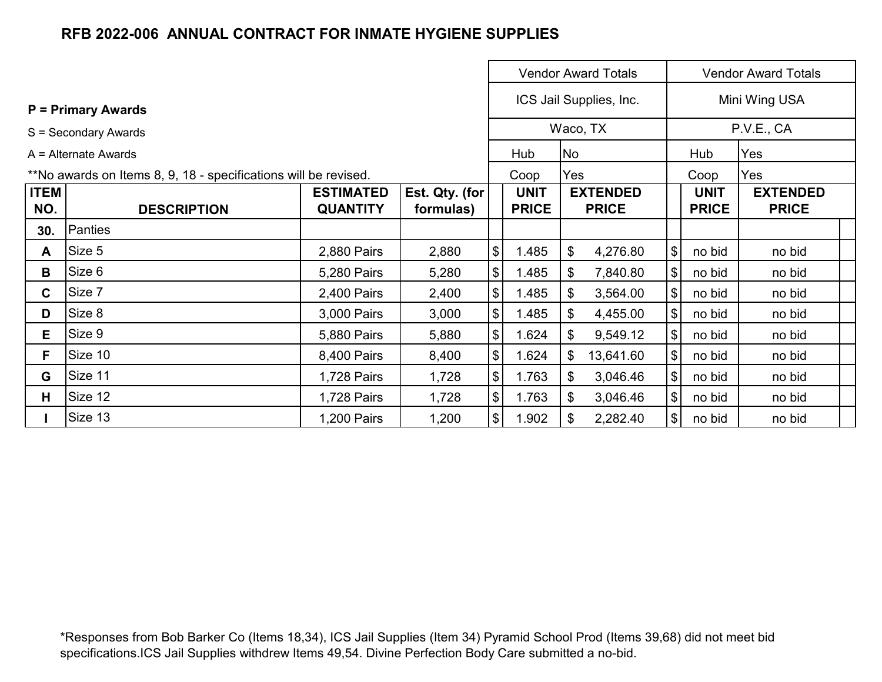|                      |                                                                 | <b>Vendor Award Totals</b> |                |                              |              |     |                         | <b>Vendor Award Totals</b>   |              |                 |  |  |  |
|----------------------|-----------------------------------------------------------------|----------------------------|----------------|------------------------------|--------------|-----|-------------------------|------------------------------|--------------|-----------------|--|--|--|
|                      | <b>P</b> = Primary Awards                                       |                            |                |                              |              |     | ICS Jail Supplies, Inc. |                              |              | Mini Wing USA   |  |  |  |
| S = Secondary Awards |                                                                 |                            |                | Waco, TX                     |              |     |                         | P.V.E., CA                   |              |                 |  |  |  |
|                      | $A =$ Alternate Awards                                          |                            |                |                              | Hub          | No  |                         |                              | Hub          | Yes             |  |  |  |
|                      | **No awards on Items 8, 9, 18 - specifications will be revised. |                            |                |                              | Coop         | Yes |                         |                              | Coop         | Yes             |  |  |  |
| <b>ITEM</b>          |                                                                 | <b>ESTIMATED</b>           | Est. Qty. (for |                              | <b>UNIT</b>  |     | <b>EXTENDED</b>         |                              | <b>UNIT</b>  | <b>EXTENDED</b> |  |  |  |
| NO.                  | <b>DESCRIPTION</b>                                              | <b>QUANTITY</b>            | formulas)      |                              | <b>PRICE</b> |     | <b>PRICE</b>            |                              | <b>PRICE</b> | <b>PRICE</b>    |  |  |  |
| 30.                  | Panties                                                         |                            |                |                              |              |     |                         |                              |              |                 |  |  |  |
| A                    | Size 5                                                          | 2,880 Pairs                | 2,880          | $\boldsymbol{\$}$            | 1.485        | \$  | 4,276.80                | $\boldsymbol{\mathsf{S}}$    | no bid       | no bid          |  |  |  |
| B                    | Size 6                                                          | 5,280 Pairs                | 5,280          | $\boldsymbol{\$}$            | 1.485        | \$  | 7,840.80                | $\boldsymbol{\$}$            | no bid       | no bid          |  |  |  |
| $\mathbf{C}$         | Size 7                                                          | 2,400 Pairs                | 2,400          | $\left  \frac{1}{2} \right $ | 1.485        | \$  | 3,564.00                | $\frac{1}{2}$                | no bid       | no bid          |  |  |  |
| D                    | Size 8                                                          | 3,000 Pairs                | 3,000          | $\left  \frac{1}{2} \right $ | 1.485        | \$  | 4,455.00                | $\boldsymbol{\mathsf{\$}}$   | no bid       | no bid          |  |  |  |
| Е                    | Size 9                                                          | 5,880 Pairs                | 5,880          | $\frac{1}{2}$                | 1.624        | \$  | 9,549.12                | $\$\$                        | no bid       | no bid          |  |  |  |
| F.                   | Size 10                                                         | 8,400 Pairs                | 8,400          | $\frac{1}{2}$                | 1.624        | \$  | 13,641.60               | $\$\$                        | no bid       | no bid          |  |  |  |
| G                    | Size 11                                                         | 1,728 Pairs                | 1,728          | $\boldsymbol{\$}$            | 1.763        | \$  | 3,046.46                | $\frac{1}{2}$                | no bid       | no bid          |  |  |  |
| Н.                   | Size 12                                                         | 1,728 Pairs                | 1,728          | $\boldsymbol{\$}$            | 1.763        | \$  | 3,046.46                | $\$\$<br>no bid              |              | no bid          |  |  |  |
|                      | Size 13                                                         | 1,200 Pairs                | 1,200          | $\frac{1}{2}$                | 1.902        | \$  | 2,282.40                | $\left  \frac{1}{2} \right $ | no bid       | no bid          |  |  |  |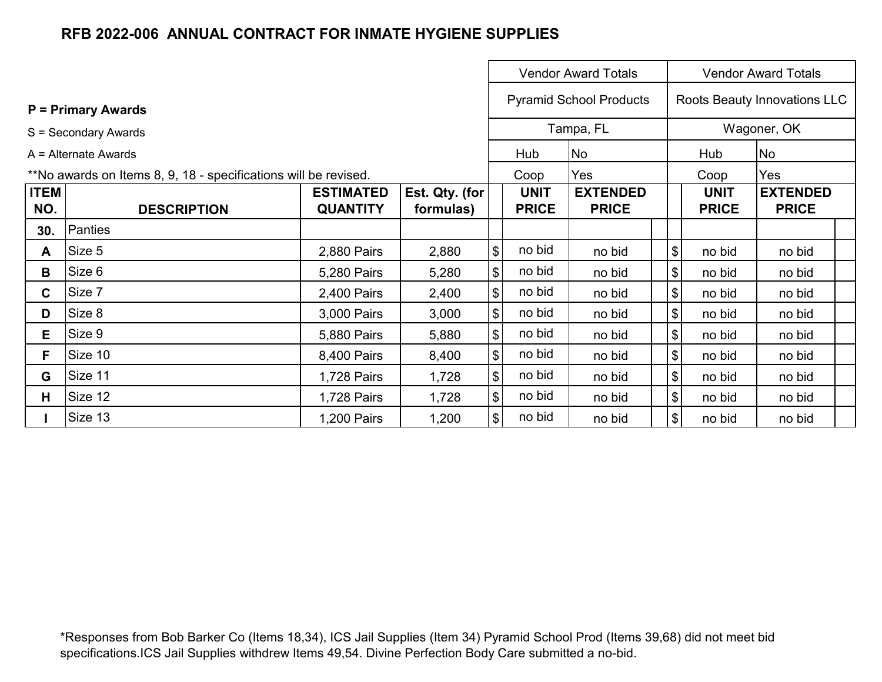|                      |                                                                 |                  |                |                                           |              | <b>Vendor Award Totals</b>     |                                           | <b>Vendor Award Totals</b> |                              |  |  |  |
|----------------------|-----------------------------------------------------------------|------------------|----------------|-------------------------------------------|--------------|--------------------------------|-------------------------------------------|----------------------------|------------------------------|--|--|--|
|                      | <b>P</b> = Primary Awards                                       |                  |                |                                           |              | <b>Pyramid School Products</b> |                                           |                            | Roots Beauty Innovations LLC |  |  |  |
| S = Secondary Awards |                                                                 |                  |                |                                           |              | Tampa, FL                      |                                           |                            | Wagoner, OK                  |  |  |  |
|                      | $A =$ Alternate Awards                                          |                  |                |                                           | Hub          | No                             |                                           | Hub                        | No                           |  |  |  |
|                      | **No awards on Items 8, 9, 18 - specifications will be revised. |                  |                |                                           | Coop         | Yes                            |                                           | Coop                       | Yes                          |  |  |  |
| <b>ITEM</b>          |                                                                 | <b>ESTIMATED</b> | Est. Qty. (for |                                           | <b>UNIT</b>  | <b>EXTENDED</b>                |                                           | <b>UNIT</b>                | <b>EXTENDED</b>              |  |  |  |
| NO.                  | <b>DESCRIPTION</b>                                              | <b>QUANTITY</b>  | formulas)      |                                           | <b>PRICE</b> | <b>PRICE</b>                   |                                           | <b>PRICE</b>               | <b>PRICE</b>                 |  |  |  |
| 30.                  | Panties                                                         |                  |                |                                           |              |                                |                                           |                            |                              |  |  |  |
| A                    | Size 5                                                          | 2,880 Pairs      | 2,880          | $\boldsymbol{\theta}$                     | no bid       | no bid                         | $\, \, \raisebox{12pt}{$\scriptstyle \$}$ | no bid                     | no bid                       |  |  |  |
| B                    | Size 6                                                          | 5,280 Pairs      | 5,280          | $\sqrt{3}$                                | no bid       | no bid                         | \$                                        | no bid                     | no bid                       |  |  |  |
| C.                   | Size 7                                                          | 2,400 Pairs      | 2,400          | $\boldsymbol{\theta}$                     | no bid       | no bid                         | \$                                        | no bid                     | no bid                       |  |  |  |
| D                    | Size 8                                                          | 3,000 Pairs      | 3,000          | $\, \, \raisebox{12pt}{$\scriptstyle \$}$ | no bid       | no bid                         | $\boldsymbol{\mathsf{S}}$                 | no bid                     | no bid                       |  |  |  |
| E.                   | Size 9                                                          | 5,880 Pairs      | 5,880          | $\boldsymbol{\theta}$                     | no bid       | no bid                         | \$                                        | no bid                     | no bid                       |  |  |  |
| F                    | Size 10                                                         | 8,400 Pairs      | 8,400          | $\boldsymbol{\$}$                         | no bid       | no bid                         | $\boldsymbol{\mathsf{S}}$                 | no bid                     | no bid                       |  |  |  |
| G                    | Size 11                                                         | 1,728 Pairs      | 1,728          | $\, \, \raisebox{12pt}{$\scriptstyle \$}$ | no bid       | no bid                         | $\boldsymbol{\mathsf{S}}$                 | no bid                     | no bid                       |  |  |  |
| H.                   | Size 12                                                         | 1,728 Pairs      | 1,728          | $\, \, \raisebox{12pt}{$\scriptstyle \$}$ | no bid       | no bid                         | $\boldsymbol{\mathsf{S}}$                 | no bid                     | no bid                       |  |  |  |
|                      | Size 13                                                         | 1,200 Pairs      | 1,200          | $\boldsymbol{\$}$                         | no bid       | no bid                         | $\frac{1}{2}$                             | no bid                     | no bid                       |  |  |  |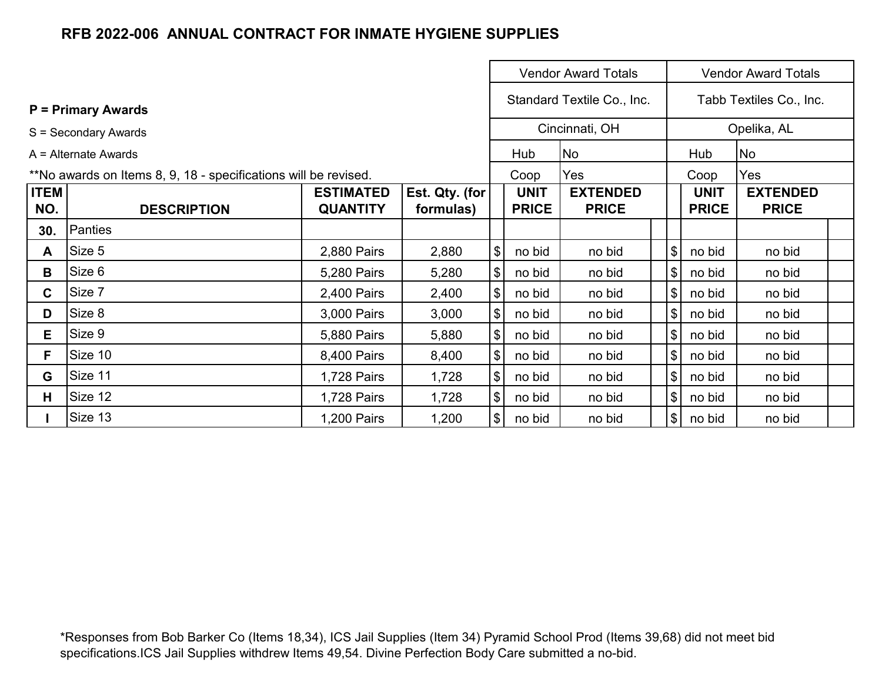|                                                                 |                           |                                     |                             |                            |                             | <b>Vendor Award Totals</b>      |                                     | <b>Vendor Award Totals</b>  |                                 |  |  |  |
|-----------------------------------------------------------------|---------------------------|-------------------------------------|-----------------------------|----------------------------|-----------------------------|---------------------------------|-------------------------------------|-----------------------------|---------------------------------|--|--|--|
|                                                                 | <b>P</b> = Primary Awards |                                     |                             |                            | Standard Textile Co., Inc.  |                                 | Tabb Textiles Co., Inc.             |                             |                                 |  |  |  |
| S = Secondary Awards                                            |                           |                                     |                             | Cincinnati, OH             |                             |                                 |                                     |                             | Opelika, AL                     |  |  |  |
| $A =$ Alternate Awards                                          |                           |                                     |                             |                            | Hub                         | No                              |                                     | Hub                         | No                              |  |  |  |
| **No awards on Items 8, 9, 18 - specifications will be revised. |                           |                                     |                             |                            | Coop                        | Yes                             |                                     | Coop                        | Yes                             |  |  |  |
| <b>ITEM</b><br>NO.                                              | <b>DESCRIPTION</b>        | <b>ESTIMATED</b><br><b>QUANTITY</b> | Est. Qty. (for<br>formulas) |                            | <b>UNIT</b><br><b>PRICE</b> | <b>EXTENDED</b><br><b>PRICE</b> |                                     | <b>UNIT</b><br><b>PRICE</b> | <b>EXTENDED</b><br><b>PRICE</b> |  |  |  |
| 30.                                                             | Panties                   |                                     |                             |                            |                             |                                 |                                     |                             |                                 |  |  |  |
| A                                                               | Size 5                    | 2,880 Pairs                         | 2,880                       | $\boldsymbol{\mathsf{\$}}$ | no bid                      | no bid                          | \$                                  | no bid                      | no bid                          |  |  |  |
| B                                                               | Size 6                    | 5,280 Pairs                         | 5,280                       | $\sqrt{3}$                 | no bid                      | no bid                          | $\frac{1}{2}$                       | no bid                      | no bid                          |  |  |  |
| C.                                                              | Size 7                    | 2,400 Pairs                         | 2,400                       | \$                         | no bid                      | no bid                          | \$                                  | no bid                      | no bid                          |  |  |  |
| D                                                               | Size 8                    | 3,000 Pairs                         | 3,000                       | \$                         | no bid                      | no bid                          | $\boldsymbol{\mathsf{S}}$           | no bid                      | no bid                          |  |  |  |
| Е                                                               | Size 9                    | 5,880 Pairs                         | 5,880                       | $\boldsymbol{\mathsf{\$}}$ | no bid                      | no bid                          | $\boldsymbol{\mathsf{S}}$           | no bid                      | no bid                          |  |  |  |
| F                                                               | Size 10                   | 8,400 Pairs                         | 8,400                       | $\boldsymbol{\theta}$      | no bid                      | no bid                          | $\boldsymbol{\mathsf{\$}}$          | no bid                      | no bid                          |  |  |  |
| G                                                               | Size 11                   | 1,728 Pairs                         | 1,728                       | $\boldsymbol{\$}$          | no bid                      | no bid                          | \$                                  | no bid                      | no bid                          |  |  |  |
| Н.                                                              | Size 12                   | 1,728 Pairs                         | 1,728                       | $\boldsymbol{\$}$          | no bid                      | no bid                          | $\boldsymbol{\mathsf{S}}$<br>no bid |                             | no bid                          |  |  |  |
|                                                                 | Size 13                   | 1,200 Pairs                         | 1,200                       | $\sqrt[6]{\frac{1}{2}}$    | no bid                      | no bid                          | $\left  \frac{1}{2} \right $        | no bid                      | no bid                          |  |  |  |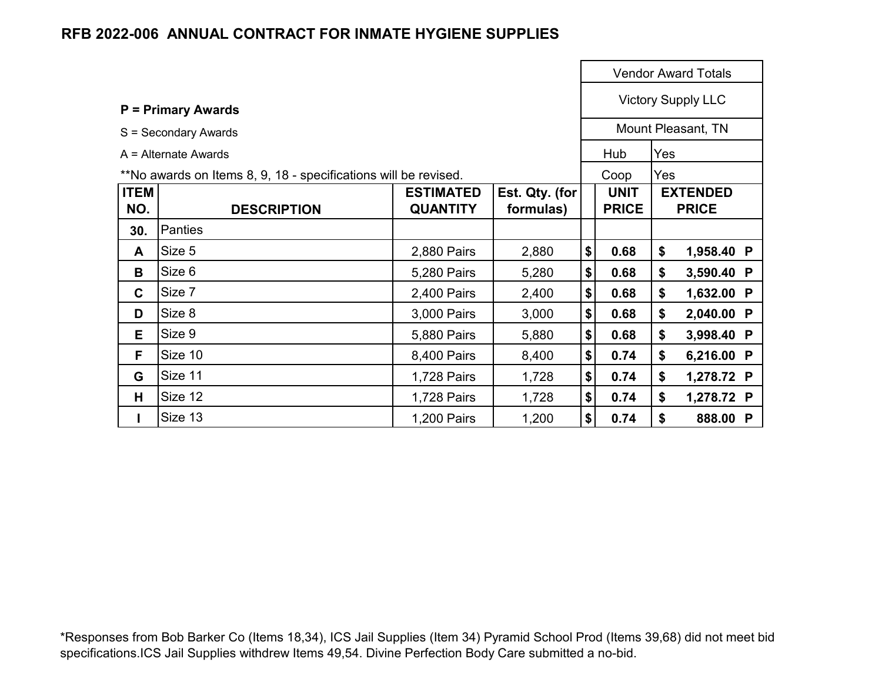|             |                                                                 |                  |                           |    |              | <b>Vendor Award Totals</b> |                    |  |  |
|-------------|-----------------------------------------------------------------|------------------|---------------------------|----|--------------|----------------------------|--------------------|--|--|
|             | <b>P</b> = Primary Awards                                       |                  | <b>Victory Supply LLC</b> |    |              |                            |                    |  |  |
|             | S = Secondary Awards                                            |                  |                           |    |              |                            | Mount Pleasant, TN |  |  |
|             | $A =$ Alternate Awards                                          |                  |                           |    | Hub          | Yes                        |                    |  |  |
|             |                                                                 |                  |                           |    | Coop         | Yes                        |                    |  |  |
| <b>ITEM</b> | **No awards on Items 8, 9, 18 - specifications will be revised. | <b>ESTIMATED</b> | Est. Qty. (for            |    | <b>UNIT</b>  |                            | <b>EXTENDED</b>    |  |  |
| NO.         | <b>DESCRIPTION</b>                                              | <b>QUANTITY</b>  | formulas)                 |    | <b>PRICE</b> |                            | <b>PRICE</b>       |  |  |
| 30.         | <b>Panties</b>                                                  |                  |                           |    |              |                            |                    |  |  |
| A           | Size 5                                                          | 2,880 Pairs      | 2,880                     | \$ | 0.68         | \$                         | 1,958.40 P         |  |  |
| B           | Size 6                                                          | 5,280 Pairs      | 5,280                     | \$ | 0.68         | \$                         | 3,590.40 P         |  |  |
| C           | Size 7                                                          | 2,400 Pairs      | 2,400                     | \$ | 0.68         | \$                         | 1,632.00 P         |  |  |
| D           | Size 8                                                          | 3,000 Pairs      | 3,000                     | \$ | 0.68         | \$                         | 2,040.00 P         |  |  |
| E.          | Size 9                                                          | 5,880 Pairs      | 5,880                     | \$ | 0.68         | \$                         | 3,998.40 P         |  |  |
| F           | Size 10                                                         | 8,400 Pairs      | 8,400                     | \$ | 0.74         | \$                         | 6,216.00 P         |  |  |
| G           | Size 11                                                         | 1,728 Pairs      | 1,728                     | \$ | 0.74         | \$                         | 1,278.72 P         |  |  |
| Н           | Size 12                                                         | 1,728 Pairs      | 1,728                     | \$ | 0.74         | \$                         | 1,278.72 P         |  |  |
|             | Size 13                                                         | 1,200 Pairs      | 1,200                     | \$ | 0.74         | \$                         | 888.00 P           |  |  |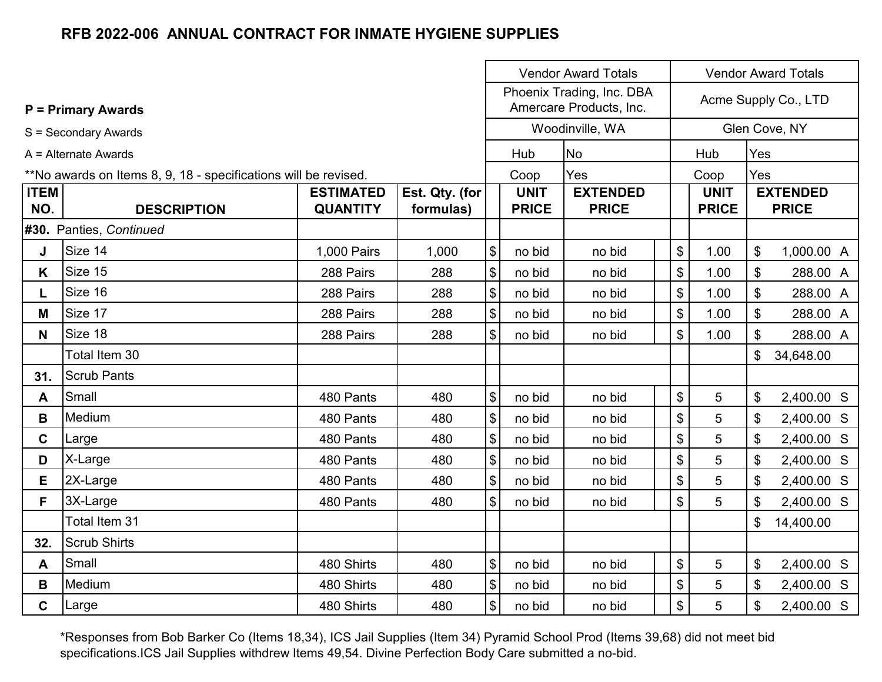|                                                                 |                                 |                                     | <b>Vendor Award Totals</b><br><b>Vendor Award Totals</b> |                            |                             |                                 |    |                      |                             |            |                                 |
|-----------------------------------------------------------------|---------------------------------|-------------------------------------|----------------------------------------------------------|----------------------------|-----------------------------|---------------------------------|----|----------------------|-----------------------------|------------|---------------------------------|
|                                                                 | <b>P</b> = Primary Awards       |                                     | Phoenix Trading, Inc. DBA<br>Amercare Products, Inc.     |                            |                             |                                 |    | Acme Supply Co., LTD |                             |            |                                 |
|                                                                 | S = Secondary Awards            |                                     |                                                          |                            |                             | Woodinville, WA                 |    |                      |                             |            | Glen Cove, NY                   |
|                                                                 | A = Alternate Awards            |                                     |                                                          |                            | Hub                         | <b>No</b>                       |    |                      | Hub                         | Yes        |                                 |
| **No awards on Items 8, 9, 18 - specifications will be revised. |                                 |                                     |                                                          |                            | Coop                        | Yes                             |    |                      | Coop                        | Yes        |                                 |
| <b>ITEM</b><br>NO.                                              | <b>DESCRIPTION</b>              | <b>ESTIMATED</b><br><b>QUANTITY</b> | Est. Qty. (for<br>formulas)                              |                            | <b>UNIT</b><br><b>PRICE</b> | <b>EXTENDED</b><br><b>PRICE</b> |    |                      | <b>UNIT</b><br><b>PRICE</b> |            | <b>EXTENDED</b><br><b>PRICE</b> |
|                                                                 | #30. Panties, Continued         |                                     |                                                          |                            |                             |                                 |    |                      |                             |            |                                 |
| J                                                               | Size 14<br>1,000 Pairs<br>1,000 |                                     | \$                                                       | no bid                     | no bid                      |                                 | \$ | 1.00                 | \$                          | 1,000.00 A |                                 |
| K                                                               | Size 15                         | 288 Pairs                           | 288                                                      | \$                         | no bid                      | no bid                          |    | \$                   | 1.00                        | \$         | 288.00 A                        |
| L.                                                              | Size 16                         | 288 Pairs                           | 288                                                      | \$                         | no bid                      | no bid                          |    | \$                   | 1.00                        | \$         | 288.00 A                        |
| M                                                               | Size 17                         | 288 Pairs                           | 288                                                      | \$                         | no bid                      | no bid                          |    | \$                   | 1.00                        | \$         | 288.00 A                        |
| N <sub>1</sub>                                                  | Size 18                         | 288 Pairs                           | 288                                                      | \$                         | no bid                      | no bid                          |    | \$                   | 1.00                        | \$         | 288.00 A                        |
|                                                                 | Total Item 30                   |                                     |                                                          |                            |                             |                                 |    |                      |                             | \$         | 34,648.00                       |
| 31.                                                             | <b>Scrub Pants</b>              |                                     |                                                          |                            |                             |                                 |    |                      |                             |            |                                 |
| A                                                               | Small                           | 480 Pants                           | 480                                                      | \$                         | no bid                      | no bid                          |    | \$                   | 5                           | \$         | 2,400.00 S                      |
| B                                                               | Medium                          | 480 Pants                           | 480                                                      | \$                         | no bid                      | no bid                          |    | \$                   | 5                           | \$         | 2,400.00 S                      |
| C                                                               | Large                           | 480 Pants                           | 480                                                      | \$                         | no bid                      | no bid                          |    | \$                   | 5                           | \$         | 2,400.00 S                      |
| D                                                               | X-Large                         | 480 Pants                           | 480                                                      | $\boldsymbol{\mathsf{\$}}$ | no bid                      | no bid                          |    | \$                   | 5                           | \$         | 2,400.00 S                      |
| E.                                                              | 2X-Large                        | 480 Pants                           | 480                                                      | \$                         | no bid                      | no bid                          |    | \$                   | 5                           | \$         | 2,400.00 S                      |
| F.                                                              | 3X-Large                        | 480 Pants                           | 480                                                      | \$                         | no bid                      | no bid                          |    | \$                   | 5                           | \$         | 2,400.00 S                      |
|                                                                 | Total Item 31                   |                                     |                                                          |                            |                             |                                 |    |                      |                             | \$         | 14,400.00                       |
| 32.                                                             | <b>Scrub Shirts</b>             |                                     |                                                          |                            |                             |                                 |    |                      |                             |            |                                 |
| A                                                               | Small                           | 480 Shirts                          | 480                                                      | \$                         | no bid                      | no bid                          |    | \$                   | 5                           | \$         | 2,400.00 S                      |
| B                                                               | Medium                          | 480 Shirts                          | 480                                                      | \$                         | no bid                      | no bid                          |    | \$                   | 5                           | \$         | 2,400.00 S                      |
| $\mathbf{C}$                                                    | Large                           | 480 Shirts                          | 480                                                      | \$                         | no bid                      | no bid                          |    | \$                   | 5                           | \$         | 2,400.00 S                      |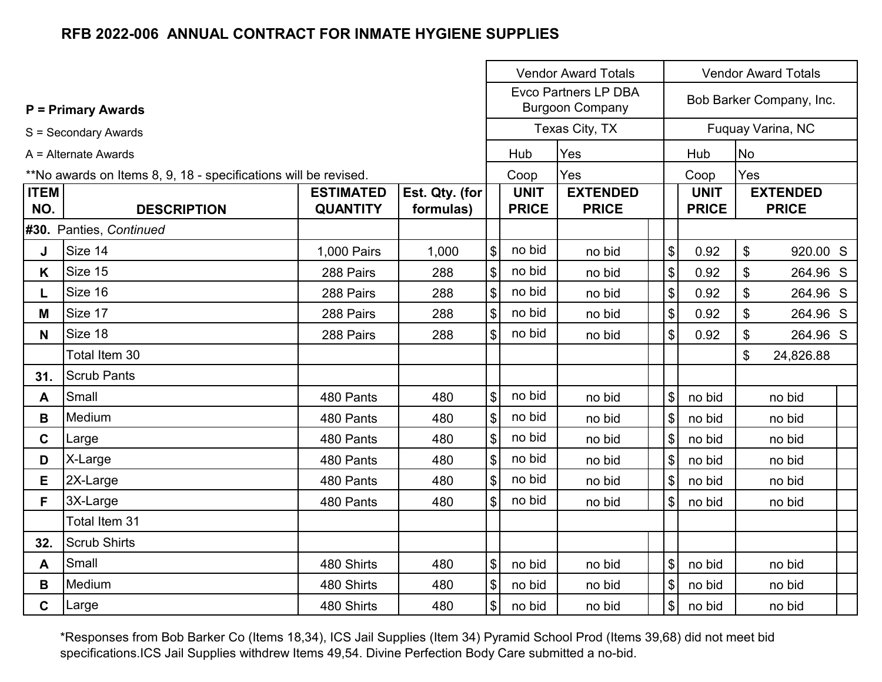|             |                                                                 |                  |                | <b>Vendor Award Totals</b> |              |                                                       |                            | <b>Vendor Award Totals</b> |                          |  |  |  |
|-------------|-----------------------------------------------------------------|------------------|----------------|----------------------------|--------------|-------------------------------------------------------|----------------------------|----------------------------|--------------------------|--|--|--|
|             | <b>P = Primary Awards</b>                                       |                  |                |                            |              | <b>Evco Partners LP DBA</b><br><b>Burgoon Company</b> |                            |                            | Bob Barker Company, Inc. |  |  |  |
|             | S = Secondary Awards                                            |                  |                |                            |              | Texas City, TX                                        |                            |                            | Fuquay Varina, NC        |  |  |  |
|             | A = Alternate Awards                                            |                  |                |                            | Hub          | Yes                                                   |                            | Hub                        | No                       |  |  |  |
|             | **No awards on Items 8, 9, 18 - specifications will be revised. |                  |                |                            | Coop         | Yes                                                   |                            | Coop                       | Yes                      |  |  |  |
| <b>ITEM</b> |                                                                 | <b>ESTIMATED</b> | Est. Qty. (for |                            | <b>UNIT</b>  | <b>EXTENDED</b>                                       |                            | <b>UNIT</b>                | <b>EXTENDED</b>          |  |  |  |
| NO.         | <b>DESCRIPTION</b>                                              | <b>QUANTITY</b>  | formulas)      |                            | <b>PRICE</b> | <b>PRICE</b>                                          |                            | <b>PRICE</b>               | <b>PRICE</b>             |  |  |  |
|             | #30. Panties, Continued                                         |                  |                |                            |              |                                                       |                            |                            |                          |  |  |  |
| J           | Size 14                                                         | 1,000 Pairs      | 1,000          | \$                         | no bid       | no bid                                                | $\boldsymbol{\mathsf{\$}}$ | 0.92                       | \$<br>920.00 S           |  |  |  |
| K           | Size 15                                                         | 288 Pairs        | 288            | \$                         | no bid       | no bid                                                | $\boldsymbol{\mathsf{\$}}$ | 0.92                       | \$<br>264.96 S           |  |  |  |
| L.          | Size 16                                                         | 288 Pairs        | 288            | \$                         | no bid       | no bid                                                | \$                         | 0.92                       | \$<br>264.96 S           |  |  |  |
| Μ           | Size 17                                                         | 288 Pairs        | 288            | \$                         | no bid       | no bid                                                | \$                         | 0.92                       | \$<br>264.96 S           |  |  |  |
| N           | Size 18                                                         | 288 Pairs        | 288            | \$                         | no bid       | no bid                                                | \$                         | 0.92                       | \$<br>264.96 S           |  |  |  |
|             | Total Item 30                                                   |                  |                |                            |              |                                                       |                            |                            | \$<br>24,826.88          |  |  |  |
| 31.         | <b>Scrub Pants</b>                                              |                  |                |                            |              |                                                       |                            |                            |                          |  |  |  |
| A           | Small                                                           | 480 Pants        | 480            | \$                         | no bid       | no bid                                                | \$                         | no bid                     | no bid                   |  |  |  |
| В           | Medium                                                          | 480 Pants        | 480            | $\$\$                      | no bid       | no bid                                                | $\mathfrak{L}$             | no bid                     | no bid                   |  |  |  |
| C.          | Large                                                           | 480 Pants        | 480            | \$                         | no bid       | no bid                                                | \$                         | no bid                     | no bid                   |  |  |  |
| D           | X-Large                                                         | 480 Pants        | 480            | \$                         | no bid       | no bid                                                | \$                         | no bid                     | no bid                   |  |  |  |
| Е           | 2X-Large                                                        | 480 Pants        | 480            | \$                         | no bid       | no bid                                                | \$                         | no bid                     | no bid                   |  |  |  |
| F.          | 3X-Large                                                        | 480 Pants        | 480            | \$                         | no bid       | no bid                                                | $\$\$                      | no bid                     | no bid                   |  |  |  |
|             | Total Item 31                                                   |                  |                |                            |              |                                                       |                            |                            |                          |  |  |  |
| 32.         | <b>Scrub Shirts</b>                                             |                  |                |                            |              |                                                       |                            |                            |                          |  |  |  |
| A           | Small                                                           | 480 Shirts       | 480            | \$                         | no bid       | no bid                                                | \$                         | no bid                     | no bid                   |  |  |  |
| B           | Medium                                                          | 480 Shirts       | 480            | \$                         | no bid       | no bid                                                | \$                         | no bid                     | no bid                   |  |  |  |
| C.          | Large                                                           | 480 Shirts       | 480            | $\boldsymbol{\mathsf{S}}$  | no bid       | no bid                                                | \$                         | no bid                     | no bid                   |  |  |  |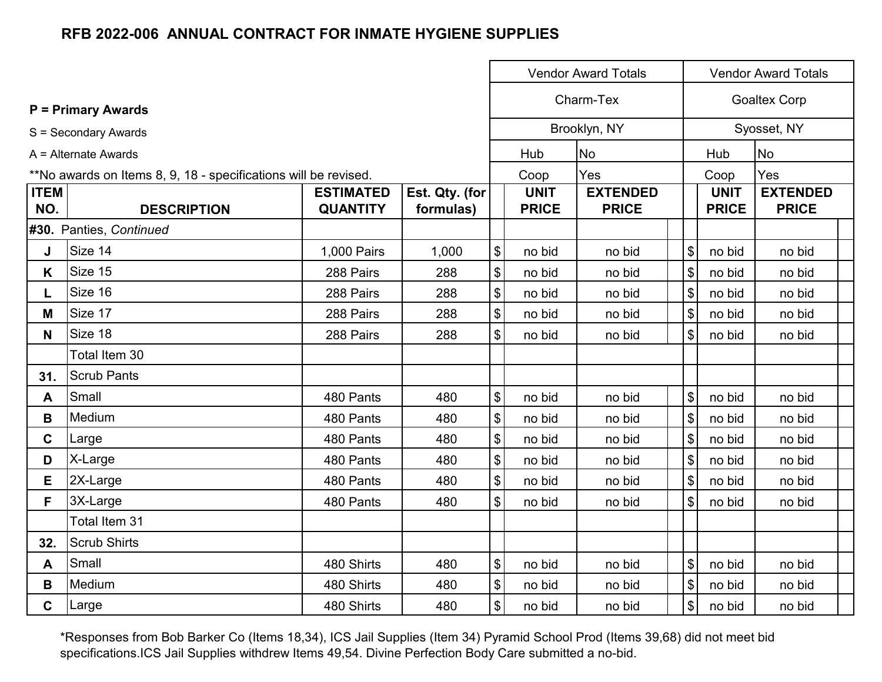|                    |                                                                 |                                     |                             |                            |                             | <b>Vendor Award Totals</b>      |                |                             | <b>Vendor Award Totals</b>      |  |  |  |
|--------------------|-----------------------------------------------------------------|-------------------------------------|-----------------------------|----------------------------|-----------------------------|---------------------------------|----------------|-----------------------------|---------------------------------|--|--|--|
|                    | <b>P</b> = Primary Awards                                       |                                     |                             |                            |                             | Charm-Tex                       |                | <b>Goaltex Corp</b>         |                                 |  |  |  |
|                    | S = Secondary Awards                                            |                                     |                             |                            |                             | Brooklyn, NY                    |                |                             | Syosset, NY                     |  |  |  |
|                    | A = Alternate Awards                                            |                                     |                             |                            | Hub                         | <b>No</b>                       |                | Hub                         | <b>No</b>                       |  |  |  |
|                    | **No awards on Items 8, 9, 18 - specifications will be revised. |                                     |                             |                            | Coop                        | Yes                             |                | Coop                        | Yes                             |  |  |  |
| <b>ITEM</b><br>NO. | <b>DESCRIPTION</b>                                              | <b>ESTIMATED</b><br><b>QUANTITY</b> | Est. Qty. (for<br>formulas) |                            | <b>UNIT</b><br><b>PRICE</b> | <b>EXTENDED</b><br><b>PRICE</b> |                | <b>UNIT</b><br><b>PRICE</b> | <b>EXTENDED</b><br><b>PRICE</b> |  |  |  |
|                    | #30. Panties, Continued                                         |                                     |                             |                            |                             |                                 |                |                             |                                 |  |  |  |
| J                  | Size 14                                                         | 1,000 Pairs                         | 1,000                       | \$                         | no bid                      | no bid                          | $\$\$          | no bid                      | no bid                          |  |  |  |
| K                  | Size 15                                                         | 288 Pairs                           | 288                         | $\boldsymbol{\$}$          | no bid                      | no bid                          | $\sqrt{3}$     | no bid                      | no bid                          |  |  |  |
| L.                 | Size 16                                                         | 288 Pairs                           | 288                         | \$                         | no bid                      | no bid                          | $\sqrt{3}$     | no bid                      | no bid                          |  |  |  |
| M                  | Size 17                                                         | 288 Pairs                           | 288                         | \$                         | no bid                      | no bid                          | \$             | no bid                      | no bid                          |  |  |  |
| N                  | Size 18                                                         | 288 Pairs                           | 288                         | \$                         | no bid                      | no bid                          | $\$\$          | no bid                      | no bid                          |  |  |  |
|                    | Total Item 30                                                   |                                     |                             |                            |                             |                                 |                |                             |                                 |  |  |  |
| 31.                | <b>Scrub Pants</b>                                              |                                     |                             |                            |                             |                                 |                |                             |                                 |  |  |  |
| A                  | Small                                                           | 480 Pants                           | 480                         | $\boldsymbol{\mathsf{\$}}$ | no bid                      | no bid                          | $\mathfrak{S}$ | no bid                      | no bid                          |  |  |  |
| В                  | Medium                                                          | 480 Pants                           | 480                         | \$                         | no bid                      | no bid                          | \$             | no bid                      | no bid                          |  |  |  |
| $\mathbf{C}$       | Large                                                           | 480 Pants                           | 480                         | \$                         | no bid                      | no bid                          | $\$\$          | no bid                      | no bid                          |  |  |  |
| D                  | X-Large                                                         | 480 Pants                           | 480                         | $\boldsymbol{\mathsf{\$}}$ | no bid                      | no bid                          | $\sqrt{3}$     | no bid                      | no bid                          |  |  |  |
| E.                 | 2X-Large                                                        | 480 Pants                           | 480                         | $\boldsymbol{\mathsf{\$}}$ | no bid                      | no bid                          | $\sqrt{3}$     | no bid                      | no bid                          |  |  |  |
| F.                 | 3X-Large                                                        | 480 Pants                           | 480                         | $\boldsymbol{\mathsf{S}}$  | no bid                      | no bid                          | $\sqrt{3}$     | no bid                      | no bid                          |  |  |  |
|                    | Total Item 31                                                   |                                     |                             |                            |                             |                                 |                |                             |                                 |  |  |  |
| 32.                | <b>Scrub Shirts</b>                                             |                                     |                             |                            |                             |                                 |                |                             |                                 |  |  |  |
| A                  | Small                                                           | 480 Shirts                          | 480                         | $\boldsymbol{\mathsf{S}}$  | no bid                      | no bid                          | $\$\$          | no bid                      | no bid                          |  |  |  |
| B                  | Medium                                                          | 480 Shirts                          | 480                         | \$                         | no bid                      | no bid                          | $\$\$          | no bid                      | no bid                          |  |  |  |
| $\mathbf C$        | Large                                                           | 480 Shirts                          | 480                         | \$                         | no bid                      | no bid                          | $\$\$          | no bid                      | no bid                          |  |  |  |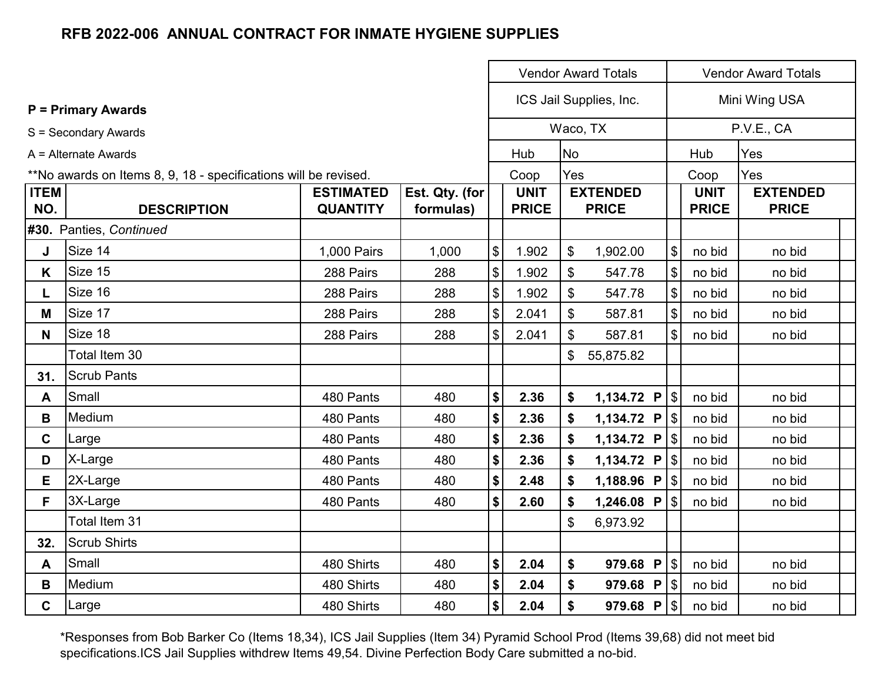|                    |                                                                 |                                     |                             | <b>Vendor Award Totals</b> |                             |              |                                 |                           |                             | <b>Vendor Award Totals</b>      |  |
|--------------------|-----------------------------------------------------------------|-------------------------------------|-----------------------------|----------------------------|-----------------------------|--------------|---------------------------------|---------------------------|-----------------------------|---------------------------------|--|
|                    | <b>P</b> = Primary Awards                                       |                                     |                             |                            |                             |              | ICS Jail Supplies, Inc.         | Mini Wing USA             |                             |                                 |  |
|                    | S = Secondary Awards                                            |                                     |                             |                            |                             |              | Waco, TX                        |                           |                             | P.V.E., CA                      |  |
|                    | A = Alternate Awards                                            |                                     |                             |                            | Hub                         | <b>No</b>    |                                 |                           | Hub                         | Yes                             |  |
|                    | **No awards on Items 8, 9, 18 - specifications will be revised. |                                     |                             |                            | Coop                        | Yes          |                                 |                           | Coop                        | Yes                             |  |
| <b>ITEM</b><br>NO. | <b>DESCRIPTION</b>                                              | <b>ESTIMATED</b><br><b>QUANTITY</b> | Est. Qty. (for<br>formulas) |                            | <b>UNIT</b><br><b>PRICE</b> |              | <b>EXTENDED</b><br><b>PRICE</b> |                           | <b>UNIT</b><br><b>PRICE</b> | <b>EXTENDED</b><br><b>PRICE</b> |  |
|                    | #30. Panties, Continued                                         |                                     |                             |                            |                             |              |                                 |                           |                             |                                 |  |
| J                  | Size 14                                                         | 1,000 Pairs                         | 1,000                       | $\boldsymbol{\mathsf{S}}$  | 1.902                       | \$           | 1,902.00                        | $\$\$                     | no bid                      | no bid                          |  |
| K                  | Size 15                                                         | 288 Pairs                           | 288                         | $\boldsymbol{\mathsf{S}}$  | 1.902                       | \$           | 547.78                          | $\boldsymbol{\$}$         | no bid                      | no bid                          |  |
| L.                 | Size 16                                                         | 288 Pairs                           | 288                         | $\$\$                      | 1.902                       | \$           | 547.78                          | $\boldsymbol{\mathsf{S}}$ | no bid                      | no bid                          |  |
| M                  | Size 17                                                         | 288 Pairs                           | 288                         | $\$\$                      | 2.041                       | \$           | 587.81                          | $\frac{1}{2}$             | no bid                      | no bid                          |  |
| N <sub>1</sub>     | Size 18                                                         | 288 Pairs                           | 288                         | $\$\$                      | 2.041                       | \$           | 587.81                          | $\$\$                     | no bid                      | no bid                          |  |
|                    | Total Item 30                                                   |                                     |                             |                            |                             | $\mathbb{S}$ | 55,875.82                       |                           |                             |                                 |  |
| 31.                | <b>Scrub Pants</b>                                              |                                     |                             |                            |                             |              |                                 |                           |                             |                                 |  |
| A                  | Small                                                           | 480 Pants                           | 480                         | \$                         | 2.36                        | \$           | 1,134.72 $P$   \$               |                           | no bid                      | no bid                          |  |
| В                  | Medium                                                          | 480 Pants                           | 480                         | \$                         | 2.36                        | \$           |                                 |                           | no bid                      | no bid                          |  |
| $\mathbf C$        | Large                                                           | 480 Pants                           | 480                         | \$                         | 2.36                        | \$           | 1,134.72 $P$   \$               |                           | no bid                      | no bid                          |  |
| D                  | X-Large                                                         | 480 Pants                           | 480                         | \$                         | 2.36                        | \$           | 1,134.72 P $ \$$                |                           | no bid                      | no bid                          |  |
| E                  | 2X-Large                                                        | 480 Pants                           | 480                         | \$                         | 2.48                        | \$           | 1,188.96 P $ $ \$               |                           | no bid                      | no bid                          |  |
| F.                 | 3X-Large                                                        | 480 Pants                           | 480                         | $\boldsymbol{\$}$          | 2.60                        | \$           | 1,246.08 $P$   \$               |                           | no bid                      | no bid                          |  |
|                    | Total Item 31                                                   |                                     |                             |                            |                             | \$           | 6,973.92                        |                           |                             |                                 |  |
| 32.                | <b>Scrub Shirts</b>                                             |                                     |                             |                            |                             |              |                                 |                           |                             |                                 |  |
| A                  | Small                                                           | 480 Shirts                          | 480                         | \$                         | 2.04                        | \$           | 979.68 $P$ \ \$                 |                           | no bid                      | no bid                          |  |
| B                  | Medium                                                          | 480 Shirts                          | 480                         | $\pmb{\$}$                 | 2.04                        | \$           |                                 |                           | no bid                      | no bid                          |  |
| $\mathbf C$        | Large                                                           | 480 Shirts                          | 480                         | $\boldsymbol{\$}$          | 2.04                        | \$           |                                 |                           | no bid                      | no bid                          |  |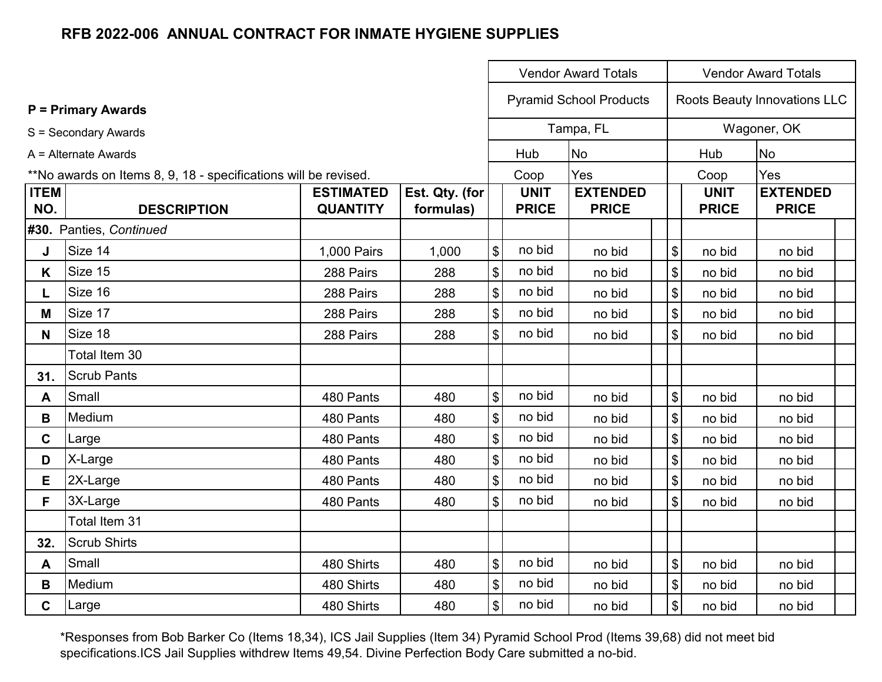|                    |                                                                 |                                     |                             | <b>Vendor Award Totals</b>                |                             |                                 |  |                            |                             | <b>Vendor Award Totals</b>      |  |
|--------------------|-----------------------------------------------------------------|-------------------------------------|-----------------------------|-------------------------------------------|-----------------------------|---------------------------------|--|----------------------------|-----------------------------|---------------------------------|--|
|                    | <b>P</b> = Primary Awards                                       |                                     |                             |                                           |                             | <b>Pyramid School Products</b>  |  |                            |                             | Roots Beauty Innovations LLC    |  |
|                    | S = Secondary Awards                                            |                                     |                             |                                           |                             | Tampa, FL                       |  |                            |                             | Wagoner, OK                     |  |
|                    | A = Alternate Awards                                            |                                     |                             |                                           | Hub                         | <b>No</b>                       |  |                            | Hub                         | <b>No</b>                       |  |
|                    | **No awards on Items 8, 9, 18 - specifications will be revised. |                                     |                             |                                           | Coop                        | Yes                             |  | Coop                       |                             | Yes                             |  |
| <b>ITEM</b><br>NO. | <b>DESCRIPTION</b>                                              | <b>ESTIMATED</b><br><b>QUANTITY</b> | Est. Qty. (for<br>formulas) |                                           | <b>UNIT</b><br><b>PRICE</b> | <b>EXTENDED</b><br><b>PRICE</b> |  |                            | <b>UNIT</b><br><b>PRICE</b> | <b>EXTENDED</b><br><b>PRICE</b> |  |
|                    | #30. Panties, Continued                                         |                                     |                             |                                           |                             |                                 |  |                            |                             |                                 |  |
| J                  | Size 14                                                         | 1,000 Pairs                         | 1,000                       | $\sqrt[6]{\frac{1}{2}}$                   | no bid                      | no bid                          |  | \$                         | no bid                      | no bid                          |  |
| Κ                  | Size 15                                                         | 288 Pairs                           | 288                         | $\boldsymbol{\mathsf{\$}}$                | no bid                      | no bid                          |  | $\boldsymbol{\$}$          | no bid                      | no bid                          |  |
| L.                 | Size 16                                                         | 288 Pairs                           | 288                         | $\boldsymbol{\mathsf{\$}}$                | no bid                      | no bid                          |  | \$                         | no bid                      | no bid                          |  |
| M                  | Size 17                                                         | 288 Pairs                           | 288                         | $\, \, \$$                                | no bid                      | no bid                          |  | \$                         | no bid                      | no bid                          |  |
| N                  | Size 18                                                         | 288 Pairs                           | 288                         | $\$\$                                     | no bid                      | no bid                          |  | \$                         | no bid                      | no bid                          |  |
|                    | Total Item 30                                                   |                                     |                             |                                           |                             |                                 |  |                            |                             |                                 |  |
| 31.                | <b>Scrub Pants</b>                                              |                                     |                             |                                           |                             |                                 |  |                            |                             |                                 |  |
| A                  | Small                                                           | 480 Pants                           | 480                         | $\$\$                                     | no bid                      | no bid                          |  | $\boldsymbol{\mathsf{\$}}$ | no bid                      | no bid                          |  |
| В                  | Medium                                                          | 480 Pants                           | 480                         | \$                                        | no bid                      | no bid                          |  | \$                         | no bid                      | no bid                          |  |
| C                  | Large                                                           | 480 Pants                           | 480                         | $\, \, \raisebox{12pt}{$\scriptstyle \$}$ | no bid                      | no bid                          |  | \$                         | no bid                      | no bid                          |  |
| D                  | X-Large                                                         | 480 Pants                           | 480                         | $\, \, \$$                                | no bid                      | no bid                          |  | $\boldsymbol{\mathsf{\$}}$ | no bid                      | no bid                          |  |
| E.                 | 2X-Large                                                        | 480 Pants                           | 480                         | $\boldsymbol{\mathsf{\$}}$                | no bid                      | no bid                          |  | \$                         | no bid                      | no bid                          |  |
| F.                 | 3X-Large                                                        | 480 Pants                           | 480                         | $\mathfrak{S}$                            | no bid                      | no bid                          |  | \$                         | no bid                      | no bid                          |  |
|                    | Total Item 31                                                   |                                     |                             |                                           |                             |                                 |  |                            |                             |                                 |  |
| 32.                | <b>Scrub Shirts</b>                                             |                                     |                             |                                           |                             |                                 |  |                            |                             |                                 |  |
| A                  | Small                                                           | 480 Shirts                          | 480                         | $\boldsymbol{\$}$                         | no bid                      | no bid                          |  | \$                         | no bid                      | no bid                          |  |
| B                  | Medium                                                          | 480 Shirts                          | 480                         | $\boldsymbol{\$}$                         | no bid                      | no bid                          |  | \$                         | no bid                      | no bid                          |  |
| C                  | Large                                                           | 480 Shirts                          | 480                         | \$                                        | no bid                      | no bid                          |  | \$                         | no bid                      | no bid                          |  |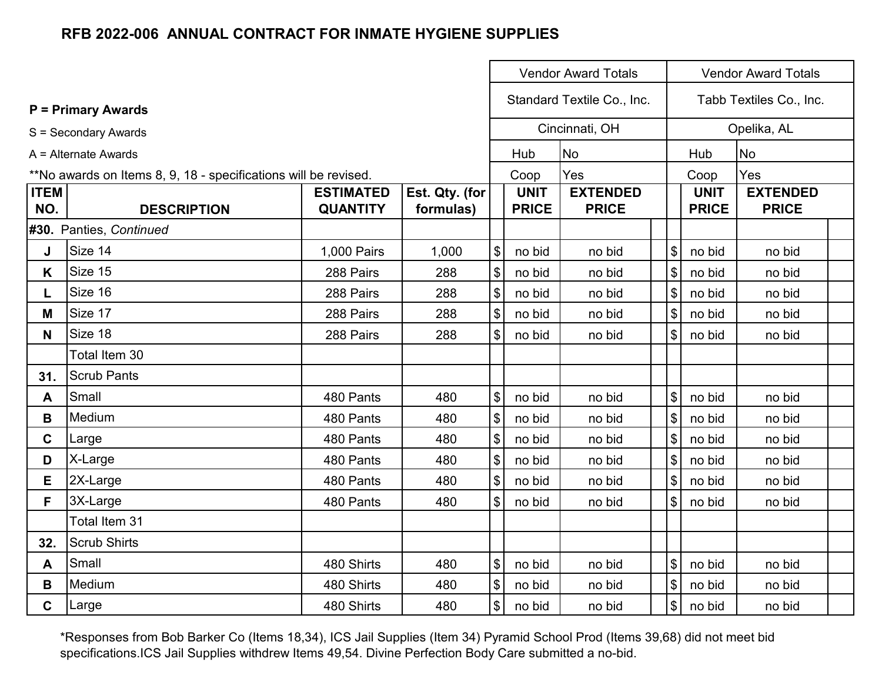|                    |                                                                 |                                                                                                                                      |       |                            |        | <b>Vendor Award Totals</b> |                           | <b>Vendor Award Totals</b>  |                                 |  |  |  |
|--------------------|-----------------------------------------------------------------|--------------------------------------------------------------------------------------------------------------------------------------|-------|----------------------------|--------|----------------------------|---------------------------|-----------------------------|---------------------------------|--|--|--|
|                    | <b>P</b> = Primary Awards                                       |                                                                                                                                      |       |                            |        | Standard Textile Co., Inc. |                           |                             | Tabb Textiles Co., Inc.         |  |  |  |
|                    | S = Secondary Awards                                            |                                                                                                                                      |       |                            |        | Cincinnati, OH             |                           |                             | Opelika, AL                     |  |  |  |
|                    | A = Alternate Awards                                            |                                                                                                                                      |       |                            | Hub    | <b>No</b>                  |                           | Hub                         | <b>No</b>                       |  |  |  |
|                    | **No awards on Items 8, 9, 18 - specifications will be revised. |                                                                                                                                      |       |                            | Coop   | Yes                        |                           | Coop                        | Yes                             |  |  |  |
| <b>ITEM</b><br>NO. | <b>DESCRIPTION</b>                                              | <b>EXTENDED</b><br><b>ESTIMATED</b><br>Est. Qty. (for<br><b>UNIT</b><br><b>QUANTITY</b><br><b>PRICE</b><br><b>PRICE</b><br>formulas) |       |                            |        |                            |                           | <b>UNIT</b><br><b>PRICE</b> | <b>EXTENDED</b><br><b>PRICE</b> |  |  |  |
|                    | #30. Panties, Continued                                         |                                                                                                                                      |       |                            |        |                            |                           |                             |                                 |  |  |  |
| J                  | Size 14                                                         | 1,000 Pairs                                                                                                                          | 1,000 | $\boldsymbol{\mathsf{\$}}$ | no bid | no bid                     | \$                        | no bid                      | no bid                          |  |  |  |
| K                  | Size 15                                                         | 288 Pairs                                                                                                                            | 288   | $\boldsymbol{\mathsf{\$}}$ | no bid | no bid                     | \$                        | no bid                      | no bid                          |  |  |  |
| L.                 | Size 16                                                         | 288 Pairs                                                                                                                            | 288   | $\sqrt{3}$                 | no bid | no bid                     | $\sqrt[6]{\frac{1}{2}}$   | no bid                      | no bid                          |  |  |  |
| Μ                  | Size 17                                                         | 288 Pairs                                                                                                                            | 288   | $\boldsymbol{\mathsf{\$}}$ | no bid | no bid                     | \$                        | no bid                      | no bid                          |  |  |  |
| N                  | Size 18                                                         | 288 Pairs                                                                                                                            | 288   | $\boldsymbol{\mathsf{S}}$  | no bid | no bid                     | $\mathbb{S}$              | no bid                      | no bid                          |  |  |  |
|                    | Total Item 30                                                   |                                                                                                                                      |       |                            |        |                            |                           |                             |                                 |  |  |  |
| 31.                | <b>Scrub Pants</b>                                              |                                                                                                                                      |       |                            |        |                            |                           |                             |                                 |  |  |  |
| A                  | Small                                                           | 480 Pants                                                                                                                            | 480   | $\boldsymbol{\mathsf{\$}}$ | no bid | no bid                     | $\sqrt[6]{\frac{1}{2}}$   | no bid                      | no bid                          |  |  |  |
| В                  | Medium                                                          | 480 Pants                                                                                                                            | 480   | $\boldsymbol{\mathsf{\$}}$ | no bid | no bid                     | \$                        | no bid                      | no bid                          |  |  |  |
| C.                 | Large                                                           | 480 Pants                                                                                                                            | 480   | $\boldsymbol{\$}$          | no bid | no bid                     | $\boldsymbol{\mathsf{S}}$ | no bid                      | no bid                          |  |  |  |
| D                  | X-Large                                                         | 480 Pants                                                                                                                            | 480   | $\sqrt{3}$                 | no bid | no bid                     | $\boldsymbol{\mathsf{S}}$ | no bid                      | no bid                          |  |  |  |
| Е                  | 2X-Large                                                        | 480 Pants                                                                                                                            | 480   | $\boldsymbol{\mathsf{\$}}$ | no bid | no bid                     | $\boldsymbol{\mathsf{S}}$ | no bid                      | no bid                          |  |  |  |
| F                  | 3X-Large                                                        | 480 Pants                                                                                                                            | 480   | $\sqrt{3}$                 | no bid | no bid                     | $\mathfrak{S}$            | no bid                      | no bid                          |  |  |  |
|                    | Total Item 31                                                   |                                                                                                                                      |       |                            |        |                            |                           |                             |                                 |  |  |  |
| 32.                | <b>Scrub Shirts</b>                                             |                                                                                                                                      |       |                            |        |                            |                           |                             |                                 |  |  |  |
| A                  | Small                                                           | 480 Shirts                                                                                                                           | 480   | $\boldsymbol{\mathsf{S}}$  | no bid | no bid                     | $\mathfrak{S}$            | no bid                      | no bid                          |  |  |  |
| B                  | Medium                                                          | 480 Shirts                                                                                                                           | 480   | $\boldsymbol{\mathsf{S}}$  | no bid | no bid                     | $\boldsymbol{\mathsf{S}}$ | no bid                      | no bid                          |  |  |  |
| C.                 | Large                                                           | 480 Shirts                                                                                                                           | 480   | $\boldsymbol{\mathsf{S}}$  | no bid | no bid                     | $\boldsymbol{\mathsf{S}}$ | no bid                      | no bid                          |  |  |  |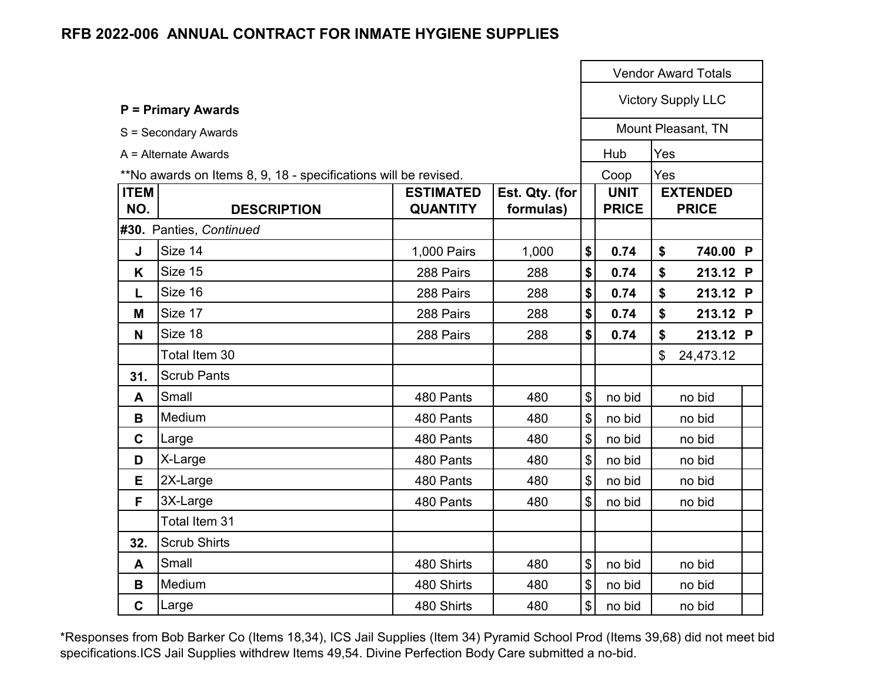|                    |                                                                 |                                     |                             |                            |                             |     | <b>Vendor Award Totals</b>      |  |
|--------------------|-----------------------------------------------------------------|-------------------------------------|-----------------------------|----------------------------|-----------------------------|-----|---------------------------------|--|
|                    | <b>P = Primary Awards</b>                                       |                                     |                             |                            |                             |     | <b>Victory Supply LLC</b>       |  |
|                    | S = Secondary Awards                                            |                                     |                             |                            |                             |     | Mount Pleasant, TN              |  |
|                    | A = Alternate Awards                                            |                                     |                             |                            | Hub                         | Yes |                                 |  |
|                    | **No awards on Items 8, 9, 18 - specifications will be revised. |                                     |                             |                            | Coop                        | Yes |                                 |  |
| <b>ITEM</b><br>NO. | <b>DESCRIPTION</b>                                              | <b>ESTIMATED</b><br><b>QUANTITY</b> | Est. Qty. (for<br>formulas) |                            | <b>UNIT</b><br><b>PRICE</b> |     | <b>EXTENDED</b><br><b>PRICE</b> |  |
|                    | #30. Panties, Continued                                         |                                     |                             |                            |                             |     |                                 |  |
| J                  | Size 14                                                         | 1,000 Pairs                         | 1,000                       | \$                         | 0.74                        | \$  | 740.00 P                        |  |
| K                  | Size 15                                                         | 288 Pairs                           | 288                         | \$                         | 0.74                        | \$  | 213.12 P                        |  |
| L                  | Size 16                                                         | 288 Pairs                           | 288                         | \$                         | 0.74                        | \$  | 213.12 P                        |  |
| M                  | Size 17                                                         | 288 Pairs                           | 288                         | \$                         | 0.74                        | \$  | 213.12 P                        |  |
| N                  | Size 18                                                         | 288 Pairs                           | 288                         | \$                         | 0.74                        | \$  | 213.12 P                        |  |
|                    | Total Item 30                                                   |                                     |                             |                            |                             | \$  | 24,473.12                       |  |
| 31.                | <b>Scrub Pants</b>                                              |                                     |                             |                            |                             |     |                                 |  |
| A                  | Small                                                           | 480 Pants                           | 480                         | $\mathfrak{S}$             | no bid                      |     | no bid                          |  |
| B                  | Medium                                                          | 480 Pants                           | 480                         | $\boldsymbol{\mathsf{S}}$  | no bid                      |     | no bid                          |  |
| $\mathbf C$        | Large                                                           | 480 Pants                           | 480                         | $\boldsymbol{\mathsf{S}}$  | no bid                      |     | no bid                          |  |
| D                  | X-Large                                                         | 480 Pants                           | 480                         | $\boldsymbol{\mathsf{S}}$  | no bid                      |     | no bid                          |  |
| E                  | 2X-Large                                                        | 480 Pants                           | 480                         | $\boldsymbol{\mathsf{\$}}$ | no bid                      |     | no bid                          |  |
| F                  | 3X-Large                                                        | 480 Pants                           | 480                         | $\mathfrak{S}$             | no bid                      |     | no bid                          |  |
|                    | Total Item 31                                                   |                                     |                             |                            |                             |     |                                 |  |
| 32.                | <b>Scrub Shirts</b>                                             |                                     |                             |                            |                             |     |                                 |  |
| A                  | Small                                                           | 480 Shirts                          | 480                         | $\sqrt[6]{\frac{1}{2}}$    | no bid                      |     | no bid                          |  |
| B                  | Medium                                                          | 480 Shirts                          | 480                         | $\mathfrak{S}$             | no bid                      |     | no bid                          |  |
| $\mathbf c$        | Large                                                           | 480 Shirts                          | 480                         | \$                         | no bid                      |     | no bid                          |  |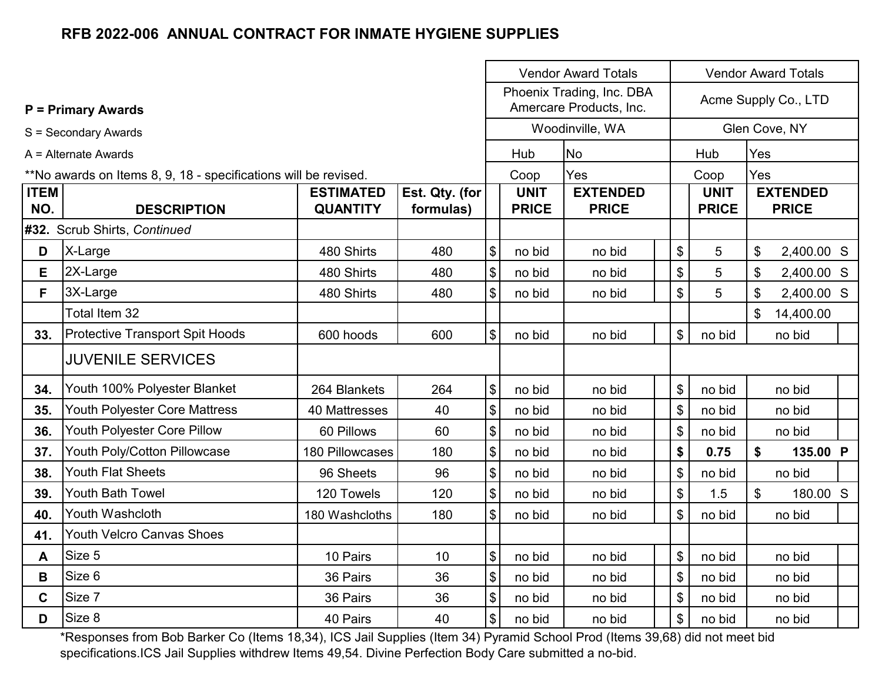|                    |                                                                 |                                     |                             |                             | <b>Vendor Award Totals</b>                           | <b>Vendor Award Totals</b>  |                            |                                 |  |
|--------------------|-----------------------------------------------------------------|-------------------------------------|-----------------------------|-----------------------------|------------------------------------------------------|-----------------------------|----------------------------|---------------------------------|--|
|                    | <b>P = Primary Awards</b>                                       |                                     |                             |                             | Phoenix Trading, Inc. DBA<br>Amercare Products, Inc. |                             |                            | Acme Supply Co., LTD            |  |
|                    | S = Secondary Awards                                            |                                     |                             |                             | Woodinville, WA                                      |                             |                            | Glen Cove, NY                   |  |
|                    | A = Alternate Awards                                            |                                     |                             | Hub                         | <b>No</b>                                            | Hub                         | Yes                        |                                 |  |
|                    | **No awards on Items 8, 9, 18 - specifications will be revised. |                                     |                             | Coop                        | Yes                                                  | Coop                        | Yes                        |                                 |  |
| <b>ITEM</b><br>NO. | <b>DESCRIPTION</b>                                              | <b>ESTIMATED</b><br><b>QUANTITY</b> | Est. Qty. (for<br>formulas) | <b>UNIT</b><br><b>PRICE</b> | <b>EXTENDED</b><br><b>PRICE</b>                      | <b>UNIT</b><br><b>PRICE</b> |                            | <b>EXTENDED</b><br><b>PRICE</b> |  |
|                    | #32. Scrub Shirts, Continued                                    |                                     |                             |                             |                                                      |                             |                            |                                 |  |
| D                  | X-Large                                                         | 480 Shirts                          | 480                         | \$<br>no bid                | no bid                                               | \$<br>5                     | \$                         | 2,400.00 S                      |  |
| E                  | 2X-Large                                                        | 480 Shirts                          | 480                         | \$<br>no bid                | no bid                                               | \$<br>5                     | \$                         | 2,400.00 S                      |  |
| F.                 | 3X-Large                                                        | 480 Shirts                          | 480                         | \$<br>no bid                | no bid                                               | \$<br>5                     | $\boldsymbol{\mathsf{\$}}$ | 2,400.00 S                      |  |
|                    | Total Item 32                                                   |                                     |                             |                             |                                                      |                             | \$                         | 14,400.00                       |  |
| 33.                | <b>Protective Transport Spit Hoods</b>                          | 600 hoods                           | 600                         | \$<br>no bid                | no bid                                               | \$<br>no bid                |                            | no bid                          |  |
|                    | <b>JUVENILE SERVICES</b>                                        |                                     |                             |                             |                                                      |                             |                            |                                 |  |
| 34.                | Youth 100% Polyester Blanket                                    | 264 Blankets                        | 264                         | \$<br>no bid                | no bid                                               | \$<br>no bid                |                            | no bid                          |  |
| 35.                | Youth Polyester Core Mattress                                   | 40 Mattresses                       | 40                          | \$<br>no bid                | no bid                                               | \$<br>no bid                |                            | no bid                          |  |
| 36.                | Youth Polyester Core Pillow                                     | 60 Pillows                          | 60                          | \$<br>no bid                | no bid                                               | \$<br>no bid                |                            | no bid                          |  |
| 37.                | Youth Poly/Cotton Pillowcase                                    | 180 Pillowcases                     | 180                         | \$<br>no bid                | no bid                                               | \$<br>0.75                  | \$                         | 135.00 P                        |  |
| 38.                | <b>Youth Flat Sheets</b>                                        | 96 Sheets                           | 96                          | \$<br>no bid                | no bid                                               | \$<br>no bid                |                            | no bid                          |  |
| 39.                | Youth Bath Towel                                                | 120 Towels                          | 120                         | \$<br>no bid                | no bid                                               | \$<br>1.5                   | $\mathfrak{S}$             | 180.00 S                        |  |
| 40.                | Youth Washcloth                                                 | 180 Washcloths                      | 180                         | \$<br>no bid                | no bid                                               | \$<br>no bid                |                            | no bid                          |  |
| 41.                | <b>Youth Velcro Canvas Shoes</b>                                |                                     |                             |                             |                                                      |                             |                            |                                 |  |
| A                  | Size 5                                                          | 10 Pairs                            | 10                          | \$<br>no bid                | no bid                                               | \$<br>no bid                |                            | no bid                          |  |
| B                  | Size 6                                                          | 36 Pairs                            | 36                          | \$<br>no bid                | no bid                                               | \$<br>no bid                |                            | no bid                          |  |
| $\mathbf c$        | Size 7                                                          | 36 Pairs                            | 36                          | \$<br>no bid                | no bid                                               | \$<br>no bid                |                            | no bid                          |  |
| D                  | Size 8                                                          | 40 Pairs                            | 40                          | \$<br>no bid                | no bid                                               | \$<br>no bid                |                            | no bid                          |  |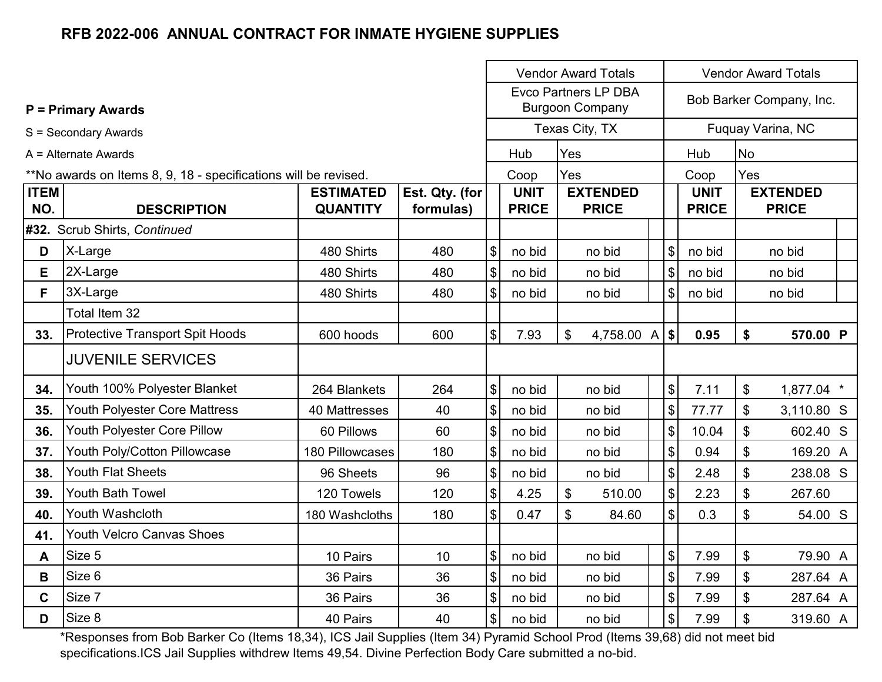|                    |                                                                 |                                     |                             |                           |                             | <b>Vendor Award Totals</b>                            | <b>Vendor Award Totals</b>                |                             |           |                                 |  |
|--------------------|-----------------------------------------------------------------|-------------------------------------|-----------------------------|---------------------------|-----------------------------|-------------------------------------------------------|-------------------------------------------|-----------------------------|-----------|---------------------------------|--|
|                    | <b>P = Primary Awards</b>                                       |                                     |                             |                           |                             | <b>Evco Partners LP DBA</b><br><b>Burgoon Company</b> |                                           |                             |           | Bob Barker Company, Inc.        |  |
|                    | S = Secondary Awards                                            |                                     |                             |                           |                             | Texas City, TX                                        |                                           |                             |           | Fuquay Varina, NC               |  |
|                    | $A =$ Alternate Awards                                          |                                     |                             |                           | Hub                         | Yes                                                   |                                           | Hub                         | <b>No</b> |                                 |  |
|                    | **No awards on Items 8, 9, 18 - specifications will be revised. |                                     |                             |                           | Coop                        | Yes                                                   |                                           | Coop                        | Yes       |                                 |  |
| <b>ITEM</b><br>NO. | <b>DESCRIPTION</b>                                              | <b>ESTIMATED</b><br><b>QUANTITY</b> | Est. Qty. (for<br>formulas) |                           | <b>UNIT</b><br><b>PRICE</b> | <b>EXTENDED</b><br><b>PRICE</b>                       |                                           | <b>UNIT</b><br><b>PRICE</b> |           | <b>EXTENDED</b><br><b>PRICE</b> |  |
|                    | #32. Scrub Shirts, Continued                                    |                                     |                             |                           |                             |                                                       |                                           |                             |           |                                 |  |
| D                  | X-Large                                                         | 480 Shirts                          | 480                         | \$                        | no bid                      | no bid                                                | \$                                        | no bid                      |           | no bid                          |  |
| E                  | 2X-Large                                                        | 480 Shirts                          | 480                         | $\boldsymbol{\$}$         | no bid                      | no bid                                                | \$                                        | no bid                      |           | no bid                          |  |
| F.                 | 3X-Large                                                        | 480 Shirts                          | 480                         | \$                        | no bid                      | no bid                                                | \$                                        | no bid                      |           | no bid                          |  |
|                    | Total Item 32                                                   |                                     |                             |                           |                             |                                                       |                                           |                             |           |                                 |  |
| 33.                | <b>Protective Transport Spit Hoods</b>                          | 600 hoods                           | 600                         | $\boldsymbol{\mathsf{S}}$ | 7.93                        | $\mathfrak{S}$<br>4,758.00 A                          | $\vert$ \$                                | 0.95                        | \$        | 570.00 P                        |  |
|                    | <b>JUVENILE SERVICES</b>                                        |                                     |                             |                           |                             |                                                       |                                           |                             |           |                                 |  |
| 34.                | Youth 100% Polyester Blanket                                    | 264 Blankets                        | 264                         | $\$\$                     | no bid                      | no bid                                                | $\boldsymbol{\mathsf{S}}$                 | 7.11                        | \$        | 1,877.04 *                      |  |
| 35.                | Youth Polyester Core Mattress                                   | 40 Mattresses                       | 40                          | \$                        | no bid                      | no bid                                                | $\mathfrak{S}$                            | 77.77                       | \$        | 3,110.80 S                      |  |
| 36.                | Youth Polyester Core Pillow                                     | 60 Pillows                          | 60                          | \$                        | no bid                      | no bid                                                | $\boldsymbol{\mathsf{S}}$                 | 10.04                       | \$        | 602.40 S                        |  |
| 37.                | Youth Poly/Cotton Pillowcase                                    | 180 Pillowcases                     | 180                         | \$                        | no bid                      | no bid                                                | $\boldsymbol{\mathsf{\$}}$                | 0.94                        | \$        | 169.20 A                        |  |
| 38.                | <b>Youth Flat Sheets</b>                                        | 96 Sheets                           | 96                          | \$                        | no bid                      | no bid                                                | \$                                        | 2.48                        | \$        | 238.08 S                        |  |
| 39.                | <b>Youth Bath Towel</b>                                         | 120 Towels                          | 120                         | $\boldsymbol{\mathsf{S}}$ | 4.25                        | $\mathfrak{S}$<br>510.00                              | $\frac{1}{2}$                             | 2.23                        | \$        | 267.60                          |  |
| 40.                | Youth Washcloth                                                 | 180 Washcloths                      | 180                         | $\boldsymbol{\mathsf{S}}$ | 0.47                        | \$<br>84.60                                           | $\mathfrak{S}$                            | 0.3                         | \$        | 54.00 S                         |  |
| 41.                | <b>Youth Velcro Canvas Shoes</b>                                |                                     |                             |                           |                             |                                                       |                                           |                             |           |                                 |  |
| A                  | Size 5                                                          | 10 Pairs                            | 10                          | \$                        | no bid                      | no bid                                                | \$                                        | 7.99                        | \$        | 79.90 A                         |  |
| B                  | Size 6                                                          | 36 Pairs                            | 36                          | \$                        | no bid                      | no bid                                                | $\$\$                                     | 7.99                        | \$        | 287.64 A                        |  |
| $\mathbf c$        | Size 7                                                          | 36 Pairs                            | 36                          | \$                        | no bid                      | no bid                                                | $\, \, \raisebox{12pt}{$\scriptstyle \$}$ | 7.99                        | \$        | 287.64 A                        |  |
| D                  | Size 8                                                          | 40 Pairs                            | 40                          | \$                        | no bid                      | no bid                                                | $\boldsymbol{\mathsf{S}}$                 | 7.99                        | \$        | 319.60 A                        |  |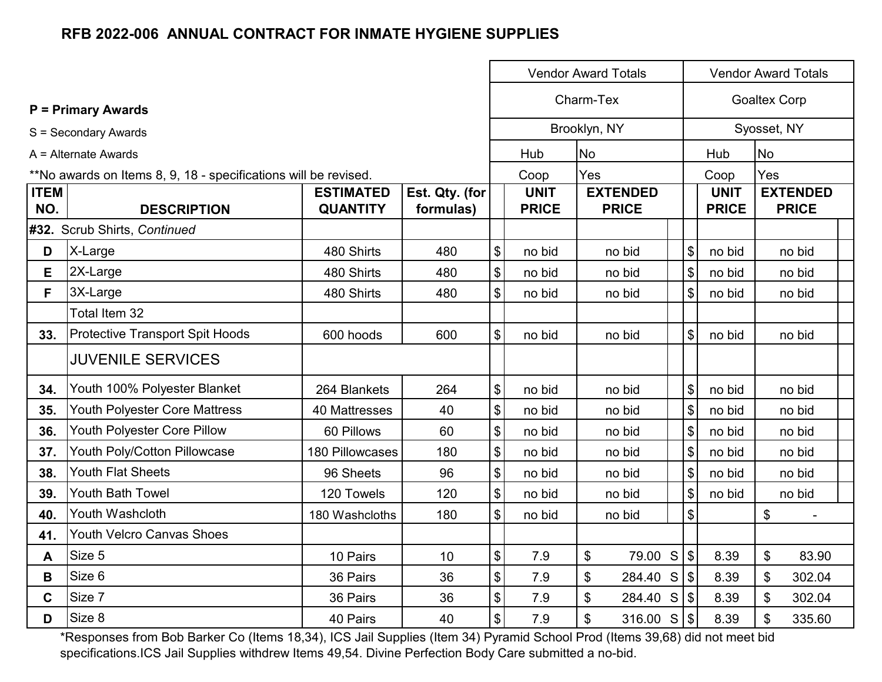|             |                                                                 |                  |                |                                           | <b>Vendor Award Totals</b> |           |                 |                            |                     | <b>Vendor Award Totals</b> |  |  |  |
|-------------|-----------------------------------------------------------------|------------------|----------------|-------------------------------------------|----------------------------|-----------|-----------------|----------------------------|---------------------|----------------------------|--|--|--|
|             | <b>P = Primary Awards</b>                                       |                  |                |                                           |                            | Charm-Tex |                 |                            | <b>Goaltex Corp</b> |                            |  |  |  |
|             | S = Secondary Awards                                            |                  |                |                                           | Brooklyn, NY               |           |                 |                            |                     | Syosset, NY                |  |  |  |
|             | $A =$ Alternate Awards                                          |                  |                |                                           | Hub                        | <b>No</b> |                 |                            | Hub                 | <b>No</b>                  |  |  |  |
|             | **No awards on Items 8, 9, 18 - specifications will be revised. |                  |                |                                           | Coop                       | Yes       |                 |                            | Coop                | Yes                        |  |  |  |
| <b>ITEM</b> |                                                                 | <b>ESTIMATED</b> | Est. Qty. (for |                                           | <b>UNIT</b>                |           | <b>EXTENDED</b> |                            | <b>UNIT</b>         | <b>EXTENDED</b>            |  |  |  |
| NO.         | <b>DESCRIPTION</b>                                              | <b>QUANTITY</b>  | formulas)      |                                           | <b>PRICE</b>               |           | <b>PRICE</b>    |                            | <b>PRICE</b>        | <b>PRICE</b>               |  |  |  |
|             | #32. Scrub Shirts, Continued                                    |                  |                |                                           |                            |           |                 |                            |                     |                            |  |  |  |
| D           | X-Large                                                         | 480 Shirts       | 480            | \$                                        | no bid                     |           | no bid          | $\boldsymbol{\mathsf{\$}}$ | no bid              | no bid                     |  |  |  |
| E           | 2X-Large                                                        | 480 Shirts       | 480            | \$                                        | no bid                     |           | no bid          | $\$\$                      | no bid              | no bid                     |  |  |  |
| F.          | 3X-Large                                                        | 480 Shirts       | 480            | \$                                        | no bid                     |           | no bid          | $\frac{1}{2}$              | no bid              | no bid                     |  |  |  |
|             | Total Item 32                                                   |                  |                |                                           |                            |           |                 |                            |                     |                            |  |  |  |
| 33.         | <b>Protective Transport Spit Hoods</b>                          | 600 hoods        | 600            | \$                                        | no bid                     |           | no bid          | $\$\$                      | no bid              | no bid                     |  |  |  |
|             | <b>JUVENILE SERVICES</b>                                        |                  |                |                                           |                            |           |                 |                            |                     |                            |  |  |  |
| 34.         | Youth 100% Polyester Blanket                                    | 264 Blankets     | 264            | \$                                        | no bid                     |           | no bid          | $\boldsymbol{\mathsf{S}}$  | no bid              | no bid                     |  |  |  |
| 35.         | Youth Polyester Core Mattress                                   | 40 Mattresses    | 40             | \$                                        | no bid                     |           | no bid          | $\sqrt{3}$                 | no bid              | no bid                     |  |  |  |
| 36.         | Youth Polyester Core Pillow                                     | 60 Pillows       | 60             | $\boldsymbol{\mathsf{\$}}$                | no bid                     |           | no bid          | $\sqrt{3}$                 | no bid              | no bid                     |  |  |  |
| 37.         | Youth Poly/Cotton Pillowcase                                    | 180 Pillowcases  | 180            | \$                                        | no bid                     |           | no bid          | $\sqrt{3}$                 | no bid              | no bid                     |  |  |  |
| 38.         | <b>Youth Flat Sheets</b>                                        | 96 Sheets        | 96             | $\, \, \raisebox{12pt}{$\scriptstyle \$}$ | no bid                     |           | no bid          | $\boldsymbol{\mathsf{S}}$  | no bid              | no bid                     |  |  |  |
| 39.         | Youth Bath Towel                                                | 120 Towels       | 120            | \$                                        | no bid                     |           | no bid          | $\$\$                      | no bid              | no bid                     |  |  |  |
| 40.         | Youth Washcloth                                                 | 180 Washcloths   | 180            | $\boldsymbol{\mathsf{S}}$                 | no bid                     |           | no bid          | $\sqrt{3}$                 |                     | $\boldsymbol{\mathsf{S}}$  |  |  |  |
| 41.         | <b>Youth Velcro Canvas Shoes</b>                                |                  |                |                                           |                            |           |                 |                            |                     |                            |  |  |  |
| A           | Size 5                                                          | 10 Pairs         | 10             | \$                                        | 7.9                        | \$        | 79.00           | $\sqrt{3}$<br>S            | 8.39                | \$<br>83.90                |  |  |  |
| B           | Size 6                                                          | 36 Pairs         | 36             | $\overline{\mathcal{L}}$                  | 7.9                        | \$        | 284.40          | $\sqrt{3}$<br>S            | 8.39                | \$<br>302.04               |  |  |  |
| $\mathbf c$ | Size 7                                                          | 36 Pairs         | 36             | \$                                        | 7.9                        | \$        | 284.40 S        | $\sqrt{3}$                 | 8.39                | \$<br>302.04               |  |  |  |
| D           | Size 8                                                          | 40 Pairs         | 40             | \$                                        | 7.9                        | \$        | 316.00 S        | $\frac{1}{2}$              | 8.39                | \$<br>335.60               |  |  |  |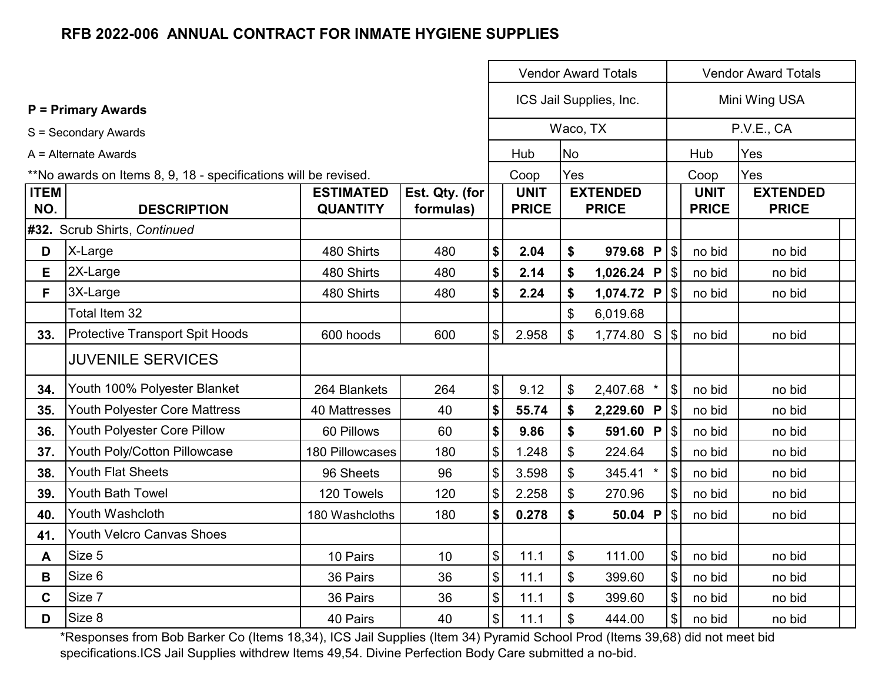|                    |                                                                 |                                     |                             |                              |                             |                           | <b>Vendor Award Totals</b>      | <b>Vendor Award Totals</b>   |                             |                                 |  |
|--------------------|-----------------------------------------------------------------|-------------------------------------|-----------------------------|------------------------------|-----------------------------|---------------------------|---------------------------------|------------------------------|-----------------------------|---------------------------------|--|
|                    | <b>P</b> = Primary Awards                                       |                                     |                             |                              |                             |                           | ICS Jail Supplies, Inc.         |                              |                             | Mini Wing USA                   |  |
|                    | S = Secondary Awards                                            |                                     |                             |                              |                             | Waco, TX                  |                                 |                              |                             | P.V.E., CA                      |  |
|                    | A = Alternate Awards                                            |                                     |                             |                              | Hub                         | <b>No</b>                 |                                 |                              | Hub                         | Yes                             |  |
|                    | **No awards on Items 8, 9, 18 - specifications will be revised. |                                     |                             |                              | Coop                        | Yes                       |                                 |                              | Coop                        | Yes                             |  |
| <b>ITEM</b><br>NO. | <b>DESCRIPTION</b>                                              | <b>ESTIMATED</b><br><b>QUANTITY</b> | Est. Qty. (for<br>formulas) |                              | <b>UNIT</b><br><b>PRICE</b> |                           | <b>EXTENDED</b><br><b>PRICE</b> |                              | <b>UNIT</b><br><b>PRICE</b> | <b>EXTENDED</b><br><b>PRICE</b> |  |
|                    | #32. Scrub Shirts, Continued                                    |                                     |                             |                              |                             |                           |                                 |                              |                             |                                 |  |
| D                  | X-Large                                                         | 480 Shirts                          | 480                         | \$                           | 2.04                        | \$                        | 979.68 $P$ \$                   |                              | no bid                      | no bid                          |  |
| E                  | 2X-Large                                                        | 480 Shirts                          | 480                         | $\boldsymbol{\$}$            | 2.14                        | \$                        | 1,026.24 P $ \$$                |                              | no bid                      | no bid                          |  |
| F.                 | 3X-Large                                                        | 480 Shirts                          | 480                         | \$                           | 2.24                        | \$                        | 1,074.72 P $ \$\$               |                              | no bid                      | no bid                          |  |
|                    | Total Item 32                                                   |                                     |                             |                              |                             | \$                        | 6,019.68                        |                              |                             |                                 |  |
| 33.                | <b>Protective Transport Spit Hoods</b>                          | 600 hoods                           | 600                         | $\left  \mathcal{L} \right $ | 2.958                       | \$                        | 1,774.80 S                      | $\sqrt[6]{\frac{1}{2}}$      | no bid                      | no bid                          |  |
|                    | <b>JUVENILE SERVICES</b>                                        |                                     |                             |                              |                             |                           |                                 |                              |                             |                                 |  |
| 34.                | Youth 100% Polyester Blanket                                    | 264 Blankets                        | 264                         | \$                           | 9.12                        | \$                        | 2,407.68 *                      | \$                           | no bid                      | no bid                          |  |
| 35.                | Youth Polyester Core Mattress                                   | 40 Mattresses                       | 40                          | \$                           | 55.74                       | \$                        | 2,229.60 P $\frac{1}{9}$        |                              | no bid                      | no bid                          |  |
| 36.                | Youth Polyester Core Pillow                                     | 60 Pillows                          | 60                          | \$                           | 9.86                        | \$                        | 591.60 P                        | $\left  \mathcal{L} \right $ | no bid                      | no bid                          |  |
| 37.                | Youth Poly/Cotton Pillowcase                                    | 180 Pillowcases                     | 180                         | $\frac{1}{2}$                | 1.248                       | \$                        | 224.64                          | $\vert$                      | no bid                      | no bid                          |  |
| 38.                | Youth Flat Sheets                                               | 96 Sheets                           | 96                          | \$                           | 3.598                       | \$                        | 345.41 *                        | \$                           | no bid                      | no bid                          |  |
| 39.                | Youth Bath Towel                                                | 120 Towels                          | 120                         | \$                           | 2.258                       | \$                        | 270.96                          | $\boldsymbol{\mathsf{S}}$    | no bid                      | no bid                          |  |
| 40.                | Youth Washcloth                                                 | 180 Washcloths                      | 180                         | \$                           | 0.278                       | \$                        | 50.04 P                         | $\sqrt[6]{\frac{1}{2}}$      | no bid                      | no bid                          |  |
| 41.                | <b>Youth Velcro Canvas Shoes</b>                                |                                     |                             |                              |                             |                           |                                 |                              |                             |                                 |  |
| A                  | Size 5                                                          | 10 Pairs                            | 10                          | \$                           | 11.1                        | $\boldsymbol{\mathsf{S}}$ | 111.00                          | $\boldsymbol{\mathsf{\$}}$   | no bid                      | no bid                          |  |
| B                  | Size 6                                                          | 36 Pairs                            | 36                          | $\frac{1}{2}$                | 11.1                        | $\boldsymbol{\mathsf{S}}$ | 399.60                          | $\frac{1}{2}$                | no bid                      | no bid                          |  |
| $\mathbf C$        | Size 7                                                          | 36 Pairs                            | 36                          | \$                           | 11.1                        | \$                        | 399.60                          | \$                           | no bid                      | no bid                          |  |
| D                  | Size 8                                                          | 40 Pairs                            | 40                          | $\left  \mathbf{\$} \right $ | 11.1                        | \$                        | 444.00                          | $\left  \mathcal{L} \right $ | no bid                      | no bid                          |  |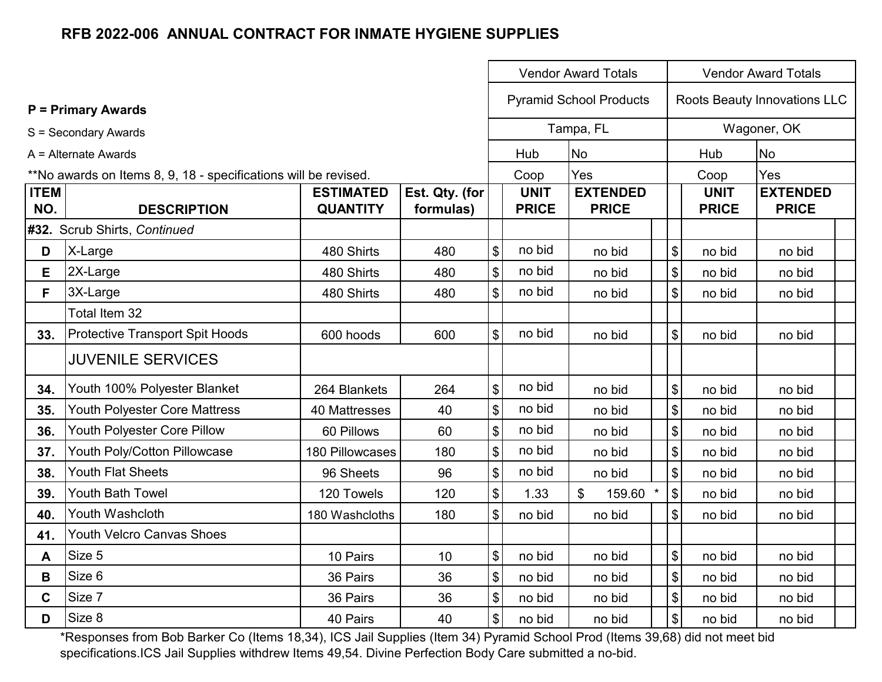|                    |                                                                 |                                     |                             |                                           |                             | <b>Vendor Award Totals</b>      |                            | <b>Vendor Award Totals</b>  |                                 |  |  |  |
|--------------------|-----------------------------------------------------------------|-------------------------------------|-----------------------------|-------------------------------------------|-----------------------------|---------------------------------|----------------------------|-----------------------------|---------------------------------|--|--|--|
|                    | <b>P = Primary Awards</b>                                       |                                     |                             |                                           |                             | <b>Pyramid School Products</b>  |                            |                             | Roots Beauty Innovations LLC    |  |  |  |
|                    | S = Secondary Awards                                            |                                     |                             |                                           |                             | Tampa, FL                       |                            |                             | Wagoner, OK                     |  |  |  |
|                    | A = Alternate Awards                                            |                                     |                             |                                           | Hub                         | <b>No</b>                       |                            | Hub                         | <b>No</b>                       |  |  |  |
|                    | **No awards on Items 8, 9, 18 - specifications will be revised. |                                     |                             |                                           | Coop                        | Yes                             |                            | Coop                        | Yes                             |  |  |  |
| <b>ITEM</b><br>NO. | <b>DESCRIPTION</b>                                              | <b>ESTIMATED</b><br><b>QUANTITY</b> | Est. Qty. (for<br>formulas) |                                           | <b>UNIT</b><br><b>PRICE</b> | <b>EXTENDED</b><br><b>PRICE</b> |                            | <b>UNIT</b><br><b>PRICE</b> | <b>EXTENDED</b><br><b>PRICE</b> |  |  |  |
|                    | #32. Scrub Shirts, Continued                                    |                                     |                             |                                           |                             |                                 |                            |                             |                                 |  |  |  |
| D                  | X-Large                                                         | 480 Shirts                          | 480                         | $\boldsymbol{\$}$                         | no bid                      | no bid                          | \$                         | no bid                      | no bid                          |  |  |  |
| Е                  | 2X-Large                                                        | 480 Shirts                          | 480                         | $\sqrt[6]{\frac{1}{2}}$                   | no bid                      | no bid                          | \$                         | no bid                      | no bid                          |  |  |  |
| F.                 | 3X-Large                                                        | 480 Shirts                          | 480                         | $\mathfrak{S}$                            | no bid                      | no bid                          | \$                         | no bid                      | no bid                          |  |  |  |
|                    | Total Item 32                                                   |                                     |                             |                                           |                             |                                 |                            |                             |                                 |  |  |  |
| 33.                | Protective Transport Spit Hoods                                 | 600 hoods                           | 600                         | $\mathfrak{S}$                            | no bid                      | no bid                          | \$                         | no bid                      | no bid                          |  |  |  |
|                    | <b>JUVENILE SERVICES</b>                                        |                                     |                             |                                           |                             |                                 |                            |                             |                                 |  |  |  |
| 34.                | Youth 100% Polyester Blanket                                    | 264 Blankets                        | 264                         | $\boldsymbol{\$}$                         | no bid                      | no bid                          | $\boldsymbol{\mathsf{\$}}$ | no bid                      | no bid                          |  |  |  |
| 35.                | Youth Polyester Core Mattress                                   | 40 Mattresses                       | 40                          | $\boldsymbol{\mathsf{\$}}$                | no bid                      | no bid                          | $\frac{1}{2}$              | no bid                      | no bid                          |  |  |  |
| 36.                | Youth Polyester Core Pillow                                     | 60 Pillows                          | 60                          | $\boldsymbol{\mathsf{S}}$                 | no bid                      | no bid                          | $\boldsymbol{\mathsf{\$}}$ | no bid                      | no bid                          |  |  |  |
| 37.                | Youth Poly/Cotton Pillowcase                                    | 180 Pillowcases                     | 180                         | $\boldsymbol{\mathsf{\$}}$                | no bid                      | no bid                          | \$                         | no bid                      | no bid                          |  |  |  |
| 38.                | <b>Youth Flat Sheets</b>                                        | 96 Sheets                           | 96                          | \$                                        | no bid                      | no bid                          | $\boldsymbol{\mathsf{\$}}$ | no bid                      | no bid                          |  |  |  |
| 39.                | <b>Youth Bath Towel</b>                                         | 120 Towels                          | 120                         | $\boldsymbol{\mathsf{\$}}$                | 1.33                        | \$<br>159.60<br>$\ast$          | $\boldsymbol{\mathsf{S}}$  | no bid                      | no bid                          |  |  |  |
| 40.                | Youth Washcloth                                                 | 180 Washcloths                      | 180                         | $\mathfrak{S}$                            | no bid                      | no bid                          | $\mathfrak{S}$             | no bid                      | no bid                          |  |  |  |
| 41.                | <b>Youth Velcro Canvas Shoes</b>                                |                                     |                             |                                           |                             |                                 |                            |                             |                                 |  |  |  |
| A                  | Size 5                                                          | 10 Pairs                            | 10                          | $\, \, \raisebox{12pt}{$\scriptstyle \$}$ | no bid                      | no bid                          | \$                         | no bid                      | no bid                          |  |  |  |
| B                  | Size 6                                                          | 36 Pairs                            | 36                          | $\boldsymbol{\mathsf{\$}}$                | no bid                      | no bid                          | \$                         | no bid                      | no bid                          |  |  |  |
| $\mathbf C$        | Size 7                                                          | 36 Pairs                            | 36                          | $\boldsymbol{\$}$                         | no bid                      | no bid                          | $\boldsymbol{\$}$          | no bid                      | no bid                          |  |  |  |
| D                  | Size 8                                                          | 40 Pairs                            | 40                          | $\boldsymbol{\mathsf{\$}}$                | no bid                      | no bid                          | \$                         | no bid                      | no bid                          |  |  |  |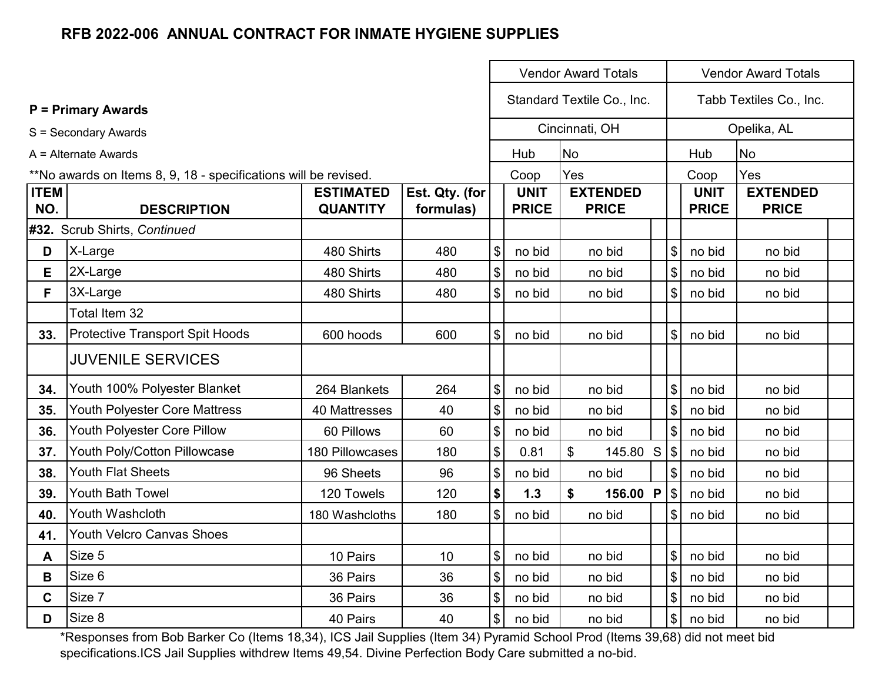|                    |                                                                 |                                     |                             |                            |                             | <b>Vendor Award Totals</b>      |  | <b>Vendor Award Totals</b> |                             |                                 |  |  |
|--------------------|-----------------------------------------------------------------|-------------------------------------|-----------------------------|----------------------------|-----------------------------|---------------------------------|--|----------------------------|-----------------------------|---------------------------------|--|--|
|                    | <b>P</b> = Primary Awards                                       |                                     |                             |                            | Standard Textile Co., Inc.  |                                 |  |                            |                             | Tabb Textiles Co., Inc.         |  |  |
|                    | S = Secondary Awards                                            |                                     |                             |                            |                             | Cincinnati, OH                  |  |                            |                             | Opelika, AL                     |  |  |
|                    | A = Alternate Awards                                            |                                     |                             |                            | Hub                         | <b>No</b>                       |  |                            | Hub<br><b>No</b>            |                                 |  |  |
|                    | **No awards on Items 8, 9, 18 - specifications will be revised. |                                     |                             |                            | Coop                        | Yes                             |  |                            | Coop                        | Yes                             |  |  |
| <b>ITEM</b><br>NO. | <b>DESCRIPTION</b>                                              | <b>ESTIMATED</b><br><b>QUANTITY</b> | Est. Qty. (for<br>formulas) |                            | <b>UNIT</b><br><b>PRICE</b> | <b>EXTENDED</b><br><b>PRICE</b> |  |                            | <b>UNIT</b><br><b>PRICE</b> | <b>EXTENDED</b><br><b>PRICE</b> |  |  |
|                    | #32. Scrub Shirts, Continued                                    |                                     |                             |                            |                             |                                 |  |                            |                             |                                 |  |  |
| D                  | X-Large                                                         | 480 Shirts                          | 480                         | $\boldsymbol{\$}$          | no bid                      | no bid                          |  | $\boldsymbol{\mathsf{S}}$  | no bid                      | no bid                          |  |  |
| E                  | 2X-Large                                                        | 480 Shirts                          | 480                         | $\sqrt[6]{\frac{1}{2}}$    | no bid                      | no bid                          |  | $\sqrt[6]{\frac{1}{2}}$    | no bid                      | no bid                          |  |  |
| F                  | 3X-Large                                                        | 480 Shirts                          | 480                         | $\boldsymbol{\mathsf{S}}$  | no bid                      | no bid                          |  | \$                         | no bid                      | no bid                          |  |  |
|                    | Total Item 32                                                   |                                     |                             |                            |                             |                                 |  |                            |                             |                                 |  |  |
| 33.                | <b>Protective Transport Spit Hoods</b>                          | 600 hoods                           | 600                         | $\boldsymbol{\mathsf{S}}$  | no bid                      | no bid                          |  | $\mathbb S$                | no bid                      | no bid                          |  |  |
|                    | <b>JUVENILE SERVICES</b>                                        |                                     |                             |                            |                             |                                 |  |                            |                             |                                 |  |  |
| 34.                | Youth 100% Polyester Blanket                                    | 264 Blankets                        | 264                         | $\boldsymbol{\$}$          | no bid                      | no bid                          |  | $\$\$                      | no bid                      | no bid                          |  |  |
| 35.                | Youth Polyester Core Mattress                                   | 40 Mattresses                       | 40                          | $\boldsymbol{\$}$          | no bid                      | no bid                          |  | $\sqrt[6]{\frac{1}{2}}$    | no bid                      | no bid                          |  |  |
| 36.                | Youth Polyester Core Pillow                                     | 60 Pillows                          | 60                          | $\boldsymbol{\$}$          | no bid                      | no bid                          |  | $\mathsf{\$}$              | no bid                      | no bid                          |  |  |
| 37.                | Youth Poly/Cotton Pillowcase                                    | 180 Pillowcases                     | 180                         | $\sqrt{3}$                 | 0.81                        | $\mathfrak{L}$<br>145.80 S      |  | $\sqrt{3}$                 | no bid                      | no bid                          |  |  |
| 38.                | <b>Youth Flat Sheets</b>                                        | 96 Sheets                           | 96                          | \$                         | no bid                      | no bid                          |  | $\$\$                      | no bid                      | no bid                          |  |  |
| 39.                | <b>Youth Bath Towel</b>                                         | 120 Towels                          | 120                         | \$                         | 1.3                         | \$<br>156.00 P                  |  | $\sqrt{3}$                 | no bid                      | no bid                          |  |  |
| 40.                | Youth Washcloth                                                 | 180 Washcloths                      | 180                         | $\boldsymbol{\mathsf{S}}$  | no bid                      | no bid                          |  | $\mathfrak{S}$             | no bid                      | no bid                          |  |  |
| 41.                | <b>Youth Velcro Canvas Shoes</b>                                |                                     |                             |                            |                             |                                 |  |                            |                             |                                 |  |  |
| A                  | Size 5                                                          | 10 Pairs                            | 10                          | $\boldsymbol{\mathsf{\$}}$ | no bid                      | no bid                          |  | $\$\$                      | no bid                      | no bid                          |  |  |
| В                  | Size 6                                                          | 36 Pairs                            | 36                          | $\boldsymbol{\mathsf{\$}}$ | no bid                      | no bid                          |  | $\mathsf{\$}$              | no bid                      | no bid                          |  |  |
| C                  | Size 7                                                          | 36 Pairs                            | 36                          | $\boldsymbol{\mathsf{\$}}$ | no bid                      | no bid                          |  | $\$\$                      | no bid                      | no bid                          |  |  |
| D                  | Size 8                                                          | 40 Pairs                            | 40                          | $\boldsymbol{\mathsf{S}}$  | no bid                      | no bid                          |  | \$                         | no bid                      | no bid                          |  |  |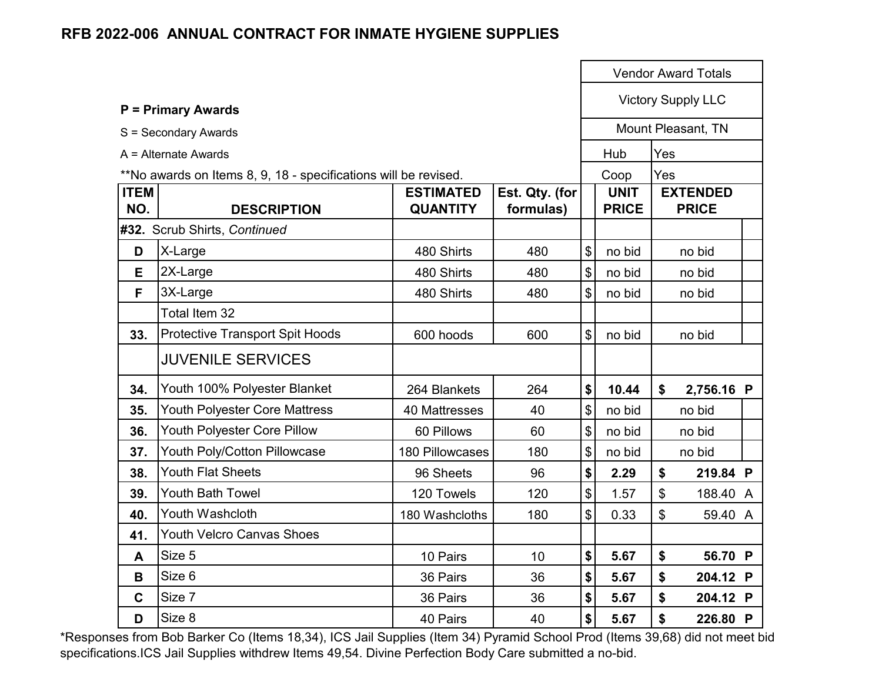|                    |                                                                 |                                     |                             |                                           |                             |                           | <b>Vendor Award Totals</b>      |  |
|--------------------|-----------------------------------------------------------------|-------------------------------------|-----------------------------|-------------------------------------------|-----------------------------|---------------------------|---------------------------------|--|
|                    | <b>P = Primary Awards</b>                                       |                                     |                             |                                           |                             |                           | <b>Victory Supply LLC</b>       |  |
|                    | S = Secondary Awards                                            |                                     |                             |                                           |                             |                           | Mount Pleasant, TN              |  |
|                    | A = Alternate Awards                                            |                                     |                             |                                           | Hub                         | Yes                       |                                 |  |
|                    | **No awards on Items 8, 9, 18 - specifications will be revised. |                                     |                             |                                           | Coop                        | Yes                       |                                 |  |
| <b>ITEM</b><br>NO. | <b>DESCRIPTION</b>                                              | <b>ESTIMATED</b><br><b>QUANTITY</b> | Est. Qty. (for<br>formulas) |                                           | <b>UNIT</b><br><b>PRICE</b> |                           | <b>EXTENDED</b><br><b>PRICE</b> |  |
|                    | #32. Scrub Shirts, Continued                                    |                                     |                             |                                           |                             |                           |                                 |  |
| D                  | X-Large                                                         | 480 Shirts                          | 480                         | $\boldsymbol{\$}$                         | no bid                      |                           | no bid                          |  |
| E                  | 2X-Large                                                        | 480 Shirts                          | 480                         | $\boldsymbol{\$}$                         | no bid                      |                           | no bid                          |  |
| F                  | 3X-Large                                                        | 480 Shirts                          | 480                         | $\boldsymbol{\mathsf{S}}$                 | no bid                      |                           | no bid                          |  |
|                    | Total Item 32                                                   |                                     |                             |                                           |                             |                           |                                 |  |
| 33.                | <b>Protective Transport Spit Hoods</b>                          | 600 hoods                           | 600                         | $\mathfrak{S}$                            | no bid                      |                           | no bid                          |  |
|                    | <b>JUVENILE SERVICES</b>                                        |                                     |                             |                                           |                             |                           |                                 |  |
| 34.                | Youth 100% Polyester Blanket                                    | 264 Blankets                        | 264                         | \$                                        | 10.44                       | \$                        | 2,756.16 P                      |  |
| 35.                | Youth Polyester Core Mattress                                   | 40 Mattresses                       | 40                          | $\boldsymbol{\mathsf{S}}$                 | no bid                      |                           | no bid                          |  |
| 36.                | Youth Polyester Core Pillow                                     | 60 Pillows                          | 60                          | $\boldsymbol{\mathsf{\$}}$                | no bid                      |                           | no bid                          |  |
| 37.                | <b>Youth Poly/Cotton Pillowcase</b>                             | <b>180 Pillowcases</b>              | 180                         | $\, \, \raisebox{12pt}{$\scriptstyle \$}$ | no bid                      |                           | no bid                          |  |
| 38.                | <b>Youth Flat Sheets</b>                                        | 96 Sheets                           | 96                          | \$                                        | 2.29                        | \$                        | 219.84 P                        |  |
| 39.                | <b>Youth Bath Towel</b>                                         | 120 Towels                          | 120                         | \$                                        | 1.57                        | $\mathfrak{S}$            | 188.40 A                        |  |
| 40.                | Youth Washcloth                                                 | 180 Washcloths                      | 180                         | $\mathfrak{S}$                            | 0.33                        | $\boldsymbol{\mathsf{S}}$ | 59.40 A                         |  |
| 41.                | <b>Youth Velcro Canvas Shoes</b>                                |                                     |                             |                                           |                             |                           |                                 |  |
| A                  | Size 5                                                          | 10 Pairs                            | 10                          | \$                                        | 5.67                        | \$                        | 56.70 P                         |  |
| B                  | Size 6                                                          | 36 Pairs                            | 36                          | \$                                        | 5.67                        | \$                        | 204.12 P                        |  |
| $\mathbf C$        | Size 7                                                          | 36 Pairs                            | 36                          | \$                                        | 5.67                        | \$                        | 204.12 P                        |  |
| D                  | Size 8                                                          | 40 Pairs                            | 40                          | \$                                        | 5.67                        | \$                        | 226.80 P                        |  |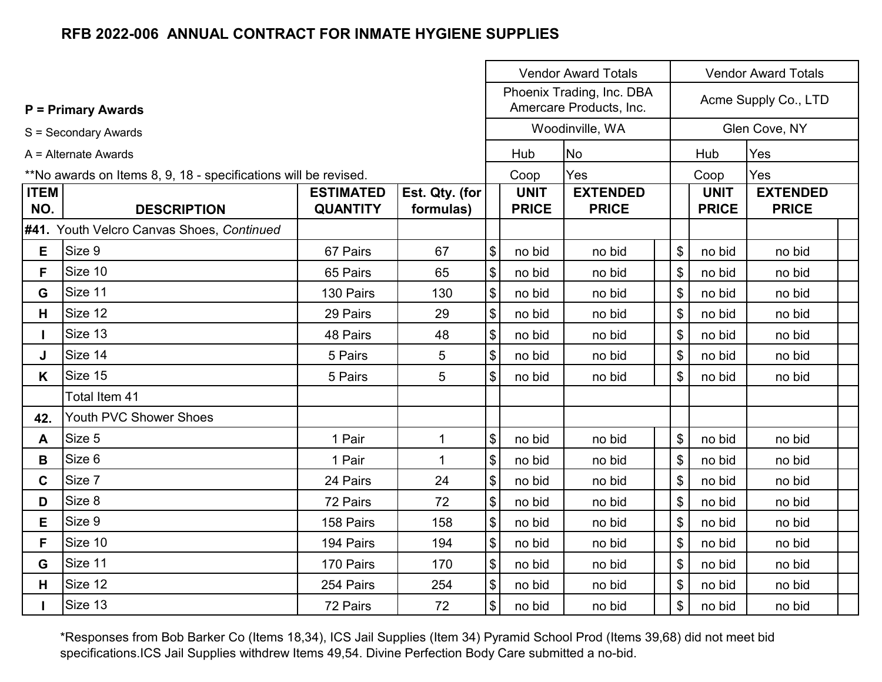|             |                                                                 |                  |                |                                           |              | <b>Vendor Award Totals</b>                           |                | <b>Vendor Award Totals</b> |                      |  |  |  |
|-------------|-----------------------------------------------------------------|------------------|----------------|-------------------------------------------|--------------|------------------------------------------------------|----------------|----------------------------|----------------------|--|--|--|
|             | <b>P = Primary Awards</b>                                       |                  |                |                                           |              | Phoenix Trading, Inc. DBA<br>Amercare Products, Inc. |                |                            | Acme Supply Co., LTD |  |  |  |
|             | S = Secondary Awards                                            |                  |                |                                           |              | Woodinville, WA                                      |                |                            | Glen Cove, NY        |  |  |  |
|             | $A =$ Alternate Awards                                          |                  |                |                                           | Hub          | <b>No</b>                                            |                | Hub                        | Yes                  |  |  |  |
|             | **No awards on Items 8, 9, 18 - specifications will be revised. |                  |                |                                           | Coop         | Yes                                                  |                | Coop                       | Yes                  |  |  |  |
| <b>ITEM</b> |                                                                 | <b>ESTIMATED</b> | Est. Qty. (for |                                           | <b>UNIT</b>  | <b>EXTENDED</b>                                      |                | <b>UNIT</b>                | <b>EXTENDED</b>      |  |  |  |
| NO.         | <b>DESCRIPTION</b>                                              | <b>QUANTITY</b>  | formulas)      |                                           | <b>PRICE</b> | <b>PRICE</b>                                         |                | <b>PRICE</b>               | <b>PRICE</b>         |  |  |  |
|             | #41. Youth Velcro Canvas Shoes, Continued                       |                  |                |                                           |              |                                                      |                |                            |                      |  |  |  |
| E.          | Size 9                                                          | 67 Pairs         | 67             | $\boldsymbol{\$}$                         | no bid       | no bid                                               | \$             | no bid                     | no bid               |  |  |  |
| F.          | Size 10                                                         | 65 Pairs         | 65             | $\boldsymbol{\mathsf{S}}$                 | no bid       | no bid                                               | \$             | no bid                     | no bid               |  |  |  |
| G           | Size 11                                                         | 130 Pairs        | 130            | \$                                        | no bid       | no bid                                               | \$             | no bid                     | no bid               |  |  |  |
| H.          | Size 12                                                         | 29 Pairs         | 29             | \$                                        | no bid       | no bid                                               | \$             | no bid                     | no bid               |  |  |  |
|             | Size 13                                                         | 48 Pairs         | 48             | \$                                        | no bid       | no bid                                               | \$             | no bid                     | no bid               |  |  |  |
| J           | Size 14                                                         | 5 Pairs          | 5              | $\boldsymbol{\$}$                         | no bid       | no bid                                               | \$             | no bid                     | no bid               |  |  |  |
| K.          | Size 15                                                         | 5 Pairs          | 5              | $\boldsymbol{\mathsf{\$}}$                | no bid       | no bid                                               | \$             | no bid                     | no bid               |  |  |  |
|             | Total Item 41                                                   |                  |                |                                           |              |                                                      |                |                            |                      |  |  |  |
| 42.         | Youth PVC Shower Shoes                                          |                  |                |                                           |              |                                                      |                |                            |                      |  |  |  |
| A           | Size 5                                                          | 1 Pair           | $\mathbf 1$    | $\boldsymbol{\mathsf{S}}$                 | no bid       | no bid                                               | \$             | no bid                     | no bid               |  |  |  |
| B           | Size 6                                                          | 1 Pair           | $\mathbf 1$    | $\boldsymbol{\$}$                         | no bid       | no bid                                               | $\mathbb{S}$   | no bid                     | no bid               |  |  |  |
| $\mathbf C$ | Size 7                                                          | 24 Pairs         | 24             | $\boldsymbol{\$}$                         | no bid       | no bid                                               | \$             | no bid                     | no bid               |  |  |  |
| D           | Size 8                                                          | 72 Pairs         | 72             | \$                                        | no bid       | no bid                                               | $\mathfrak{S}$ | no bid                     | no bid               |  |  |  |
| Е           | Size 9                                                          | 158 Pairs        | 158            | \$                                        | no bid       | no bid                                               | $\mathfrak{S}$ | no bid                     | no bid               |  |  |  |
| F           | Size 10                                                         | 194 Pairs        | 194            | $\boldsymbol{\mathsf{S}}$                 | no bid       | no bid                                               | $\mathfrak{S}$ | no bid                     | no bid               |  |  |  |
| G           | Size 11                                                         | 170 Pairs        | 170            | $\boldsymbol{\$}$                         | no bid       | no bid                                               | \$             | no bid                     | no bid               |  |  |  |
| H           | Size 12                                                         | 254 Pairs        | 254            | $\, \, \raisebox{12pt}{$\scriptstyle \$}$ | no bid       | no bid                                               | \$             | no bid                     | no bid               |  |  |  |
|             | Size 13                                                         | 72 Pairs         | 72             | $\$\$                                     | no bid       | no bid                                               | $\frac{1}{2}$  | no bid                     | no bid               |  |  |  |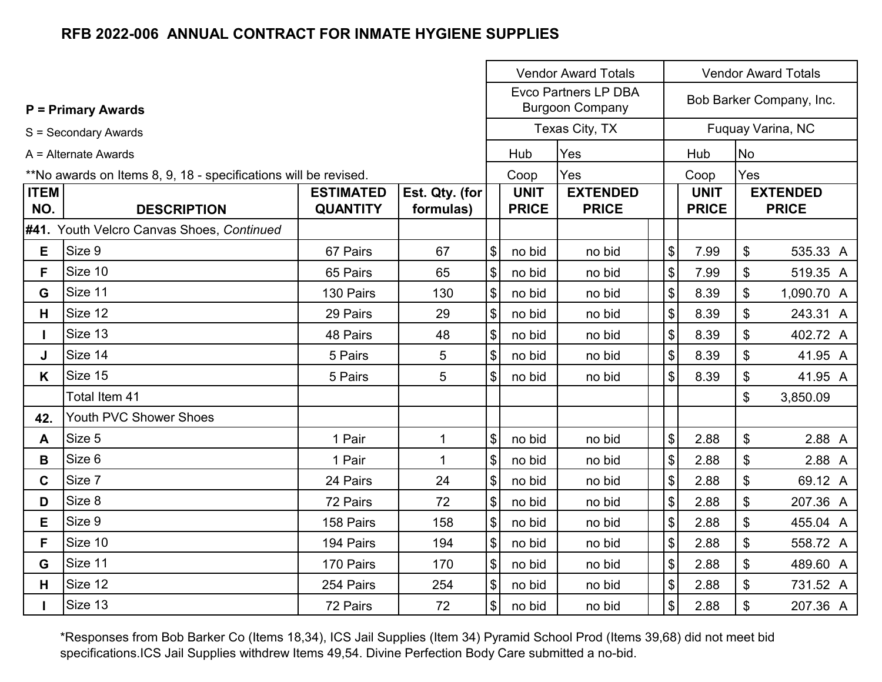|                    |                                                                 |                                     | <b>Vendor Award Totals</b><br><b>Vendor Award Totals</b> |                            |                             |                                                       |                            |      |                                                                                                                                                                                              |          |  |  |  |
|--------------------|-----------------------------------------------------------------|-------------------------------------|----------------------------------------------------------|----------------------------|-----------------------------|-------------------------------------------------------|----------------------------|------|----------------------------------------------------------------------------------------------------------------------------------------------------------------------------------------------|----------|--|--|--|
|                    | <b>P = Primary Awards</b>                                       |                                     |                                                          |                            |                             | <b>Evco Partners LP DBA</b><br><b>Burgoon Company</b> |                            |      | Bob Barker Company, Inc.<br>Fuquay Varina, NC<br><b>No</b><br>Yes<br><b>EXTENDED</b><br><b>PRICE</b><br>\$<br>7.99<br>7.99<br>\$<br>\$<br>8.39                                               |          |  |  |  |
|                    | S = Secondary Awards                                            |                                     |                                                          |                            |                             | Texas City, TX                                        |                            |      | Hub<br>Coop<br><b>UNIT</b><br><b>PRICE</b><br>535.33 A<br>519.35 A<br>1,090.70 A<br>8.39<br>\$<br>243.31 A<br>\$<br>8.39<br>402.72 A<br>\$<br>8.39<br>41.95 A<br>\$<br>8.39<br>41.95 A<br>\$ |          |  |  |  |
|                    | A = Alternate Awards                                            |                                     |                                                          |                            | Hub                         | Yes                                                   |                            |      |                                                                                                                                                                                              |          |  |  |  |
|                    | **No awards on Items 8, 9, 18 - specifications will be revised. |                                     |                                                          |                            | Coop                        | Yes                                                   |                            |      |                                                                                                                                                                                              |          |  |  |  |
| <b>ITEM</b><br>NO. | <b>DESCRIPTION</b>                                              | <b>ESTIMATED</b><br><b>QUANTITY</b> | Est. Qty. (for<br>formulas)                              |                            | <b>UNIT</b><br><b>PRICE</b> | <b>EXTENDED</b><br><b>PRICE</b>                       |                            |      |                                                                                                                                                                                              |          |  |  |  |
|                    | #41. Youth Velcro Canvas Shoes, Continued                       |                                     |                                                          |                            |                             |                                                       |                            |      |                                                                                                                                                                                              |          |  |  |  |
| Е                  | Size 9                                                          | 67 Pairs                            | 67                                                       | $\$\$                      | no bid                      | no bid                                                | \$                         |      |                                                                                                                                                                                              |          |  |  |  |
| F.                 | Size 10                                                         | 65 Pairs                            | 65                                                       | \$                         | no bid                      | no bid                                                | $\$\$                      |      |                                                                                                                                                                                              |          |  |  |  |
| G                  | Size 11                                                         | 130 Pairs                           | 130                                                      | $\frac{1}{2}$              | no bid                      | no bid                                                | $\$\$                      |      |                                                                                                                                                                                              |          |  |  |  |
| H                  | Size 12                                                         | 29 Pairs                            | 29                                                       | $\$\$                      | no bid                      | no bid                                                | \$                         |      |                                                                                                                                                                                              |          |  |  |  |
|                    | Size 13                                                         | 48 Pairs                            | 48                                                       | $\frac{1}{2}$              | no bid                      | no bid                                                | $\boldsymbol{\$}$          |      |                                                                                                                                                                                              |          |  |  |  |
| J                  | Size 14                                                         | 5 Pairs                             | 5                                                        | $\boldsymbol{\mathsf{S}}$  | no bid                      | no bid                                                | $\mathbb{S}$               |      |                                                                                                                                                                                              |          |  |  |  |
| K.                 | Size 15                                                         | 5 Pairs                             | 5                                                        | $\boldsymbol{\mathsf{S}}$  | no bid                      | no bid                                                | $\boldsymbol{\mathsf{S}}$  |      |                                                                                                                                                                                              |          |  |  |  |
|                    | Total Item 41                                                   |                                     |                                                          |                            |                             |                                                       |                            |      |                                                                                                                                                                                              | 3,850.09 |  |  |  |
| 42.                | Youth PVC Shower Shoes                                          |                                     |                                                          |                            |                             |                                                       |                            |      |                                                                                                                                                                                              |          |  |  |  |
| A                  | Size 5                                                          | 1 Pair                              | $\mathbf{1}$                                             | $\$\$                      | no bid                      | no bid                                                | $\boldsymbol{\mathsf{\$}}$ | 2.88 | \$                                                                                                                                                                                           | 2.88 A   |  |  |  |
| В                  | Size 6                                                          | 1 Pair                              | $\mathbf 1$                                              | \$                         | no bid                      | no bid                                                | $\boldsymbol{\$}$          | 2.88 | \$                                                                                                                                                                                           | 2.88 A   |  |  |  |
| $\mathbf C$        | Size 7                                                          | 24 Pairs                            | 24                                                       | \$                         | no bid                      | no bid                                                | \$                         | 2.88 | \$                                                                                                                                                                                           | 69.12 A  |  |  |  |
| D                  | Size 8                                                          | 72 Pairs                            | 72                                                       | $\$\$                      | no bid                      | no bid                                                | $\$\$                      | 2.88 | \$                                                                                                                                                                                           | 207.36 A |  |  |  |
| Е                  | Size 9                                                          | 158 Pairs                           | 158                                                      | $\frac{1}{2}$              | no bid                      | no bid                                                | $\$\$                      | 2.88 | \$                                                                                                                                                                                           | 455.04 A |  |  |  |
| F                  | Size 10                                                         | 194 Pairs                           | 194                                                      | $\boldsymbol{\mathcal{L}}$ | no bid                      | no bid                                                | \$                         | 2.88 | \$                                                                                                                                                                                           | 558.72 A |  |  |  |
| G                  | Size 11                                                         | 170 Pairs                           | 170                                                      | \$                         | no bid                      | no bid                                                | \$                         | 2.88 | \$                                                                                                                                                                                           | 489.60 A |  |  |  |
| H                  | Size 12                                                         | 254 Pairs                           | 254                                                      | $\$\$                      | no bid                      | no bid                                                | $\$\$                      | 2.88 | \$                                                                                                                                                                                           | 731.52 A |  |  |  |
|                    | Size 13                                                         | 72 Pairs                            | 72                                                       | $\frac{1}{2}$              | no bid                      | no bid                                                | $\frac{1}{2}$              | 2.88 | \$                                                                                                                                                                                           | 207.36 A |  |  |  |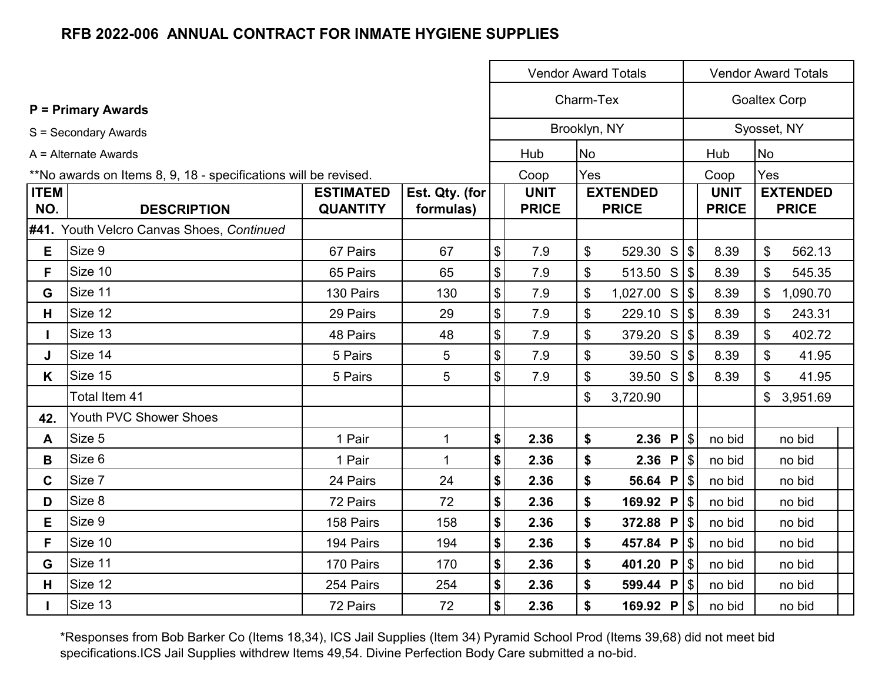|                    |                                                                 |                                     |                             |                                           |                             | <b>Vendor Award Totals</b><br><b>Vendor Award Totals</b> |                                 |  |                             |                             |                |                                 |
|--------------------|-----------------------------------------------------------------|-------------------------------------|-----------------------------|-------------------------------------------|-----------------------------|----------------------------------------------------------|---------------------------------|--|-----------------------------|-----------------------------|----------------|---------------------------------|
|                    | <b>P</b> = Primary Awards                                       |                                     |                             |                                           | Charm-Tex                   |                                                          |                                 |  |                             |                             |                | <b>Goaltex Corp</b>             |
|                    | S = Secondary Awards                                            |                                     |                             |                                           |                             |                                                          | Brooklyn, NY                    |  |                             |                             |                | Syosset, NY                     |
|                    | $A =$ Alternate Awards                                          |                                     |                             |                                           | Hub                         | <b>No</b>                                                |                                 |  |                             | Hub                         | <b>No</b>      |                                 |
|                    | **No awards on Items 8, 9, 18 - specifications will be revised. |                                     |                             |                                           | Coop                        | Yes                                                      |                                 |  |                             | Coop                        | Yes            |                                 |
| <b>ITEM</b><br>NO. | <b>DESCRIPTION</b>                                              | <b>ESTIMATED</b><br><b>QUANTITY</b> | Est. Qty. (for<br>formulas) |                                           | <b>UNIT</b><br><b>PRICE</b> |                                                          | <b>EXTENDED</b><br><b>PRICE</b> |  |                             | <b>UNIT</b><br><b>PRICE</b> |                | <b>EXTENDED</b><br><b>PRICE</b> |
|                    | #41. Youth Velcro Canvas Shoes, Continued                       |                                     |                             |                                           |                             |                                                          |                                 |  |                             |                             |                |                                 |
| E.                 | Size 9                                                          | 67 Pairs                            | 67                          | \$                                        | 7.9                         | \$                                                       | 529.30 S                        |  | $\sqrt{3}$                  | 8.39                        | $\mathbb S$    | 562.13                          |
| F.                 | Size 10                                                         | 65 Pairs                            | 65                          | $\, \, \raisebox{12pt}{$\scriptstyle \$}$ | 7.9                         | \$                                                       | 513.50 S $\$\$                  |  |                             | 8.39                        | \$             | 545.35                          |
| G                  | Size 11                                                         | 130 Pairs                           | 130                         | \$                                        | 7.9                         | \$                                                       | $1,027.00$ S $\frac{1}{9}$      |  |                             | 8.39                        | \$             | 1,090.70                        |
| н                  | Size 12                                                         | 29 Pairs                            | 29                          | \$                                        | 7.9                         | \$                                                       | 229.10 S                        |  | l \$                        | 8.39                        | \$             | 243.31                          |
|                    | Size 13                                                         | 48 Pairs                            | 48                          | $\boldsymbol{\mathsf{\$}}$                | 7.9                         | \$                                                       | 379.20 S                        |  |                             | 8.39                        | \$             | 402.72                          |
| J                  | Size 14                                                         | 5 Pairs                             | 5                           | \$                                        | 7.9                         | \$                                                       | 39.50 S                         |  | $\sqrt{3}$                  | 8.39                        | $\mathfrak{S}$ | 41.95                           |
| K.                 | Size 15                                                         | 5 Pairs                             | 5                           | \$                                        | 7.9                         | \$                                                       | 39.50 S $\$\$                   |  |                             | 8.39                        | \$             | 41.95                           |
|                    | Total Item 41                                                   |                                     |                             |                                           |                             | \$                                                       | 3,720.90                        |  |                             |                             | $\frac{1}{2}$  | 3,951.69                        |
| 42.                | Youth PVC Shower Shoes                                          |                                     |                             |                                           |                             |                                                          |                                 |  |                             |                             |                |                                 |
| A                  | Size 5                                                          | 1 Pair                              | 1                           | \$                                        | 2.36                        | \$                                                       | 2.36 P                          |  | $\sqrt{3}$                  | no bid                      |                | no bid                          |
| В                  | Size 6                                                          | 1 Pair                              | $\mathbf{1}$                | \$                                        | 2.36                        | \$                                                       | 2.36 P                          |  | $\sqrt{S}$                  | no bid                      |                | no bid                          |
| $\mathbf{C}$       | Size 7                                                          | 24 Pairs                            | 24                          | \$                                        | 2.36                        | \$                                                       | 56.64 P                         |  | $\lvert \mathcal{S} \rvert$ | no bid                      |                | no bid                          |
| D                  | Size 8                                                          | 72 Pairs                            | 72                          | \$                                        | 2.36                        | \$                                                       | 169.92 P                        |  | $\sqrt{3}$                  | no bid                      |                | no bid                          |
| E.                 | Size 9                                                          | 158 Pairs                           | 158                         | \$                                        | 2.36                        | \$                                                       | 372.88 P                        |  | l \$                        | no bid                      |                | no bid                          |
| F                  | Size 10                                                         | 194 Pairs                           | 194                         | \$                                        | 2.36                        | \$                                                       | 457.84 P                        |  | l \$                        | no bid                      |                | no bid                          |
| G                  | Size 11                                                         | 170 Pairs                           | 170                         | \$                                        | 2.36                        | \$                                                       | 401.20 P                        |  | \$                          | no bid                      |                | no bid                          |
| H                  | Size 12                                                         | 254 Pairs                           | 254                         | \$                                        | 2.36                        | \$                                                       | 599.44 P                        |  | $\sqrt{3}$                  | no bid                      |                | no bid                          |
|                    | Size 13                                                         | 72 Pairs                            | 72                          | \$                                        | 2.36                        | \$                                                       | 169.92 P                        |  | $\vert \mathcal{S} \vert$   | no bid                      |                | no bid                          |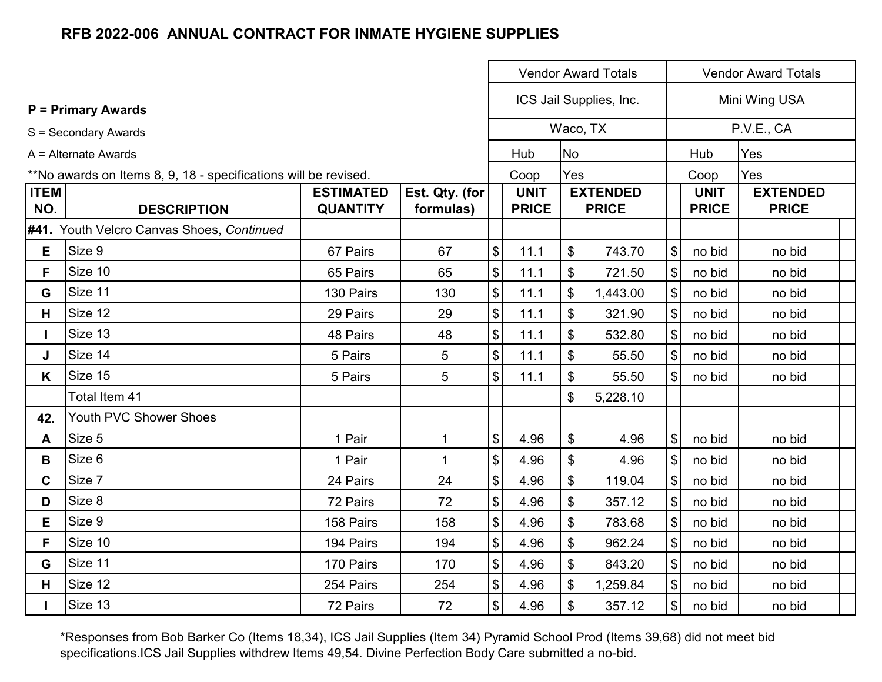|                    |                                                                 |                                     |                             | <b>Vendor Award Totals</b> |                             |           |                                 |                              | <b>Vendor Award Totals</b>  |                                                                                                                                                    |  |  |  |  |  |
|--------------------|-----------------------------------------------------------------|-------------------------------------|-----------------------------|----------------------------|-----------------------------|-----------|---------------------------------|------------------------------|-----------------------------|----------------------------------------------------------------------------------------------------------------------------------------------------|--|--|--|--|--|
|                    | <b>P</b> = Primary Awards                                       |                                     |                             |                            |                             |           | ICS Jail Supplies, Inc.         |                              |                             | Mini Wing USA<br>P.V.E., CA<br>Yes<br>Yes<br><b>EXTENDED</b><br><b>PRICE</b><br>no bid<br>no bid<br>no bid<br>no bid<br>no bid<br>no bid<br>no bid |  |  |  |  |  |
|                    | S = Secondary Awards                                            |                                     |                             |                            |                             |           | Waco, TX                        |                              |                             |                                                                                                                                                    |  |  |  |  |  |
|                    | A = Alternate Awards                                            |                                     |                             |                            | Hub                         | <b>No</b> |                                 |                              | Hub                         |                                                                                                                                                    |  |  |  |  |  |
|                    | **No awards on Items 8, 9, 18 - specifications will be revised. |                                     |                             |                            | Coop                        | Yes       |                                 |                              | Coop                        |                                                                                                                                                    |  |  |  |  |  |
| <b>ITEM</b><br>NO. | <b>DESCRIPTION</b>                                              | <b>ESTIMATED</b><br><b>QUANTITY</b> | Est. Qty. (for<br>formulas) |                            | <b>UNIT</b><br><b>PRICE</b> |           | <b>EXTENDED</b><br><b>PRICE</b> |                              | <b>UNIT</b><br><b>PRICE</b> |                                                                                                                                                    |  |  |  |  |  |
|                    | #41. Youth Velcro Canvas Shoes, Continued                       |                                     |                             |                            |                             |           |                                 |                              |                             |                                                                                                                                                    |  |  |  |  |  |
| E.                 | Size 9                                                          | 67 Pairs                            | 67                          | $\boldsymbol{\$}$          | 11.1                        | \$        | 743.70                          | $\frac{1}{2}$                | no bid                      |                                                                                                                                                    |  |  |  |  |  |
| F.                 | Size 10                                                         | 65 Pairs                            | 65                          | $\boldsymbol{\mathsf{\$}}$ | 11.1                        | \$        | 721.50                          | $\boldsymbol{\mathsf{S}}$    | no bid                      |                                                                                                                                                    |  |  |  |  |  |
| G                  | Size 11                                                         | 130 Pairs                           | 130                         | $\boldsymbol{\mathsf{S}}$  | 11.1                        | \$        | 1,443.00                        | $\mathfrak{F}$               | no bid                      |                                                                                                                                                    |  |  |  |  |  |
| н                  | Size 12                                                         | 29 Pairs                            | 29                          | $\boldsymbol{\mathsf{S}}$  | 11.1                        | \$        | 321.90                          | $\mathfrak{S}$               | no bid                      |                                                                                                                                                    |  |  |  |  |  |
|                    | Size 13                                                         | 48 Pairs                            | 48                          | $\boldsymbol{\mathsf{\$}}$ | 11.1                        | \$        | 532.80                          | $\mathcal{S}$                | no bid                      |                                                                                                                                                    |  |  |  |  |  |
| J                  | Size 14                                                         | 5 Pairs                             | 5                           | $\boldsymbol{\mathsf{S}}$  | 11.1                        | \$        | 55.50                           | $\boldsymbol{\mathsf{S}}$    | no bid                      |                                                                                                                                                    |  |  |  |  |  |
| K                  | Size 15                                                         | 5 Pairs                             | 5                           | $\mathcal{S}$              | 11.1                        | \$        | 55.50                           | $\mathcal{L}$                | no bid                      |                                                                                                                                                    |  |  |  |  |  |
|                    | Total Item 41                                                   |                                     |                             |                            |                             | \$        | 5,228.10                        |                              |                             |                                                                                                                                                    |  |  |  |  |  |
| 42.                | Youth PVC Shower Shoes                                          |                                     |                             |                            |                             |           |                                 |                              |                             |                                                                                                                                                    |  |  |  |  |  |
| A                  | Size 5                                                          | 1 Pair                              | 1                           | $\boldsymbol{\mathsf{\$}}$ | 4.96                        | \$        | 4.96                            | $\frac{1}{2}$                | no bid                      | no bid                                                                                                                                             |  |  |  |  |  |
| B                  | Size 6                                                          | 1 Pair                              | $\mathbf 1$                 | $\boldsymbol{\mathsf{\$}}$ | 4.96                        | \$        | 4.96                            | $\boldsymbol{\mathsf{\$}}$   | no bid                      | no bid                                                                                                                                             |  |  |  |  |  |
| C                  | Size 7                                                          | 24 Pairs                            | 24                          | $\boldsymbol{\mathsf{S}}$  | 4.96                        | \$        | 119.04                          | $\$\$                        | no bid                      | no bid                                                                                                                                             |  |  |  |  |  |
| D                  | Size 8                                                          | 72 Pairs                            | 72                          | $\boldsymbol{\mathsf{\$}}$ | 4.96                        | \$        | 357.12                          | $\$\$                        | no bid                      | no bid                                                                                                                                             |  |  |  |  |  |
| Е                  | Size 9                                                          | 158 Pairs                           | 158                         | $\boldsymbol{\mathsf{\$}}$ | 4.96                        | \$        | 783.68                          | $\frac{1}{2}$                | no bid                      | no bid                                                                                                                                             |  |  |  |  |  |
| F                  | Size 10                                                         | 194 Pairs                           | 194                         | $\boldsymbol{\mathsf{S}}$  | 4.96                        | \$        | 962.24                          | $\mathfrak{F}$               | no bid                      | no bid                                                                                                                                             |  |  |  |  |  |
| G                  | Size 11                                                         | 170 Pairs                           | 170                         | $\boldsymbol{\$}$          | 4.96                        | \$        | 843.20                          | $\$\$                        | no bid                      | no bid                                                                                                                                             |  |  |  |  |  |
| H                  | Size 12                                                         | 254 Pairs                           | 254                         | $$\mathfrak{s}$$           | 4.96                        | \$        | 1,259.84                        | $\boldsymbol{\mathsf{S}}$    | no bid                      | no bid                                                                                                                                             |  |  |  |  |  |
|                    | Size 13                                                         | 72 Pairs                            | 72                          | $\mathfrak{S}$             | 4.96                        | \$        | 357.12                          | $\left  \mathcal{L} \right $ | no bid                      | no bid                                                                                                                                             |  |  |  |  |  |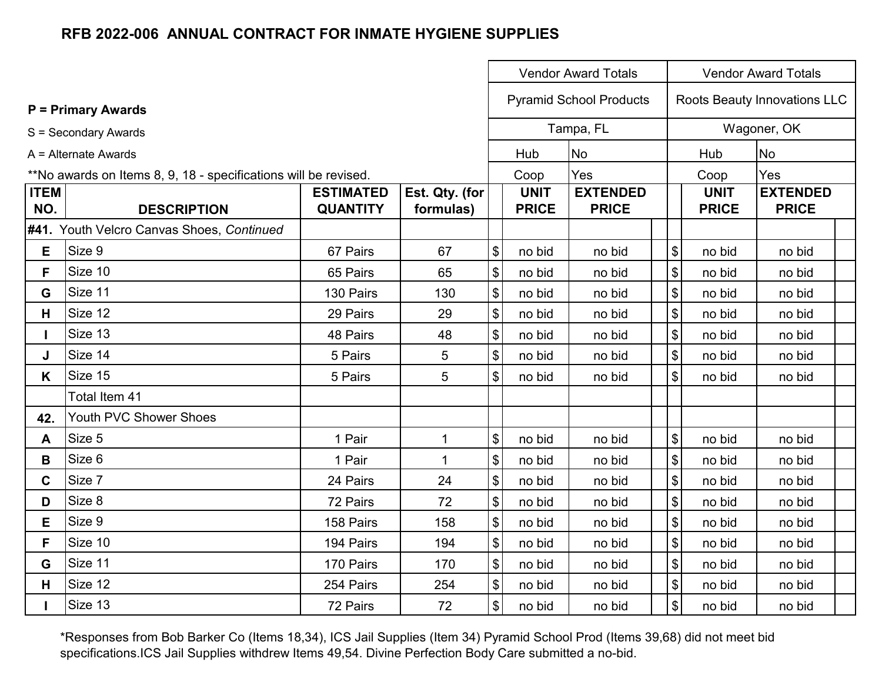|                    | <b>Vendor Award Totals</b>                                      |                                     |                             |                                           |                             |                                 |                                           | <b>Vendor Award Totals</b>  |                                 |  |  |  |  |
|--------------------|-----------------------------------------------------------------|-------------------------------------|-----------------------------|-------------------------------------------|-----------------------------|---------------------------------|-------------------------------------------|-----------------------------|---------------------------------|--|--|--|--|
|                    | <b>P</b> = Primary Awards                                       |                                     |                             |                                           |                             | <b>Pyramid School Products</b>  |                                           |                             | Roots Beauty Innovations LLC    |  |  |  |  |
|                    | S = Secondary Awards                                            |                                     |                             |                                           |                             | Tampa, FL                       |                                           |                             | Wagoner, OK                     |  |  |  |  |
|                    | A = Alternate Awards                                            |                                     |                             |                                           | Hub                         | <b>No</b>                       |                                           | Hub                         | <b>No</b>                       |  |  |  |  |
|                    | **No awards on Items 8, 9, 18 - specifications will be revised. |                                     |                             |                                           | Coop                        | Yes                             |                                           | Coop                        | Yes                             |  |  |  |  |
| <b>ITEM</b><br>NO. | <b>DESCRIPTION</b>                                              | <b>ESTIMATED</b><br><b>QUANTITY</b> | Est. Qty. (for<br>formulas) |                                           | <b>UNIT</b><br><b>PRICE</b> | <b>EXTENDED</b><br><b>PRICE</b> |                                           | <b>UNIT</b><br><b>PRICE</b> | <b>EXTENDED</b><br><b>PRICE</b> |  |  |  |  |
|                    | #41. Youth Velcro Canvas Shoes, Continued                       |                                     |                             |                                           |                             |                                 |                                           |                             |                                 |  |  |  |  |
| E.                 | Size 9                                                          | 67 Pairs                            | 67                          | $\boldsymbol{\mathsf{S}}$                 | no bid                      | no bid                          | $\boldsymbol{\mathsf{S}}$                 | no bid                      | no bid                          |  |  |  |  |
| F                  | Size 10                                                         | 65 Pairs                            | 65                          | $\boldsymbol{\mathsf{\$}}$                | no bid                      | no bid                          | $\boldsymbol{\mathsf{\$}}$                | no bid                      | no bid                          |  |  |  |  |
| G                  | Size 11                                                         | 130 Pairs                           | 130                         | $\sqrt{3}$                                | no bid                      | no bid                          | \$                                        | no bid                      | no bid                          |  |  |  |  |
| H                  | Size 12                                                         | 29 Pairs                            | 29                          | $\boldsymbol{\$}$                         | no bid                      | no bid                          | \$                                        | no bid                      | no bid                          |  |  |  |  |
| L                  | Size 13                                                         | 48 Pairs                            | 48                          | $\boldsymbol{\$}$                         | no bid                      | no bid                          | \$                                        | no bid                      | no bid                          |  |  |  |  |
| J                  | Size 14                                                         | 5 Pairs                             | 5                           | $\, \, \$$                                | no bid                      | no bid                          | $\, \, \raisebox{12pt}{$\scriptstyle \$}$ | no bid                      | no bid                          |  |  |  |  |
| K.                 | Size 15                                                         | 5 Pairs                             | 5                           | $\sqrt[6]{\frac{1}{2}}$                   | no bid                      | no bid                          | $\mathfrak{S}$                            | no bid                      | no bid                          |  |  |  |  |
|                    | Total Item 41                                                   |                                     |                             |                                           |                             |                                 |                                           |                             |                                 |  |  |  |  |
| 42.                | Youth PVC Shower Shoes                                          |                                     |                             |                                           |                             |                                 |                                           |                             |                                 |  |  |  |  |
| A                  | Size 5                                                          | 1 Pair                              | 1                           | $\, \, \raisebox{12pt}{$\scriptstyle \$}$ | no bid                      | no bid                          | $\, \, \raisebox{12pt}{$\scriptstyle \$}$ | no bid                      | no bid                          |  |  |  |  |
| B                  | Size 6                                                          | 1 Pair                              | $\mathbf 1$                 | $\boldsymbol{\$}$                         | no bid                      | no bid                          | $\, \, \$$                                | no bid                      | no bid                          |  |  |  |  |
| $\mathbf C$        | Size 7                                                          | 24 Pairs                            | 24                          | $\boldsymbol{\mathsf{\$}}$                | no bid                      | no bid                          | $\boldsymbol{\mathsf{\$}}$                | no bid                      | no bid                          |  |  |  |  |
| D                  | Size 8                                                          | 72 Pairs                            | 72                          | $\boldsymbol{\$}$                         | no bid                      | no bid                          | \$                                        | no bid                      | no bid                          |  |  |  |  |
| E                  | Size 9                                                          | 158 Pairs                           | 158                         | $\boldsymbol{\$}$                         | no bid                      | no bid                          | \$                                        | no bid                      | no bid                          |  |  |  |  |
| F                  | Size 10                                                         | 194 Pairs                           | 194                         | $\, \, \$$                                | no bid                      | no bid                          | \$                                        | no bid                      | no bid                          |  |  |  |  |
| G                  | Size 11                                                         | 170 Pairs                           | 170                         | $\boldsymbol{\mathsf{\$}}$                | no bid                      | no bid                          | $\boldsymbol{\mathsf{\$}}$                | no bid                      | no bid                          |  |  |  |  |
| H.                 | Size 12                                                         | 254 Pairs                           | 254                         | $\pmb{\$}$                                | no bid                      | no bid                          | $\, \, \raisebox{12pt}{$\scriptstyle \$}$ | no bid                      | no bid                          |  |  |  |  |
|                    | Size 13                                                         | 72 Pairs                            | 72                          | $\boldsymbol{\mathsf{\$}}$                | no bid                      | no bid                          | $\boldsymbol{\mathsf{\$}}$                | no bid                      | no bid                          |  |  |  |  |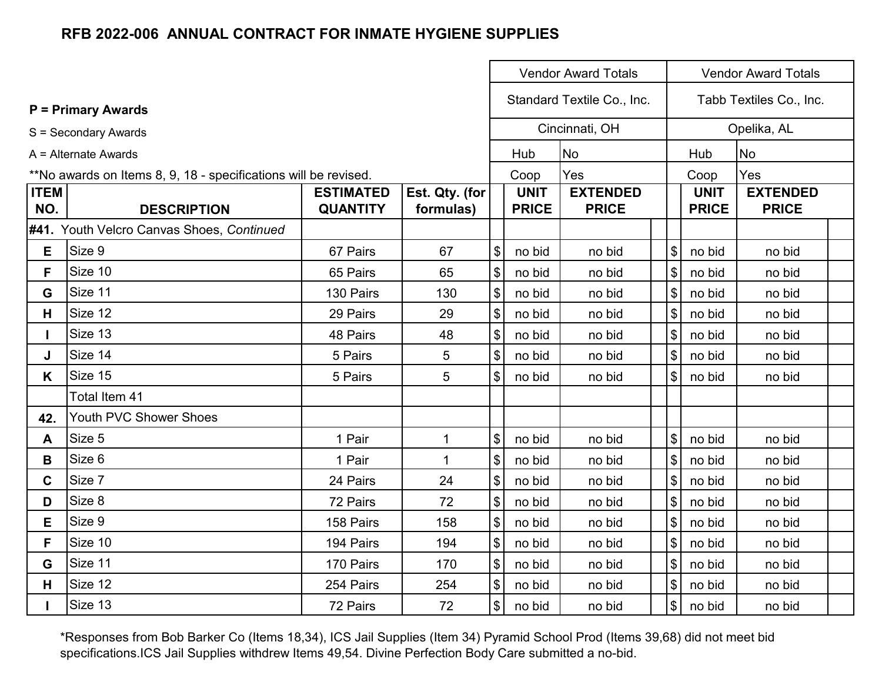|                    |                                                                 |                                     |                             |                            |                             | <b>Vendor Award Totals</b>      |                            | <b>Vendor Award Totals</b>  |                                 |  |  |  |
|--------------------|-----------------------------------------------------------------|-------------------------------------|-----------------------------|----------------------------|-----------------------------|---------------------------------|----------------------------|-----------------------------|---------------------------------|--|--|--|
|                    | <b>P</b> = Primary Awards                                       |                                     |                             |                            |                             | Standard Textile Co., Inc.      |                            |                             | Tabb Textiles Co., Inc.         |  |  |  |
|                    | S = Secondary Awards                                            |                                     |                             |                            |                             | Cincinnati, OH                  |                            |                             | Opelika, AL                     |  |  |  |
|                    | A = Alternate Awards                                            |                                     |                             |                            | Hub                         | <b>No</b>                       |                            | Hub                         | <b>No</b>                       |  |  |  |
|                    | **No awards on Items 8, 9, 18 - specifications will be revised. |                                     |                             |                            | Coop                        | Yes                             |                            | Coop                        | Yes                             |  |  |  |
| <b>ITEM</b><br>NO. | <b>DESCRIPTION</b>                                              | <b>ESTIMATED</b><br><b>QUANTITY</b> | Est. Qty. (for<br>formulas) |                            | <b>UNIT</b><br><b>PRICE</b> | <b>EXTENDED</b><br><b>PRICE</b> |                            | <b>UNIT</b><br><b>PRICE</b> | <b>EXTENDED</b><br><b>PRICE</b> |  |  |  |
|                    | #41. Youth Velcro Canvas Shoes, Continued                       |                                     |                             |                            |                             |                                 |                            |                             |                                 |  |  |  |
| E                  | Size 9                                                          | 67 Pairs                            | 67                          | $\boldsymbol{\mathsf{\$}}$ | no bid                      | no bid                          | $\boldsymbol{\mathsf{S}}$  | no bid                      | no bid                          |  |  |  |
| F.                 | Size 10                                                         | 65 Pairs                            | 65                          | $\boldsymbol{\mathsf{\$}}$ | no bid                      | no bid                          | $\$\$                      | no bid                      | no bid                          |  |  |  |
| G                  | Size 11                                                         | 130 Pairs                           | 130                         | $\sqrt{3}$                 | no bid                      | no bid                          | $\sqrt[6]{\frac{1}{2}}$    | no bid                      | no bid                          |  |  |  |
| H.                 | Size 12                                                         | 29 Pairs                            | 29                          | $\boldsymbol{\mathsf{\$}}$ | no bid                      | no bid                          | \$                         | no bid                      | no bid                          |  |  |  |
| $\mathbf{L}$       | Size 13                                                         | 48 Pairs                            | 48                          | $\boldsymbol{\mathsf{\$}}$ | no bid                      | no bid                          | $\boldsymbol{\mathsf{\$}}$ | no bid                      | no bid                          |  |  |  |
| J                  | Size 14                                                         | 5 Pairs                             | 5                           | $\boldsymbol{\mathsf{\$}}$ | no bid                      | no bid                          | $\$\$                      | no bid                      | no bid                          |  |  |  |
| K                  | Size 15                                                         | 5 Pairs                             | 5                           | $\boldsymbol{\mathsf{S}}$  | no bid                      | no bid                          | $\mathfrak{S}$             | no bid                      | no bid                          |  |  |  |
|                    | Total Item 41                                                   |                                     |                             |                            |                             |                                 |                            |                             |                                 |  |  |  |
| 42.                | Youth PVC Shower Shoes                                          |                                     |                             |                            |                             |                                 |                            |                             |                                 |  |  |  |
| A                  | Size 5                                                          | 1 Pair                              | 1                           | $\boldsymbol{\mathsf{\$}}$ | no bid                      | no bid                          | $\mathsf{\$}$              | no bid                      | no bid                          |  |  |  |
| B                  | Size 6                                                          | 1 Pair                              | 1                           | $\boldsymbol{\mathsf{\$}}$ | no bid                      | no bid                          | $\mathbb{S}$               | no bid                      | no bid                          |  |  |  |
| $\mathbf{C}$       | Size 7                                                          | 24 Pairs                            | 24                          | $\boldsymbol{\mathsf{\$}}$ | no bid                      | no bid                          | $\boldsymbol{\mathsf{S}}$  | no bid                      | no bid                          |  |  |  |
| D                  | Size 8                                                          | 72 Pairs                            | 72                          | $\boldsymbol{\mathsf{\$}}$ | no bid                      | no bid                          | $\$\$                      | no bid                      | no bid                          |  |  |  |
| E                  | Size 9                                                          | 158 Pairs                           | 158                         | $\sqrt{3}$                 | no bid                      | no bid                          | $\$\$                      | no bid                      | no bid                          |  |  |  |
| F                  | Size 10                                                         | 194 Pairs                           | 194                         | $\boldsymbol{\mathsf{\$}}$ | no bid                      | no bid                          | $\boldsymbol{\mathsf{S}}$  | no bid                      | no bid                          |  |  |  |
| G                  | Size 11                                                         | 170 Pairs                           | 170                         | $\boldsymbol{\mathsf{\$}}$ | no bid                      | no bid                          | $\boldsymbol{\mathsf{S}}$  | no bid                      | no bid                          |  |  |  |
| H.                 | Size 12                                                         | 254 Pairs                           | 254                         | $\frac{1}{2}$              | no bid                      | no bid                          | \$                         | no bid                      | no bid                          |  |  |  |
|                    | Size 13                                                         | 72 Pairs                            | 72                          | $\boldsymbol{\mathsf{\$}}$ | no bid                      | no bid                          | $\boldsymbol{\mathsf{S}}$  | no bid                      | no bid                          |  |  |  |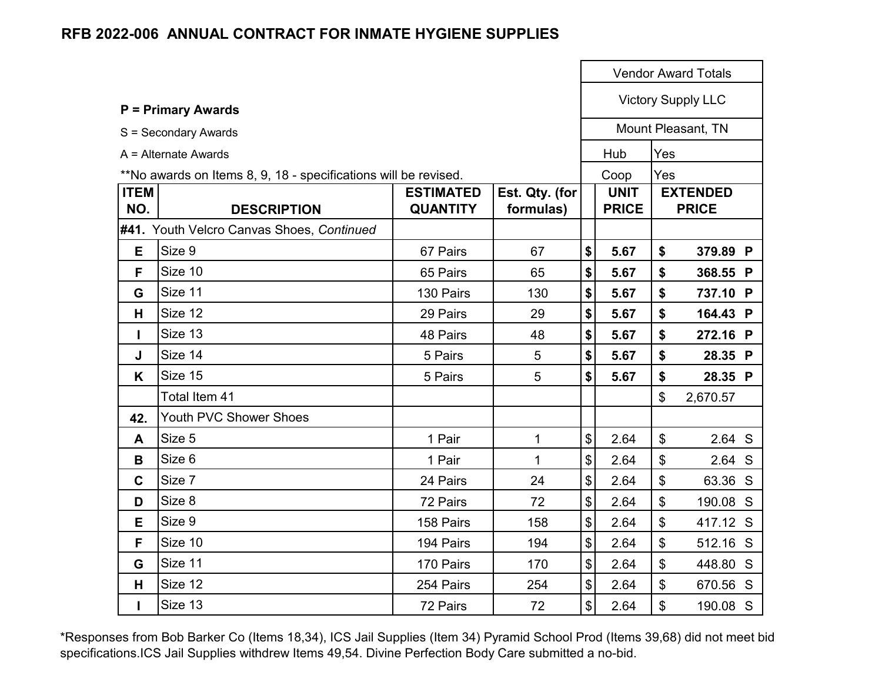|                    |                                                                 |                                     |                             |                             |                           | <b>Vendor Award Totals</b>      |  |
|--------------------|-----------------------------------------------------------------|-------------------------------------|-----------------------------|-----------------------------|---------------------------|---------------------------------|--|
|                    | <b>P = Primary Awards</b>                                       |                                     |                             |                             | <b>Victory Supply LLC</b> |                                 |  |
|                    | S = Secondary Awards                                            |                                     |                             |                             |                           | Mount Pleasant, TN              |  |
|                    | $A =$ Alternate Awards                                          |                                     |                             | Hub                         | Yes                       |                                 |  |
|                    | **No awards on Items 8, 9, 18 - specifications will be revised. |                                     |                             | Coop                        | Yes                       |                                 |  |
| <b>ITEM</b><br>NO. | <b>DESCRIPTION</b>                                              | <b>ESTIMATED</b><br><b>QUANTITY</b> | Est. Qty. (for<br>formulas) | <b>UNIT</b><br><b>PRICE</b> |                           | <b>EXTENDED</b><br><b>PRICE</b> |  |
|                    | #41. Youth Velcro Canvas Shoes, Continued                       |                                     |                             |                             |                           |                                 |  |
| E                  | Size 9                                                          | 67 Pairs                            | 67                          | \$<br>5.67                  | \$                        | 379.89 P                        |  |
| F                  | Size 10                                                         | 65 Pairs                            | 65                          | \$<br>5.67                  | \$                        | 368.55 P                        |  |
| G                  | Size 11                                                         | 130 Pairs                           | 130                         | \$<br>5.67                  | \$                        | 737.10 P                        |  |
| H                  | Size 12                                                         | 29 Pairs                            | 29                          | \$<br>5.67                  | \$                        | 164.43 P                        |  |
| L                  | Size 13                                                         | 48 Pairs                            | 48                          | \$<br>5.67                  | \$                        | 272.16 P                        |  |
| J                  | Size 14                                                         | 5 Pairs                             | 5                           | \$<br>5.67                  | \$                        | 28.35 P                         |  |
| K                  | Size 15                                                         | 5 Pairs                             | 5                           | \$<br>5.67                  | \$                        | 28.35 P                         |  |
|                    | Total Item 41                                                   |                                     |                             |                             | \$                        | 2,670.57                        |  |
| 42.                | <b>Youth PVC Shower Shoes</b>                                   |                                     |                             |                             |                           |                                 |  |
| A                  | Size 5                                                          | 1 Pair                              | 1                           | \$<br>2.64                  | \$                        | 2.64 S                          |  |
| B                  | Size 6                                                          | 1 Pair                              | $\mathbf{1}$                | \$<br>2.64                  | \$                        | 2.64 S                          |  |
| $\mathbf C$        | Size 7                                                          | 24 Pairs                            | 24                          | \$<br>2.64                  | \$                        | 63.36 S                         |  |
| D                  | Size 8                                                          | 72 Pairs                            | 72                          | \$<br>2.64                  | \$                        | 190.08 S                        |  |
| E                  | Size 9                                                          | 158 Pairs                           | 158                         | \$<br>2.64                  | \$                        | 417.12 S                        |  |
| F                  | Size 10                                                         | 194 Pairs                           | 194                         | \$<br>2.64                  | \$                        | 512.16 S                        |  |
| G                  | Size 11                                                         | 170 Pairs                           | 170                         | \$<br>2.64                  | \$                        | 448.80 S                        |  |
| H                  | Size 12                                                         | 254 Pairs                           | 254                         | \$<br>2.64                  | \$                        | 670.56 S                        |  |
| $\mathbf{I}$       | Size 13                                                         | 72 Pairs                            | 72                          | \$<br>2.64                  | \$                        | 190.08 S                        |  |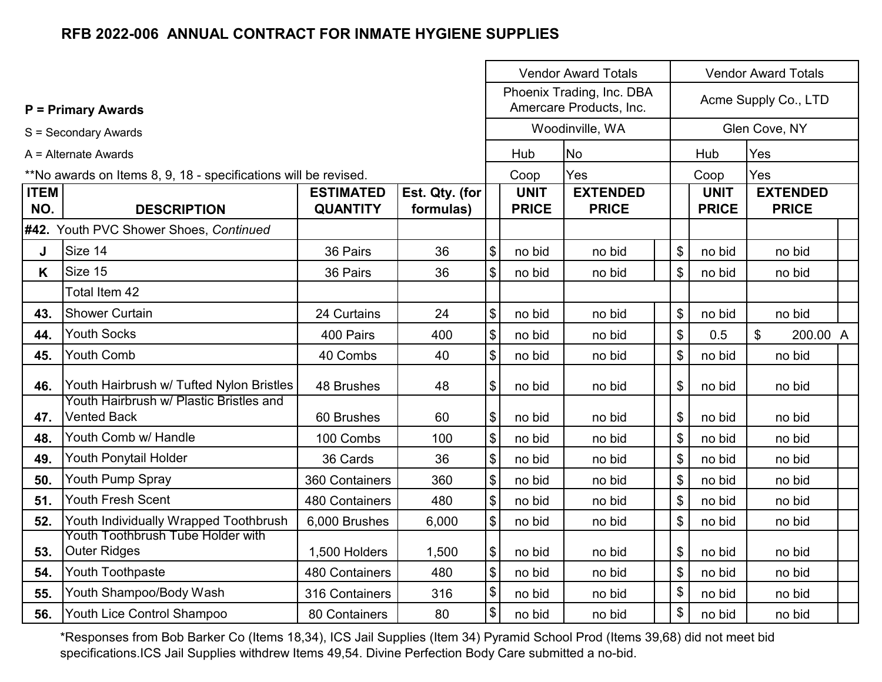|                    |                                                                 |                                     |                             |                           |                             | <b>Vendor Award Totals</b>                           | <b>Vendor Award Totals</b> |                             |                                       |  |  |
|--------------------|-----------------------------------------------------------------|-------------------------------------|-----------------------------|---------------------------|-----------------------------|------------------------------------------------------|----------------------------|-----------------------------|---------------------------------------|--|--|
|                    | <b>P = Primary Awards</b>                                       |                                     |                             |                           |                             | Phoenix Trading, Inc. DBA<br>Amercare Products, Inc. |                            |                             | Acme Supply Co., LTD                  |  |  |
|                    | S = Secondary Awards                                            |                                     |                             |                           |                             | Woodinville, WA                                      |                            |                             | Glen Cove, NY                         |  |  |
|                    | A = Alternate Awards                                            |                                     |                             |                           | Hub                         | N <sub>o</sub>                                       |                            | Hub                         | Yes                                   |  |  |
|                    | **No awards on Items 8, 9, 18 - specifications will be revised. |                                     |                             |                           | Coop                        | Yes                                                  |                            | Coop                        | Yes                                   |  |  |
| <b>ITEM</b><br>NO. | <b>DESCRIPTION</b>                                              | <b>ESTIMATED</b><br><b>QUANTITY</b> | Est. Qty. (for<br>formulas) |                           | <b>UNIT</b><br><b>PRICE</b> | <b>EXTENDED</b><br><b>PRICE</b>                      |                            | <b>UNIT</b><br><b>PRICE</b> | <b>EXTENDED</b><br><b>PRICE</b>       |  |  |
|                    | #42. Youth PVC Shower Shoes, Continued                          |                                     |                             |                           |                             |                                                      |                            |                             |                                       |  |  |
| J                  | Size 14                                                         | 36 Pairs                            | 36                          | \$                        | no bid                      | no bid                                               | \$                         | no bid                      | no bid                                |  |  |
| K.                 | Size 15                                                         | 36 Pairs                            | 36                          | \$                        | no bid                      | no bid                                               | \$                         | no bid                      | no bid                                |  |  |
|                    | Total Item 42                                                   |                                     |                             |                           |                             |                                                      |                            |                             |                                       |  |  |
| 43.                | <b>Shower Curtain</b>                                           | 24 Curtains                         | 24                          | \$                        | no bid                      | no bid                                               | \$                         | no bid                      | no bid                                |  |  |
| 44.                | <b>Youth Socks</b>                                              | 400 Pairs                           | 400                         | $\frac{1}{2}$             | no bid                      | no bid                                               | \$                         | 0.5                         | $\boldsymbol{\mathsf{S}}$<br>200.00 A |  |  |
| 45.                | <b>Youth Comb</b>                                               | 40 Combs                            | 40                          | $\frac{1}{2}$             | no bid                      | no bid                                               | \$                         | no bid                      | no bid                                |  |  |
| 46.                | Youth Hairbrush w/ Tufted Nylon Bristles                        | 48 Brushes                          | 48                          | \$                        | no bid                      | no bid                                               | \$                         | no bid                      | no bid                                |  |  |
| 47.                | Youth Hairbrush w/ Plastic Bristles and<br><b>Vented Back</b>   | 60 Brushes                          | 60                          | \$                        | no bid                      | no bid                                               | \$                         | no bid                      | no bid                                |  |  |
| 48.                | Youth Comb w/ Handle                                            | 100 Combs                           | 100                         | \$                        | no bid                      | no bid                                               | \$                         | no bid                      | no bid                                |  |  |
| 49.                | Youth Ponytail Holder                                           | 36 Cards                            | 36                          | $\boldsymbol{\mathsf{S}}$ | no bid                      | no bid                                               | \$                         | no bid                      | no bid                                |  |  |
| 50.                | Youth Pump Spray                                                | 360 Containers                      | 360                         | $\boldsymbol{\mathsf{S}}$ | no bid                      | no bid                                               | \$                         | no bid                      | no bid                                |  |  |
| 51.                | <b>Youth Fresh Scent</b>                                        | 480 Containers                      | 480                         | $\boldsymbol{\mathsf{S}}$ | no bid                      | no bid                                               | \$                         | no bid                      | no bid                                |  |  |
| 52.                | Youth Individually Wrapped Toothbrush                           | 6,000 Brushes                       | 6,000                       | $\frac{1}{2}$             | no bid                      | no bid                                               | \$                         | no bid                      | no bid                                |  |  |
| 53.                | Youth Toothbrush Tube Holder with<br><b>Outer Ridges</b>        | 1,500 Holders                       | 1,500                       | \$                        | no bid                      | no bid                                               | \$                         | no bid                      | no bid                                |  |  |
| 54.                | Youth Toothpaste                                                | 480 Containers                      | 480                         | \$                        | no bid                      | no bid                                               | \$                         | no bid                      | no bid                                |  |  |
| 55.                | Youth Shampoo/Body Wash                                         | 316 Containers                      | 316                         | \$                        | no bid                      | no bid                                               | \$                         | no bid                      | no bid                                |  |  |
| 56.                | Youth Lice Control Shampoo                                      | 80 Containers                       | 80                          | $$\mathbb{S}$$            | no bid                      | no bid                                               | \$                         | no bid                      | no bid                                |  |  |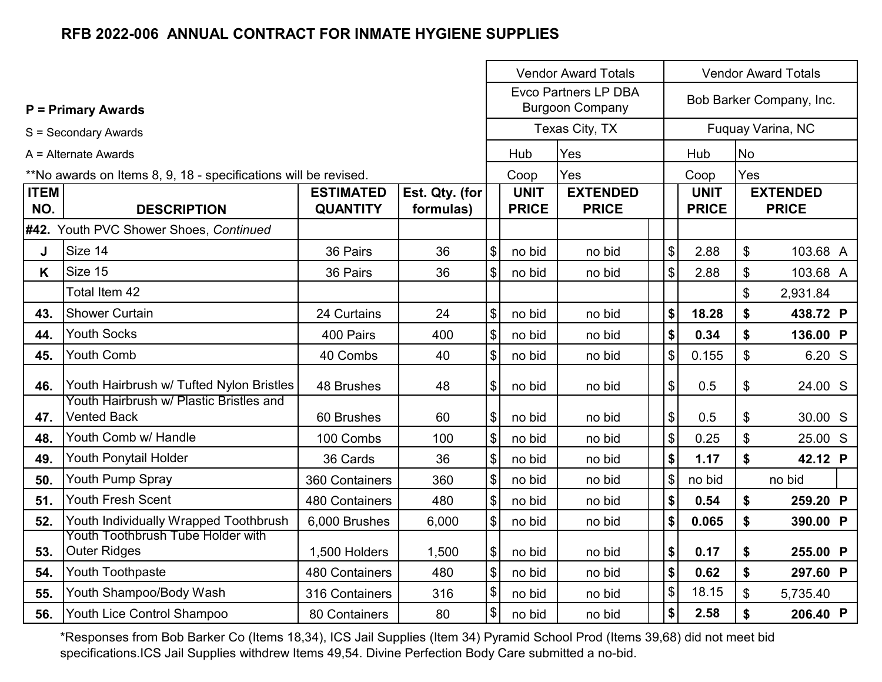|                    |                                                                 |                                     |                             | <b>Vendor Award Totals</b><br><b>Vendor Award Totals</b> |                             |                                                       |                            |                             |                |                                 |
|--------------------|-----------------------------------------------------------------|-------------------------------------|-----------------------------|----------------------------------------------------------|-----------------------------|-------------------------------------------------------|----------------------------|-----------------------------|----------------|---------------------------------|
|                    | <b>P = Primary Awards</b>                                       |                                     |                             |                                                          |                             | <b>Evco Partners LP DBA</b><br><b>Burgoon Company</b> |                            |                             |                | Bob Barker Company, Inc.        |
|                    | S = Secondary Awards                                            |                                     |                             |                                                          |                             | Texas City, TX                                        |                            |                             |                | Fuquay Varina, NC               |
|                    | $A =$ Alternate Awards                                          |                                     |                             |                                                          | Hub                         | Yes                                                   |                            | Hub                         | <b>No</b>      |                                 |
|                    | **No awards on Items 8, 9, 18 - specifications will be revised. |                                     |                             |                                                          | Coop                        | Yes                                                   |                            | Coop                        | Yes            |                                 |
| <b>ITEM</b><br>NO. | <b>DESCRIPTION</b>                                              | <b>ESTIMATED</b><br><b>QUANTITY</b> | Est. Qty. (for<br>formulas) |                                                          | <b>UNIT</b><br><b>PRICE</b> | <b>EXTENDED</b><br><b>PRICE</b>                       |                            | <b>UNIT</b><br><b>PRICE</b> |                | <b>EXTENDED</b><br><b>PRICE</b> |
|                    | #42. Youth PVC Shower Shoes, Continued                          |                                     |                             |                                                          |                             |                                                       |                            |                             |                |                                 |
| J                  | Size 14                                                         | 36 Pairs                            | 36                          | \$                                                       | no bid                      | no bid                                                | \$                         | 2.88                        | \$             | 103.68 A                        |
| K                  | Size 15                                                         | 36 Pairs                            | 36                          | \$                                                       | no bid                      | no bid                                                | \$                         | 2.88                        | \$             | 103.68 A                        |
|                    | Total Item 42                                                   |                                     |                             |                                                          |                             |                                                       |                            |                             | \$             | 2,931.84                        |
| 43.                | <b>Shower Curtain</b>                                           | 24 Curtains                         | 24                          | $\boldsymbol{\mathsf{S}}$                                | no bid                      | no bid                                                | \$                         | 18.28                       | \$             | 438.72 P                        |
| 44.                | <b>Youth Socks</b>                                              | 400 Pairs                           | 400                         | $\$\$                                                    | no bid                      | no bid                                                | \$                         | 0.34                        | \$             | 136.00 P                        |
| 45.                | Youth Comb                                                      | 40 Combs                            | 40                          | $\boldsymbol{\mathsf{S}}$                                | no bid                      | no bid                                                | \$                         | 0.155                       | \$             | 6.20 S                          |
| 46.                | Youth Hairbrush w/ Tufted Nylon Bristles                        | 48 Brushes                          | 48                          | $\$\$                                                    | no bid                      | no bid                                                | \$                         | 0.5                         | \$             | 24.00 S                         |
| 47.                | Youth Hairbrush w/ Plastic Bristles and<br><b>Vented Back</b>   | 60 Brushes                          | 60                          | $\boldsymbol{\mathcal{L}}$                               | no bid                      | no bid                                                | \$                         | 0.5                         | \$             | 30.00 S                         |
| 48.                | Youth Comb w/ Handle                                            | 100 Combs                           | 100                         | \$                                                       | no bid                      | no bid                                                | $\boldsymbol{\mathsf{S}}$  | 0.25                        | \$             | 25.00 S                         |
| 49.                | Youth Ponytail Holder                                           | 36 Cards                            | 36                          | $\boldsymbol{\mathsf{S}}$                                | no bid                      | no bid                                                | \$                         | 1.17                        | \$             | 42.12 P                         |
| 50.                | Youth Pump Spray                                                | 360 Containers                      | 360                         | \$                                                       | no bid                      | no bid                                                | $\boldsymbol{\mathsf{S}}$  | no bid                      |                | no bid                          |
| 51.                | <b>Youth Fresh Scent</b>                                        | 480 Containers                      | 480                         | \$                                                       | no bid                      | no bid                                                | \$                         | 0.54                        | \$             | 259.20 P                        |
| 52.                | Youth Individually Wrapped Toothbrush                           | 6,000 Brushes                       | 6,000                       | $\$\$                                                    | no bid                      | no bid                                                | \$                         | 0.065                       | \$             | 390.00 P                        |
| 53.                | Youth Toothbrush Tube Holder with<br><b>Outer Ridges</b>        | 1,500 Holders                       | 1,500                       | $\bigoplus$                                              | no bid                      | no bid                                                | \$                         | 0.17                        | \$             | 255.00 P                        |
| 54.                | Youth Toothpaste                                                | 480 Containers                      | 480                         | \$                                                       | no bid                      | no bid                                                | \$                         | 0.62                        | \$             | 297.60 P                        |
| 55.                | Youth Shampoo/Body Wash                                         | 316 Containers                      | 316                         | \$                                                       | no bid                      | no bid                                                | $\boldsymbol{\mathsf{\$}}$ | 18.15                       | $\mathfrak{S}$ | 5,735.40                        |
| 56.                | Youth Lice Control Shampoo                                      | 80 Containers                       | 80                          | \$                                                       | no bid                      | no bid                                                | $\boldsymbol{\$}$          | 2.58                        | \$             | 206.40 P                        |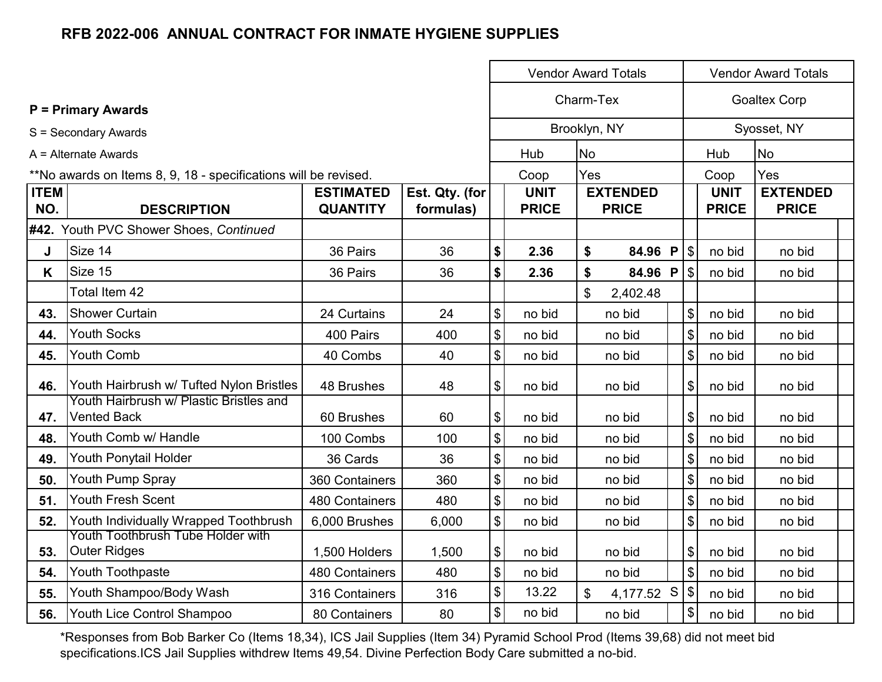|                    |                                                                 |                                     |                             |                            | <b>Vendor Award Totals</b>  |                           |                                 |              |                           |             | <b>Vendor Award Totals</b><br><b>Goaltex Corp</b><br>Syosset, NY<br><b>No</b><br>Yes<br><b>EXTENDED</b><br><b>PRICE</b><br><b>PRICE</b><br>no bid<br>no bid<br>no bid<br>no bid<br>no bid<br>no bid<br>no bid<br>no bid<br>no bid<br>no bid<br>no bid<br>no bid<br>no bid |  |  |  |
|--------------------|-----------------------------------------------------------------|-------------------------------------|-----------------------------|----------------------------|-----------------------------|---------------------------|---------------------------------|--------------|---------------------------|-------------|---------------------------------------------------------------------------------------------------------------------------------------------------------------------------------------------------------------------------------------------------------------------------|--|--|--|
|                    | <b>P</b> = Primary Awards                                       |                                     |                             |                            | Charm-Tex                   |                           |                                 |              |                           |             |                                                                                                                                                                                                                                                                           |  |  |  |
|                    | S = Secondary Awards                                            |                                     |                             |                            | Brooklyn, NY                |                           |                                 |              |                           |             |                                                                                                                                                                                                                                                                           |  |  |  |
|                    | $A =$ Alternate Awards                                          |                                     |                             |                            | Hub                         | <b>No</b>                 |                                 |              |                           | Hub         |                                                                                                                                                                                                                                                                           |  |  |  |
|                    | **No awards on Items 8, 9, 18 - specifications will be revised. |                                     |                             |                            | Coop                        | Yes                       |                                 |              |                           | Coop        |                                                                                                                                                                                                                                                                           |  |  |  |
| <b>ITEM</b><br>NO. | <b>DESCRIPTION</b>                                              | <b>ESTIMATED</b><br><b>QUANTITY</b> | Est. Qty. (for<br>formulas) |                            | <b>UNIT</b><br><b>PRICE</b> |                           | <b>EXTENDED</b><br><b>PRICE</b> |              |                           | <b>UNIT</b> |                                                                                                                                                                                                                                                                           |  |  |  |
|                    | #42. Youth PVC Shower Shoes, Continued                          |                                     |                             |                            |                             |                           |                                 |              |                           |             |                                                                                                                                                                                                                                                                           |  |  |  |
| J                  | Size 14                                                         | 36 Pairs                            | 36                          | \$                         | 2.36                        | \$                        | 84.96 P                         |              | $\mathfrak{S}$            | no bid      |                                                                                                                                                                                                                                                                           |  |  |  |
| K                  | Size 15                                                         | 36 Pairs                            | 36                          | \$                         | 2.36                        | \$                        | 84.96                           | $\mathsf{P}$ | $\frac{1}{2}$             | no bid      |                                                                                                                                                                                                                                                                           |  |  |  |
|                    | Total Item 42                                                   |                                     |                             |                            |                             | \$                        | 2,402.48                        |              |                           |             |                                                                                                                                                                                                                                                                           |  |  |  |
| 43.                | <b>Shower Curtain</b>                                           | 24 Curtains                         | 24                          | $\boldsymbol{\mathsf{S}}$  | no bid                      |                           | no bid                          |              | $\mathfrak{S}$            | no bid      |                                                                                                                                                                                                                                                                           |  |  |  |
| 44.                | <b>Youth Socks</b>                                              | 400 Pairs                           | 400                         | $\boldsymbol{\mathsf{\$}}$ | no bid                      |                           | no bid                          |              | \$                        | no bid      |                                                                                                                                                                                                                                                                           |  |  |  |
| 45.                | <b>Youth Comb</b>                                               | 40 Combs                            | 40                          | \$                         | no bid                      |                           | no bid                          |              | \$                        | no bid      |                                                                                                                                                                                                                                                                           |  |  |  |
| 46.                | Youth Hairbrush w/ Tufted Nylon Bristles                        | 48 Brushes                          | 48                          | $\boldsymbol{\$}$          | no bid                      |                           | no bid                          |              | \$                        | no bid      |                                                                                                                                                                                                                                                                           |  |  |  |
| 47.                | Youth Hairbrush w/ Plastic Bristles and<br><b>Vented Back</b>   | 60 Brushes                          | 60                          | \$                         | no bid                      |                           | no bid                          |              | \$                        | no bid      |                                                                                                                                                                                                                                                                           |  |  |  |
| 48.                | Youth Comb w/ Handle                                            | 100 Combs                           | 100                         | $\boldsymbol{\mathsf{\$}}$ | no bid                      |                           | no bid                          |              | $\boldsymbol{\mathsf{S}}$ | no bid      |                                                                                                                                                                                                                                                                           |  |  |  |
| 49.                | Youth Ponytail Holder                                           | 36 Cards                            | 36                          | \$                         | no bid                      |                           | no bid                          |              | $\boldsymbol{\mathsf{S}}$ | no bid      |                                                                                                                                                                                                                                                                           |  |  |  |
| 50.                | Youth Pump Spray                                                | 360 Containers                      | 360                         | $\, \, \$$                 | no bid                      |                           | no bid                          |              | \$                        | no bid      |                                                                                                                                                                                                                                                                           |  |  |  |
| 51.                | <b>Youth Fresh Scent</b>                                        | 480 Containers                      | 480                         | $\boldsymbol{\mathsf{\$}}$ | no bid                      |                           | no bid                          |              | \$                        | no bid      |                                                                                                                                                                                                                                                                           |  |  |  |
| 52.                | Youth Individually Wrapped Toothbrush                           | 6,000 Brushes                       | 6,000                       | \$                         | no bid                      |                           | no bid                          |              | \$                        | no bid      |                                                                                                                                                                                                                                                                           |  |  |  |
| 53.                | Youth Toothbrush Tube Holder with<br><b>Outer Ridges</b>        | 1,500 Holders                       | 1,500                       | \$                         | no bid                      |                           | no bid                          |              | \$                        | no bid      |                                                                                                                                                                                                                                                                           |  |  |  |
| 54.                | Youth Toothpaste                                                | 480 Containers                      | 480                         | $\boldsymbol{\mathsf{\$}}$ | no bid                      |                           | no bid                          |              | $\mathfrak{S}$            | no bid      | no bid                                                                                                                                                                                                                                                                    |  |  |  |
| 55.                | Youth Shampoo/Body Wash                                         | 316 Containers                      | 316                         | $\, \, \$$                 | 13.22                       | $\boldsymbol{\mathsf{S}}$ | 4,177.52 S                      |              | $\sqrt{3}$                | no bid      | no bid                                                                                                                                                                                                                                                                    |  |  |  |
| 56.                | Youth Lice Control Shampoo                                      | 80 Containers                       | 80                          | \$                         | no bid                      |                           | no bid                          |              | \$                        | no bid      | no bid                                                                                                                                                                                                                                                                    |  |  |  |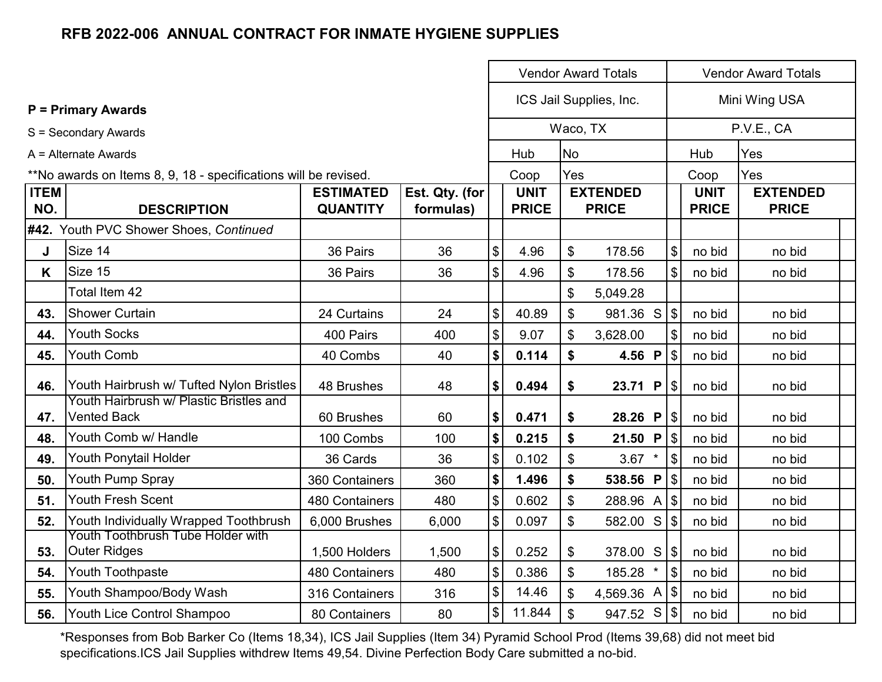|                    |                                                                 |                                     |                             | <b>Vendor Award Totals</b> |                             |           |                                 |                            |                             | <b>Vendor Award Totals</b>      |  |  |  |  |
|--------------------|-----------------------------------------------------------------|-------------------------------------|-----------------------------|----------------------------|-----------------------------|-----------|---------------------------------|----------------------------|-----------------------------|---------------------------------|--|--|--|--|
|                    | <b>P</b> = Primary Awards                                       |                                     |                             |                            |                             |           | ICS Jail Supplies, Inc.         |                            |                             | Mini Wing USA                   |  |  |  |  |
|                    | S = Secondary Awards                                            |                                     |                             |                            |                             |           | Waco, TX                        |                            |                             | P.V.E., CA                      |  |  |  |  |
|                    | A = Alternate Awards                                            |                                     |                             |                            | Hub                         | <b>No</b> |                                 |                            | Hub                         | Yes                             |  |  |  |  |
|                    | **No awards on Items 8, 9, 18 - specifications will be revised. |                                     |                             |                            | Coop                        | Yes       |                                 |                            | Coop                        | Yes                             |  |  |  |  |
| <b>ITEM</b><br>NO. | <b>DESCRIPTION</b>                                              | <b>ESTIMATED</b><br><b>QUANTITY</b> | Est. Qty. (for<br>formulas) |                            | <b>UNIT</b><br><b>PRICE</b> |           | <b>EXTENDED</b><br><b>PRICE</b> |                            | <b>UNIT</b><br><b>PRICE</b> | <b>EXTENDED</b><br><b>PRICE</b> |  |  |  |  |
|                    | #42. Youth PVC Shower Shoes, Continued                          |                                     |                             |                            |                             |           |                                 |                            |                             |                                 |  |  |  |  |
| J                  | Size 14                                                         | 36 Pairs                            | 36                          | \$                         | 4.96                        | \$        | 178.56                          | \$                         | no bid                      | no bid                          |  |  |  |  |
| K                  | Size 15                                                         | 36 Pairs                            | 36                          | \$                         | 4.96                        | \$        | 178.56                          | $\mathfrak{S}$             | no bid                      | no bid                          |  |  |  |  |
|                    | Total Item 42                                                   |                                     |                             |                            |                             | \$        | 5,049.28                        |                            |                             |                                 |  |  |  |  |
| 43.                | <b>Shower Curtain</b>                                           | 24 Curtains                         | 24                          | \$                         | 40.89                       | \$        | $981.36$ S \$                   |                            | no bid                      | no bid                          |  |  |  |  |
| 44.                | <b>Youth Socks</b>                                              | 400 Pairs                           | 400                         | \$                         | 9.07                        | \$        | 3,628.00                        | \$                         | no bid                      | no bid                          |  |  |  |  |
| 45.                | Youth Comb                                                      | 40 Combs                            | 40                          | \$                         | 0.114                       | \$        | 4.56 P                          | $\boldsymbol{\mathsf{S}}$  | no bid                      | no bid                          |  |  |  |  |
| 46.                | Youth Hairbrush w/ Tufted Nylon Bristles                        | 48 Brushes                          | 48                          | \$                         | 0.494                       | \$        | 23.71 P                         | $\boldsymbol{\mathsf{S}}$  | no bid                      | no bid                          |  |  |  |  |
| 47.                | Youth Hairbrush w/ Plastic Bristles and<br><b>Vented Back</b>   | 60 Brushes                          | 60                          | \$                         | 0.471                       | \$        |                                 |                            | no bid                      | no bid                          |  |  |  |  |
| 48.                | Youth Comb w/ Handle                                            | 100 Combs                           | 100                         | \$                         | 0.215                       | \$        | 21.50 P $\frac{1}{3}$           |                            | no bid                      | no bid                          |  |  |  |  |
| 49.                | Youth Ponytail Holder                                           | 36 Cards                            | 36                          | \$                         | 0.102                       | \$        | $3.67$ *                        | $\$\$                      | no bid                      | no bid                          |  |  |  |  |
| 50.                | Youth Pump Spray                                                | 360 Containers                      | 360                         | \$                         | 1.496                       | \$        | 538.56 P                        | $\sqrt{3}$                 | no bid                      | no bid                          |  |  |  |  |
| 51.                | Youth Fresh Scent                                               | 480 Containers                      | 480                         | \$                         | 0.602                       | \$        | 288.96 A                        | $\mathfrak{S}$             | no bid                      | no bid                          |  |  |  |  |
| 52.                | Youth Individually Wrapped Toothbrush                           | 6,000 Brushes                       | 6,000                       | \$                         | 0.097                       | \$        | 582.00 S                        | $\boldsymbol{\mathsf{\$}}$ | no bid                      | no bid                          |  |  |  |  |
| 53.                | Youth Toothbrush Tube Holder with<br><b>Outer Ridges</b>        | 1,500 Holders                       | 1,500                       | \$                         | 0.252                       | \$        | 378.00 S                        |                            | no bid                      | no bid                          |  |  |  |  |
| 54.                | Youth Toothpaste                                                | 480 Containers                      | 480                         | \$                         | 0.386                       | \$        | 185.28                          | $\mathbb{S}$               | no bid                      | no bid                          |  |  |  |  |
| 55.                | Youth Shampoo/Body Wash                                         | 316 Containers                      | 316                         | \$                         | 14.46                       | \$        | 4,569.36 A $ $ \$               |                            | no bid                      | no bid                          |  |  |  |  |
| 56.                | Youth Lice Control Shampoo                                      | 80 Containers                       | 80                          | $\boldsymbol{\mathsf{S}}$  | 11.844                      | \$        | 947.52 S                        |                            | no bid                      | no bid                          |  |  |  |  |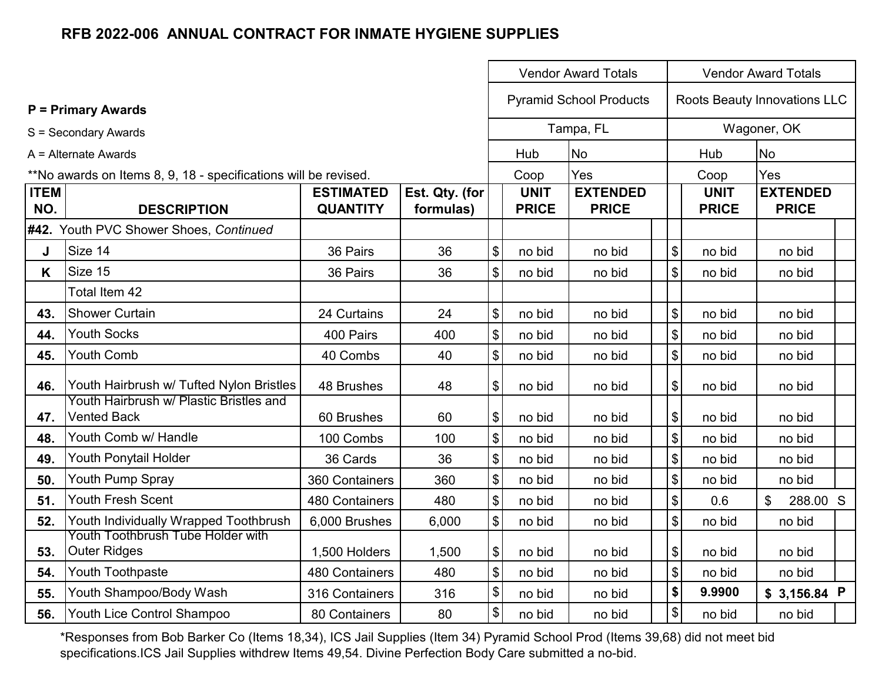|                    |                                                                 |                                     |                             |                                           | <b>Vendor Award Totals</b>  | <b>Vendor Award Totals</b>      |                                           |                             |                                 |  |
|--------------------|-----------------------------------------------------------------|-------------------------------------|-----------------------------|-------------------------------------------|-----------------------------|---------------------------------|-------------------------------------------|-----------------------------|---------------------------------|--|
|                    | <b>P = Primary Awards</b>                                       |                                     |                             |                                           |                             | <b>Pyramid School Products</b>  |                                           |                             | Roots Beauty Innovations LLC    |  |
|                    | S = Secondary Awards                                            |                                     |                             |                                           |                             | Tampa, FL                       |                                           |                             | Wagoner, OK                     |  |
|                    | A = Alternate Awards                                            |                                     |                             |                                           | Hub                         | <b>No</b>                       |                                           | Hub                         | <b>No</b>                       |  |
|                    | **No awards on Items 8, 9, 18 - specifications will be revised. |                                     |                             |                                           | Coop                        | Yes                             |                                           | Coop                        | Yes                             |  |
| <b>ITEM</b><br>NO. | <b>DESCRIPTION</b>                                              | <b>ESTIMATED</b><br><b>QUANTITY</b> | Est. Qty. (for<br>formulas) |                                           | <b>UNIT</b><br><b>PRICE</b> | <b>EXTENDED</b><br><b>PRICE</b> |                                           | <b>UNIT</b><br><b>PRICE</b> | <b>EXTENDED</b><br><b>PRICE</b> |  |
|                    | #42. Youth PVC Shower Shoes, Continued                          |                                     |                             |                                           |                             |                                 |                                           |                             |                                 |  |
| J                  | Size 14                                                         | 36 Pairs                            | 36                          | $\boldsymbol{\mathsf{S}}$                 | no bid                      | no bid                          | $\, \, \raisebox{12pt}{$\scriptstyle \$}$ | no bid                      | no bid                          |  |
| K                  | Size 15                                                         | 36 Pairs                            | 36                          | $\boldsymbol{\mathsf{S}}$                 | no bid                      | no bid                          | $\boldsymbol{\mathsf{\$}}$                | no bid                      | no bid                          |  |
|                    | Total Item 42                                                   |                                     |                             |                                           |                             |                                 |                                           |                             |                                 |  |
| 43.                | <b>Shower Curtain</b>                                           | 24 Curtains                         | 24                          | $\boldsymbol{\mathsf{S}}$                 | no bid                      | no bid                          | $\boldsymbol{\mathsf{\$}}$                | no bid                      | no bid                          |  |
| 44.                | <b>Youth Socks</b>                                              | 400 Pairs                           | 400                         | $\boldsymbol{\mathsf{\$}}$                | no bid                      | no bid                          | $\sqrt{3}$                                | no bid                      | no bid                          |  |
| 45.                | Youth Comb                                                      | 40 Combs                            | 40                          | $\boldsymbol{\mathsf{S}}$                 | no bid                      | no bid                          | $\frac{1}{2}$                             | no bid                      | no bid                          |  |
| 46.                | Youth Hairbrush w/ Tufted Nylon Bristles                        | 48 Brushes                          | 48                          | $\boldsymbol{\theta}$                     | no bid                      | no bid                          | $\boldsymbol{\mathsf{\$}}$                | no bid                      | no bid                          |  |
| 47.                | Youth Hairbrush w/ Plastic Bristles and<br><b>Vented Back</b>   | 60 Brushes                          | 60                          | $\boldsymbol{\theta}$                     | no bid                      | no bid                          | $\boldsymbol{\$}$                         | no bid                      | no bid                          |  |
| 48.                | Youth Comb w/ Handle                                            | 100 Combs                           | 100                         | $\boldsymbol{\$}$                         | no bid                      | no bid                          | $\sqrt{3}$                                | no bid                      | no bid                          |  |
| 49.                | Youth Ponytail Holder                                           | 36 Cards                            | 36                          | $\boldsymbol{\mathsf{\$}}$                | no bid                      | no bid                          | $\sqrt{3}$                                | no bid                      | no bid                          |  |
| 50.                | Youth Pump Spray                                                | 360 Containers                      | 360                         | $\boldsymbol{\mathsf{\$}}$                | no bid                      | no bid                          | $\boldsymbol{\mathsf{\$}}$                | no bid                      | no bid                          |  |
| 51.                | <b>Youth Fresh Scent</b>                                        | 480 Containers                      | 480                         | $$\mathfrak{S}$$                          | no bid                      | no bid                          | $\boldsymbol{\$}$                         | 0.6                         | \$<br>288.00 S                  |  |
| 52.                | Youth Individually Wrapped Toothbrush                           | 6,000 Brushes                       | 6,000                       | $\$\$                                     | no bid                      | no bid                          | $\frac{1}{2}$                             | no bid                      | no bid                          |  |
| 53.                | Youth Toothbrush Tube Holder with<br><b>Outer Ridges</b>        | 1,500 Holders                       | 1,500                       | $\, \, \raisebox{12pt}{$\scriptstyle \$}$ | no bid                      | no bid                          | $\boldsymbol{\mathsf{\$}}$                | no bid                      | no bid                          |  |
| 54.                | Youth Toothpaste                                                | 480 Containers                      | 480                         | $\boldsymbol{\mathsf{\$}}$                | no bid                      | no bid                          | $\theta$                                  | no bid                      | no bid                          |  |
| 55.                | Youth Shampoo/Body Wash                                         | 316 Containers                      | 316                         | $\boldsymbol{\$}$                         | no bid                      | no bid                          | \$                                        | 9.9900                      | \$ 3,156.84 P                   |  |
| 56.                | Youth Lice Control Shampoo                                      | 80 Containers                       | 80                          | $\, \, \raisebox{12pt}{$\scriptstyle \$}$ | no bid                      | no bid                          | $\, \, \raisebox{12pt}{$\scriptstyle \$}$ | no bid                      | no bid                          |  |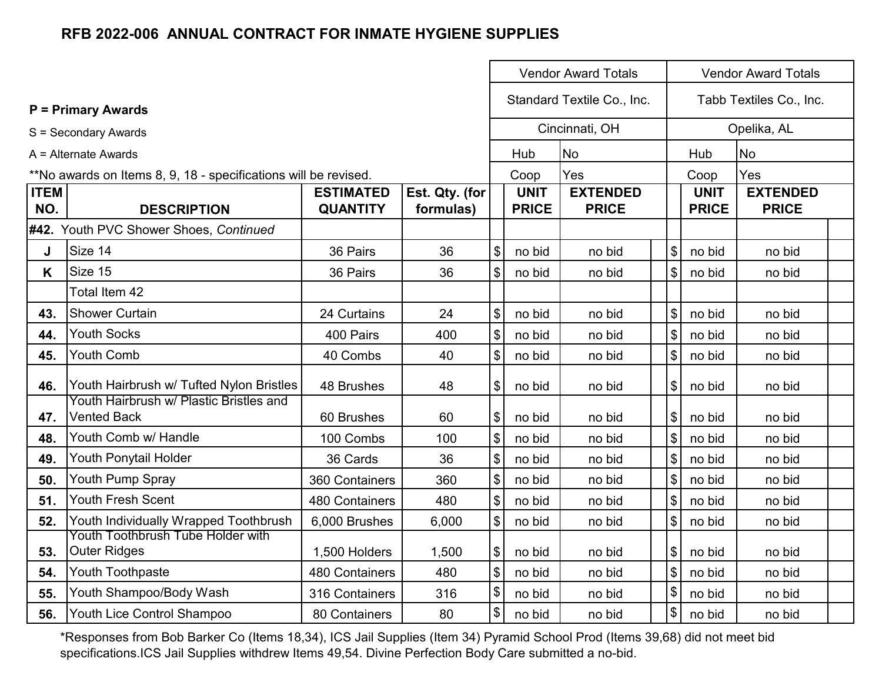|                    |                                                                 |                                     |                             |                            | <b>Vendor Award Totals</b><br><b>Vendor Award Totals</b> |                                 |                           |                             |                                 |  |  |
|--------------------|-----------------------------------------------------------------|-------------------------------------|-----------------------------|----------------------------|----------------------------------------------------------|---------------------------------|---------------------------|-----------------------------|---------------------------------|--|--|
|                    | <b>P = Primary Awards</b>                                       |                                     |                             |                            |                                                          | Standard Textile Co., Inc.      |                           |                             | Tabb Textiles Co., Inc.         |  |  |
|                    | S = Secondary Awards                                            |                                     |                             |                            |                                                          | Cincinnati, OH                  |                           |                             | Opelika, AL                     |  |  |
|                    | A = Alternate Awards                                            |                                     |                             |                            | Hub                                                      | <b>No</b>                       |                           | Hub                         | <b>No</b>                       |  |  |
|                    | **No awards on Items 8, 9, 18 - specifications will be revised. |                                     |                             |                            | Coop                                                     | Yes                             |                           | Coop                        | Yes                             |  |  |
| <b>ITEM</b><br>NO. | <b>DESCRIPTION</b>                                              | <b>ESTIMATED</b><br><b>QUANTITY</b> | Est. Qty. (for<br>formulas) |                            | <b>UNIT</b><br><b>PRICE</b>                              | <b>EXTENDED</b><br><b>PRICE</b> |                           | <b>UNIT</b><br><b>PRICE</b> | <b>EXTENDED</b><br><b>PRICE</b> |  |  |
|                    | #42. Youth PVC Shower Shoes, Continued                          |                                     |                             |                            |                                                          |                                 |                           |                             |                                 |  |  |
| J                  | Size 14                                                         | 36 Pairs                            | 36                          | $\boldsymbol{\mathsf{S}}$  | no bid                                                   | no bid                          | $\boldsymbol{\mathsf{S}}$ | no bid                      | no bid                          |  |  |
| K                  | Size 15                                                         | 36 Pairs                            | 36                          | $\boldsymbol{\mathsf{S}}$  | no bid                                                   | no bid                          | $\mathfrak{S}$            | no bid                      | no bid                          |  |  |
|                    | Total Item 42                                                   |                                     |                             |                            |                                                          |                                 |                           |                             |                                 |  |  |
| 43.                | <b>Shower Curtain</b>                                           | 24 Curtains                         | 24                          | $\boldsymbol{\mathsf{S}}$  | no bid                                                   | no bid                          | $\sqrt[6]{\frac{1}{2}}$   | no bid                      | no bid                          |  |  |
| 44.                | <b>Youth Socks</b>                                              | 400 Pairs                           | 400                         | $\$\$                      | no bid                                                   | no bid                          | $\boldsymbol{\mathsf{S}}$ | no bid                      | no bid                          |  |  |
| 45.                | <b>Youth Comb</b>                                               | 40 Combs                            | 40                          | $\boldsymbol{\$}$          | no bid                                                   | no bid                          | $\$\$                     | no bid                      | no bid                          |  |  |
| 46.                | Youth Hairbrush w/ Tufted Nylon Bristles                        | 48 Brushes                          | 48                          | $\boldsymbol{\mathsf{S}}$  | no bid                                                   | no bid                          | $\boldsymbol{\mathsf{S}}$ | no bid                      | no bid                          |  |  |
| 47.                | Youth Hairbrush w/ Plastic Bristles and<br><b>Vented Back</b>   | 60 Brushes                          | 60                          | $\$\$                      | no bid                                                   | no bid                          | $\frac{1}{2}$             | no bid                      | no bid                          |  |  |
| 48.                | Youth Comb w/ Handle                                            | 100 Combs                           | 100                         | $\boldsymbol{\mathsf{\$}}$ | no bid                                                   | no bid                          | $\boldsymbol{\mathsf{S}}$ | no bid                      | no bid                          |  |  |
| 49.                | Youth Ponytail Holder                                           | 36 Cards                            | 36                          | $\boldsymbol{\mathsf{\$}}$ | no bid                                                   | no bid                          | $\mathsf{\$}$             | no bid                      | no bid                          |  |  |
| 50.                | Youth Pump Spray                                                | 360 Containers                      | 360                         | $\boldsymbol{\mathsf{\$}}$ | no bid                                                   | no bid                          | $\$\$                     | no bid                      | no bid                          |  |  |
| 51.                | Youth Fresh Scent                                               | 480 Containers                      | 480                         | $\sqrt{3}$                 | no bid                                                   | no bid                          | $\sqrt[6]{\frac{1}{2}}$   | no bid                      | no bid                          |  |  |
| 52.                | Youth Individually Wrapped Toothbrush                           | 6,000 Brushes                       | 6,000                       | $\boldsymbol{\mathsf{S}}$  | no bid                                                   | no bid                          | $\mathcal{L}$             | no bid                      | no bid                          |  |  |
| 53.                | Youth Toothbrush Tube Holder with<br><b>Outer Ridges</b>        | 1,500 Holders                       | 1,500                       | $\boldsymbol{\theta}$      | no bid                                                   | no bid                          | $\mathfrak{S}$            | no bid                      | no bid                          |  |  |
| 54.                | Youth Toothpaste                                                | 480 Containers                      | 480                         | $\boldsymbol{\mathsf{\$}}$ | no bid                                                   | no bid                          | $\mathfrak{S}$            | no bid                      | no bid                          |  |  |
| 55.                | Youth Shampoo/Body Wash                                         | 316 Containers                      | 316                         | $\updownarrow$             | no bid                                                   | no bid                          | \$                        | no bid                      | no bid                          |  |  |
| 56.                | Youth Lice Control Shampoo                                      | 80 Containers                       | 80                          | $\boldsymbol{\$}$          | no bid                                                   | no bid                          | \$                        | no bid                      | no bid                          |  |  |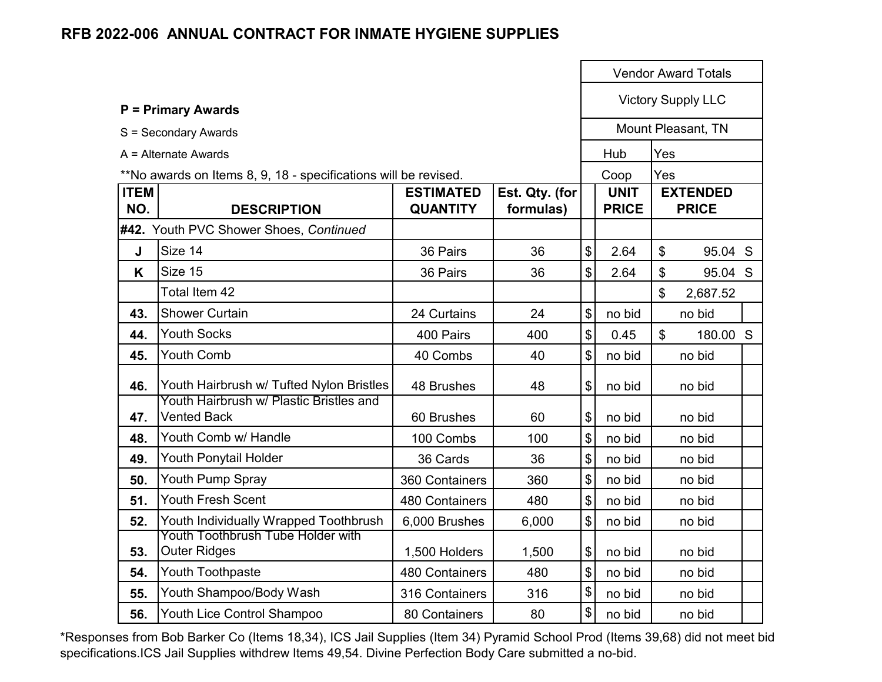|                    | <b>P = Primary Awards</b>                                       |                                     |                             |                            |                             |     | <b>Vendor Award Totals</b>      |  |
|--------------------|-----------------------------------------------------------------|-------------------------------------|-----------------------------|----------------------------|-----------------------------|-----|---------------------------------|--|
|                    |                                                                 |                                     |                             |                            |                             |     | <b>Victory Supply LLC</b>       |  |
|                    | S = Secondary Awards                                            |                                     |                             |                            |                             |     | Mount Pleasant, TN              |  |
|                    | $A =$ Alternate Awards                                          |                                     |                             |                            | Hub                         | Yes |                                 |  |
|                    | **No awards on Items 8, 9, 18 - specifications will be revised. |                                     |                             |                            | Coop                        | Yes |                                 |  |
| <b>ITEM</b><br>NO. | <b>DESCRIPTION</b>                                              | <b>ESTIMATED</b><br><b>QUANTITY</b> | Est. Qty. (for<br>formulas) |                            | <b>UNIT</b><br><b>PRICE</b> |     | <b>EXTENDED</b><br><b>PRICE</b> |  |
|                    | #42. Youth PVC Shower Shoes, Continued                          |                                     |                             |                            |                             |     |                                 |  |
| J                  | Size 14                                                         | 36 Pairs                            | 36                          | \$                         | 2.64                        | \$  | 95.04 S                         |  |
| K                  | Size 15                                                         | 36 Pairs                            | 36                          | \$                         | 2.64                        | \$  | 95.04 S                         |  |
|                    | Total Item 42                                                   |                                     |                             |                            |                             | \$  | 2,687.52                        |  |
| 43.                | <b>Shower Curtain</b>                                           | 24 Curtains                         | 24                          | \$                         | no bid                      |     | no bid                          |  |
| 44.                | <b>Youth Socks</b>                                              | 400 Pairs                           | 400                         | $\mathfrak{S}$             | 0.45                        | \$  | 180.00 S                        |  |
| 45.                | <b>Youth Comb</b>                                               | 40 Combs                            | 40                          | \$                         | no bid                      |     | no bid                          |  |
| 46.                | Youth Hairbrush w/ Tufted Nylon Bristles                        | 48 Brushes                          | 48                          | \$                         | no bid                      |     | no bid                          |  |
| 47.                | Youth Hairbrush w/ Plastic Bristles and<br><b>Vented Back</b>   | 60 Brushes                          | 60                          | \$                         | no bid                      |     | no bid                          |  |
| 48.                | Youth Comb w/ Handle                                            | 100 Combs                           | 100                         | \$                         | no bid                      |     | no bid                          |  |
| 49.                | Youth Ponytail Holder                                           | 36 Cards                            | 36                          | $\mathfrak{S}$             | no bid                      |     | no bid                          |  |
| 50.                | Youth Pump Spray                                                | 360 Containers                      | 360                         | \$                         | no bid                      |     | no bid                          |  |
| 51.                | <b>Youth Fresh Scent</b>                                        | 480 Containers                      | 480                         | \$                         | no bid                      |     | no bid                          |  |
| 52.                | Youth Individually Wrapped Toothbrush                           | 6,000 Brushes                       | 6,000                       | \$                         | no bid                      |     | no bid                          |  |
| 53.                | Youth Toothbrush Tube Holder with<br><b>Outer Ridges</b>        | 1,500 Holders                       | 1,500                       | \$                         | no bid                      |     | no bid                          |  |
| 54.                | Youth Toothpaste                                                | <b>480 Containers</b>               | 480                         | \$                         | no bid                      |     | no bid                          |  |
| 55.                | Youth Shampoo/Body Wash                                         | 316 Containers                      | 316                         | $\boldsymbol{\mathsf{\$}}$ | no bid                      |     | no bid                          |  |
| 56.                | <b>Youth Lice Control Shampoo</b>                               | 80 Containers                       | 80                          | \$                         | no bid                      |     | no bid                          |  |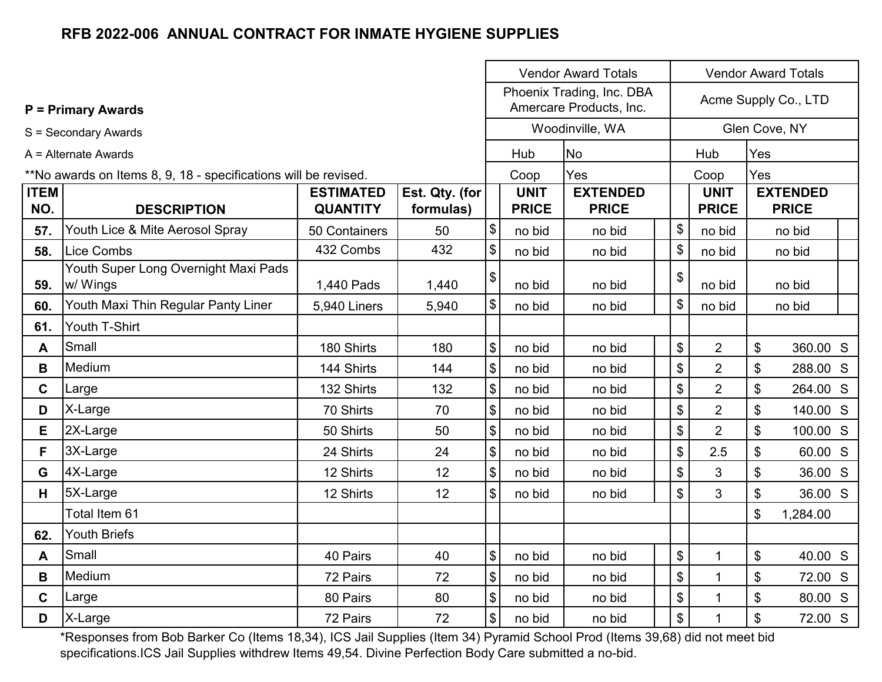|                    |                                                                 |                                     |                             |               | <b>Vendor Award Totals</b><br><b>Vendor Award Totals</b> |                                                      |    |                             |     |                                 |  |
|--------------------|-----------------------------------------------------------------|-------------------------------------|-----------------------------|---------------|----------------------------------------------------------|------------------------------------------------------|----|-----------------------------|-----|---------------------------------|--|
|                    | <b>P = Primary Awards</b>                                       |                                     |                             |               |                                                          | Phoenix Trading, Inc. DBA<br>Amercare Products, Inc. |    | Acme Supply Co., LTD        |     |                                 |  |
|                    | S = Secondary Awards                                            |                                     |                             |               |                                                          | Woodinville, WA                                      |    |                             |     | Glen Cove, NY                   |  |
|                    | $A =$ Alternate Awards                                          |                                     |                             |               | Hub                                                      | <b>No</b>                                            |    | Hub                         |     |                                 |  |
|                    | **No awards on Items 8, 9, 18 - specifications will be revised. |                                     |                             |               | Coop                                                     | Yes                                                  |    | Coop                        | Yes |                                 |  |
| <b>ITEM</b><br>NO. | <b>DESCRIPTION</b>                                              | <b>ESTIMATED</b><br><b>QUANTITY</b> | Est. Qty. (for<br>formulas) |               | <b>UNIT</b><br><b>PRICE</b>                              | <b>EXTENDED</b><br><b>PRICE</b>                      |    | <b>UNIT</b><br><b>PRICE</b> |     | <b>EXTENDED</b><br><b>PRICE</b> |  |
| 57.                | Youth Lice & Mite Aerosol Spray                                 | 50 Containers                       | 50                          | \$            | no bid                                                   | no bid                                               | \$ | no bid                      |     | no bid                          |  |
| 58.                | Lice Combs                                                      | 432 Combs                           | 432                         | \$            | no bid                                                   | no bid                                               | \$ | no bid                      |     | no bid                          |  |
| 59.                | Youth Super Long Overnight Maxi Pads<br>w/ Wings                | 1,440 Pads                          | 1,440                       | \$            | no bid                                                   | no bid                                               | \$ | no bid                      |     | no bid                          |  |
| 60.                | Youth Maxi Thin Regular Panty Liner                             | <b>5,940 Liners</b>                 | 5,940                       | \$            | no bid                                                   | no bid                                               | \$ | no bid                      |     | no bid                          |  |
| 61.                | Youth T-Shirt                                                   |                                     |                             |               |                                                          |                                                      |    |                             |     |                                 |  |
| A                  | Small                                                           | 180 Shirts                          | 180                         | \$            | no bid                                                   | no bid                                               | \$ | $\overline{2}$              | \$  | 360.00 S                        |  |
| B                  | Medium                                                          | 144 Shirts                          | 144                         | \$            | no bid                                                   | no bid                                               | \$ | $\overline{2}$              | \$  | 288.00 S                        |  |
| $\mathbf c$        | Large                                                           | 132 Shirts                          | 132                         | \$            | no bid                                                   | no bid                                               | \$ | $\overline{2}$              | \$  | 264.00 S                        |  |
| D                  | X-Large                                                         | 70 Shirts                           | 70                          | \$            | no bid                                                   | no bid                                               | \$ | $\overline{2}$              | \$  | 140.00 S                        |  |
| E                  | 2X-Large                                                        | 50 Shirts                           | 50                          | \$            | no bid                                                   | no bid                                               | \$ | $\overline{2}$              | \$  | 100.00 S                        |  |
| F                  | 3X-Large                                                        | 24 Shirts                           | 24                          | \$            | no bid                                                   | no bid                                               | \$ | 2.5                         | \$  | 60.00 S                         |  |
| G                  | 4X-Large                                                        | 12 Shirts                           | 12                          | \$            | no bid                                                   | no bid                                               | \$ | 3                           | \$  | 36.00 S                         |  |
| H.                 | 5X-Large                                                        | 12 Shirts                           | 12                          | \$            | no bid                                                   | no bid                                               | \$ | 3                           | \$  | 36.00 S                         |  |
|                    | Total Item 61                                                   |                                     |                             |               |                                                          |                                                      |    |                             | \$  | 1,284.00                        |  |
| 62.                | <b>Youth Briefs</b>                                             |                                     |                             |               |                                                          |                                                      |    |                             |     |                                 |  |
| A                  | Small                                                           | 40 Pairs                            | 40                          | \$            | no bid                                                   | no bid                                               | \$ | 1                           | \$  | 40.00 S                         |  |
| B                  | Medium                                                          | 72 Pairs                            | 72                          | \$            | no bid                                                   | no bid                                               | \$ | $\mathbf{1}$                | \$  | 72.00 S                         |  |
| $\mathbf{C}$       | Large                                                           | 80 Pairs                            | 80                          | \$            | no bid                                                   | no bid                                               | \$ | $\mathbf{1}$                | \$  | 80.00 S                         |  |
| D                  | X-Large                                                         | 72 Pairs                            | 72                          | $\frac{1}{2}$ | no bid                                                   | no bid                                               | \$ | 1                           | \$  | 72.00 S                         |  |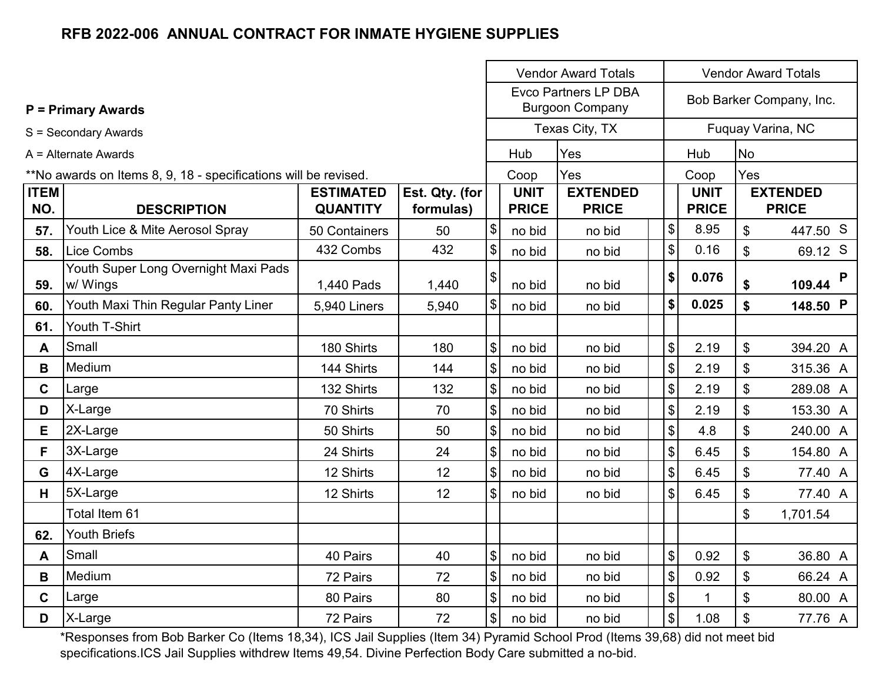|                                                                 |                                                  |                                     |                             |                              | <b>Vendor Award Totals</b>  | <b>Vendor Award Totals</b>                            |                           |                             |                           |                                 |
|-----------------------------------------------------------------|--------------------------------------------------|-------------------------------------|-----------------------------|------------------------------|-----------------------------|-------------------------------------------------------|---------------------------|-----------------------------|---------------------------|---------------------------------|
|                                                                 | <b>P = Primary Awards</b>                        |                                     |                             |                              |                             | <b>Evco Partners LP DBA</b><br><b>Burgoon Company</b> |                           |                             |                           | Bob Barker Company, Inc.        |
|                                                                 | S = Secondary Awards                             |                                     |                             |                              |                             | Texas City, TX                                        |                           |                             |                           | Fuquay Varina, NC               |
|                                                                 | $A =$ Alternate Awards                           |                                     |                             |                              | Hub                         | Yes                                                   |                           | Hub                         | <b>No</b>                 |                                 |
| **No awards on Items 8, 9, 18 - specifications will be revised. |                                                  |                                     |                             |                              | Coop                        | Yes                                                   |                           | Coop                        | Yes                       |                                 |
| <b>ITEM</b><br>NO.                                              | <b>DESCRIPTION</b>                               | <b>ESTIMATED</b><br><b>QUANTITY</b> | Est. Qty. (for<br>formulas) |                              | <b>UNIT</b><br><b>PRICE</b> | <b>EXTENDED</b><br><b>PRICE</b>                       |                           | <b>UNIT</b><br><b>PRICE</b> |                           | <b>EXTENDED</b><br><b>PRICE</b> |
| 57.                                                             | Youth Lice & Mite Aerosol Spray                  | 50 Containers                       | 50                          | $\boldsymbol{\mathsf{S}}$    | no bid                      | no bid                                                | \$                        | 8.95                        | $\mathfrak{S}$            | 447.50 S                        |
| 58.                                                             | Lice Combs                                       | 432 Combs                           | 432                         | $\boldsymbol{\mathsf{S}}$    | no bid                      | no bid                                                | \$                        | 0.16                        | \$                        | 69.12 S                         |
| 59.                                                             | Youth Super Long Overnight Maxi Pads<br>w/ Wings | 1,440 Pads                          | 1,440                       | \$                           | no bid                      | no bid                                                | \$                        | 0.076                       | \$                        | P<br>109.44                     |
| 60.                                                             | Youth Maxi Thin Regular Panty Liner              | <b>5,940 Liners</b>                 | 5,940                       | $\left  \frac{1}{2} \right $ | no bid                      | no bid                                                | \$                        | 0.025                       | \$                        | 148.50 P                        |
| 61.                                                             | Youth T-Shirt                                    |                                     |                             |                              |                             |                                                       |                           |                             |                           |                                 |
| A                                                               | Small                                            | 180 Shirts                          | 180                         | $\mathcal{S}$                | no bid                      | no bid                                                | \$                        | 2.19                        | \$                        | 394.20 A                        |
| B                                                               | Medium                                           | 144 Shirts                          | 144                         | $\boldsymbol{\mathsf{S}}$    | no bid                      | no bid                                                | \$                        | 2.19                        | \$                        | 315.36 A                        |
| C                                                               | Large                                            | 132 Shirts                          | 132                         | \$                           | no bid                      | no bid                                                | \$                        | 2.19                        | \$                        | 289.08 A                        |
| D                                                               | X-Large                                          | 70 Shirts                           | 70                          | $\boldsymbol{\mathsf{S}}$    | no bid                      | no bid                                                | $\boldsymbol{\mathsf{S}}$ | 2.19                        | \$                        | 153.30 A                        |
| E                                                               | 2X-Large                                         | 50 Shirts                           | 50                          | $\boldsymbol{\mathsf{S}}$    | no bid                      | no bid                                                | $\boldsymbol{\mathsf{S}}$ | 4.8                         | $\mathfrak{S}$            | 240.00 A                        |
| F                                                               | 3X-Large                                         | 24 Shirts                           | 24                          | $\boldsymbol{\mathsf{S}}$    | no bid                      | no bid                                                | \$                        | 6.45                        | $\mathfrak{S}$            | 154.80 A                        |
| G                                                               | 4X-Large                                         | 12 Shirts                           | 12                          | $\$\$                        | no bid                      | no bid                                                | \$                        | 6.45                        | \$                        | 77.40 A                         |
| H.                                                              | 5X-Large                                         | 12 Shirts                           | 12                          | $\frac{1}{2}$                | no bid                      | no bid                                                | \$                        | 6.45                        | \$                        | 77.40 A                         |
|                                                                 | Total Item 61                                    |                                     |                             |                              |                             |                                                       |                           |                             | \$                        | 1,701.54                        |
| 62.                                                             | <b>Youth Briefs</b>                              |                                     |                             |                              |                             |                                                       |                           |                             |                           |                                 |
| A                                                               | Small                                            | 40 Pairs                            | 40                          | \$                           | no bid                      | no bid                                                | \$                        | 0.92                        | \$                        | 36.80 A                         |
| B                                                               | Medium                                           | 72 Pairs                            | 72                          | $\boldsymbol{\mathsf{S}}$    | no bid                      | no bid                                                | $\sqrt{3}$                | 0.92                        | \$                        | 66.24 A                         |
| C                                                               | Large                                            | 80 Pairs                            | 80                          | $\$\$                        | no bid                      | no bid                                                | $\boldsymbol{\mathsf{S}}$ | $\mathbf{1}$                | $\boldsymbol{\mathsf{S}}$ | 80.00 A                         |
| D                                                               | X-Large                                          | 72 Pairs                            | 72                          | $\left  \frac{1}{2} \right $ | no bid                      | no bid                                                | $\frac{1}{2}$             | 1.08                        | \$                        | 77.76 A                         |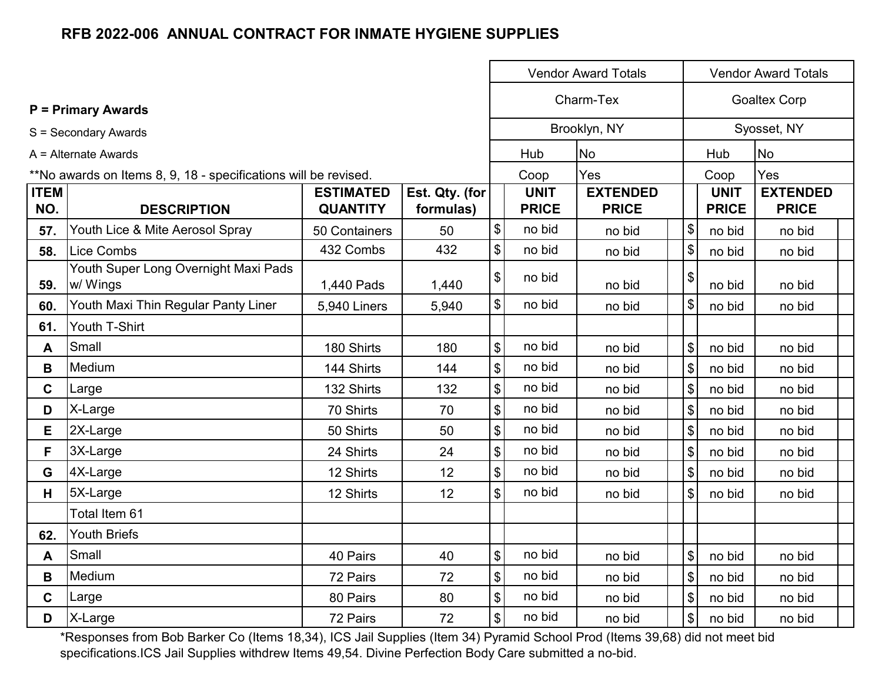|                                                                 |                                                  |                  |                |                | <b>Vendor Award Totals</b><br><b>Vendor Award Totals</b> |                 |  |                                     |                     |  |  |
|-----------------------------------------------------------------|--------------------------------------------------|------------------|----------------|----------------|----------------------------------------------------------|-----------------|--|-------------------------------------|---------------------|--|--|
|                                                                 | <b>P</b> = Primary Awards                        |                  |                |                |                                                          | Charm-Tex       |  |                                     | <b>Goaltex Corp</b> |  |  |
|                                                                 | S = Secondary Awards                             |                  |                |                |                                                          | Brooklyn, NY    |  |                                     | Syosset, NY         |  |  |
|                                                                 | $A =$ Alternate Awards                           |                  |                |                | Hub<br>No                                                |                 |  | Hub                                 | No                  |  |  |
| **No awards on Items 8, 9, 18 - specifications will be revised. |                                                  |                  |                |                | Coop                                                     | Yes             |  | Coop                                | Yes                 |  |  |
| <b>ITEM</b>                                                     |                                                  | <b>ESTIMATED</b> | Est. Qty. (for |                | <b>UNIT</b>                                              | <b>EXTENDED</b> |  | <b>UNIT</b>                         | <b>EXTENDED</b>     |  |  |
| NO.                                                             | <b>DESCRIPTION</b>                               | <b>QUANTITY</b>  | formulas)      |                | <b>PRICE</b>                                             | <b>PRICE</b>    |  | <b>PRICE</b>                        | <b>PRICE</b>        |  |  |
| 57.                                                             | Youth Lice & Mite Aerosol Spray                  | 50 Containers    | 50             | \$             | no bid                                                   | no bid          |  | $\boldsymbol{\mathsf{S}}$<br>no bid | no bid              |  |  |
| 58.                                                             | Lice Combs                                       | 432 Combs        | 432            | \$             | no bid                                                   | no bid          |  | \$<br>no bid                        | no bid              |  |  |
| 59.                                                             | Youth Super Long Overnight Maxi Pads<br>w/ Wings | 1,440 Pads       | 1,440          | \$             | no bid                                                   | no bid          |  | \$<br>no bid                        | no bid              |  |  |
| 60.                                                             | Youth Maxi Thin Regular Panty Liner              | 5,940 Liners     | 5,940          | \$             | no bid                                                   | no bid          |  | \$<br>no bid                        | no bid              |  |  |
| 61.                                                             | Youth T-Shirt                                    |                  |                |                |                                                          |                 |  |                                     |                     |  |  |
| A                                                               | Small                                            | 180 Shirts       | 180            | \$             | no bid                                                   | no bid          |  | \$<br>no bid                        | no bid              |  |  |
| B                                                               | Medium                                           | 144 Shirts       | 144            | \$             | no bid                                                   | no bid          |  | \$<br>no bid                        | no bid              |  |  |
| $\mathbf{C}$                                                    | Large                                            | 132 Shirts       | 132            | \$             | no bid                                                   | no bid          |  | \$<br>no bid                        | no bid              |  |  |
| D                                                               | X-Large                                          | 70 Shirts        | 70             | \$             | no bid                                                   | no bid          |  | $\boldsymbol{\mathsf{S}}$<br>no bid | no bid              |  |  |
| E                                                               | 2X-Large                                         | 50 Shirts        | 50             | \$             | no bid                                                   | no bid          |  | $\$\$<br>no bid                     | no bid              |  |  |
| F                                                               | 3X-Large                                         | 24 Shirts        | 24             | \$             | no bid                                                   | no bid          |  | $\boldsymbol{\mathsf{S}}$<br>no bid | no bid              |  |  |
| G                                                               | 4X-Large                                         | 12 Shirts        | 12             | \$             | no bid                                                   | no bid          |  | \$<br>no bid                        | no bid              |  |  |
| H                                                               | 5X-Large                                         | 12 Shirts        | 12             | \$             | no bid                                                   | no bid          |  | $\boldsymbol{\mathsf{S}}$<br>no bid | no bid              |  |  |
|                                                                 | Total Item 61                                    |                  |                |                |                                                          |                 |  |                                     |                     |  |  |
| 62.                                                             | <b>Youth Briefs</b>                              |                  |                |                |                                                          |                 |  |                                     |                     |  |  |
| A                                                               | Small                                            | 40 Pairs         | 40             | \$             | no bid                                                   | no bid          |  | \$<br>no bid                        | no bid              |  |  |
| B                                                               | Medium                                           | 72 Pairs         | 72             | $\mathfrak{S}$ | no bid                                                   | no bid          |  | $\boldsymbol{\mathsf{S}}$<br>no bid | no bid              |  |  |
| $\mathbf{C}$                                                    | Large                                            | 80 Pairs         | 80             | \$             | no bid                                                   | no bid          |  | \$<br>no bid                        | no bid              |  |  |
| D                                                               | X-Large                                          | 72 Pairs         | 72             | \$             | no bid                                                   | no bid          |  | \$<br>no bid                        | no bid              |  |  |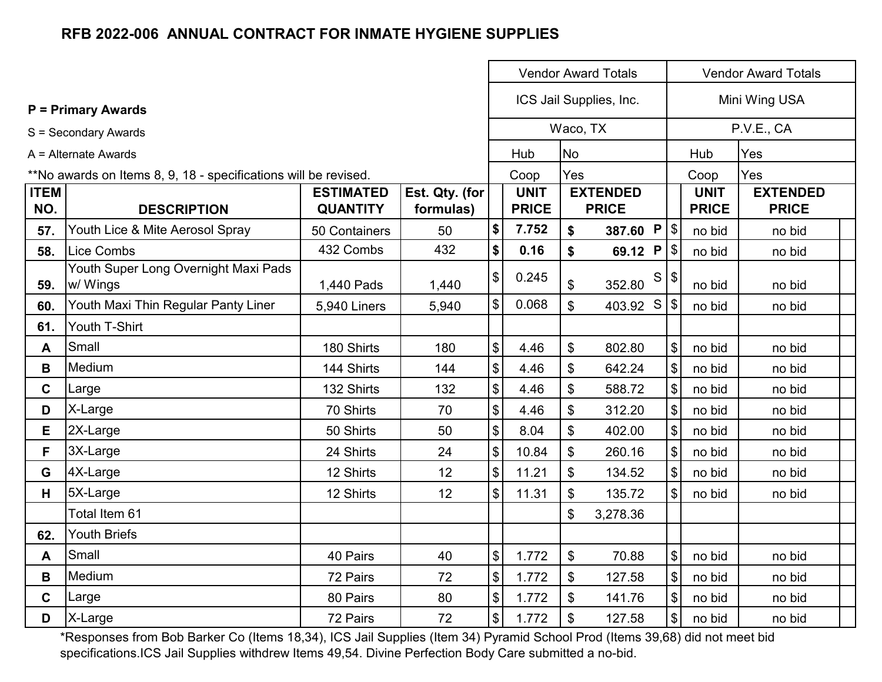|                                                                 |                                                  | <b>Vendor Award Totals</b><br><b>Vendor Award Totals</b> |                             |               |                             |                              |                                 |                           |                             |                                 |  |
|-----------------------------------------------------------------|--------------------------------------------------|----------------------------------------------------------|-----------------------------|---------------|-----------------------------|------------------------------|---------------------------------|---------------------------|-----------------------------|---------------------------------|--|
|                                                                 | $P = Primary Awards$                             |                                                          |                             |               |                             | ICS Jail Supplies, Inc.      |                                 |                           | Mini Wing USA               |                                 |  |
|                                                                 | S = Secondary Awards                             |                                                          |                             |               |                             | Waco, TX                     |                                 |                           |                             | P.V.E., CA                      |  |
|                                                                 | $A =$ Alternate Awards                           |                                                          |                             |               |                             |                              | <b>No</b>                       |                           | Hub                         | Yes                             |  |
| **No awards on Items 8, 9, 18 - specifications will be revised. |                                                  |                                                          |                             | Coop          |                             | Yes                          |                                 |                           | Coop                        | Yes                             |  |
| <b>ITEM</b><br>NO.                                              | <b>DESCRIPTION</b>                               | <b>ESTIMATED</b><br><b>QUANTITY</b>                      | Est. Qty. (for<br>formulas) |               | <b>UNIT</b><br><b>PRICE</b> |                              | <b>EXTENDED</b><br><b>PRICE</b> |                           | <b>UNIT</b><br><b>PRICE</b> | <b>EXTENDED</b><br><b>PRICE</b> |  |
| 57.                                                             | Youth Lice & Mite Aerosol Spray                  | 50 Containers                                            | 50                          | \$            | 7.752                       | \$                           | 387.60 P $\frac{1}{3}$          |                           | no bid                      | no bid                          |  |
| 58.                                                             | <b>Lice Combs</b>                                | 432 Combs                                                | 432                         | \$            | 0.16                        | \$                           | 69.12 $P$   \$                  |                           | no bid                      | no bid                          |  |
| 59.                                                             | Youth Super Long Overnight Maxi Pads<br>w/ Wings | 1,440 Pads                                               | 1,440                       | $\frac{1}{2}$ | 0.245                       | \$                           | S<br>352.80                     | \$                        | no bid                      | no bid                          |  |
| 60.                                                             | Youth Maxi Thin Regular Panty Liner              | 5,940 Liners                                             | 5,940                       | \$            | 0.068                       | \$                           | 403.92 S                        | $\boldsymbol{\mathsf{S}}$ | no bid                      | no bid                          |  |
| 61.                                                             | Youth T-Shirt                                    |                                                          |                             |               |                             |                              |                                 |                           |                             |                                 |  |
| A                                                               | Small                                            | 180 Shirts                                               | 180                         | \$            | 4.46                        | \$                           | 802.80                          | $\frac{1}{2}$             | no bid                      | no bid                          |  |
| B                                                               | Medium                                           | 144 Shirts                                               | 144                         | \$            | 4.46                        | \$                           | 642.24                          | \$                        | no bid                      | no bid                          |  |
| $\mathbf C$                                                     | Large                                            | 132 Shirts                                               | 132                         | \$            | 4.46                        | \$                           | 588.72                          | \$                        | no bid                      | no bid                          |  |
| D                                                               | X-Large                                          | 70 Shirts                                                | 70                          | \$            | 4.46                        | \$                           | 312.20                          | \$                        | no bid                      | no bid                          |  |
| E.                                                              | 2X-Large                                         | 50 Shirts                                                | 50                          | \$            | 8.04                        | \$                           | 402.00                          | \$                        | no bid                      | no bid                          |  |
| F                                                               | 3X-Large                                         | 24 Shirts                                                | 24                          | \$            | 10.84                       | \$                           | 260.16                          | \$                        | no bid                      | no bid                          |  |
| G                                                               | 4X-Large                                         | 12 Shirts                                                | 12                          | \$            | 11.21                       | \$                           | 134.52                          | \$                        | no bid                      | no bid                          |  |
| н                                                               | 5X-Large                                         | 12 Shirts                                                | 12                          | \$            | 11.31                       | \$                           | 135.72                          | $\mathfrak{S}$            | no bid                      | no bid                          |  |
|                                                                 | Total Item 61                                    |                                                          |                             |               |                             | \$                           | 3,278.36                        |                           |                             |                                 |  |
| 62.                                                             | <b>Youth Briefs</b>                              |                                                          |                             |               |                             |                              |                                 |                           |                             |                                 |  |
| A                                                               | Small                                            | 40 Pairs                                                 | 40                          | \$            | 1.772                       | \$                           | 70.88                           | \$<br>no bid<br>no bid    |                             |                                 |  |
| B                                                               | Medium                                           | 72 Pairs                                                 | 72                          | \$            | 1.772                       | \$<br>\$<br>127.58<br>no bid |                                 |                           |                             | no bid                          |  |
| $\mathbf C$                                                     | Large                                            | 80 Pairs                                                 | 80                          | \$            | 1.772                       | \$                           | 141.76                          | \$                        | no bid                      | no bid                          |  |
| D                                                               | X-Large                                          | 72 Pairs                                                 | 72                          | $\frac{1}{2}$ | 1.772                       | \$                           | 127.58                          | $\frac{1}{2}$             | no bid                      | no bid                          |  |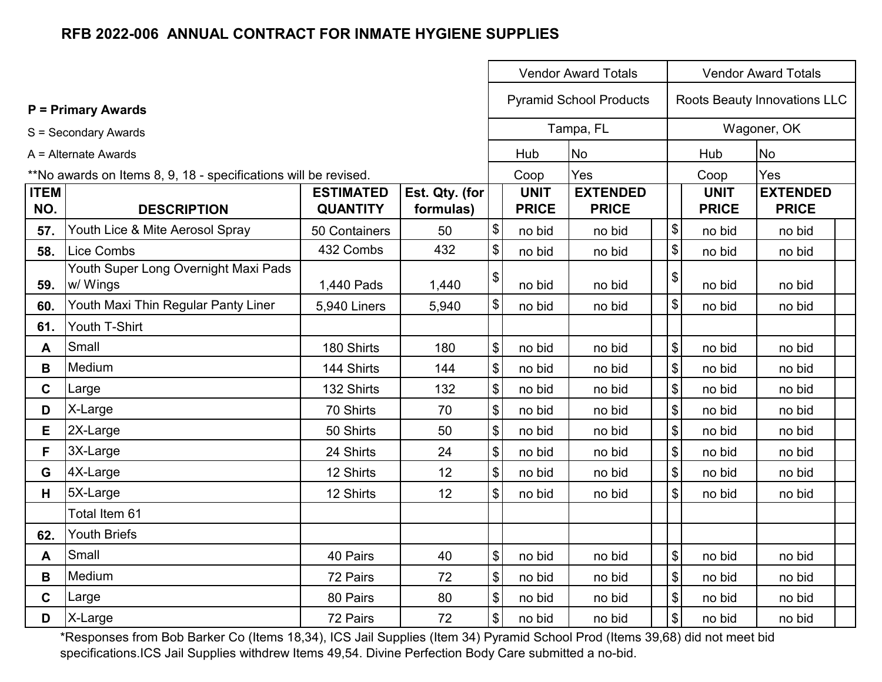|                    |                                                                 |                                     |                             |                                           | <b>Vendor Award Totals</b>  | <b>Vendor Award Totals</b>      |                            |                             |                                 |  |
|--------------------|-----------------------------------------------------------------|-------------------------------------|-----------------------------|-------------------------------------------|-----------------------------|---------------------------------|----------------------------|-----------------------------|---------------------------------|--|
|                    | <b>P = Primary Awards</b>                                       |                                     |                             |                                           |                             | <b>Pyramid School Products</b>  |                            |                             | Roots Beauty Innovations LLC    |  |
|                    | S = Secondary Awards                                            |                                     |                             |                                           |                             | Tampa, FL                       |                            |                             | Wagoner, OK                     |  |
|                    | A = Alternate Awards                                            |                                     |                             |                                           | Hub                         | No                              |                            | Hub                         | <b>No</b>                       |  |
|                    | **No awards on Items 8, 9, 18 - specifications will be revised. |                                     |                             |                                           | Coop                        | Yes                             |                            | Coop                        | Yes                             |  |
| <b>ITEM</b><br>NO. | <b>DESCRIPTION</b>                                              | <b>ESTIMATED</b><br><b>QUANTITY</b> | Est. Qty. (for<br>formulas) |                                           | <b>UNIT</b><br><b>PRICE</b> | <b>EXTENDED</b><br><b>PRICE</b> |                            | <b>UNIT</b><br><b>PRICE</b> | <b>EXTENDED</b><br><b>PRICE</b> |  |
| 57.                | Youth Lice & Mite Aerosol Spray                                 | 50 Containers                       | 50                          | $\, \, \raisebox{12pt}{$\scriptstyle \$}$ | no bid                      | no bid                          | $\boldsymbol{\$}$          | no bid                      | no bid                          |  |
| 58.                | Lice Combs                                                      | 432 Combs                           | 432                         | $\boldsymbol{\mathsf{\$}}$                | no bid                      | no bid                          | $\boldsymbol{\mathsf{\$}}$ | no bid                      | no bid                          |  |
| 59.                | Youth Super Long Overnight Maxi Pads<br>w/ Wings                | 1,440 Pads                          | 1,440                       | $\pmb{\mathfrak{P}}$                      | no bid                      | no bid                          | \$                         | no bid                      | no bid                          |  |
| 60.                | Youth Maxi Thin Regular Panty Liner                             | <b>5,940 Liners</b>                 | 5,940                       | $\boldsymbol{\mathsf{\$}}$                | no bid                      | no bid                          | $\boldsymbol{\$}$          | no bid                      | no bid                          |  |
| 61.                | Youth T-Shirt                                                   |                                     |                             |                                           |                             |                                 |                            |                             |                                 |  |
| A                  | Small                                                           | 180 Shirts                          | 180                         | $\sqrt[6]{\frac{1}{2}}$                   | no bid                      | no bid                          | $\$\$                      | no bid                      | no bid                          |  |
| B                  | Medium                                                          | 144 Shirts                          | 144                         | $\boldsymbol{\mathsf{S}}$                 | no bid                      | no bid                          | $\boldsymbol{\mathsf{\$}}$ | no bid                      | no bid                          |  |
| C                  | Large                                                           | 132 Shirts                          | 132                         | $\sqrt[6]{\frac{1}{2}}$                   | no bid                      | no bid                          | $\boldsymbol{\$}$          | no bid                      | no bid                          |  |
| D                  | X-Large                                                         | 70 Shirts                           | 70                          | $\boldsymbol{\$}$                         | no bid                      | no bid                          | $\boldsymbol{\mathsf{\$}}$ | no bid                      | no bid                          |  |
| E                  | 2X-Large                                                        | 50 Shirts                           | 50                          | $\sqrt[6]{\frac{1}{2}}$                   | no bid                      | no bid                          | $\boldsymbol{\mathsf{\$}}$ | no bid                      | no bid                          |  |
| F                  | 3X-Large                                                        | 24 Shirts                           | 24                          | $\boldsymbol{\mathsf{\$}}$                | no bid                      | no bid                          | $\boldsymbol{\$}$          | no bid                      | no bid                          |  |
| G                  | 4X-Large                                                        | 12 Shirts                           | 12                          | $\sqrt[6]{\frac{1}{2}}$                   | no bid                      | no bid                          | $\boldsymbol{\mathsf{\$}}$ | no bid                      | no bid                          |  |
| H                  | 5X-Large                                                        | 12 Shirts                           | 12                          | $\frac{1}{2}$                             | no bid                      | no bid                          | \$                         | no bid                      | no bid                          |  |
|                    | Total Item 61                                                   |                                     |                             |                                           |                             |                                 |                            |                             |                                 |  |
| 62.                | <b>Youth Briefs</b>                                             |                                     |                             |                                           |                             |                                 |                            |                             |                                 |  |
| A                  | Small                                                           | 40 Pairs                            | 40                          | $\sqrt[6]{\frac{1}{2}}$                   | no bid                      | no bid                          | \$                         | no bid                      | no bid                          |  |
| B                  | Medium                                                          | 72 Pairs                            | 72                          | $\sqrt[6]{\frac{1}{2}}$                   | no bid                      | no bid                          | $\boldsymbol{\mathsf{S}}$  | no bid                      | no bid                          |  |
| $\mathbf C$        | Large                                                           | 80 Pairs                            | 80                          | $\, \, \$$                                | no bid                      | no bid                          | $\boldsymbol{\$}$          | no bid                      | no bid                          |  |
| D                  | X-Large                                                         | 72 Pairs                            | 72                          | $\sqrt[6]{\frac{1}{2}}$                   | no bid                      | no bid                          | $\boldsymbol{\mathsf{\$}}$ | no bid                      | no bid                          |  |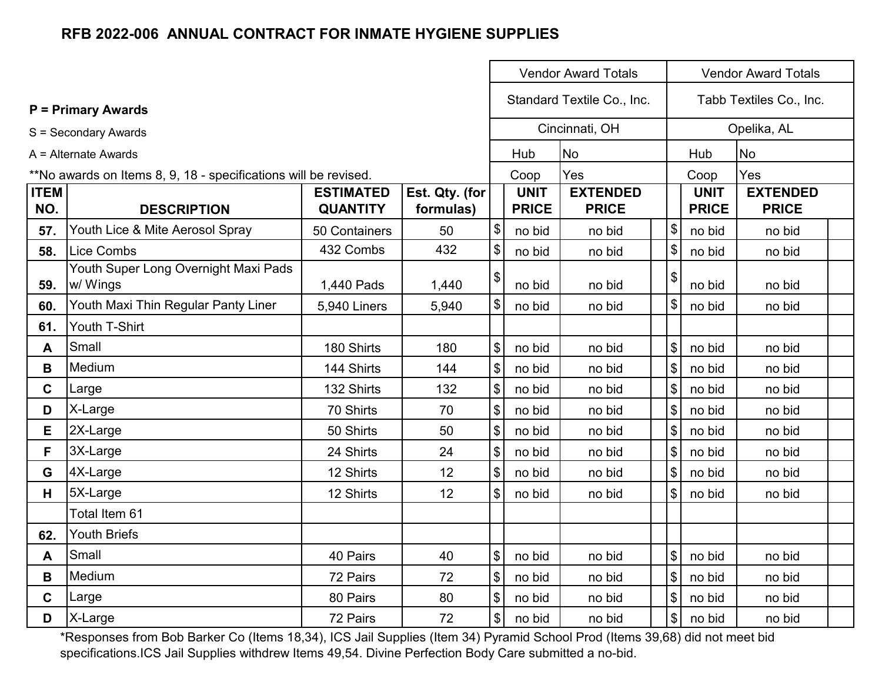|                    |                                                                 |                                     |                             | <b>Vendor Award Totals</b> |                             |                                 |                           |                             |                                 |  |
|--------------------|-----------------------------------------------------------------|-------------------------------------|-----------------------------|----------------------------|-----------------------------|---------------------------------|---------------------------|-----------------------------|---------------------------------|--|
|                    | $P = Primary Awards$                                            |                                     |                             |                            |                             | Standard Textile Co., Inc.      |                           |                             | Tabb Textiles Co., Inc.         |  |
|                    | S = Secondary Awards                                            |                                     |                             |                            |                             | Cincinnati, OH                  |                           |                             | Opelika, AL                     |  |
|                    | A = Alternate Awards                                            |                                     |                             |                            | Hub                         | <b>No</b>                       |                           | Hub                         | <b>No</b>                       |  |
|                    | **No awards on Items 8, 9, 18 - specifications will be revised. |                                     |                             |                            | Coop                        | Yes                             |                           | Coop                        | Yes                             |  |
| <b>ITEM</b><br>NO. | <b>DESCRIPTION</b>                                              | <b>ESTIMATED</b><br><b>QUANTITY</b> | Est. Qty. (for<br>formulas) |                            | <b>UNIT</b><br><b>PRICE</b> | <b>EXTENDED</b><br><b>PRICE</b> |                           | <b>UNIT</b><br><b>PRICE</b> | <b>EXTENDED</b><br><b>PRICE</b> |  |
| 57.                | Youth Lice & Mite Aerosol Spray                                 | 50 Containers                       | 50                          | \$                         | no bid                      | no bid                          | $\frac{1}{2}$             | no bid                      | no bid                          |  |
| 58.                | <b>Lice Combs</b>                                               | 432 Combs                           | 432                         | \$                         | no bid                      | no bid                          | $\boldsymbol{\mathsf{S}}$ | no bid                      | no bid                          |  |
| 59.                | Youth Super Long Overnight Maxi Pads<br>w/ Wings                | 1,440 Pads                          | 1,440                       | \$                         | no bid                      | no bid                          | \$                        | no bid                      | no bid                          |  |
| 60.                | Youth Maxi Thin Regular Panty Liner                             | <b>5,940 Liners</b>                 | 5,940                       | $\$\$                      | no bid                      | no bid                          | $\$\$                     | no bid                      | no bid                          |  |
| 61.                | Youth T-Shirt                                                   |                                     |                             |                            |                             |                                 |                           |                             |                                 |  |
| A                  | Small                                                           | 180 Shirts                          | 180                         | $\sqrt[6]{\frac{1}{2}}$    | no bid                      | no bid                          | $\mathbb{S}$              | no bid                      | no bid                          |  |
| B                  | Medium                                                          | 144 Shirts                          | 144                         | $\boldsymbol{\$}$          | no bid                      | no bid                          | $\sqrt[6]{\frac{1}{2}}$   | no bid                      | no bid                          |  |
| C.                 | Large                                                           | 132 Shirts                          | 132                         | \$                         | no bid                      | no bid                          | $\mathfrak{S}$            | no bid                      | no bid                          |  |
| D                  | X-Large                                                         | 70 Shirts                           | 70                          | $\boldsymbol{\$}$          | no bid                      | no bid                          | $\mathsf{\$}$             | no bid                      | no bid                          |  |
| E                  | 2X-Large                                                        | 50 Shirts                           | 50                          | $\boldsymbol{\mathsf{\$}}$ | no bid                      | no bid                          | $\$\$                     | no bid                      | no bid                          |  |
| F                  | 3X-Large                                                        | 24 Shirts                           | 24                          | $\boldsymbol{\$}$          | no bid                      | no bid                          | $\$\$                     | no bid                      | no bid                          |  |
| G                  | 4X-Large                                                        | 12 Shirts                           | 12                          | $\boldsymbol{\$}$          | no bid                      | no bid                          | $\boldsymbol{\mathsf{S}}$ | no bid                      | no bid                          |  |
| Н.                 | 5X-Large                                                        | 12 Shirts                           | 12                          | $\sqrt[6]{\frac{1}{2}}$    | no bid                      | no bid                          | $\mathbb{S}$              | no bid                      | no bid                          |  |
|                    | Total Item 61                                                   |                                     |                             |                            |                             |                                 |                           |                             |                                 |  |
| 62.                | <b>Youth Briefs</b>                                             |                                     |                             |                            |                             |                                 |                           |                             |                                 |  |
| A                  | Small                                                           | 40 Pairs                            | 40                          | $\$\$                      | no bid                      | no bid                          | $\$\$                     | no bid                      | no bid                          |  |
| B                  | Medium                                                          | 72 Pairs                            | 72                          | $\boldsymbol{\mathsf{S}}$  | no bid                      | no bid                          | $\boldsymbol{\mathsf{S}}$ | no bid                      | no bid                          |  |
| $\mathbf{C}$       | Large                                                           | 80 Pairs                            | 80                          | $\boldsymbol{\mathsf{S}}$  | no bid                      | no bid                          | $\$\$                     | no bid                      | no bid                          |  |
| D                  | X-Large                                                         | 72 Pairs                            | 72                          | \$                         | no bid                      | no bid                          | $\sqrt[6]{\frac{1}{2}}$   | no bid                      | no bid                          |  |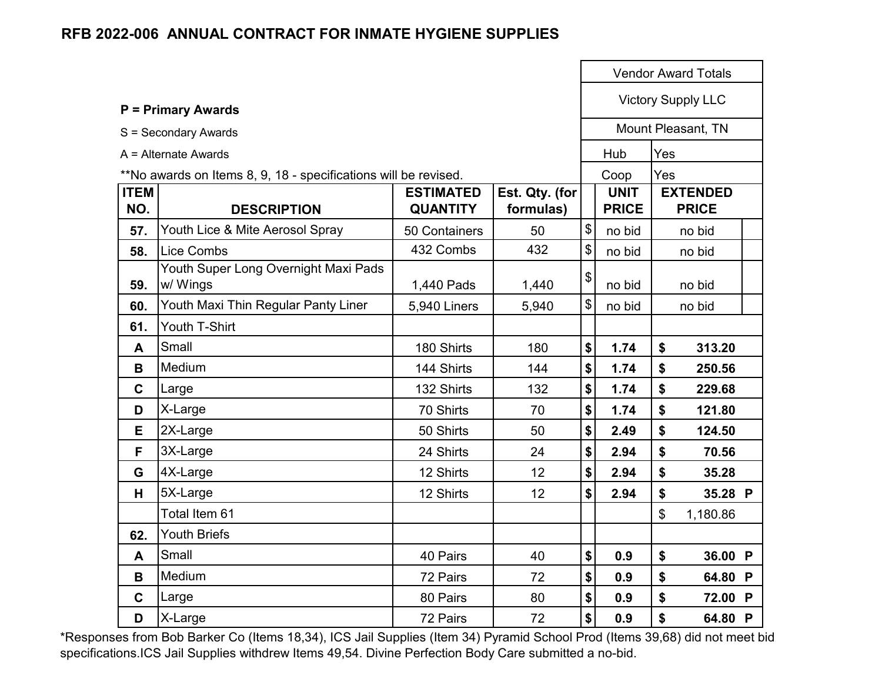|                    |                                                                 |                                     |                             |                           |                             |                | <b>Vendor Award Totals</b>      |  |
|--------------------|-----------------------------------------------------------------|-------------------------------------|-----------------------------|---------------------------|-----------------------------|----------------|---------------------------------|--|
|                    | <b>P = Primary Awards</b>                                       |                                     |                             |                           |                             |                | <b>Victory Supply LLC</b>       |  |
|                    | S = Secondary Awards                                            |                                     |                             |                           |                             |                | Mount Pleasant, TN              |  |
|                    | $A =$ Alternate Awards                                          |                                     |                             |                           | Hub                         | Yes            |                                 |  |
|                    | **No awards on Items 8, 9, 18 - specifications will be revised. |                                     |                             |                           | Coop                        | Yes            |                                 |  |
| <b>ITEM</b><br>NO. | <b>DESCRIPTION</b>                                              | <b>ESTIMATED</b><br><b>QUANTITY</b> | Est. Qty. (for<br>formulas) |                           | <b>UNIT</b><br><b>PRICE</b> |                | <b>EXTENDED</b><br><b>PRICE</b> |  |
| 57.                | Youth Lice & Mite Aerosol Spray                                 | 50 Containers                       | 50                          | \$                        | no bid                      |                | no bid                          |  |
| 58.                | <b>Lice Combs</b>                                               | 432 Combs                           | 432                         | $\boldsymbol{\mathsf{S}}$ | no bid                      |                | no bid                          |  |
| 59.                | Youth Super Long Overnight Maxi Pads<br>w/ Wings                | 1,440 Pads                          | 1,440                       | \$                        | no bid                      |                | no bid                          |  |
| 60.                | Youth Maxi Thin Regular Panty Liner                             | 5,940 Liners                        | 5,940                       | \$                        | no bid                      |                | no bid                          |  |
| 61.                | Youth T-Shirt                                                   |                                     |                             |                           |                             |                |                                 |  |
| A                  | Small                                                           | 180 Shirts                          | 180                         | \$                        | 1.74                        | \$             | 313.20                          |  |
| B                  | Medium                                                          | 144 Shirts                          | 144                         | \$                        | 1.74                        | \$             | 250.56                          |  |
| $\mathbf C$        | Large                                                           | 132 Shirts                          | 132                         | \$                        | 1.74                        | \$             | 229.68                          |  |
| D                  | X-Large                                                         | 70 Shirts                           | 70                          | \$                        | 1.74                        | \$             | 121.80                          |  |
| E                  | 2X-Large                                                        | 50 Shirts                           | 50                          | \$                        | 2.49                        | \$             | 124.50                          |  |
| F                  | 3X-Large                                                        | 24 Shirts                           | 24                          | \$                        | 2.94                        | \$             | 70.56                           |  |
| G                  | 4X-Large                                                        | 12 Shirts                           | 12                          | \$                        | 2.94                        | \$             | 35.28                           |  |
| H                  | 5X-Large                                                        | 12 Shirts                           | 12                          | \$                        | 2.94                        | \$             | 35.28 P                         |  |
|                    | Total Item 61                                                   |                                     |                             |                           |                             | $\mathfrak{S}$ | 1,180.86                        |  |
| 62.                | <b>Youth Briefs</b>                                             |                                     |                             |                           |                             |                |                                 |  |
| A                  | Small                                                           | 40 Pairs                            | 40                          | \$                        | 0.9                         | \$             | 36.00 P                         |  |
| B                  | Medium                                                          | 72 Pairs                            | 72                          | \$                        | 0.9                         | \$             | 64.80 P                         |  |
| $\mathbf C$        | Large                                                           | 80 Pairs                            | 80                          | \$                        | 0.9                         | \$             | 72.00 P                         |  |
| D                  | X-Large                                                         | 72 Pairs                            | 72                          | \$                        | 0.9                         | \$             | 64.80 P                         |  |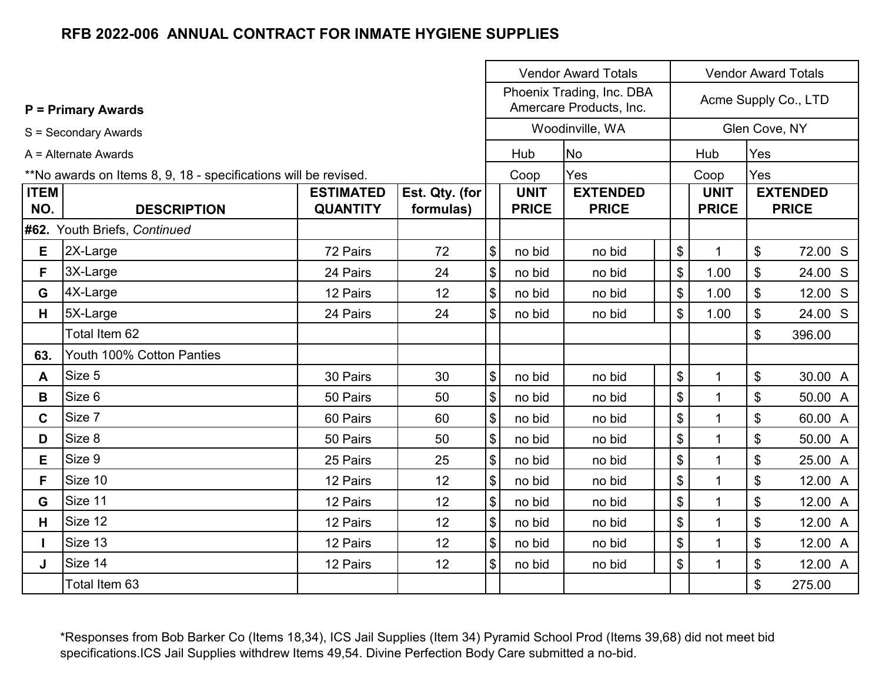|                                                                 |                              |                  |                |                                                      | <b>Vendor Award Totals</b><br><b>Vendor Award Totals</b> |                 |                            |              |     |                      |
|-----------------------------------------------------------------|------------------------------|------------------|----------------|------------------------------------------------------|----------------------------------------------------------|-----------------|----------------------------|--------------|-----|----------------------|
|                                                                 | <b>P</b> = Primary Awards    |                  |                | Phoenix Trading, Inc. DBA<br>Amercare Products, Inc. |                                                          |                 |                            |              |     | Acme Supply Co., LTD |
|                                                                 | S = Secondary Awards         |                  |                |                                                      |                                                          | Woodinville, WA |                            |              |     | Glen Cove, NY        |
|                                                                 | A = Alternate Awards         |                  |                |                                                      | Hub                                                      | <b>No</b>       |                            | Hub          | Yes |                      |
| **No awards on Items 8, 9, 18 - specifications will be revised. |                              |                  |                |                                                      | Coop                                                     | Yes             |                            | Coop         | Yes |                      |
| <b>ITEM</b>                                                     |                              | <b>ESTIMATED</b> | Est. Qty. (for |                                                      | <b>UNIT</b>                                              | <b>EXTENDED</b> |                            | <b>UNIT</b>  |     | <b>EXTENDED</b>      |
| NO.                                                             | <b>DESCRIPTION</b>           | <b>QUANTITY</b>  | formulas)      |                                                      | <b>PRICE</b>                                             | <b>PRICE</b>    |                            | <b>PRICE</b> |     | <b>PRICE</b>         |
|                                                                 | #62. Youth Briefs, Continued |                  |                |                                                      |                                                          |                 |                            |              |     |                      |
| Е                                                               | 2X-Large                     | 72 Pairs         | 72             | $\boldsymbol{\$}$                                    | no bid                                                   | no bid          | \$                         | $\mathbf{1}$ | \$  | 72.00 S              |
| F.                                                              | 3X-Large                     | 24 Pairs         | 24             | $\boldsymbol{\$}$                                    | no bid                                                   | no bid          | $\frac{1}{2}$              | 1.00         | \$  | 24.00 S              |
| G                                                               | 4X-Large                     | 12 Pairs         | 12             | $\boldsymbol{\$}$                                    | no bid                                                   | no bid          | $\mathsf{\$}$              | 1.00         | \$  | 12.00 S              |
| H                                                               | 5X-Large                     | 24 Pairs         | 24             | $\$\$                                                | no bid                                                   | no bid          | \$                         | 1.00         | \$  | 24.00 S              |
|                                                                 | Total Item 62                |                  |                |                                                      |                                                          |                 |                            |              | \$  | 396.00               |
| 63.                                                             | Youth 100% Cotton Panties    |                  |                |                                                      |                                                          |                 |                            |              |     |                      |
| A                                                               | Size 5                       | 30 Pairs         | 30             | $\$\$                                                | no bid                                                   | no bid          | \$                         | $\mathbf{1}$ | \$  | 30.00 A              |
| B                                                               | Size 6                       | 50 Pairs         | 50             | \$                                                   | no bid                                                   | no bid          | $\boldsymbol{\mathsf{\$}}$ | $\mathbf{1}$ | \$  | 50.00 A              |
| C                                                               | Size 7                       | 60 Pairs         | 60             | $\$\$                                                | no bid                                                   | no bid          | $\boldsymbol{\mathsf{S}}$  | 1            | \$  | 60.00 A              |
| D                                                               | Size 8                       | 50 Pairs         | 50             | \$                                                   | no bid                                                   | no bid          | $\boldsymbol{\mathsf{\$}}$ | $\mathbf{1}$ | \$  | 50.00 A              |
| E.                                                              | Size 9                       | 25 Pairs         | 25             | $\boldsymbol{\mathsf{S}}$                            | no bid                                                   | no bid          | $\$\$                      | $\mathbf{1}$ | \$  | 25.00 A              |
| F                                                               | Size 10                      | 12 Pairs         | 12             | $\boldsymbol{\mathsf{\$}}$                           | no bid                                                   | no bid          | $\mathfrak{S}$             | $\mathbf{1}$ | \$  | 12.00 A              |
| G                                                               | Size 11                      | 12 Pairs         | 12             | $\boldsymbol{\$}$                                    | no bid                                                   | no bid          | $\mathsf{\$}$              | $\mathbf{1}$ | \$  | 12.00 A              |
| H.                                                              | Size 12                      | 12 Pairs         | 12             | $\boldsymbol{\$}$                                    | no bid                                                   | no bid          | $\mathfrak{S}$             | $\mathbf{1}$ | \$  | 12.00 A              |
|                                                                 | Size 13                      | 12 Pairs         | 12             | $\boldsymbol{\$}$                                    | no bid                                                   | no bid          | $\$\$                      | $\mathbf{1}$ | \$  | 12.00 A              |
| J                                                               | Size 14                      | 12 Pairs         | 12             | $\, \, \raisebox{12pt}{$\scriptstyle \$}$            | no bid                                                   | no bid          | \$                         | $\mathbf{1}$ | \$  | 12.00 A              |
|                                                                 | Total Item 63                |                  |                |                                                      |                                                          |                 |                            |              | \$  | 275.00               |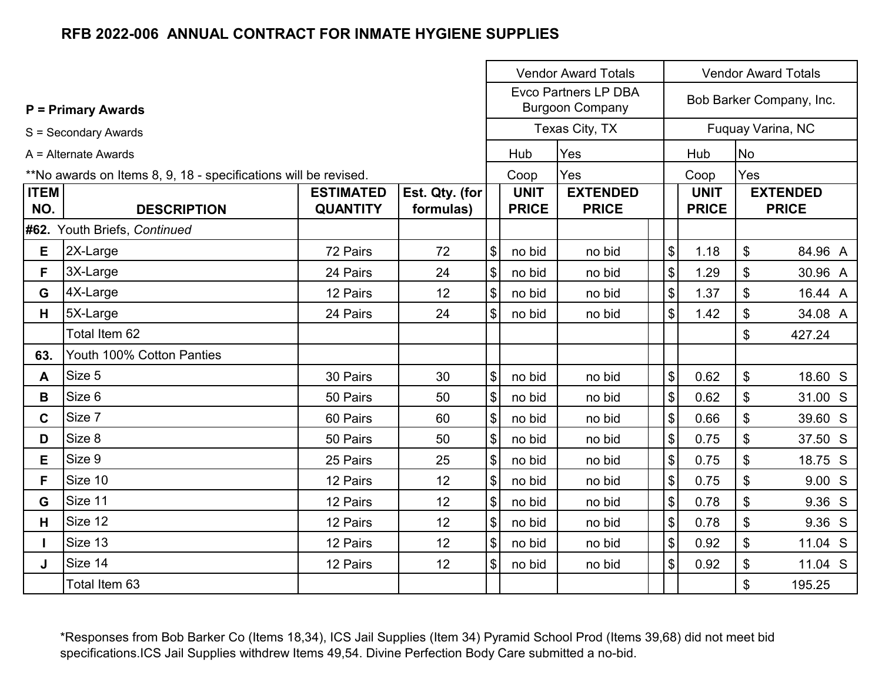|                                                                 |                              |                  | <b>Vendor Award Totals</b><br><b>Vendor Award Totals</b> |                            |                                                       |                 |                           |              |                          |                 |
|-----------------------------------------------------------------|------------------------------|------------------|----------------------------------------------------------|----------------------------|-------------------------------------------------------|-----------------|---------------------------|--------------|--------------------------|-----------------|
|                                                                 | <b>P</b> = Primary Awards    |                  |                                                          |                            | <b>Evco Partners LP DBA</b><br><b>Burgoon Company</b> |                 |                           |              | Bob Barker Company, Inc. |                 |
|                                                                 | S = Secondary Awards         |                  |                                                          |                            |                                                       | Texas City, TX  |                           |              | Fuquay Varina, NC        |                 |
|                                                                 | A = Alternate Awards         |                  |                                                          |                            |                                                       | Yes             |                           | Hub          | No                       |                 |
| **No awards on Items 8, 9, 18 - specifications will be revised. |                              |                  |                                                          |                            | Coop                                                  | Yes             |                           | Coop         | Yes                      |                 |
| <b>ITEM</b>                                                     |                              | <b>ESTIMATED</b> | Est. Qty. (for                                           |                            | <b>UNIT</b>                                           | <b>EXTENDED</b> |                           | <b>UNIT</b>  |                          | <b>EXTENDED</b> |
| NO.                                                             | <b>DESCRIPTION</b>           | <b>QUANTITY</b>  | formulas)                                                |                            | <b>PRICE</b>                                          | <b>PRICE</b>    |                           | <b>PRICE</b> |                          | <b>PRICE</b>    |
|                                                                 | #62. Youth Briefs, Continued |                  |                                                          |                            |                                                       |                 |                           |              |                          |                 |
| Е                                                               | 2X-Large                     | 72 Pairs         | 72                                                       | \$                         | no bid                                                | no bid          | \$                        | 1.18         | \$                       | 84.96 A         |
| F.                                                              | 3X-Large                     | 24 Pairs         | 24                                                       | $\$\$                      | no bid                                                | no bid          | $\$\$                     | 1.29         | \$                       | 30.96 A         |
| G                                                               | 4X-Large                     | 12 Pairs         | 12                                                       | \$                         | no bid                                                | no bid          | $\$\$                     | 1.37         | \$                       | 16.44 A         |
| H                                                               | 5X-Large                     | 24 Pairs         | 24                                                       | $\$\$                      | no bid                                                | no bid          | $\mathfrak{S}$            | 1.42         | \$                       | 34.08 A         |
|                                                                 | Total Item 62                |                  |                                                          |                            |                                                       |                 |                           |              | \$                       | 427.24          |
| 63.                                                             | Youth 100% Cotton Panties    |                  |                                                          |                            |                                                       |                 |                           |              |                          |                 |
| A                                                               | Size 5                       | 30 Pairs         | 30                                                       | $\frac{1}{2}$              | no bid                                                | no bid          | $\boldsymbol{\mathsf{S}}$ | 0.62         | \$                       | 18.60 S         |
| B                                                               | Size 6                       | 50 Pairs         | 50                                                       | $\boldsymbol{\mathcal{L}}$ | no bid                                                | no bid          | $\boldsymbol{\mathsf{S}}$ | 0.62         | \$                       | 31.00 S         |
| $\mathbf{C}$                                                    | Size 7                       | 60 Pairs         | 60                                                       | $\$\$                      | no bid                                                | no bid          | $\$\$                     | 0.66         | \$                       | 39.60 S         |
| D                                                               | Size 8                       | 50 Pairs         | 50                                                       | \$                         | no bid                                                | no bid          | $\$\$                     | 0.75         | \$                       | 37.50 S         |
| Е                                                               | Size 9                       | 25 Pairs         | 25                                                       | $\sqrt{3}$                 | no bid                                                | no bid          | $\mathcal{S}$             | 0.75         | \$                       | 18.75 S         |
| F.                                                              | Size 10                      | 12 Pairs         | 12                                                       | $\$\$                      | no bid                                                | no bid          | $\$\$                     | 0.75         | \$                       | 9.00 S          |
| G                                                               | Size 11                      | 12 Pairs         | 12                                                       | $\sqrt{3}$                 | no bid                                                | no bid          | $\boldsymbol{\mathsf{S}}$ | 0.78         | \$                       | 9.36 S          |
| H.                                                              | Size 12                      | 12 Pairs         | 12                                                       | \$                         | no bid                                                | no bid          | $\$\$                     | 0.78         | \$                       | 9.36 S          |
|                                                                 | Size 13                      | 12 Pairs         | 12                                                       | \$                         | no bid                                                | no bid          | $\$\$                     | 0.92         | \$                       | 11.04 S         |
| J                                                               | Size 14                      | 12 Pairs         | 12                                                       | \$                         | no bid                                                | no bid          | $\boldsymbol{\mathsf{S}}$ | 0.92         | \$                       | 11.04 S         |
|                                                                 | Total Item 63                |                  |                                                          |                            |                                                       |                 |                           |              | \$                       | 195.25          |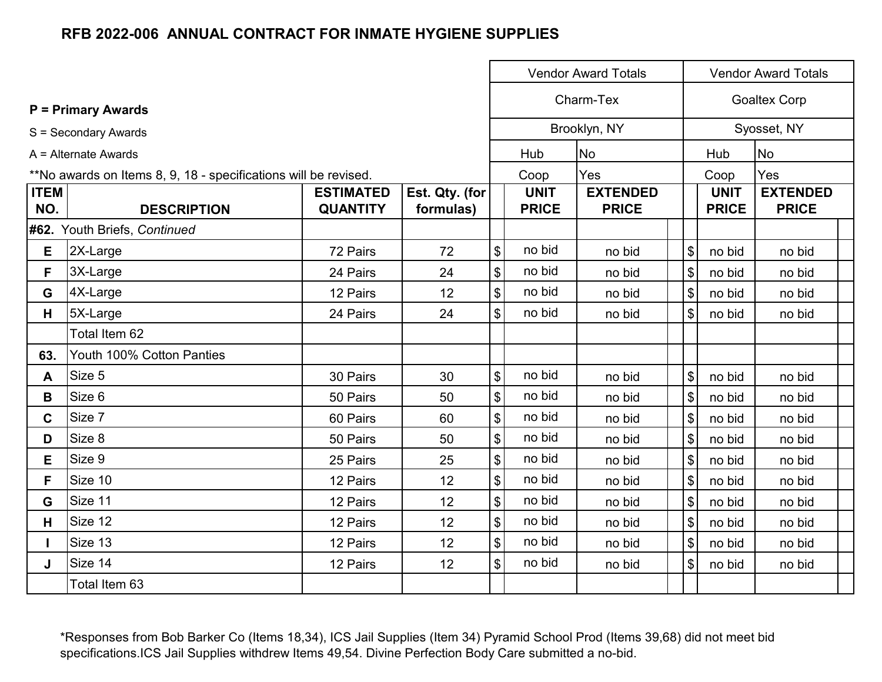|                    |                                                                 |                                     |                             |                            |                             | <b>Vendor Award Totals</b>      |                              |                             | <b>Vendor Award Totals</b>      |
|--------------------|-----------------------------------------------------------------|-------------------------------------|-----------------------------|----------------------------|-----------------------------|---------------------------------|------------------------------|-----------------------------|---------------------------------|
|                    | <b>P</b> = Primary Awards                                       |                                     |                             |                            |                             | Charm-Tex                       |                              |                             | <b>Goaltex Corp</b>             |
|                    | S = Secondary Awards                                            |                                     |                             |                            |                             | Brooklyn, NY                    |                              |                             | Syosset, NY                     |
|                    | A = Alternate Awards                                            |                                     |                             |                            | Hub                         | No                              |                              | Hub                         | <b>No</b>                       |
|                    | **No awards on Items 8, 9, 18 - specifications will be revised. |                                     |                             |                            | Coop                        | Yes                             |                              | Coop                        | Yes                             |
| <b>ITEM</b><br>NO. | <b>DESCRIPTION</b>                                              | <b>ESTIMATED</b><br><b>QUANTITY</b> | Est. Qty. (for<br>formulas) |                            | <b>UNIT</b><br><b>PRICE</b> | <b>EXTENDED</b><br><b>PRICE</b> |                              | <b>UNIT</b><br><b>PRICE</b> | <b>EXTENDED</b><br><b>PRICE</b> |
|                    | #62. Youth Briefs, Continued                                    |                                     |                             |                            |                             |                                 |                              |                             |                                 |
| Е                  | 2X-Large                                                        | 72 Pairs                            | 72                          | $\boldsymbol{\mathsf{S}}$  | no bid                      | no bid                          | $\boldsymbol{\mathsf{S}}$    | no bid                      | no bid                          |
| F.                 | 3X-Large                                                        | 24 Pairs                            | 24                          | $\boldsymbol{\mathsf{\$}}$ | no bid                      | no bid                          | $\boldsymbol{\mathsf{S}}$    | no bid                      | no bid                          |
| G                  | 4X-Large                                                        | 12 Pairs                            | 12                          | $\boldsymbol{\mathsf{S}}$  | no bid                      | no bid                          | $\left  \frac{1}{2} \right $ | no bid                      | no bid                          |
| H.                 | 5X-Large                                                        | 24 Pairs                            | 24                          | $\boldsymbol{\mathsf{S}}$  | no bid                      | no bid                          | $\left  \frac{1}{2} \right $ | no bid                      | no bid                          |
|                    | Total Item 62                                                   |                                     |                             |                            |                             |                                 |                              |                             |                                 |
| 63.                | Youth 100% Cotton Panties                                       |                                     |                             |                            |                             |                                 |                              |                             |                                 |
| A                  | Size 5                                                          | 30 Pairs                            | 30                          | $\boldsymbol{\mathsf{S}}$  | no bid                      | no bid                          | $\mathfrak{S}$               | no bid                      | no bid                          |
| B                  | Size 6                                                          | 50 Pairs                            | 50                          | $\boldsymbol{\$}$          | no bid                      | no bid                          | $\mathfrak{L}$               | no bid                      | no bid                          |
| C.                 | Size 7                                                          | 60 Pairs                            | 60                          | $\boldsymbol{\mathsf{\$}}$ | no bid                      | no bid                          | $\left  \mathcal{L} \right $ | no bid                      | no bid                          |
| D                  | Size 8                                                          | 50 Pairs                            | 50                          | $\boldsymbol{\mathsf{\$}}$ | no bid                      | no bid                          | $\left  \frac{1}{2} \right $ | no bid                      | no bid                          |
| E.                 | Size 9                                                          | 25 Pairs                            | 25                          | $\boldsymbol{\mathsf{\$}}$ | no bid                      | no bid                          | $\$\$                        | no bid                      | no bid                          |
| F.                 | Size 10                                                         | 12 Pairs                            | 12                          | $\boldsymbol{\mathsf{S}}$  | no bid                      | no bid                          | \$                           | no bid                      | no bid                          |
| G                  | Size 11                                                         | 12 Pairs                            | 12                          | $\boldsymbol{\mathsf{S}}$  | no bid                      | no bid                          | \$                           | no bid                      | no bid                          |
| H                  | Size 12                                                         | 12 Pairs                            | 12                          | $\boldsymbol{\mathsf{\$}}$ | no bid                      | no bid                          | \$                           | no bid                      | no bid                          |
|                    | Size 13                                                         | 12 Pairs                            | 12                          | $\boldsymbol{\mathsf{S}}$  | no bid                      | no bid                          | $\left  \frac{1}{2} \right $ | no bid                      | no bid                          |
| J                  | Size 14                                                         | 12 Pairs                            | 12                          | $\boldsymbol{\mathsf{S}}$  | no bid                      | no bid                          | $\left  \frac{1}{2} \right $ | no bid                      | no bid                          |
|                    | Total Item 63                                                   |                                     |                             |                            |                             |                                 |                              |                             |                                 |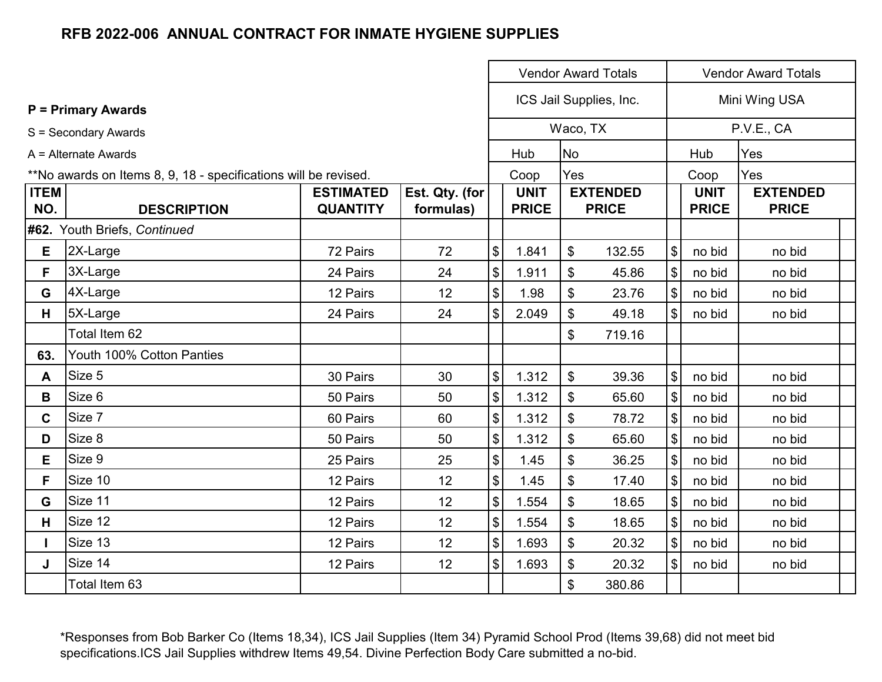|             |                                                                 |                  |                |                                           |              |                           | <b>Vendor Award Totals</b> |                            |              | <b>Vendor Award Totals</b> |
|-------------|-----------------------------------------------------------------|------------------|----------------|-------------------------------------------|--------------|---------------------------|----------------------------|----------------------------|--------------|----------------------------|
|             | <b>P</b> = Primary Awards                                       |                  |                |                                           |              |                           | ICS Jail Supplies, Inc.    |                            |              | Mini Wing USA              |
|             | S = Secondary Awards                                            |                  |                |                                           |              | Waco, TX                  |                            |                            |              | P.V.E., CA                 |
|             | A = Alternate Awards                                            |                  |                |                                           | Hub          | <b>No</b>                 |                            | Hub                        |              | Yes                        |
|             | **No awards on Items 8, 9, 18 - specifications will be revised. |                  |                |                                           | Coop         | Yes                       |                            |                            | Coop         | Yes                        |
| <b>ITEM</b> |                                                                 | <b>ESTIMATED</b> | Est. Qty. (for |                                           | <b>UNIT</b>  |                           | <b>EXTENDED</b>            |                            | <b>UNIT</b>  | <b>EXTENDED</b>            |
| NO.         | <b>DESCRIPTION</b>                                              | <b>QUANTITY</b>  | formulas)      |                                           | <b>PRICE</b> |                           | <b>PRICE</b>               |                            | <b>PRICE</b> | <b>PRICE</b>               |
|             | #62. Youth Briefs, Continued                                    |                  |                |                                           |              |                           |                            |                            |              |                            |
| E           | 2X-Large                                                        | 72 Pairs         | 72             | $\sqrt[6]{\frac{1}{2}}$                   | 1.841        | $\boldsymbol{\mathsf{S}}$ | 132.55                     | $\boldsymbol{\theta}$      | no bid       | no bid                     |
| F.          | 3X-Large                                                        | 24 Pairs         | 24             | $\sqrt[6]{\frac{1}{2}}$                   | 1.911        | \$                        | 45.86                      | $\sqrt[6]{\frac{1}{2}}$    | no bid       | no bid                     |
| G           | 4X-Large                                                        | 12 Pairs         | 12             | $\boldsymbol{\$}$                         | 1.98         | \$                        | 23.76                      | $\sqrt[6]{\frac{1}{2}}$    | no bid       | no bid                     |
| H           | 5X-Large                                                        | 24 Pairs         | 24             | $\$\$                                     | 2.049        | $\boldsymbol{\mathsf{S}}$ | 49.18                      | $\mathfrak{S}$             | no bid       | no bid                     |
|             | Total Item 62                                                   |                  |                |                                           |              | $\boldsymbol{\mathsf{S}}$ | 719.16                     |                            |              |                            |
| 63.         | Youth 100% Cotton Panties                                       |                  |                |                                           |              |                           |                            |                            |              |                            |
| A           | Size 5                                                          | 30 Pairs         | 30             | $\$\$                                     | 1.312        | \$                        | 39.36                      | $\sqrt{3}$                 | no bid       | no bid                     |
| B           | Size 6                                                          | 50 Pairs         | 50             | $\boldsymbol{\mathsf{S}}$                 | 1.312        | \$                        | 65.60                      | $\$\$                      | no bid       | no bid                     |
| C           | Size 7                                                          | 60 Pairs         | 60             | $\mathfrak{S}$                            | 1.312        | \$                        | 78.72                      | $\sqrt[6]{\frac{1}{2}}$    | no bid       | no bid                     |
| D           | Size 8                                                          | 50 Pairs         | 50             | $\boldsymbol{\$}$                         | 1.312        | \$                        | 65.60                      | $\boldsymbol{\mathsf{\$}}$ | no bid       | no bid                     |
| Е           | Size 9                                                          | 25 Pairs         | 25             | $\boldsymbol{\$}$                         | 1.45         | \$                        | 36.25                      | $\sqrt[6]{\frac{1}{2}}$    | no bid       | no bid                     |
| F.          | Size 10                                                         | 12 Pairs         | 12             | $\, \, \raisebox{12pt}{$\scriptstyle \$}$ | 1.45         | \$                        | 17.40                      | $$\mathfrak{S}$$           | no bid       | no bid                     |
| G           | Size 11                                                         | 12 Pairs         | 12             | $\boldsymbol{\$}$                         | 1.554        | $\boldsymbol{\mathsf{S}}$ | 18.65                      | $\boldsymbol{\mathsf{\$}}$ | no bid       | no bid                     |
| H           | Size 12                                                         | 12 Pairs         | 12             | $\sqrt[6]{\frac{1}{2}}$                   | 1.554        | $\boldsymbol{\mathsf{S}}$ | 18.65                      | $\sqrt[6]{\frac{1}{2}}$    | no bid       | no bid                     |
|             | Size 13                                                         | 12 Pairs         | 12             | $\sqrt[6]{\frac{1}{2}}$                   | 1.693        | \$                        | 20.32                      | $\sqrt[6]{\frac{1}{2}}$    | no bid       | no bid                     |
| J           | Size 14                                                         | 12 Pairs         | 12             | $\sqrt[6]{\frac{1}{2}}$                   | 1.693        | $\$\$                     | 20.32                      | $\sqrt{3}$                 | no bid       | no bid                     |
|             | Total Item 63                                                   |                  |                |                                           |              | \$                        | 380.86                     |                            |              |                            |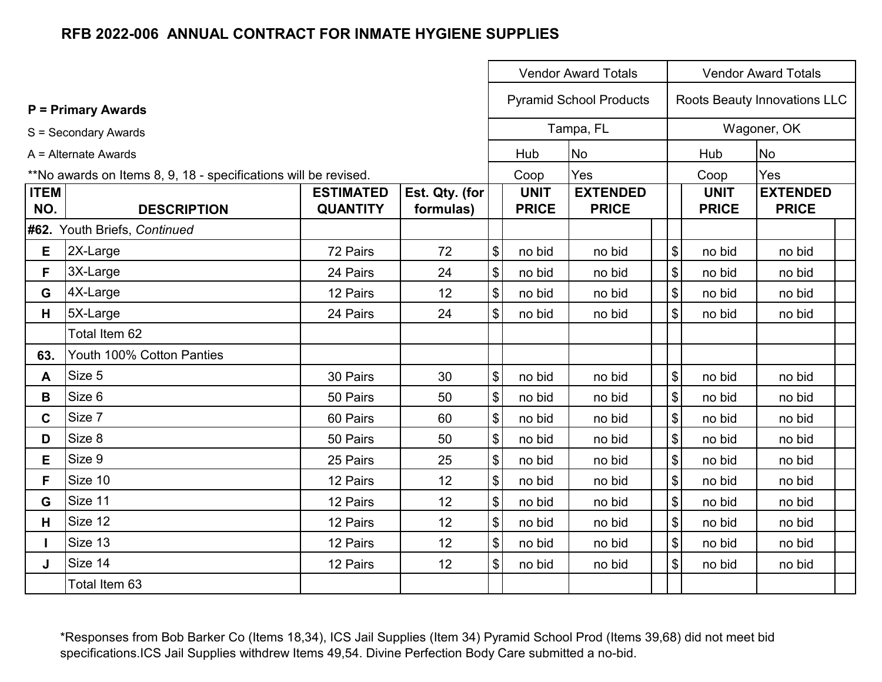|                    |                                                                 |                                     |                             |                            |                             | <b>Vendor Award Totals</b>      |                                           |                             | <b>Vendor Award Totals</b>      |  |
|--------------------|-----------------------------------------------------------------|-------------------------------------|-----------------------------|----------------------------|-----------------------------|---------------------------------|-------------------------------------------|-----------------------------|---------------------------------|--|
|                    | <b>P</b> = Primary Awards                                       |                                     |                             |                            |                             | <b>Pyramid School Products</b>  |                                           |                             | Roots Beauty Innovations LLC    |  |
|                    | S = Secondary Awards                                            |                                     |                             |                            |                             | Tampa, FL                       |                                           |                             | Wagoner, OK                     |  |
|                    | A = Alternate Awards                                            |                                     |                             |                            | Hub                         | <b>No</b>                       |                                           | Hub                         | <b>No</b>                       |  |
|                    | **No awards on Items 8, 9, 18 - specifications will be revised. |                                     |                             |                            | Coop                        | Yes                             |                                           | Coop                        | Yes                             |  |
| <b>ITEM</b><br>NO. | <b>DESCRIPTION</b>                                              | <b>ESTIMATED</b><br><b>QUANTITY</b> | Est. Qty. (for<br>formulas) |                            | <b>UNIT</b><br><b>PRICE</b> | <b>EXTENDED</b><br><b>PRICE</b> |                                           | <b>UNIT</b><br><b>PRICE</b> | <b>EXTENDED</b><br><b>PRICE</b> |  |
|                    | #62. Youth Briefs, Continued                                    |                                     |                             |                            |                             |                                 |                                           |                             |                                 |  |
| E                  | 2X-Large                                                        | 72 Pairs                            | 72                          | $\boldsymbol{\$}$          | no bid                      | no bid                          | \$                                        | no bid                      | no bid                          |  |
| F.                 | 3X-Large                                                        | 24 Pairs                            | 24                          | $\boldsymbol{\theta}$      | no bid                      | no bid                          | \$                                        | no bid                      | no bid                          |  |
| G                  | 4X-Large                                                        | 12 Pairs                            | 12                          | $\boldsymbol{\mathsf{\$}}$ | no bid                      | no bid                          | \$                                        | no bid                      | no bid                          |  |
| H                  | 5X-Large                                                        | 24 Pairs                            | 24                          | $\sqrt[6]{\frac{1}{2}}$    | no bid                      | no bid                          | $\mathfrak{S}$                            | no bid                      | no bid                          |  |
|                    | Total Item 62                                                   |                                     |                             |                            |                             |                                 |                                           |                             |                                 |  |
| 63.                | Youth 100% Cotton Panties                                       |                                     |                             |                            |                             |                                 |                                           |                             |                                 |  |
| A                  | Size 5                                                          | 30 Pairs                            | 30                          | $\boldsymbol{\mathsf{\$}}$ | no bid                      | no bid                          | \$                                        | no bid                      | no bid                          |  |
| B                  | Size 6                                                          | 50 Pairs                            | 50                          | $\boldsymbol{\mathsf{\$}}$ | no bid                      | no bid                          | $\boldsymbol{\mathsf{\$}}$                | no bid                      | no bid                          |  |
| C                  | Size 7                                                          | 60 Pairs                            | 60                          | $\, \, \$$                 | no bid                      | no bid                          | \$                                        | no bid                      | no bid                          |  |
| D                  | Size 8                                                          | 50 Pairs                            | 50                          | $\boldsymbol{\mathsf{\$}}$ | no bid                      | no bid                          | \$                                        | no bid                      | no bid                          |  |
| E                  | Size 9                                                          | 25 Pairs                            | 25                          | $\sqrt{3}$                 | no bid                      | no bid                          | \$                                        | no bid                      | no bid                          |  |
| F.                 | Size 10                                                         | 12 Pairs                            | 12                          | $\, \, \$$                 | no bid                      | no bid                          | $\, \, \raisebox{12pt}{$\scriptstyle \$}$ | no bid                      | no bid                          |  |
| G                  | Size 11                                                         | 12 Pairs                            | 12                          | $\boldsymbol{\mathsf{S}}$  | no bid                      | no bid                          | $\boldsymbol{\mathsf{\$}}$                | no bid                      | no bid                          |  |
| H                  | Size 12                                                         | 12 Pairs                            | 12                          | $\boldsymbol{\$}$          | no bid                      | no bid                          | $\boldsymbol{\mathsf{\$}}$                | no bid                      | no bid                          |  |
|                    | Size 13                                                         | 12 Pairs                            | 12                          | $\sqrt{3}$                 | no bid                      | no bid                          | \$                                        | no bid                      | no bid                          |  |
| J                  | Size 14                                                         | 12 Pairs                            | 12                          | $\boldsymbol{\mathsf{S}}$  | no bid                      | no bid                          | $\boldsymbol{\mathsf{S}}$                 | no bid                      | no bid                          |  |
|                    | Total Item 63                                                   |                                     |                             |                            |                             |                                 |                                           |                             |                                 |  |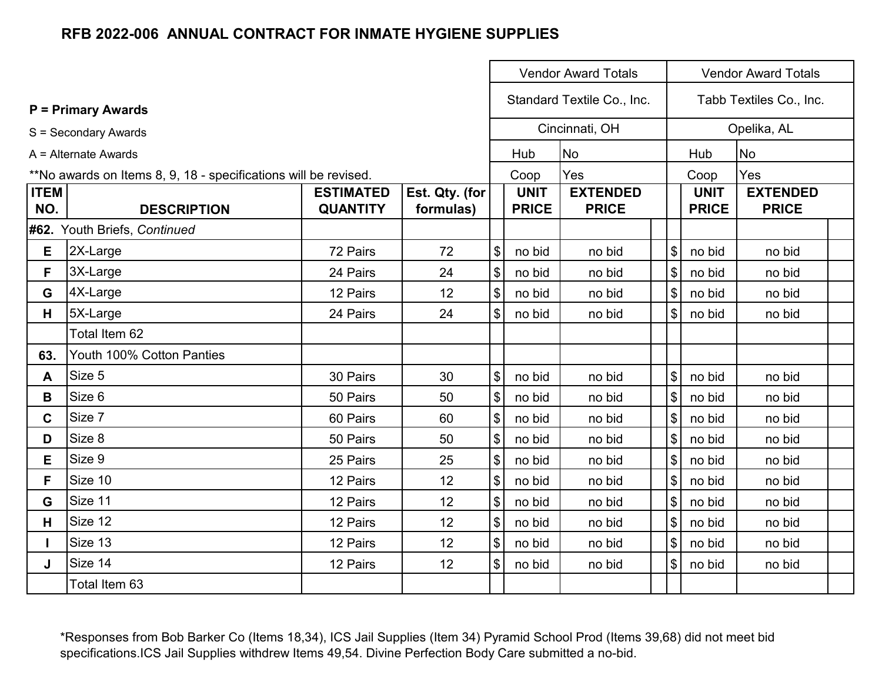|             |                                                                 |                  |                |                                           |              | <b>Vendor Award Totals</b> |                            |              | <b>Vendor Award Totals</b> |  |
|-------------|-----------------------------------------------------------------|------------------|----------------|-------------------------------------------|--------------|----------------------------|----------------------------|--------------|----------------------------|--|
|             | <b>P</b> = Primary Awards                                       |                  |                |                                           |              | Standard Textile Co., Inc. |                            |              | Tabb Textiles Co., Inc.    |  |
|             | S = Secondary Awards                                            |                  |                |                                           |              | Cincinnati, OH             |                            |              | Opelika, AL                |  |
|             | A = Alternate Awards                                            |                  |                |                                           | Hub          | <b>No</b>                  |                            | Hub          | <b>No</b>                  |  |
|             | **No awards on Items 8, 9, 18 - specifications will be revised. |                  |                |                                           | Coop         | Yes                        |                            | Coop         | Yes                        |  |
| <b>ITEM</b> |                                                                 | <b>ESTIMATED</b> | Est. Qty. (for |                                           | <b>UNIT</b>  | <b>EXTENDED</b>            |                            | <b>UNIT</b>  | <b>EXTENDED</b>            |  |
| NO.         | <b>DESCRIPTION</b>                                              | <b>QUANTITY</b>  | formulas)      |                                           | <b>PRICE</b> | <b>PRICE</b>               |                            | <b>PRICE</b> | <b>PRICE</b>               |  |
|             | #62. Youth Briefs, Continued                                    |                  |                |                                           |              |                            |                            |              |                            |  |
| Е           | 2X-Large                                                        | 72 Pairs         | 72             | \$                                        | no bid       | no bid                     | $\boldsymbol{\mathsf{S}}$  | no bid       | no bid                     |  |
| F.          | 3X-Large                                                        | 24 Pairs         | 24             | $\boldsymbol{\mathsf{S}}$                 | no bid       | no bid                     | $\boldsymbol{\mathsf{\$}}$ | no bid       | no bid                     |  |
| G           | 4X-Large                                                        | 12 Pairs         | 12             | $\boldsymbol{\$}$                         | no bid       | no bid                     | $\boldsymbol{\mathsf{S}}$  | no bid       | no bid                     |  |
| H           | 5X-Large                                                        | 24 Pairs         | 24             | $\boldsymbol{\mathsf{S}}$                 | no bid       | no bid                     | $\sqrt{3}$                 | no bid       | no bid                     |  |
|             | Total Item 62                                                   |                  |                |                                           |              |                            |                            |              |                            |  |
| 63.         | Youth 100% Cotton Panties                                       |                  |                |                                           |              |                            |                            |              |                            |  |
| A           | Size 5                                                          | 30 Pairs         | 30             | \$                                        | no bid       | no bid                     | $\boldsymbol{\mathsf{S}}$  | no bid       | no bid                     |  |
| B           | Size 6                                                          | 50 Pairs         | 50             | \$                                        | no bid       | no bid                     | $\boldsymbol{\mathsf{S}}$  | no bid       | no bid                     |  |
| C.          | Size 7                                                          | 60 Pairs         | 60             | $\, \, \raisebox{12pt}{$\scriptstyle \$}$ | no bid       | no bid                     | $\boldsymbol{\mathsf{\$}}$ | no bid       | no bid                     |  |
| D           | Size 8                                                          | 50 Pairs         | 50             | $\boldsymbol{\mathsf{\$}}$                | no bid       | no bid                     | $\boldsymbol{\mathsf{S}}$  | no bid       | no bid                     |  |
| E           | Size 9                                                          | 25 Pairs         | 25             | $\boldsymbol{\mathsf{S}}$                 | no bid       | no bid                     | $\sqrt{3}$                 | no bid       | no bid                     |  |
| F.          | Size 10                                                         | 12 Pairs         | 12             | $\boldsymbol{\mathsf{S}}$                 | no bid       | no bid                     | $\sqrt{3}$                 | no bid       | no bid                     |  |
| G           | Size 11                                                         | 12 Pairs         | 12             | $\boldsymbol{\$}$                         | no bid       | no bid                     | $\sqrt[6]{\frac{1}{2}}$    | no bid       | no bid                     |  |
| H           | Size 12                                                         | 12 Pairs         | 12             | $\boldsymbol{\mathsf{S}}$                 | no bid       | no bid                     | $\sqrt[6]{\frac{1}{2}}$    | no bid       | no bid                     |  |
|             | Size 13                                                         | 12 Pairs         | 12             | $\boldsymbol{\$}$                         | no bid       | no bid                     | $\sqrt{3}$                 | no bid       | no bid                     |  |
| J           | Size 14                                                         | 12 Pairs         | 12             | $\mathfrak{S}$                            | no bid       | no bid                     | $\sqrt{3}$                 | no bid       | no bid                     |  |
|             | Total Item 63                                                   |                  |                |                                           |              |                            |                            |              |                            |  |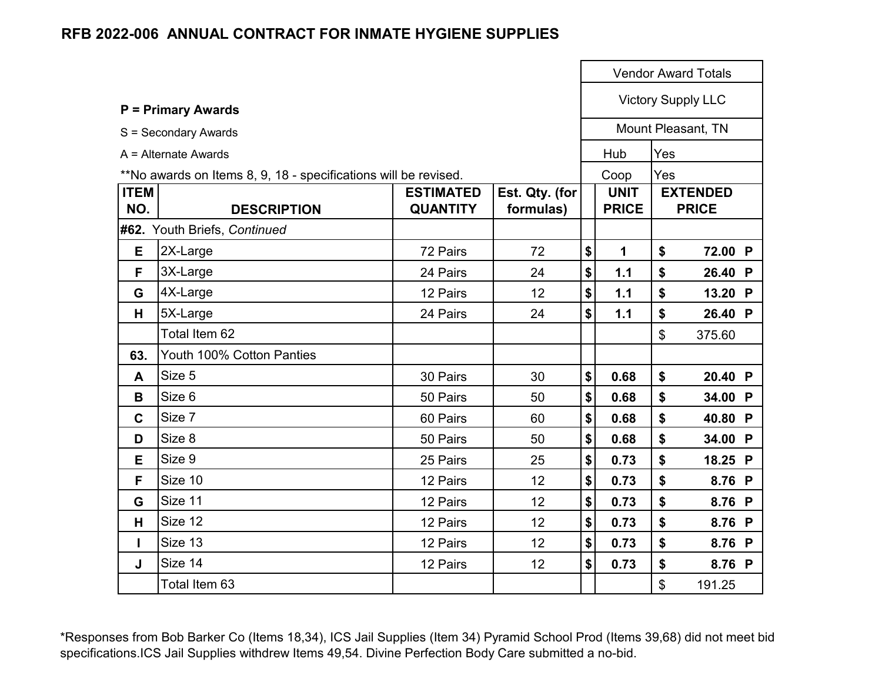|                    |                                                                 |                                     |                             |                             |                | <b>Vendor Award Totals</b>      |  |
|--------------------|-----------------------------------------------------------------|-------------------------------------|-----------------------------|-----------------------------|----------------|---------------------------------|--|
|                    | <b>P = Primary Awards</b>                                       |                                     |                             |                             |                | <b>Victory Supply LLC</b>       |  |
|                    | S = Secondary Awards                                            |                                     |                             |                             |                | Mount Pleasant, TN              |  |
|                    | A = Alternate Awards                                            |                                     |                             | Hub                         | Yes            |                                 |  |
|                    | **No awards on Items 8, 9, 18 - specifications will be revised. |                                     |                             | Coop                        | Yes            |                                 |  |
| <b>ITEM</b><br>NO. | <b>DESCRIPTION</b>                                              | <b>ESTIMATED</b><br><b>QUANTITY</b> | Est. Qty. (for<br>formulas) | <b>UNIT</b><br><b>PRICE</b> |                | <b>EXTENDED</b><br><b>PRICE</b> |  |
|                    | #62. Youth Briefs, Continued                                    |                                     |                             |                             |                |                                 |  |
| E                  | 2X-Large                                                        | 72 Pairs                            | 72                          | \$<br>1                     | \$             | 72.00 P                         |  |
| F.                 | 3X-Large                                                        | 24 Pairs                            | 24                          | \$<br>1.1                   | \$             | 26.40 P                         |  |
| G                  | 4X-Large                                                        | 12 Pairs                            | 12                          | \$<br>1.1                   | \$             | 13.20 P                         |  |
| н                  | 5X-Large                                                        | 24 Pairs                            | 24                          | \$<br>1.1                   | \$             | 26.40 P                         |  |
|                    | Total Item 62                                                   |                                     |                             |                             | $\mathfrak{S}$ | 375.60                          |  |
| 63.                | Youth 100% Cotton Panties                                       |                                     |                             |                             |                |                                 |  |
| A                  | Size 5                                                          | 30 Pairs                            | 30                          | \$<br>0.68                  | \$             | 20.40 P                         |  |
| B                  | Size 6                                                          | 50 Pairs                            | 50                          | \$<br>0.68                  | \$             | 34.00 P                         |  |
| $\mathbf{C}$       | Size 7                                                          | 60 Pairs                            | 60                          | \$<br>0.68                  | \$             | 40.80 P                         |  |
| D                  | Size 8                                                          | 50 Pairs                            | 50                          | \$<br>0.68                  | \$             | 34.00 P                         |  |
| E                  | Size 9                                                          | 25 Pairs                            | 25                          | \$<br>0.73                  | \$             | 18.25 P                         |  |
| F                  | Size 10                                                         | 12 Pairs                            | 12                          | \$<br>0.73                  | \$             | 8.76 P                          |  |
| G                  | Size 11                                                         | 12 Pairs                            | 12                          | \$<br>0.73                  | \$             | 8.76 P                          |  |
| н                  | Size 12                                                         | 12 Pairs                            | 12                          | \$<br>0.73                  | \$             | 8.76 P                          |  |
| L                  | Size 13                                                         | 12 Pairs                            | 12                          | \$<br>0.73                  | \$             | 8.76 P                          |  |
| J                  | Size 14                                                         | 12 Pairs                            | 12                          | \$<br>0.73                  | \$             | 8.76 P                          |  |
|                    | Total Item 63                                                   |                                     |                             |                             | \$             | 191.25                          |  |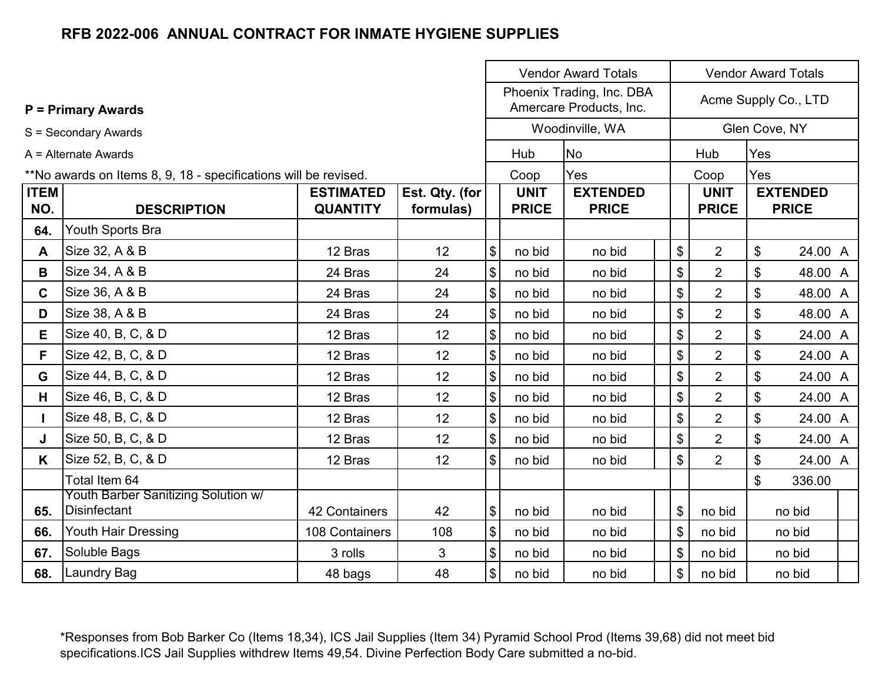|              |                                                                 |                      | <b>Vendor Award Totals</b><br><b>Vendor Award Totals</b> |                           |              |                                                      |  |    |                |                           |                 |  |
|--------------|-----------------------------------------------------------------|----------------------|----------------------------------------------------------|---------------------------|--------------|------------------------------------------------------|--|----|----------------|---------------------------|-----------------|--|
|              | <b>P</b> = Primary Awards                                       |                      |                                                          |                           |              | Phoenix Trading, Inc. DBA<br>Amercare Products, Inc. |  |    |                | Acme Supply Co., LTD      |                 |  |
|              | S = Secondary Awards                                            |                      |                                                          |                           |              | Woodinville, WA                                      |  |    |                | Glen Cove, NY             |                 |  |
|              | $A =$ Alternate Awards                                          |                      |                                                          |                           | Hub          | <b>No</b>                                            |  |    | Hub            | Yes                       |                 |  |
|              | **No awards on Items 8, 9, 18 - specifications will be revised. |                      |                                                          |                           | Coop         | Yes                                                  |  |    | Coop           | Yes                       |                 |  |
| <b>ITEM</b>  |                                                                 | <b>ESTIMATED</b>     | Est. Qty. (for                                           |                           | <b>UNIT</b>  | <b>EXTENDED</b>                                      |  |    | <b>UNIT</b>    |                           | <b>EXTENDED</b> |  |
| NO.          | <b>DESCRIPTION</b>                                              | <b>QUANTITY</b>      | formulas)                                                |                           | <b>PRICE</b> | <b>PRICE</b>                                         |  |    | <b>PRICE</b>   |                           | <b>PRICE</b>    |  |
| 64.          | Youth Sports Bra                                                |                      |                                                          |                           |              |                                                      |  |    |                |                           |                 |  |
| $\mathsf{A}$ | Size 32, A & B                                                  | 12 Bras              | 12                                                       | \$                        | no bid       | no bid                                               |  | \$ | $\overline{2}$ | $\boldsymbol{\mathsf{S}}$ | 24.00 A         |  |
| B            | Size 34, A & B                                                  | 24 Bras              | 24                                                       | \$                        | no bid       | no bid                                               |  | \$ | $\overline{2}$ | \$                        | 48.00 A         |  |
| $\mathbf{C}$ | Size 36, A & B                                                  | 24 Bras              | 24                                                       | \$                        | no bid       | no bid                                               |  | \$ | $\overline{2}$ | \$                        | 48.00 A         |  |
| D            | Size 38, A & B                                                  | 24 Bras              | 24                                                       | \$                        | no bid       | no bid                                               |  | \$ | $\overline{2}$ | \$                        | 48.00 A         |  |
| E.           | Size 40, B, C, & D                                              | 12 Bras              | 12                                                       | \$                        | no bid       | no bid                                               |  | \$ | $\overline{2}$ | \$                        | 24.00 A         |  |
| F.           | Size 42, B, C, & D                                              | 12 Bras              | 12                                                       | \$                        | no bid       | no bid                                               |  | \$ | $\overline{2}$ | \$                        | 24.00 A         |  |
| G            | Size 44, B, C, & D                                              | 12 Bras              | 12                                                       | \$                        | no bid       | no bid                                               |  | \$ | $\overline{2}$ | \$                        | 24.00 A         |  |
| H.           | Size 46, B, C, & D                                              | 12 Bras              | 12                                                       | \$                        | no bid       | no bid                                               |  | \$ | $\overline{2}$ | \$                        | 24.00 A         |  |
|              | Size 48, B, C, & D                                              | 12 Bras              | 12                                                       | \$                        | no bid       | no bid                                               |  | \$ | $\overline{2}$ | \$                        | 24.00 A         |  |
| J            | Size 50, B, C, & D                                              | 12 Bras              | 12                                                       | \$                        | no bid       | no bid                                               |  | \$ | $\overline{2}$ | \$                        | 24.00 A         |  |
| K            | Size 52, B, C, & D                                              | 12 Bras              | 12                                                       | \$                        | no bid       | no bid                                               |  | \$ | $\overline{2}$ | \$                        | 24.00 A         |  |
|              | Total Item 64                                                   |                      |                                                          |                           |              |                                                      |  |    |                | \$                        | 336.00          |  |
|              | Youth Barber Sanitizing Solution w/<br><b>Disinfectant</b>      |                      |                                                          |                           |              |                                                      |  |    |                |                           |                 |  |
| 65.          |                                                                 | <b>42 Containers</b> | 42                                                       | \$                        | no bid       | no bid                                               |  | \$ | no bid         |                           | no bid          |  |
| 66.          | Youth Hair Dressing                                             | 108 Containers       | 108                                                      | \$                        | no bid       | no bid                                               |  | \$ | no bid         |                           | no bid          |  |
| 67.          | Soluble Bags                                                    | 3 rolls              | 3                                                        | $\boldsymbol{\mathsf{S}}$ | no bid       | no bid                                               |  | \$ | no bid         |                           | no bid          |  |
| 68.          | Laundry Bag                                                     | 48 bags              | 48                                                       | \$                        | no bid       | no bid                                               |  | \$ | no bid         |                           | no bid          |  |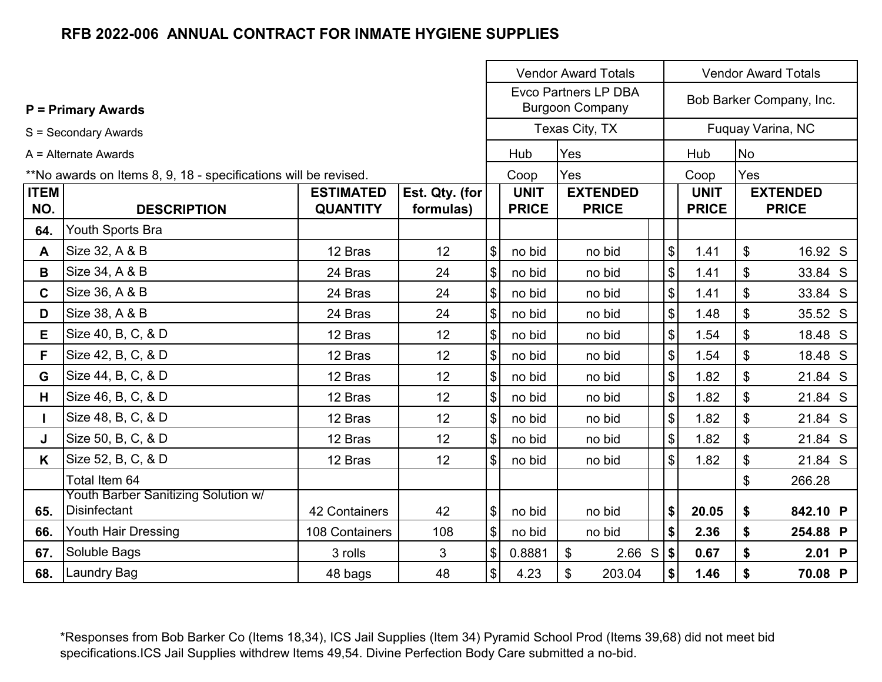|              |                                                                 |                  |                |                              |              | <b>Vendor Award Totals</b>                            |                              |              |                    | <b>Vendor Award Totals</b> |
|--------------|-----------------------------------------------------------------|------------------|----------------|------------------------------|--------------|-------------------------------------------------------|------------------------------|--------------|--------------------|----------------------------|
|              | <b>P = Primary Awards</b>                                       |                  |                |                              |              | <b>Evco Partners LP DBA</b><br><b>Burgoon Company</b> |                              |              |                    | Bob Barker Company, Inc.   |
|              | S = Secondary Awards                                            |                  |                |                              |              | Texas City, TX                                        |                              |              |                    | Fuquay Varina, NC          |
|              | $A =$ Alternate Awards                                          |                  |                |                              | Hub          | Yes                                                   |                              | Hub          | <b>No</b>          |                            |
|              | **No awards on Items 8, 9, 18 - specifications will be revised. |                  |                |                              | Coop         | Yes                                                   |                              | Coop         | Yes                |                            |
| <b>ITEM</b>  |                                                                 | <b>ESTIMATED</b> | Est. Qty. (for |                              | <b>UNIT</b>  | <b>EXTENDED</b>                                       |                              | <b>UNIT</b>  |                    | <b>EXTENDED</b>            |
| NO.          | <b>DESCRIPTION</b>                                              | <b>QUANTITY</b>  | formulas)      |                              | <b>PRICE</b> | <b>PRICE</b>                                          |                              | <b>PRICE</b> |                    | <b>PRICE</b>               |
| 64.          | Youth Sports Bra                                                |                  |                |                              |              |                                                       |                              |              |                    |                            |
| A            | Size 32, A & B                                                  | 12 Bras          | 12             | $\left  \mathcal{L} \right $ | no bid       | no bid                                                | $\sqrt{2}$                   | 1.41         | $\mathfrak{S}$     | 16.92 S                    |
| B            | Size 34, A & B                                                  | 24 Bras          | 24             | $\left  \mathcal{L} \right $ | no bid       | no bid                                                | $\sqrt{2}$                   | 1.41         | \$                 | 33.84 S                    |
| $\mathbf{C}$ | Size 36, A & B                                                  | 24 Bras          | 24             | $\left  \mathcal{L} \right $ | no bid       | no bid                                                | $\sqrt{3}$                   | 1.41         | \$                 | 33.84 S                    |
| D            | Size 38, A & B                                                  | 24 Bras          | 24             | $\left  \mathcal{L} \right $ | no bid       | no bid                                                | $\sqrt{3}$                   | 1.48         | \$                 | 35.52 S                    |
| E            | Size 40, B, C, & D                                              | 12 Bras          | 12             | $\left  \mathcal{L} \right $ | no bid       | no bid                                                | $\sqrt{3}$                   | 1.54         | \$                 | 18.48 S                    |
| F.           | Size 42, B, C, & D                                              | 12 Bras          | 12             | $\left  \mathcal{L} \right $ | no bid       | no bid                                                | $\sqrt{3}$                   | 1.54         | \$                 | 18.48 S                    |
| G            | Size 44, B, C, & D                                              | 12 Bras          | 12             | $\left  \mathcal{L} \right $ | no bid       | no bid                                                | $\frac{3}{2}$                | 1.82         | \$                 | 21.84 S                    |
| H.           | Size 46, B, C, & D                                              | 12 Bras          | 12             | $\left  \mathcal{L} \right $ | no bid       | no bid                                                | $\sqrt{3}$                   | 1.82         | \$                 | 21.84 S                    |
| L            | Size 48, B, C, & D                                              | 12 Bras          | 12             | $\left  \mathcal{L} \right $ | no bid       | no bid                                                | $\sqrt{3}$                   | 1.82         | \$                 | 21.84 S                    |
| J            | Size 50, B, C, & D                                              | 12 Bras          | 12             | $\left  \mathcal{L} \right $ | no bid       | no bid                                                | $\sqrt{2}$                   | 1.82         | \$                 | 21.84 S                    |
| K            | Size 52, B, C, & D                                              | 12 Bras          | 12             | $\left  \frac{1}{2} \right $ | no bid       | no bid                                                | $\sqrt{3}$                   | 1.82         | \$                 | 21.84 S                    |
|              | Total Item 64                                                   |                  |                |                              |              |                                                       |                              |              | $\mathfrak{S}$     | 266.28                     |
|              | Youth Barber Sanitizing Solution w/                             |                  |                |                              |              |                                                       |                              |              |                    |                            |
| 65.          | Disinfectant                                                    | 42 Containers    | 42             | $\left  \frac{1}{2} \right $ | no bid       | no bid                                                | \$                           | 20.05        | \$                 | 842.10 P                   |
| 66.          | Youth Hair Dressing                                             | 108 Containers   | 108            | $\frac{1}{2}$                | no bid       | no bid                                                | $\blacklozenge$              | 2.36         | $\mathbf{\hat{s}}$ | 254.88 P                   |
| 67.          | Soluble Bags                                                    | 3 rolls          | 3              | $\left  \mathcal{L} \right $ | 0.8881       | 2.66 S $ $ \$<br>$\mathfrak{S}$                       |                              | 0.67         | \$                 | $2.01$ P                   |
| 68.          | <b>Laundry Bag</b>                                              | 48 bags          | 48             | $\left  \mathcal{L} \right $ | 4.23         | \$<br>203.04                                          | $\left  \mathbf{\$} \right $ | 1.46         | \$                 | 70.08 P                    |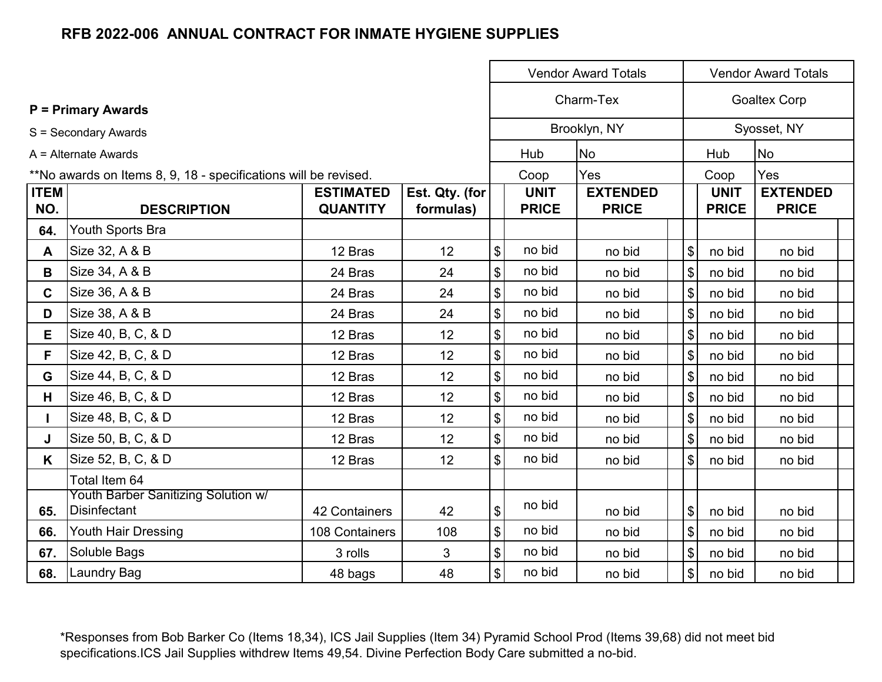|              |                                                                 |                  |                 |                           |              | <b>Vendor Award Totals</b> |                              |              | <b>Vendor Award Totals</b> |  |
|--------------|-----------------------------------------------------------------|------------------|-----------------|---------------------------|--------------|----------------------------|------------------------------|--------------|----------------------------|--|
|              | <b>P = Primary Awards</b>                                       |                  |                 |                           |              | Charm-Tex                  |                              |              | <b>Goaltex Corp</b>        |  |
|              | S = Secondary Awards                                            |                  |                 |                           |              | Brooklyn, NY               |                              |              | Syosset, NY                |  |
|              | $A =$ Alternate Awards                                          |                  |                 |                           | Hub          | <b>No</b>                  |                              | Hub          | <b>No</b>                  |  |
|              | **No awards on Items 8, 9, 18 - specifications will be revised. |                  |                 |                           | Coop         | Yes                        |                              | Coop         | Yes                        |  |
| <b>ITEM</b>  |                                                                 | <b>ESTIMATED</b> | Est. Qty. (for  |                           | <b>UNIT</b>  | <b>EXTENDED</b>            |                              | <b>UNIT</b>  | <b>EXTENDED</b>            |  |
| NO.          | <b>DESCRIPTION</b>                                              | <b>QUANTITY</b>  | formulas)       |                           | <b>PRICE</b> | <b>PRICE</b>               |                              | <b>PRICE</b> | <b>PRICE</b>               |  |
| 64.          | Youth Sports Bra                                                |                  |                 |                           |              |                            |                              |              |                            |  |
| A            | Size 32, A & B                                                  | 12 Bras          | 12 <sup>2</sup> | \$                        | no bid       | no bid                     | $\mathfrak{S}$               | no bid       | no bid                     |  |
| B            | Size 34, A & B                                                  | 24 Bras          | 24              | \$                        | no bid       | no bid                     | $\mathfrak{L}$               | no bid       | no bid                     |  |
| $\mathbf{C}$ | Size 36, A & B                                                  | 24 Bras          | 24              | \$                        | no bid       | no bid                     | $\mathfrak{L}$               | no bid       | no bid                     |  |
| D            | Size 38, A & B                                                  | 24 Bras          | 24              | \$                        | no bid       | no bid                     | $\mathfrak{S}$               | no bid       | no bid                     |  |
| Е            | Size 40, B, C, & D                                              | 12 Bras          | 12              | \$                        | no bid       | no bid                     | $\mathfrak{L}$               | no bid       | no bid                     |  |
| F.           | Size 42, B, C, & D                                              | 12 Bras          | 12              | \$                        | no bid       | no bid                     | $\mathfrak{S}$               | no bid       | no bid                     |  |
| G            | Size 44, B, C, & D                                              | 12 Bras          | 12              | \$                        | no bid       | no bid                     | $\mathfrak{L}$               | no bid       | no bid                     |  |
| H.           | Size 46, B, C, & D                                              | 12 Bras          | 12              | \$                        | no bid       | no bid                     | $\mathfrak{S}$               | no bid       | no bid                     |  |
|              | Size 48, B, C, & D                                              | 12 Bras          | 12              | \$                        | no bid       | no bid                     | $\mathfrak{L}$               | no bid       | no bid                     |  |
| J            | Size 50, B, C, & D                                              | 12 Bras          | 12              | \$                        | no bid       | no bid                     | $\mathfrak{L}$               | no bid       | no bid                     |  |
| K            | Size 52, B, C, & D                                              | 12 Bras          | 12              | $\mathfrak{S}$            | no bid       | no bid                     | $\mathfrak{L}$               | no bid       | no bid                     |  |
|              | Total Item 64                                                   |                  |                 |                           |              |                            |                              |              |                            |  |
| 65.          | Youth Barber Sanitizing Solution w/<br>Disinfectant             | 42 Containers    | 42              | \$                        | no bid       | no bid                     | $\mathfrak{S}$               | no bid       | no bid                     |  |
| 66.          | Youth Hair Dressing                                             | 108 Containers   | 108             | $\mathfrak{S}$            | no bid       | no bid                     | $\mathfrak{S}$               | no bid       | no bid                     |  |
| 67.          | Soluble Bags                                                    | 3 rolls          | 3               | \$                        | no bid       | no bid                     | $\$\$                        | no bid       | no bid                     |  |
| 68.          | <b>Laundry Bag</b>                                              | 48 bags          | 48              | $\boldsymbol{\mathsf{S}}$ | no bid       | no bid                     | $\left  \mathcal{L} \right $ | no bid       | no bid                     |  |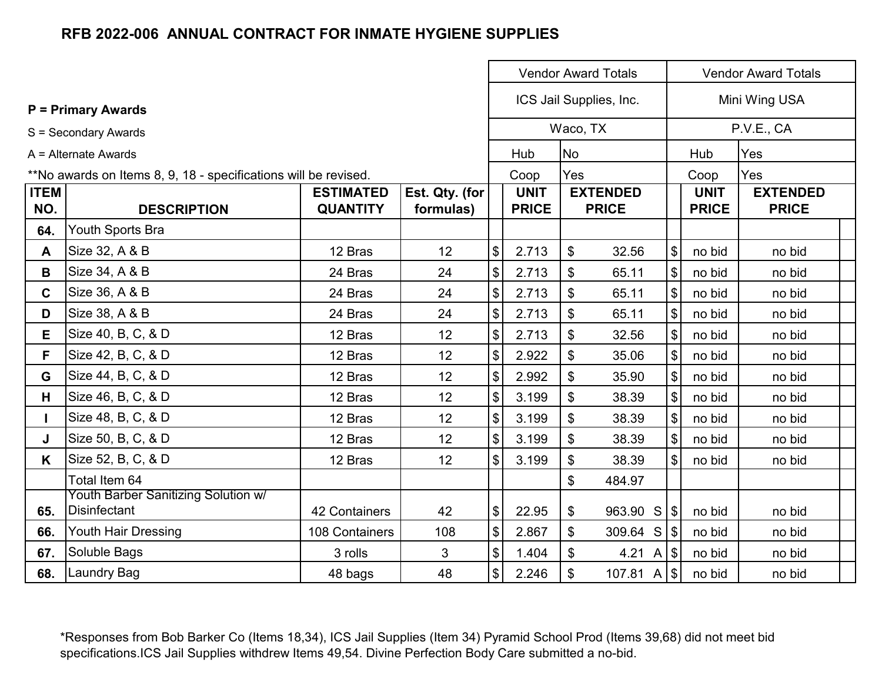|              |                                                                 |                  |                | <b>Vendor Award Totals</b>                |              |                                              |  |                         |              | <b>Vendor Award Totals</b> |
|--------------|-----------------------------------------------------------------|------------------|----------------|-------------------------------------------|--------------|----------------------------------------------|--|-------------------------|--------------|----------------------------|
|              |                                                                 |                  |                |                                           |              | ICS Jail Supplies, Inc.                      |  |                         |              | Mini Wing USA              |
|              | <b>P</b> = Primary Awards                                       |                  |                |                                           |              |                                              |  |                         |              |                            |
|              | S = Secondary Awards                                            |                  |                |                                           |              | Waco, TX                                     |  |                         |              | P.V.E., CA                 |
|              | A = Alternate Awards                                            |                  |                |                                           | Hub          | <b>No</b>                                    |  |                         | Hub          | Yes                        |
|              | **No awards on Items 8, 9, 18 - specifications will be revised. |                  |                |                                           | Coop         | Yes                                          |  |                         | Coop         | Yes                        |
| <b>ITEM</b>  |                                                                 | <b>ESTIMATED</b> | Est. Qty. (for |                                           | <b>UNIT</b>  | <b>EXTENDED</b>                              |  |                         | <b>UNIT</b>  | <b>EXTENDED</b>            |
| NO.          | <b>DESCRIPTION</b>                                              | <b>QUANTITY</b>  | formulas)      |                                           | <b>PRICE</b> | <b>PRICE</b>                                 |  |                         | <b>PRICE</b> | <b>PRICE</b>               |
| 64.          | Youth Sports Bra                                                |                  |                |                                           |              |                                              |  |                         |              |                            |
| $\mathsf{A}$ | Size 32, A & B                                                  | 12 Bras          | 12             | $\$\$                                     | 2.713        | \$<br>32.56                                  |  | $\sqrt[6]{\frac{1}{2}}$ | no bid       | no bid                     |
| B            | Size 34, A & B                                                  | 24 Bras          | 24             | $\$\$                                     | 2.713        | \$<br>65.11                                  |  | $\sqrt[6]{\frac{1}{2}}$ | no bid       | no bid                     |
| $\mathbf{C}$ | Size 36, A & B                                                  | 24 Bras          | 24             | $\$\$                                     | 2.713        | $\boldsymbol{\mathsf{S}}$<br>65.11           |  | $\sqrt[6]{\frac{1}{2}}$ | no bid       | no bid                     |
| D            | Size 38, A & B                                                  | 24 Bras          | 24             | $\$\$                                     | 2.713        | $\boldsymbol{\mathsf{S}}$<br>65.11           |  | $\sqrt[6]{\frac{1}{2}}$ | no bid       | no bid                     |
| Е            | Size 40, B, C, & D                                              | 12 Bras          | 12             | $\$\$                                     | 2.713        | $\boldsymbol{\mathsf{S}}$<br>32.56           |  | $\sqrt[6]{\frac{1}{2}}$ | no bid       | no bid                     |
| F.           | Size 42, B, C, & D                                              | 12 Bras          | 12             | $\$\$                                     | 2.922        | $\boldsymbol{\mathsf{S}}$<br>35.06           |  | $\sqrt[6]{\frac{1}{2}}$ | no bid       | no bid                     |
| G            | Size 44, B, C, & D                                              | 12 Bras          | 12             | $\$\$                                     | 2.992        | $\boldsymbol{\mathsf{S}}$<br>35.90           |  | $\sqrt[6]{\frac{1}{2}}$ | no bid       | no bid                     |
| H            | Size 46, B, C, & D                                              | 12 Bras          | 12             | $\$\$                                     | 3.199        | $\boldsymbol{\mathsf{S}}$<br>38.39           |  | $\mathfrak{S}$          | no bid       | no bid                     |
|              | Size 48, B, C, & D                                              | 12 Bras          | 12             | $\$\$                                     | 3.199        | $\boldsymbol{\mathsf{S}}$<br>38.39           |  | $\mathfrak{S}$          | no bid       | no bid                     |
| J            | Size 50, B, C, & D                                              | 12 Bras          | 12             | $\$\$                                     | 3.199        | \$<br>38.39                                  |  | $\mathfrak{S}$          | no bid       | no bid                     |
| K            | Size 52, B, C, & D                                              | 12 Bras          | 12             | $\sqrt[6]{\frac{1}{2}}$                   | 3.199        | \$<br>38.39                                  |  | $\mathcal{S}$           | no bid       | no bid                     |
|              | Total Item 64                                                   |                  |                |                                           |              | \$<br>484.97                                 |  |                         |              |                            |
| 65.          | Youth Barber Sanitizing Solution w/<br><b>Disinfectant</b>      | 42 Containers    | 42             | $\, \, \raisebox{12pt}{$\scriptstyle \$}$ | 22.95        | 963.90 S<br>\$                               |  |                         | no bid       | no bid                     |
| 66.          | Youth Hair Dressing                                             | 108 Containers   | 108            | $\boldsymbol{\$}$                         | 2.867        | $309.64$ S $ \$$<br>\$                       |  |                         | no bid       | no bid                     |
| 67.          | Soluble Bags                                                    | 3 rolls          | 3              | $\boldsymbol{\$}$                         | 1.404        | 4.21 A $ \$$<br>$\mathfrak{S}$               |  |                         | no bid       | no bid                     |
| 68.          | Laundry Bag                                                     | 48 bags          | 48             | $\mathcal{S}$                             | 2.246        | 107.81 A $ \$ $<br>$\boldsymbol{\mathsf{S}}$ |  |                         | no bid       | no bid                     |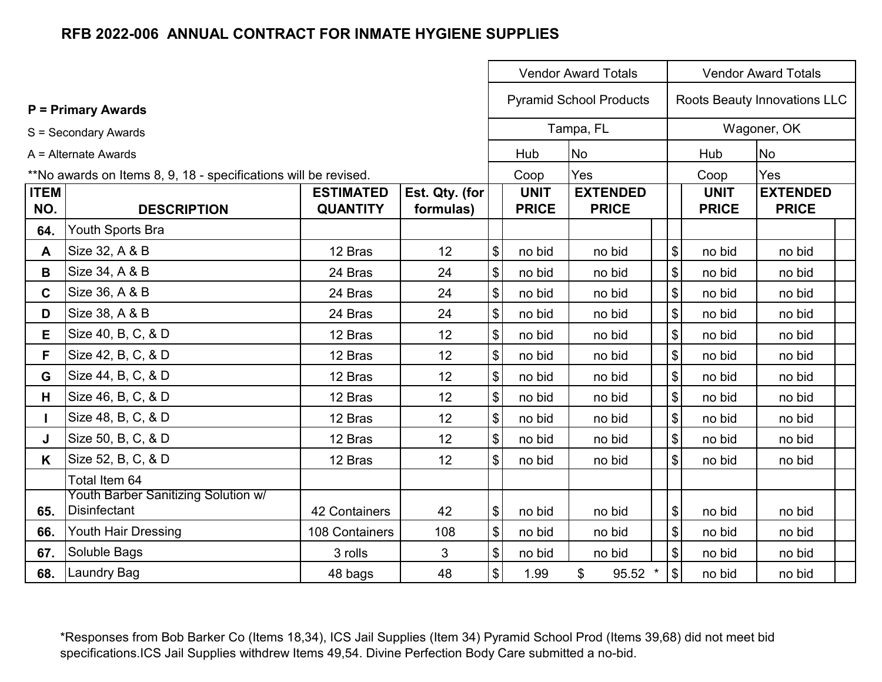|             |                                                                 |                      |                |                                           |              | <b>Vendor Award Totals</b>           |                                           |              | <b>Vendor Award Totals</b>   |  |
|-------------|-----------------------------------------------------------------|----------------------|----------------|-------------------------------------------|--------------|--------------------------------------|-------------------------------------------|--------------|------------------------------|--|
|             | <b>P = Primary Awards</b>                                       |                      |                |                                           |              | <b>Pyramid School Products</b>       |                                           |              | Roots Beauty Innovations LLC |  |
|             | S = Secondary Awards                                            |                      |                |                                           |              | Tampa, FL                            |                                           |              | Wagoner, OK                  |  |
|             | $A =$ Alternate Awards                                          |                      |                |                                           | Hub          | No                                   |                                           | Hub          | No                           |  |
|             | **No awards on Items 8, 9, 18 - specifications will be revised. |                      |                |                                           | Coop         | Yes                                  |                                           | Coop         | Yes                          |  |
| <b>ITEM</b> |                                                                 | <b>ESTIMATED</b>     | Est. Qty. (for |                                           | <b>UNIT</b>  | <b>EXTENDED</b>                      |                                           | <b>UNIT</b>  | <b>EXTENDED</b>              |  |
| NO.         | <b>DESCRIPTION</b>                                              | <b>QUANTITY</b>      | formulas)      |                                           | <b>PRICE</b> | <b>PRICE</b>                         |                                           | <b>PRICE</b> | <b>PRICE</b>                 |  |
| 64.         | Youth Sports Bra                                                |                      |                |                                           |              |                                      |                                           |              |                              |  |
| A           | Size 32, A & B                                                  | 12 Bras              | 12             | $\boldsymbol{\$}$                         | no bid       | no bid                               | $\, \, \raisebox{12pt}{$\scriptstyle \$}$ | no bid       | no bid                       |  |
| B           | Size 34, A & B                                                  | 24 Bras              | 24             | $\, \, \raisebox{12pt}{$\scriptstyle \$}$ | no bid       | no bid                               | $$\mathbb{S}$$                            | no bid       | no bid                       |  |
| $\mathbf C$ | Size 36, A & B                                                  | 24 Bras              | 24             | $\, \, \raisebox{12pt}{$\scriptstyle \$}$ | no bid       | no bid                               | $$\mathbb{S}$$                            | no bid       | no bid                       |  |
| D           | Size 38, A & B                                                  | 24 Bras              | 24             | $\, \, \raisebox{12pt}{$\scriptstyle \$}$ | no bid       | no bid                               | $$\mathbb{S}$$                            | no bid       | no bid                       |  |
| E           | Size 40, B, C, & D                                              | 12 Bras              | 12             | $\, \, \raisebox{12pt}{$\scriptstyle \$}$ | no bid       | no bid                               | $$\mathbb{S}$$                            | no bid       | no bid                       |  |
| F.          | Size 42, B, C, & D                                              | 12 Bras              | 12             | $\, \, \raisebox{12pt}{$\scriptstyle \$}$ | no bid       | no bid                               | $$\mathbb{S}$$                            | no bid       | no bid                       |  |
| G           | Size 44, B, C, & D                                              | 12 Bras              | 12             | $\, \, \raisebox{12pt}{$\scriptstyle \$}$ | no bid       | no bid                               | $$\mathbb{S}$$                            | no bid       | no bid                       |  |
| H.          | Size 46, B, C, & D                                              | 12 Bras              | 12             | $\, \, \raisebox{12pt}{$\scriptstyle \$}$ | no bid       | no bid                               | $\boldsymbol{\$}$                         | no bid       | no bid                       |  |
|             | Size 48, B, C, & D                                              | 12 Bras              | 12             | $\, \, \$$                                | no bid       | no bid                               | $$\mathbb{S}$$                            | no bid       | no bid                       |  |
| J           | Size 50, B, C, & D                                              | 12 Bras              | 12             | $\, \, \$$                                | no bid       | no bid                               | $$\mathbb{S}$$                            | no bid       | no bid                       |  |
| K           | Size 52, B, C, & D                                              | 12 Bras              | 12             | $\boldsymbol{\mathsf{\$}}$                | no bid       | no bid                               | $\boldsymbol{\mathsf{S}}$                 | no bid       | no bid                       |  |
|             | Total Item 64                                                   |                      |                |                                           |              |                                      |                                           |              |                              |  |
| 65.         | Youth Barber Sanitizing Solution w/<br>Disinfectant             | <b>42 Containers</b> | 42             | $\boldsymbol{\$}$                         | no bid       | no bid                               | $\boldsymbol{\$}$                         | no bid       | no bid                       |  |
| 66.         | Youth Hair Dressing                                             | 108 Containers       | 108            | $\sqrt[6]{\frac{1}{2}}$                   | no bid       | no bid                               | $\boldsymbol{\mathsf{S}}$                 | no bid       | no bid                       |  |
| 67.         | Soluble Bags                                                    | 3 rolls              | 3              | $\, \, \$$                                | no bid       | no bid                               | $\$\$                                     | no bid       | no bid                       |  |
| 68.         | <b>Laundry Bag</b>                                              | 48 bags              | 48             | $\sqrt[6]{\frac{1}{2}}$                   | 1.99         | $\boldsymbol{\mathsf{S}}$<br>95.52 * | $\sqrt{3}$                                | no bid       | no bid                       |  |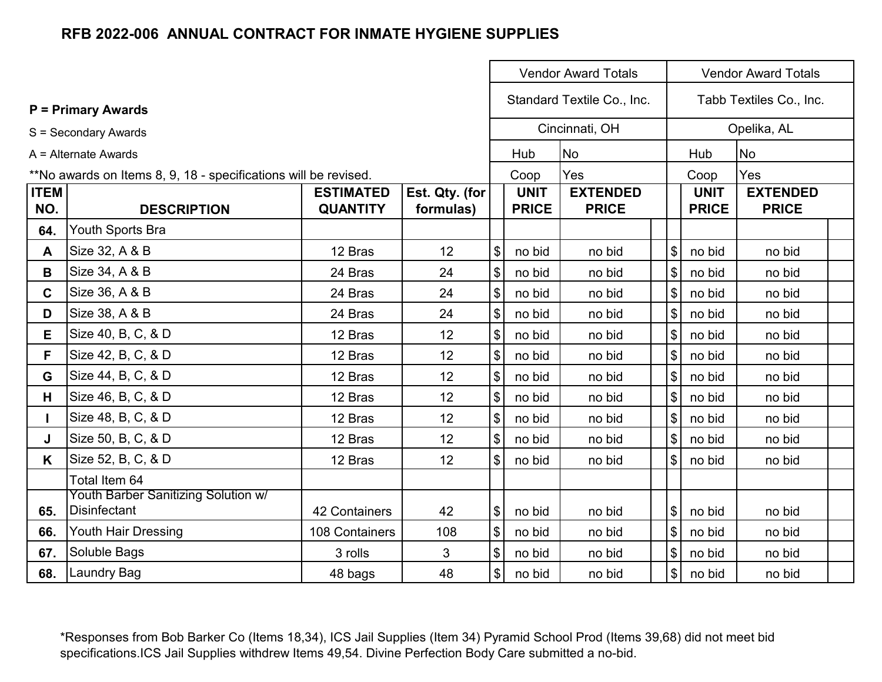|              |                                                                 |                  |                |                            |              | <b>Vendor Award Totals</b> |                         |              | <b>Vendor Award Totals</b> |  |
|--------------|-----------------------------------------------------------------|------------------|----------------|----------------------------|--------------|----------------------------|-------------------------|--------------|----------------------------|--|
|              | <b>P = Primary Awards</b>                                       |                  |                |                            |              | Standard Textile Co., Inc. |                         |              | Tabb Textiles Co., Inc.    |  |
|              |                                                                 |                  |                |                            |              | Cincinnati, OH             |                         |              | Opelika, AL                |  |
|              | S = Secondary Awards                                            |                  |                |                            |              |                            |                         |              |                            |  |
|              | $A =$ Alternate Awards                                          |                  |                |                            | Hub          | <b>No</b>                  |                         | Hub          | No                         |  |
|              | **No awards on Items 8, 9, 18 - specifications will be revised. |                  |                |                            | Coop         | Yes                        |                         | Coop         | Yes                        |  |
| <b>ITEM</b>  |                                                                 | <b>ESTIMATED</b> | Est. Qty. (for |                            | <b>UNIT</b>  | <b>EXTENDED</b>            |                         | <b>UNIT</b>  | <b>EXTENDED</b>            |  |
| NO.          | <b>DESCRIPTION</b>                                              | <b>QUANTITY</b>  | formulas)      |                            | <b>PRICE</b> | <b>PRICE</b>               |                         | <b>PRICE</b> | <b>PRICE</b>               |  |
| 64.          | Youth Sports Bra                                                |                  |                |                            |              |                            |                         |              |                            |  |
| A            | Size 32, A & B                                                  | 12 Bras          | 12             | \$                         | no bid       | no bid                     | $\sqrt[6]{\frac{1}{2}}$ | no bid       | no bid                     |  |
| В            | Size 34, A & B                                                  | 24 Bras          | 24             | \$                         | no bid       | no bid                     | $\sqrt[6]{\frac{1}{2}}$ | no bid       | no bid                     |  |
| $\mathbf{C}$ | Size 36, A & B                                                  | 24 Bras          | 24             | \$                         | no bid       | no bid                     | $\sqrt[6]{\frac{1}{2}}$ | no bid       | no bid                     |  |
| D            | Size 38, A & B                                                  | 24 Bras          | 24             | \$                         | no bid       | no bid                     | $\sqrt[6]{\frac{1}{2}}$ | no bid       | no bid                     |  |
| E            | Size 40, B, C, & D                                              | 12 Bras          | 12             | \$                         | no bid       | no bid                     | $\sqrt[6]{\frac{1}{2}}$ | no bid       | no bid                     |  |
| F.           | Size 42, B, C, & D                                              | 12 Bras          | 12             | \$                         | no bid       | no bid                     | $\sqrt[6]{\frac{1}{2}}$ | no bid       | no bid                     |  |
| G            | Size 44, B, C, & D                                              | 12 Bras          | 12             | \$                         | no bid       | no bid                     | $\$\$                   | no bid       | no bid                     |  |
| H.           | Size 46, B, C, & D                                              | 12 Bras          | 12             | $\boldsymbol{\mathsf{S}}$  | no bid       | no bid                     | $\$\$                   | no bid       | no bid                     |  |
| L            | Size 48, B, C, & D                                              | 12 Bras          | 12             | $\boldsymbol{\mathsf{S}}$  | no bid       | no bid                     | $\$\$                   | no bid       | no bid                     |  |
| J            | Size 50, B, C, & D                                              | 12 Bras          | 12             | \$                         | no bid       | no bid                     | $\$\$                   | no bid       | no bid                     |  |
| K            | Size 52, B, C, & D                                              | 12 Bras          | 12             | $\mathbb S$                | no bid       | no bid                     | $\mathfrak{S}$          | no bid       | no bid                     |  |
|              | Total Item 64                                                   |                  |                |                            |              |                            |                         |              |                            |  |
|              | Youth Barber Sanitizing Solution w/                             |                  |                |                            |              |                            |                         |              |                            |  |
| 65.          | Disinfectant                                                    | 42 Containers    | 42             | \$                         | no bid       | no bid                     | $\$\$                   | no bid       | no bid                     |  |
| 66.          | Youth Hair Dressing                                             | 108 Containers   | 108            | $\$\$                      | no bid       | no bid                     | $\sqrt{3}$              | no bid       | no bid                     |  |
| 67.          | Soluble Bags                                                    | 3 rolls          | 3              | $\boldsymbol{\mathsf{\$}}$ | no bid       | no bid                     | $\$\$                   | no bid       | no bid                     |  |
| 68.          | Laundry Bag                                                     | 48 bags          | 48             | $\mathfrak{S}$             | no bid       | no bid                     | $\sqrt[6]{\frac{1}{2}}$ | no bid       | no bid                     |  |